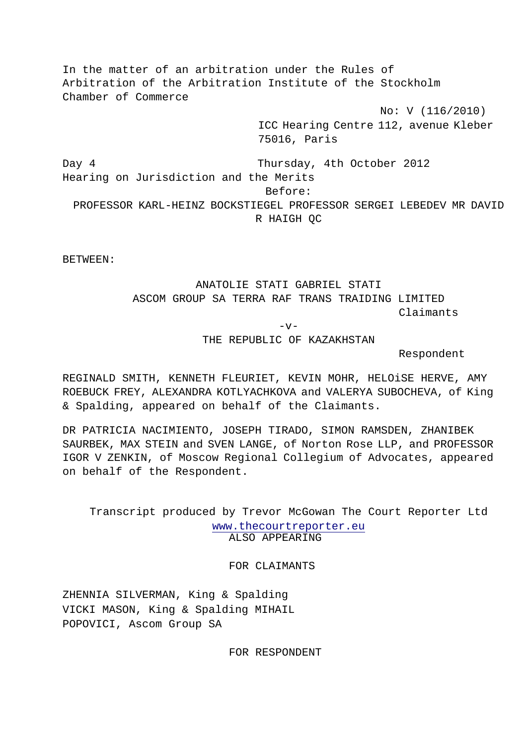In the matter of an arbitration under the Rules of Arbitration of the Arbitration Institute of the Stockholm Chamber of Commerce No: V (116/2010) ICC Hearing Centre 112, avenue Kleber 75016, Paris Day 4 Thursday, 4th October 2012 Hearing on Jurisdiction and the Merits Before: PROFESSOR KARL-HEINZ BOCKSTIEGEL PROFESSOR SERGEI LEBEDEV MR DAVID R HAIGH QC

BETWEEN:

# ANATOLIE STATI GABRIEL STATI ASCOM GROUP SA TERRA RAF TRANS TRAIDING LIMITED Claimants

 $-v-$ 

## THE REPUBLIC OF KAZAKHSTAN

Respondent

REGINALD SMITH, KENNETH FLEURIET, KEVIN MOHR, HELOiSE HERVE, AMY ROEBUCK FREY, ALEXANDRA KOTLYACHKOVA and VALERYA SUBOCHEVA, of King & Spalding, appeared on behalf of the Claimants.

DR PATRICIA NACIMIENTO, JOSEPH TIRADO, SIMON RAMSDEN, ZHANIBEK SAURBEK, MAX STEIN and SVEN LANGE, of Norton Rose LLP, and PROFESSOR IGOR V ZENKIN, of Moscow Regional Collegium of Advocates, appeared on behalf of the Respondent.

Transcript produced by Trevor McGowan The Court Reporter Ltd www.thecourtreporter.eu ALSO APPEARING

FOR CLAIMANTS

ZHENNIA SILVERMAN, King & Spalding VICKI MASON, King & Spalding MIHAIL POPOVICI, Ascom Group SA

FOR RESPONDENT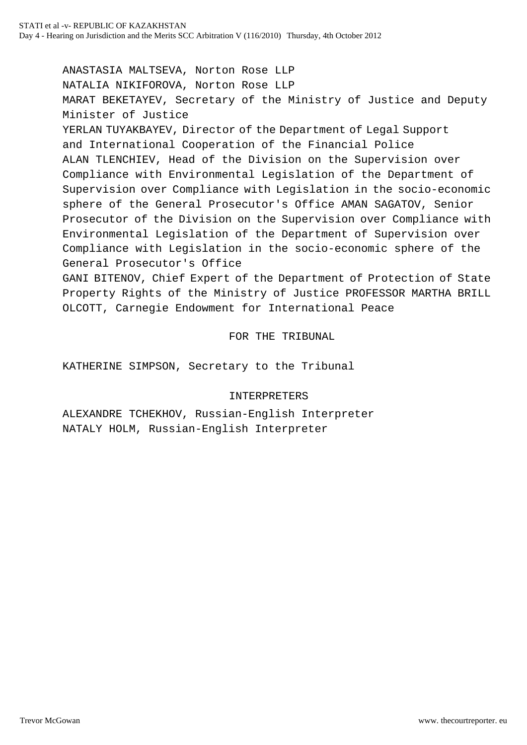ANASTASIA MALTSEVA, Norton Rose LLP NATALIA NIKIFOROVA, Norton Rose LLP MARAT BEKETAYEV, Secretary of the Ministry of Justice and Deputy Minister of Justice YERLAN TUYAKBAYEV, Director of the Department of Legal Support and International Cooperation of the Financial Police ALAN TLENCHIEV, Head of the Division on the Supervision over Compliance with Environmental Legislation of the Department of Supervision over Compliance with Legislation in the socio-economic sphere of the General Prosecutor's Office AMAN SAGATOV, Senior Prosecutor of the Division on the Supervision over Compliance with Environmental Legislation of the Department of Supervision over Compliance with Legislation in the socio-economic sphere of the General Prosecutor's Office

GANI BITENOV, Chief Expert of the Department of Protection of State Property Rights of the Ministry of Justice PROFESSOR MARTHA BRILL OLCOTT, Carnegie Endowment for International Peace

FOR THE TRIBUNAL

KATHERINE SIMPSON, Secretary to the Tribunal

## INTERPRETERS

ALEXANDRE TCHEKHOV, Russian-English Interpreter NATALY HOLM, Russian-English Interpreter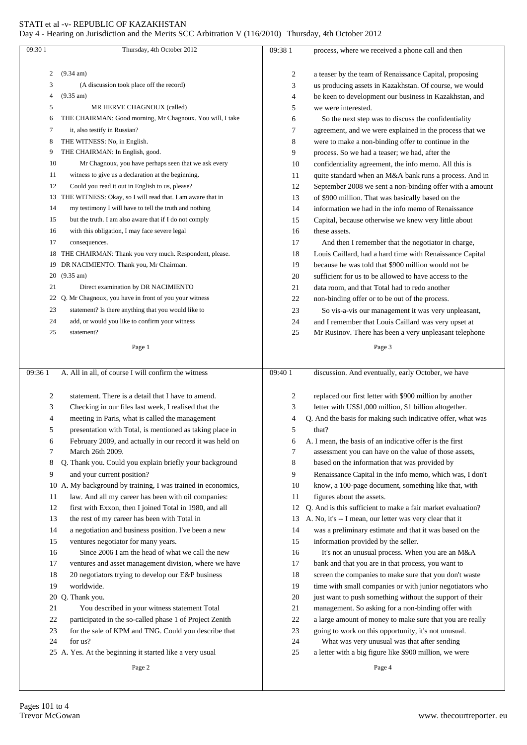| 09:30 1 | Thursday, 4th October 2012                                    | 09:38 1  | process, where we received a phone call and then                                                                     |
|---------|---------------------------------------------------------------|----------|----------------------------------------------------------------------------------------------------------------------|
|         |                                                               |          |                                                                                                                      |
| 2       | $(9.34 \text{ am})$                                           | 2        | a teaser by the team of Renaissance Capital, proposing                                                               |
| 3       | (A discussion took place off the record)                      | 3        | us producing assets in Kazakhstan. Of course, we would                                                               |
| 4       | $(9.35 \text{ am})$                                           | 4        | be keen to development our business in Kazakhstan, and                                                               |
| 5       | MR HERVE CHAGNOUX (called)                                    | 5        | we were interested.                                                                                                  |
| 6       | THE CHAIRMAN: Good morning, Mr Chagnoux. You will, I take     | 6        | So the next step was to discuss the confidentiality                                                                  |
| 7       | it, also testify in Russian?                                  | 7        | agreement, and we were explained in the process that we                                                              |
| 8       | THE WITNESS: No, in English.                                  | 8        | were to make a non-binding offer to continue in the                                                                  |
| 9       | THE CHAIRMAN: In English, good.                               | 9        | process. So we had a teaser; we had, after the                                                                       |
| 10      | Mr Chagnoux, you have perhaps seen that we ask every          | 10       | confidentiality agreement, the info memo. All this is                                                                |
| 11      | witness to give us a declaration at the beginning.            | 11       | quite standard when an M&A bank runs a process. And in                                                               |
| 12      | Could you read it out in English to us, please?               | 12       | September 2008 we sent a non-binding offer with a amount                                                             |
|         | 13 THE WITNESS: Okay, so I will read that. I am aware that in | 13       | of \$900 million. That was basically based on the                                                                    |
| 14      | my testimony I will have to tell the truth and nothing        | 14       | information we had in the info memo of Renaissance                                                                   |
| 15      | but the truth. I am also aware that if I do not comply        | 15       | Capital, because otherwise we knew very little about                                                                 |
| 16      | with this obligation, I may face severe legal                 | 16       | these assets.                                                                                                        |
| 17      | consequences.                                                 | 17       | And then I remember that the negotiator in charge,                                                                   |
|         | 18 THE CHAIRMAN: Thank you very much. Respondent, please.     | 18       | Louis Caillard, had a hard time with Renaissance Capital                                                             |
| 19      | DR NACIMIENTO: Thank you, Mr Chairman.<br>20 (9.35 am)        | 19<br>20 | because he was told that \$900 million would not be<br>sufficient for us to be allowed to have access to the         |
| 21      | Direct examination by DR NACIMIENTO                           | 21       | data room, and that Total had to redo another                                                                        |
| 22      | Q. Mr Chagnoux, you have in front of you your witness         | 22       | non-binding offer or to be out of the process.                                                                       |
| 23      | statement? Is there anything that you would like to           | 23       | So vis-a-vis our management it was very unpleasant,                                                                  |
| 24      | add, or would you like to confirm your witness                | 24       | and I remember that Louis Caillard was very upset at                                                                 |
| 25      | statement?                                                    | $25\,$   | Mr Rusinov. There has been a very unpleasant telephone                                                               |
|         |                                                               |          |                                                                                                                      |
|         | Page 1                                                        |          | Page 3                                                                                                               |
|         |                                                               |          |                                                                                                                      |
| 09:36 1 | A. All in all, of course I will confirm the witness           | 09:40 1  | discussion. And eventually, early October, we have                                                                   |
| 2       | statement. There is a detail that I have to amend.            | 2        | replaced our first letter with \$900 million by another                                                              |
| 3       | Checking in our files last week, I realised that the          | 3        | letter with US\$1,000 million, \$1 billion altogether.                                                               |
| 4       | meeting in Paris, what is called the management               | 4        | Q. And the basis for making such indicative offer, what was                                                          |
| 5       | presentation with Total, is mentioned as taking place in      | 5        | that?                                                                                                                |
| 6       | February 2009, and actually in our record it was held on      | 6        | A. I mean, the basis of an indicative offer is the first                                                             |
| 7       | March 26th 2009.                                              | 7        | assessment you can have on the value of those assets,                                                                |
| 8       | Q. Thank you. Could you explain briefly your background       | 8        | based on the information that was provided by                                                                        |
| 9       | and your current position?                                    | 9        | Renaissance Capital in the info memo, which was, I don't                                                             |
|         | 10 A. My background by training, I was trained in economics,  | 10       | know, a 100-page document, something like that, with                                                                 |
| 11      | law. And all my career has been with oil companies:           | 11       | figures about the assets.                                                                                            |
| 12      | first with Exxon, then I joined Total in 1980, and all        | 12       | Q. And is this sufficient to make a fair market evaluation?                                                          |
| 13      | the rest of my career has been with Total in                  | 13       | A. No, it's -- I mean, our letter was very clear that it                                                             |
| 14      | a negotiation and business position. I've been a new          | 14       | was a preliminary estimate and that it was based on the                                                              |
| 15      | ventures negotiator for many years.                           | 15       | information provided by the seller.                                                                                  |
| 16      | Since 2006 I am the head of what we call the new              | 16       | It's not an unusual process. When you are an M&A                                                                     |
| 17      | ventures and asset management division, where we have         | 17       | bank and that you are in that process, you want to                                                                   |
| 18      | 20 negotiators trying to develop our E&P business             | 18       | screen the companies to make sure that you don't waste                                                               |
| 19      | worldwide.<br>20 Q. Thank you.                                | 19<br>20 | time with small companies or with junior negotiators who<br>just want to push something without the support of their |
| 21      | You described in your witness statement Total                 | 21       | management. So asking for a non-binding offer with                                                                   |
| 22      | participated in the so-called phase 1 of Project Zenith       | 22       | a large amount of money to make sure that you are really                                                             |
| 23      | for the sale of KPM and TNG. Could you describe that          | 23       | going to work on this opportunity, it's not unusual.                                                                 |
| 24      | for us?                                                       | 24       | What was very unusual was that after sending                                                                         |
|         | 25 A. Yes. At the beginning it started like a very usual      | 25       | a letter with a big figure like \$900 million, we were                                                               |
|         | Page 2                                                        |          | Page 4                                                                                                               |
|         |                                                               |          |                                                                                                                      |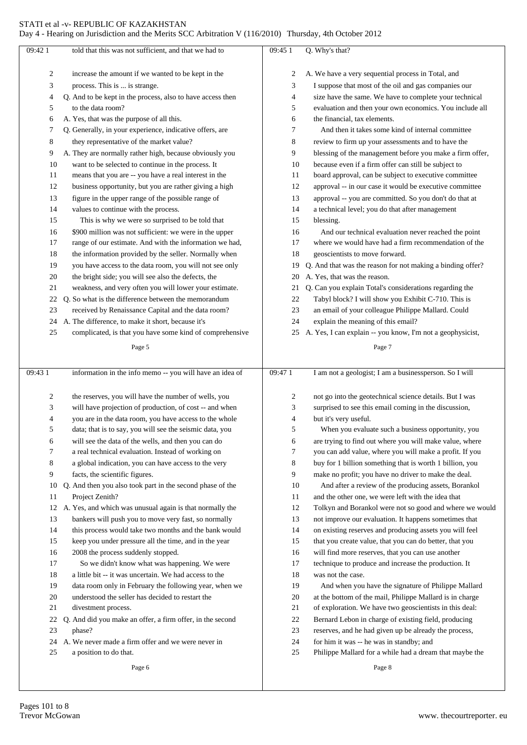| 09:42 1 | told that this was not sufficient, and that we had to                                                           | 09:45 1  | Q. Why's that?                                                                                                      |
|---------|-----------------------------------------------------------------------------------------------------------------|----------|---------------------------------------------------------------------------------------------------------------------|
| 2       | increase the amount if we wanted to be kept in the                                                              | 2        | A. We have a very sequential process in Total, and                                                                  |
| 3       | process. This is  is strange.                                                                                   | 3        | I suppose that most of the oil and gas companies our                                                                |
| 4       | Q. And to be kept in the process, also to have access then                                                      | 4        | size have the same. We have to complete your technical                                                              |
| 5       | to the data room?                                                                                               | 5        | evaluation and then your own economics. You include all                                                             |
| 6       | A. Yes, that was the purpose of all this.                                                                       | 6        | the financial, tax elements.                                                                                        |
| 7       | Q. Generally, in your experience, indicative offers, are                                                        | 7        | And then it takes some kind of internal committee                                                                   |
| 8       | they representative of the market value?                                                                        | 8        | review to firm up your assessments and to have the                                                                  |
| 9       | A. They are normally rather high, because obviously you                                                         | 9        | blessing of the management before you make a firm offer,                                                            |
| 10      | want to be selected to continue in the process. It                                                              | 10       | because even if a firm offer can still be subject to                                                                |
| 11      | means that you are -- you have a real interest in the                                                           | 11       | board approval, can be subject to executive committee                                                               |
| 12      | business opportunity, but you are rather giving a high                                                          | 12       | approval -- in our case it would be executive committee                                                             |
| 13      | figure in the upper range of the possible range of                                                              | 13       | approval -- you are committed. So you don't do that at                                                              |
| 14      | values to continue with the process.                                                                            | 14       | a technical level; you do that after management                                                                     |
| 15      | This is why we were so surprised to be told that                                                                | 15       | blessing.                                                                                                           |
| 16      | \$900 million was not sufficient: we were in the upper                                                          | 16       | And our technical evaluation never reached the point                                                                |
| 17      | range of our estimate. And with the information we had,                                                         | 17       | where we would have had a firm recommendation of the                                                                |
| 18      | the information provided by the seller. Normally when                                                           | 18       | geoscientists to move forward.                                                                                      |
|         |                                                                                                                 |          |                                                                                                                     |
| 19      | you have access to the data room, you will not see only                                                         | 19       | Q. And that was the reason for not making a binding offer?                                                          |
| 20      | the bright side; you will see also the defects, the                                                             | 20       | A. Yes, that was the reason.                                                                                        |
| 21      | weakness, and very often you will lower your estimate.                                                          | 21       | Q. Can you explain Total's considerations regarding the                                                             |
| 22      | Q. So what is the difference between the memorandum                                                             | 22       | Tabyl block? I will show you Exhibit C-710. This is                                                                 |
| 23      | received by Renaissance Capital and the data room?                                                              | 23       | an email of your colleague Philippe Mallard. Could                                                                  |
| 24      | A. The difference, to make it short, because it's                                                               | 24       | explain the meaning of this email?                                                                                  |
| 25      | complicated, is that you have some kind of comprehensive                                                        |          | 25 A. Yes, I can explain -- you know, I'm not a geophysicist,                                                       |
|         | Page 5                                                                                                          |          | Page 7                                                                                                              |
|         |                                                                                                                 |          |                                                                                                                     |
| 09:43 1 | information in the info memo -- you will have an idea of                                                        | 09:47 1  | I am not a geologist; I am a businessperson. So I will                                                              |
|         |                                                                                                                 |          |                                                                                                                     |
| 2<br>3  | the reserves, you will have the number of wells, you<br>will have projection of production, of cost -- and when | 2<br>3   | not go into the geotechnical science details. But I was                                                             |
|         | you are in the data room, you have access to the whole                                                          |          | surprised to see this email coming in the discussion,                                                               |
| 4<br>5  | data; that is to say, you will see the seismic data, you                                                        | 4<br>5   | but it's very useful.<br>When you evaluate such a business opportunity, you                                         |
|         |                                                                                                                 |          |                                                                                                                     |
| 6       | will see the data of the wells, and then you can do<br>a real technical evaluation. Instead of working on       | 6<br>7   | are trying to find out where you will make value, where                                                             |
| 7       |                                                                                                                 |          | you can add value, where you will make a profit. If you<br>buy for 1 billion something that is worth 1 billion, you |
| 8       | a global indication, you can have access to the very                                                            | 8        |                                                                                                                     |
| 9       | facts, the scientific figures.                                                                                  | 9        | make no profit; you have no driver to make the deal.                                                                |
| 10      | Q. And then you also took part in the second phase of the                                                       | 10       | And after a review of the producing assets, Borankol                                                                |
| 11      | Project Zenith?                                                                                                 | 11       | and the other one, we were left with the idea that                                                                  |
| 12      | A. Yes, and which was unusual again is that normally the                                                        | 12<br>13 | Tolkyn and Borankol were not so good and where we would                                                             |
| 13      | bankers will push you to move very fast, so normally                                                            |          | not improve our evaluation. It happens sometimes that                                                               |
| 14      | this process would take two months and the bank would                                                           | 14       | on existing reserves and producing assets you will feel                                                             |
| 15      | keep you under pressure all the time, and in the year                                                           | 15       | that you create value, that you can do better, that you                                                             |
| 16      | 2008 the process suddenly stopped.                                                                              | 16       | will find more reserves, that you can use another                                                                   |
| 17      | So we didn't know what was happening. We were                                                                   | 17       | technique to produce and increase the production. It                                                                |
| 18      | a little bit -- it was uncertain. We had access to the                                                          | 18       | was not the case.                                                                                                   |
| 19      | data room only in February the following year, when we                                                          | 19       | And when you have the signature of Philippe Mallard                                                                 |
| 20      | understood the seller has decided to restart the                                                                | 20       | at the bottom of the mail, Philippe Mallard is in charge                                                            |
| 21      | divestment process.                                                                                             | 21       | of exploration. We have two geoscientists in this deal:                                                             |
| 22      | Q. And did you make an offer, a firm offer, in the second                                                       | 22       | Bernard Lebon in charge of existing field, producing                                                                |
| 23      | phase?                                                                                                          | 23       | reserves, and he had given up be already the process,                                                               |
| 24      | A. We never made a firm offer and we were never in                                                              | 24       | for him it was -- he was in standby; and                                                                            |
| 25      | a position to do that.                                                                                          | 25       | Philippe Mallard for a while had a dream that maybe the                                                             |
|         | Page 6                                                                                                          |          | Page 8                                                                                                              |
|         |                                                                                                                 |          |                                                                                                                     |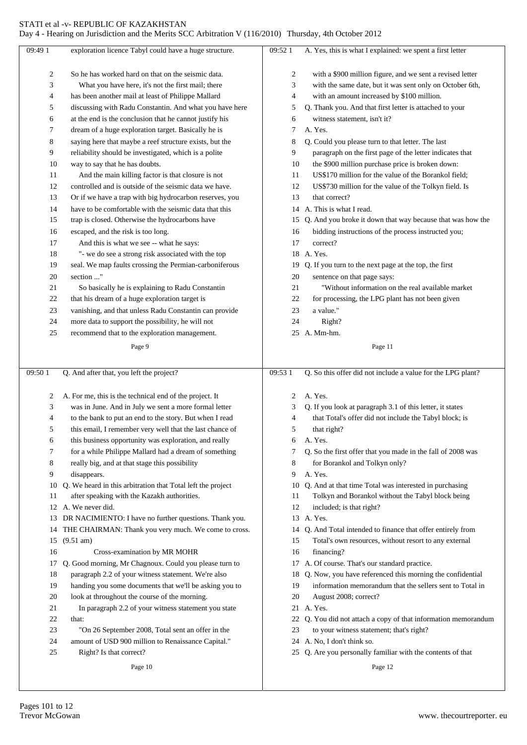| 09:49 1        | exploration licence Tabyl could have a huge structure.                                                              | 09:52 1 | A. Yes, this is what I explained: we spent a first letter                                    |
|----------------|---------------------------------------------------------------------------------------------------------------------|---------|----------------------------------------------------------------------------------------------|
|                |                                                                                                                     |         |                                                                                              |
| $\overline{c}$ | So he has worked hard on that on the seismic data.                                                                  | 2       | with a \$900 million figure, and we sent a revised letter                                    |
| 3              | What you have here, it's not the first mail; there                                                                  | 3       | with the same date, but it was sent only on October 6th,                                     |
| 4              | has been another mail at least of Philippe Mallard                                                                  | 4       | with an amount increased by \$100 million.                                                   |
| 5              | discussing with Radu Constantin. And what you have here                                                             | 5       | Q. Thank you. And that first letter is attached to your                                      |
| 6              | at the end is the conclusion that he cannot justify his                                                             | 6       | witness statement, isn't it?                                                                 |
| 7              | dream of a huge exploration target. Basically he is                                                                 | 7       | A. Yes.                                                                                      |
| 8              | saying here that maybe a reef structure exists, but the                                                             | 8       | Q. Could you please turn to that letter. The last                                            |
| 9              | reliability should be investigated, which is a polite                                                               | 9       | paragraph on the first page of the letter indicates that                                     |
| 10             | way to say that he has doubts.                                                                                      | 10      | the \$900 million purchase price is broken down:                                             |
| 11             | And the main killing factor is that closure is not                                                                  | 11      | US\$170 million for the value of the Borankol field;                                         |
| 12             | controlled and is outside of the seismic data we have.                                                              | 12      | US\$730 million for the value of the Tolkyn field. Is                                        |
| 13             | Or if we have a trap with big hydrocarbon reserves, you                                                             | 13      | that correct?                                                                                |
| 14             | have to be comfortable with the seismic data that this                                                              |         | 14 A. This is what I read.                                                                   |
| 15             | trap is closed. Otherwise the hydrocarbons have                                                                     | 15      | Q. And you broke it down that way because that was how the                                   |
| 16             | escaped, and the risk is too long.                                                                                  | 16      | bidding instructions of the process instructed you;                                          |
| 17             | And this is what we see -- what he says:                                                                            | 17      | correct?                                                                                     |
| 18             | "- we do see a strong risk associated with the top                                                                  |         | 18 A. Yes.                                                                                   |
| 19             | seal. We map faults crossing the Permian-carboniferous                                                              | 19      | Q. If you turn to the next page at the top, the first                                        |
| 20             | section "                                                                                                           | 20      | sentence on that page says:                                                                  |
| 21             | So basically he is explaining to Radu Constantin                                                                    | 21      | "Without information on the real available market"                                           |
| 22             | that his dream of a huge exploration target is                                                                      | 22      | for processing, the LPG plant has not been given                                             |
| 23             | vanishing, and that unless Radu Constantin can provide                                                              | 23      | a value."                                                                                    |
| 24             | more data to support the possibility, he will not                                                                   | 24      | Right?                                                                                       |
| 25             | recommend that to the exploration management.                                                                       | 25      | A. Mm-hm.                                                                                    |
|                | Page 9                                                                                                              |         | Page 11                                                                                      |
|                |                                                                                                                     |         |                                                                                              |
|                |                                                                                                                     |         |                                                                                              |
|                |                                                                                                                     |         |                                                                                              |
| 09:50 1        | Q. And after that, you left the project?                                                                            | 09:53 1 | Q. So this offer did not include a value for the LPG plant?                                  |
|                |                                                                                                                     | 2       | A. Yes.                                                                                      |
| 2<br>3         | A. For me, this is the technical end of the project. It                                                             | 3       |                                                                                              |
| 4              | was in June. And in July we sent a more formal letter                                                               | 4       | Q. If you look at paragraph 3.1 of this letter, it states                                    |
| 5              | to the bank to put an end to the story. But when I read<br>this email, I remember very well that the last chance of | 5       | that Total's offer did not include the Tabyl block; is<br>that right?                        |
| 6              | this business opportunity was exploration, and really                                                               | 6       | A. Yes.                                                                                      |
| 7              | for a while Philippe Mallard had a dream of something                                                               | 7       |                                                                                              |
| 8              | really big, and at that stage this possibility                                                                      | 8       | Q. So the first offer that you made in the fall of 2008 was<br>for Borankol and Tolkyn only? |
| 9              |                                                                                                                     | 9       | A. Yes.                                                                                      |
| 10             | disappears.<br>Q. We heard in this arbitration that Total left the project                                          |         | 10 Q. And at that time Total was interested in purchasing                                    |
| 11             | after speaking with the Kazakh authorities.                                                                         | 11      | Tolkyn and Borankol without the Tabyl block being                                            |
|                | 12 A. We never did.                                                                                                 | 12      | included; is that right?                                                                     |
| 13             | DR NACIMIENTO: I have no further questions. Thank you.                                                              |         | 13 A. Yes.                                                                                   |
| 14             | THE CHAIRMAN: Thank you very much. We come to cross.                                                                | 14      | Q. And Total intended to finance that offer entirely from                                    |
| 15             | $(9.51$ am)                                                                                                         | 15      | Total's own resources, without resort to any external                                        |
| 16             | Cross-examination by MR MOHR                                                                                        | 16      | financing?                                                                                   |
| 17             | Q. Good morning, Mr Chagnoux. Could you please turn to                                                              | 17      | A. Of course. That's our standard practice.                                                  |
| 18             | paragraph 2.2 of your witness statement. We're also                                                                 | 18      | Q. Now, you have referenced this morning the confidential                                    |
| 19             | handing you some documents that we'll be asking you to                                                              | 19      | information memorandum that the sellers sent to Total in                                     |
| 20             | look at throughout the course of the morning.                                                                       | 20      | August 2008; correct?                                                                        |
| 21             | In paragraph 2.2 of your witness statement you state                                                                |         | 21 A. Yes.                                                                                   |
| 22             | that:                                                                                                               | 22      | Q. You did not attach a copy of that information memorandum                                  |
| 23             | "On 26 September 2008, Total sent an offer in the                                                                   | 23      | to your witness statement; that's right?                                                     |
| 24             | amount of USD 900 million to Renaissance Capital."                                                                  | 24      | A. No, I don't think so.                                                                     |
| 25             | Right? Is that correct?                                                                                             | 25      | Q. Are you personally familiar with the contents of that                                     |
|                | Page 10                                                                                                             |         | Page 12                                                                                      |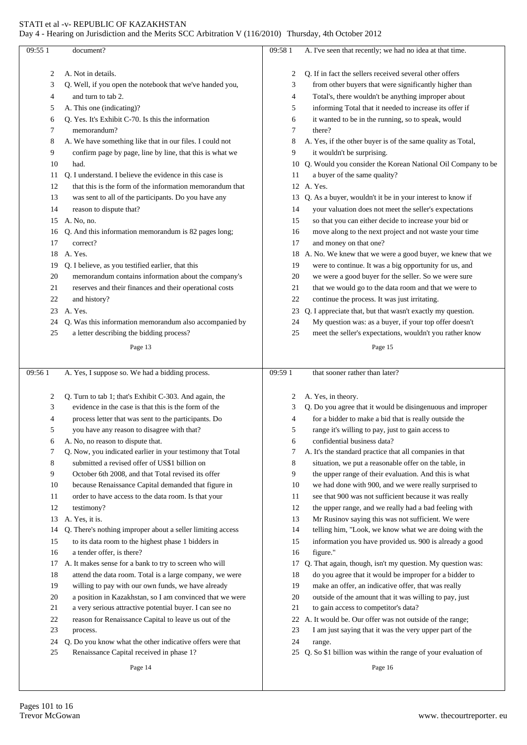| 09:55 1 | document?                                                                                       | 09:58 1 | A. I've seen that recently; we had no idea at that time.                                |
|---------|-------------------------------------------------------------------------------------------------|---------|-----------------------------------------------------------------------------------------|
|         |                                                                                                 |         |                                                                                         |
| 2       | A. Not in details.                                                                              | 2       | Q. If in fact the sellers received several other offers                                 |
| 3       | Q. Well, if you open the notebook that we've handed you,                                        | 3       | from other buyers that were significantly higher than                                   |
| 4       | and turn to tab 2.                                                                              | 4       | Total's, there wouldn't be anything improper about                                      |
| 5       | A. This one (indicating)?                                                                       | 5       | informing Total that it needed to increase its offer if                                 |
| 6       | Q. Yes. It's Exhibit C-70. Is this the information                                              | 6       | it wanted to be in the running, so to speak, would                                      |
| 7       | memorandum?                                                                                     | 7       | there?                                                                                  |
| 8       | A. We have something like that in our files. I could not                                        | 8       | A. Yes, if the other buyer is of the same quality as Total,                             |
| 9       | confirm page by page, line by line, that this is what we                                        | 9       | it wouldn't be surprising.                                                              |
| 10      | had.                                                                                            | 10      | Q. Would you consider the Korean National Oil Company to be                             |
| 11      | Q. I understand. I believe the evidence in this case is                                         | 11      | a buyer of the same quality?                                                            |
| 12      | that this is the form of the information memorandum that                                        |         | 12 A. Yes.                                                                              |
| 13      | was sent to all of the participants. Do you have any                                            | 13      | Q. As a buyer, wouldn't it be in your interest to know if                               |
| 14      | reason to dispute that?                                                                         | 14      | your valuation does not meet the seller's expectations                                  |
| 15      | A. No, no.                                                                                      | 15      | so that you can either decide to increase your bid or                                   |
| 16      | Q. And this information memorandum is 82 pages long;                                            | 16      | move along to the next project and not waste your time                                  |
| 17      | correct?                                                                                        | 17      | and money on that one?                                                                  |
| 18      | A. Yes.                                                                                         |         | 18 A. No. We knew that we were a good buyer, we knew that we                            |
| 19      | Q. I believe, as you testified earlier, that this                                               | 19      | were to continue. It was a big opportunity for us, and                                  |
| 20      | memorandum contains information about the company's                                             | 20      | we were a good buyer for the seller. So we were sure                                    |
| 21      | reserves and their finances and their operational costs                                         | 21      | that we would go to the data room and that we were to                                   |
| 22      | and history?                                                                                    | 22      | continue the process. It was just irritating.                                           |
| 23      | A. Yes.                                                                                         | 23      | Q. I appreciate that, but that wasn't exactly my question.                              |
| 24      | Q. Was this information memorandum also accompanied by                                          | 24      | My question was: as a buyer, if your top offer doesn't                                  |
| 25      | a letter describing the bidding process?                                                        | 25      | meet the seller's expectations, wouldn't you rather know                                |
|         | Page 13                                                                                         |         | Page 15                                                                                 |
|         |                                                                                                 |         |                                                                                         |
|         |                                                                                                 |         |                                                                                         |
| 09:56 1 | A. Yes, I suppose so. We had a bidding process.                                                 | 09:59 1 | that sooner rather than later?                                                          |
|         |                                                                                                 |         |                                                                                         |
| 2       | Q. Turn to tab 1; that's Exhibit C-303. And again, the                                          | 2       | A. Yes, in theory.                                                                      |
| 3       | evidence in the case is that this is the form of the                                            | 3       | Q. Do you agree that it would be disingenuous and improper                              |
| 4       | process letter that was sent to the participants. Do                                            | 4       | for a bidder to make a bid that is really outside the                                   |
| 5<br>6  | you have any reason to disagree with that?                                                      | 5<br>6  | range it's willing to pay, just to gain access to                                       |
| 7       | A. No, no reason to dispute that.<br>Q. Now, you indicated earlier in your testimony that Total | 7       | confidential business data?<br>A. It's the standard practice that all companies in that |
| 8       | submitted a revised offer of US\$1 billion on                                                   | 8       | situation, we put a reasonable offer on the table, in                                   |
| 9       | October 6th 2008, and that Total revised its offer                                              | 9       | the upper range of their evaluation. And this is what                                   |
| 10      | because Renaissance Capital demanded that figure in                                             | 10      | we had done with 900, and we were really surprised to                                   |
| 11      | order to have access to the data room. Is that your                                             | 11      | see that 900 was not sufficient because it was really                                   |
| 12      | testimony?                                                                                      | 12      | the upper range, and we really had a bad feeling with                                   |
| 13      | A. Yes, it is.                                                                                  | 13      | Mr Rusinov saying this was not sufficient. We were                                      |
| 14      | Q. There's nothing improper about a seller limiting access                                      | 14      | telling him, "Look, we know what we are doing with the                                  |
| 15      | to its data room to the highest phase 1 bidders in                                              | 15      | information you have provided us. 900 is already a good                                 |
| 16      | a tender offer, is there?                                                                       | 16      | figure."                                                                                |
| 17      | A. It makes sense for a bank to try to screen who will                                          | 17      | Q. That again, though, isn't my question. My question was:                              |
| 18      | attend the data room. Total is a large company, we were                                         | 18      | do you agree that it would be improper for a bidder to                                  |
| 19      | willing to pay with our own funds, we have already                                              | 19      | make an offer, an indicative offer, that was really                                     |
| 20      | a position in Kazakhstan, so I am convinced that we were                                        | 20      | outside of the amount that it was willing to pay, just                                  |
| 21      | a very serious attractive potential buyer. I can see no                                         | 21      | to gain access to competitor's data?                                                    |
| 22      | reason for Renaissance Capital to leave us out of the                                           | 22      | A. It would be. Our offer was not outside of the range;                                 |
| 23      | process.                                                                                        | 23      | I am just saying that it was the very upper part of the                                 |
| 24      | Q. Do you know what the other indicative offers were that                                       | 24      | range.                                                                                  |
| 25      | Renaissance Capital received in phase 1?                                                        | 25      | Q. So \$1 billion was within the range of your evaluation of                            |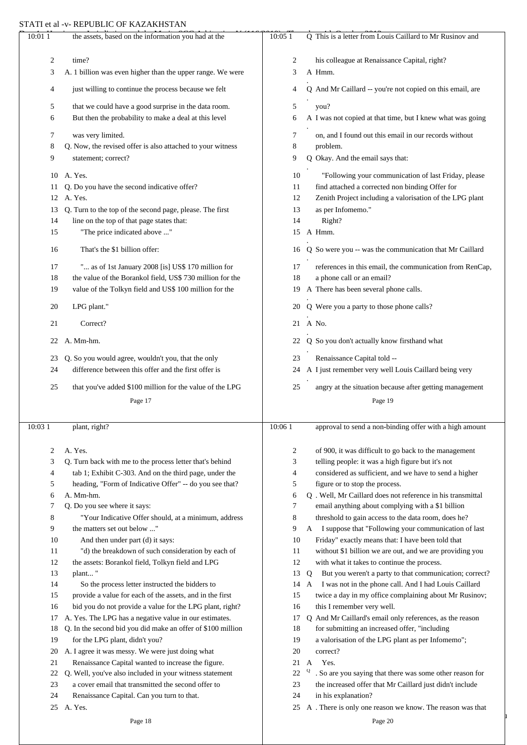| 10:011  | the assets, based on the information you had at the                                                   | 10:05 1  |              | Q This is a letter from Louis Caillard to Mr Rusinov and                                                  |
|---------|-------------------------------------------------------------------------------------------------------|----------|--------------|-----------------------------------------------------------------------------------------------------------|
|         |                                                                                                       |          |              |                                                                                                           |
| 2       | time?                                                                                                 | 2        |              | his colleague at Renaissance Capital, right?                                                              |
| 3       | A. 1 billion was even higher than the upper range. We were                                            | 3        |              | A Hmm.                                                                                                    |
| 4       | just willing to continue the process because we felt                                                  | 4        |              | Q And Mr Caillard -- you're not copied on this email, are                                                 |
| 5       | that we could have a good surprise in the data room.                                                  | 5        |              | you?                                                                                                      |
| 6       | But then the probability to make a deal at this level                                                 | 6        |              | A I was not copied at that time, but I knew what was going                                                |
|         |                                                                                                       |          |              |                                                                                                           |
| 7       | was very limited.                                                                                     | 7        |              | on, and I found out this email in our records without                                                     |
| 8       | Q. Now, the revised offer is also attached to your witness                                            | 8        |              | problem.                                                                                                  |
| 9       | statement; correct?                                                                                   | 9        |              | Q Okay. And the email says that:                                                                          |
|         |                                                                                                       |          |              |                                                                                                           |
| 10      | A. Yes.                                                                                               | 10       |              | "Following your communication of last Friday, please                                                      |
| 11      | Q. Do you have the second indicative offer?<br>A. Yes.                                                | 11<br>12 |              | find attached a corrected non binding Offer for                                                           |
| 12      |                                                                                                       |          |              | Zenith Project including a valorisation of the LPG plant                                                  |
| 13      | Q. Turn to the top of the second page, please. The first<br>line on the top of that page states that: | 13       |              | as per Infomemo."                                                                                         |
| 14      | "The price indicated above "                                                                          | 14       |              | Right?                                                                                                    |
| 15      |                                                                                                       | 15       |              | A Hmm.                                                                                                    |
| 16      | That's the \$1 billion offer:                                                                         | 16       |              | Q So were you -- was the communication that Mr Caillard                                                   |
| 17      | " as of 1st January 2008 [is] US\$ 170 million for                                                    | 17       |              | references in this email, the communication from RenCap,                                                  |
| 18      | the value of the Borankol field, US\$ 730 million for the                                             | 18       |              | a phone call or an email?                                                                                 |
| 19      | value of the Tolkyn field and US\$ 100 million for the                                                | 19       |              | A There has been several phone calls.                                                                     |
| 20      | LPG plant."                                                                                           | 20       |              | Q Were you a party to those phone calls?                                                                  |
| 21      | Correct?                                                                                              |          |              | 21 A No.                                                                                                  |
| 22      | A. Mm-hm.                                                                                             | 22       |              | Q So you don't actually know firsthand what                                                               |
| 23      | Q. So you would agree, wouldn't you, that the only                                                    | 23       |              | Renaissance Capital told --                                                                               |
| 24      | difference between this offer and the first offer is                                                  | 24       |              | A I just remember very well Louis Caillard being very                                                     |
|         |                                                                                                       |          |              |                                                                                                           |
| 25      |                                                                                                       | 25       |              |                                                                                                           |
|         | that you've added \$100 million for the value of the LPG                                              |          |              | angry at the situation because after getting management                                                   |
|         | Page 17                                                                                               |          |              | Page 19                                                                                                   |
|         |                                                                                                       |          |              |                                                                                                           |
| 10:03 1 | plant, right?                                                                                         | 10:06 1  |              | approval to send a non-binding offer with a high amount                                                   |
|         |                                                                                                       |          |              |                                                                                                           |
| 2       | A. Yes.                                                                                               | 2        |              | of 900, it was difficult to go back to the management                                                     |
| 3<br>4  | Q. Turn back with me to the process letter that's behind                                              | 3        |              | telling people: it was a high figure but it's not                                                         |
| 5       | tab 1; Exhibit C-303. And on the third page, under the                                                | 4<br>5   |              | considered as sufficient, and we have to send a higher                                                    |
|         | heading, "Form of Indicative Offer" -- do you see that?                                               |          |              | figure or to stop the process.                                                                            |
| 6<br>7  | A. Mm-hm.                                                                                             | 6<br>7   |              | Q. Well, Mr Caillard does not reference in his transmittal                                                |
| 8       | Q. Do you see where it says:                                                                          | 8        |              | email anything about complying with a \$1 billion                                                         |
| 9       | "Your Indicative Offer should, at a minimum, address<br>the matters set out below "                   | 9        | A            | threshold to gain access to the data room, does he?                                                       |
| 10      | And then under part (d) it says:                                                                      | 10       |              | I suppose that "Following your communication of last<br>Friday" exactly means that: I have been told that |
| 11      | "d) the breakdown of such consideration by each of                                                    | 11       |              | without \$1 billion we are out, and we are providing you                                                  |
| 12      | the assets: Borankol field, Tolkyn field and LPG                                                      | 12       |              | with what it takes to continue the process.                                                               |
| 13      | plant"                                                                                                | 13       | Q            | But you weren't a party to that communication; correct?                                                   |
| 14      | So the process letter instructed the bidders to                                                       | 14 A     |              | I was not in the phone call. And I had Louis Caillard                                                     |
| 15      | provide a value for each of the assets, and in the first                                              | 15       |              | twice a day in my office complaining about Mr Rusinov;                                                    |
| 16      | bid you do not provide a value for the LPG plant, right?                                              | 16       |              | this I remember very well.                                                                                |
| 17      | A. Yes. The LPG has a negative value in our estimates.                                                | 17       |              | Q And Mr Caillard's email only references, as the reason                                                  |
| 18      | Q. In the second bid you did make an offer of \$100 million                                           | 18       |              | for submitting an increased offer, "including                                                             |
| 19      | for the LPG plant, didn't you?                                                                        | 19       |              | a valorisation of the LPG plant as per Infomemo";                                                         |
| 20      | A. I agree it was messy. We were just doing what                                                      | 20       |              | correct?                                                                                                  |
| 21      | Renaissance Capital wanted to increase the figure.                                                    | 21       | $\mathbf{A}$ | Yes.                                                                                                      |
| 22      | Q. Well, you've also included in your witness statement                                               | $22\,$   |              | . So are you saying that there was some other reason for                                                  |
| 23      | a cover email that transmitted the second offer to                                                    | 23       |              | the increased offer that Mr Caillard just didn't include                                                  |
| 24      | Renaissance Capital. Can you turn to that.                                                            | 24       |              | in his explanation?                                                                                       |
|         | 25 A. Yes.                                                                                            | 25       |              | A . There is only one reason we know. The reason was that                                                 |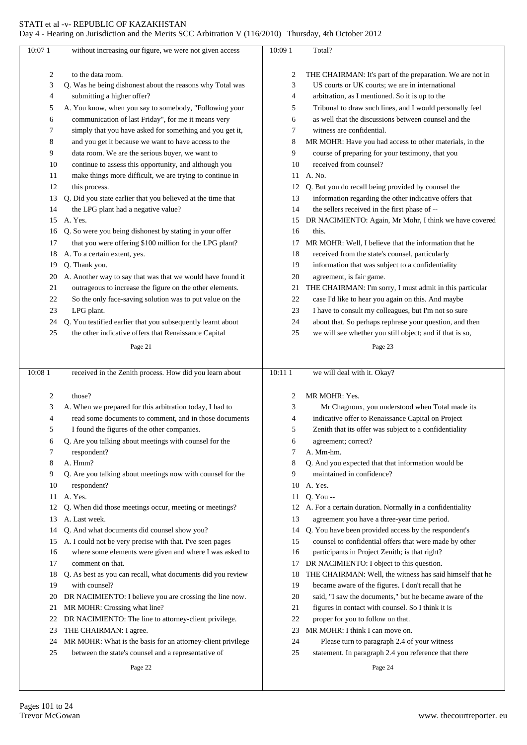| 10:071   | without increasing our figure, we were not given access                      | 10:09 1  | Total?                                                                          |
|----------|------------------------------------------------------------------------------|----------|---------------------------------------------------------------------------------|
|          |                                                                              |          |                                                                                 |
| 2        | to the data room.                                                            | 2        | THE CHAIRMAN: It's part of the preparation. We are not in                       |
| 3        | Q. Was he being dishonest about the reasons why Total was                    | 3        | US courts or UK courts; we are in international                                 |
| 4        | submitting a higher offer?                                                   | 4        | arbitration, as I mentioned. So it is up to the                                 |
| 5        | A. You know, when you say to somebody, "Following your                       | 5        | Tribunal to draw such lines, and I would personally feel                        |
| 6        | communication of last Friday", for me it means very                          | 6        | as well that the discussions between counsel and the                            |
| 7        | simply that you have asked for something and you get it,                     | 7        | witness are confidential.                                                       |
| 8        | and you get it because we want to have access to the                         | 8        | MR MOHR: Have you had access to other materials, in the                         |
| 9        | data room. We are the serious buyer, we want to                              | 9        | course of preparing for your testimony, that you                                |
| 10       | continue to assess this opportunity, and although you                        | 10       | received from counsel?                                                          |
| 11       | make things more difficult, we are trying to continue in                     | 11       | A. No.                                                                          |
| 12       | this process.                                                                | 12       | Q. But you do recall being provided by counsel the                              |
| 13       | Q. Did you state earlier that you believed at the time that                  | 13       | information regarding the other indicative offers that                          |
| 14       | the LPG plant had a negative value?                                          | 14       | the sellers received in the first phase of --                                   |
| 15       | A. Yes.                                                                      | 15       | DR NACIMIENTO: Again, Mr Mohr, I think we have covered                          |
| 16       | Q. So were you being dishonest by stating in your offer                      | 16       | this.                                                                           |
| 17       | that you were offering \$100 million for the LPG plant?                      |          | MR MOHR: Well, I believe that the information that he                           |
|          | A. To a certain extent, yes.                                                 | 17<br>18 | received from the state's counsel, particularly                                 |
| 18       |                                                                              |          |                                                                                 |
| 19       | Q. Thank you.                                                                | 19       | information that was subject to a confidentiality                               |
| 20       | A. Another way to say that was that we would have found it                   | 20       | agreement, is fair game.                                                        |
| 21       | outrageous to increase the figure on the other elements.                     | 21       | THE CHAIRMAN: I'm sorry, I must admit in this particular                        |
| 22       | So the only face-saving solution was to put value on the                     | $22\,$   | case I'd like to hear you again on this. And maybe                              |
| 23       | LPG plant.                                                                   | 23       | I have to consult my colleagues, but I'm not so sure                            |
| 24       | Q. You testified earlier that you subsequently learnt about                  | 24       | about that. So perhaps rephrase your question, and then                         |
| 25       | the other indicative offers that Renaissance Capital                         | 25       | we will see whether you still object; and if that is so,                        |
|          | Page 21                                                                      |          | Page 23                                                                         |
|          |                                                                              |          |                                                                                 |
|          |                                                                              |          |                                                                                 |
| 10:08 1  | received in the Zenith process. How did you learn about                      | 10:11 1  | we will deal with it. Okay?                                                     |
|          |                                                                              |          |                                                                                 |
| 2        | those?                                                                       | 2        | MR MOHR: Yes.                                                                   |
| 3        | A. When we prepared for this arbitration today, I had to                     | 3        | Mr Chagnoux, you understood when Total made its                                 |
| 4        | read some documents to comment, and in those documents                       | 4        | indicative offer to Renaissance Capital on Project                              |
| 5        | I found the figures of the other companies.                                  | 5        | Zenith that its offer was subject to a confidentiality                          |
|          |                                                                              |          |                                                                                 |
| 6<br>7   | Q. Are you talking about meetings with counsel for the<br>respondent?        | 6<br>7   | agreement; correct?<br>A. Mm-hm.                                                |
| 8        |                                                                              | 8        |                                                                                 |
| 9        | A. Hmm?                                                                      | 9        | Q. And you expected that that information would be<br>maintained in confidence? |
| 10       | Q. Are you talking about meetings now with counsel for the<br>respondent?    | 10       | A. Yes.                                                                         |
| 11       | A. Yes.                                                                      | 11       | $Q. You -$                                                                      |
| 12       | Q. When did those meetings occur, meeting or meetings?                       | 12       | A. For a certain duration. Normally in a confidentiality                        |
| 13       | A. Last week.                                                                | 13       |                                                                                 |
|          |                                                                              | 14       | agreement you have a three-year time period.                                    |
| 14       | Q. And what documents did counsel show you?                                  |          | Q. You have been provided access by the respondent's                            |
| 15       | A. I could not be very precise with that. I've seen pages                    | 15       | counsel to confidential offers that were made by other                          |
| 16       | where some elements were given and where I was asked to                      | 16       | participants in Project Zenith; is that right?                                  |
| 17<br>18 | comment on that.                                                             | 17<br>18 | DR NACIMIENTO: I object to this question.                                       |
| 19       | Q. As best as you can recall, what documents did you review<br>with counsel? | 19       | THE CHAIRMAN: Well, the witness has said himself that he                        |
| 20       |                                                                              |          | became aware of the figures. I don't recall that he                             |
| 21       | DR NACIMIENTO: I believe you are crossing the line now.                      | 20<br>21 | said, "I saw the documents," but he became aware of the                         |
| 22       | MR MOHR: Crossing what line?                                                 | 22       | figures in contact with counsel. So I think it is                               |
|          | DR NACIMIENTO: The line to attorney-client privilege.                        | 23       | proper for you to follow on that.                                               |
| 23       | THE CHAIRMAN: I agree.                                                       |          | MR MOHR: I think I can move on.                                                 |
| 24       | MR MOHR: What is the basis for an attorney-client privilege                  | 24       | Please turn to paragraph 2.4 of your witness                                    |
| 25       | between the state's counsel and a representative of<br>Page 22               | 25       | statement. In paragraph 2.4 you reference that there<br>Page 24                 |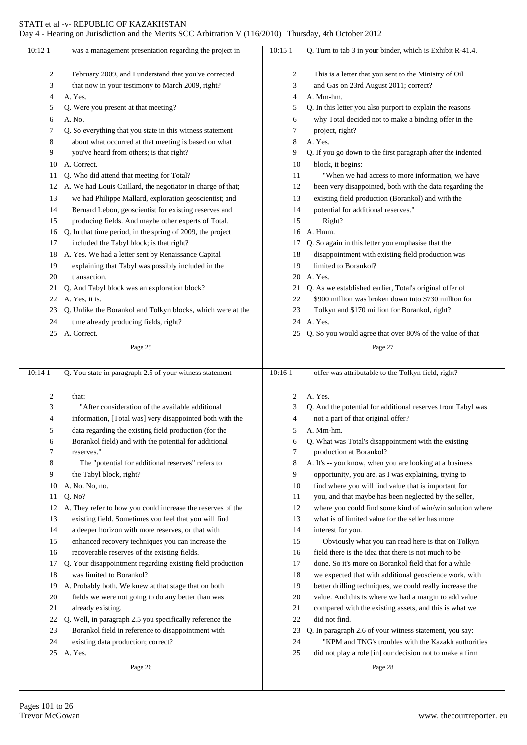| 10:12 1 | was a management presentation regarding the project in              | 10:151         | Q. Turn to tab 3 in your binder, which is Exhibit R-41.4.                       |
|---------|---------------------------------------------------------------------|----------------|---------------------------------------------------------------------------------|
| 2       | February 2009, and I understand that you've corrected               | 2              | This is a letter that you sent to the Ministry of Oil                           |
| 3       | that now in your testimony to March 2009, right?                    | 3              | and Gas on 23rd August 2011; correct?                                           |
| 4       | A. Yes.                                                             | $\overline{4}$ | A. Mm-hm.                                                                       |
| 5       | Q. Were you present at that meeting?                                | 5              | Q. In this letter you also purport to explain the reasons                       |
| 6       | A. No.                                                              | 6              | why Total decided not to make a binding offer in the                            |
| 7       | Q. So everything that you state in this witness statement           | 7              | project, right?                                                                 |
| 8       | about what occurred at that meeting is based on what                | 8              | A. Yes.                                                                         |
| 9       | you've heard from others; is that right?                            | 9              | Q. If you go down to the first paragraph after the indented                     |
| 10      | A. Correct.                                                         | 10             | block, it begins:                                                               |
| 11      | Q. Who did attend that meeting for Total?                           | 11             | "When we had access to more information, we have                                |
| 12      | A. We had Louis Caillard, the negotiator in charge of that;         | 12             | been very disappointed, both with the data regarding the                        |
| 13      | we had Philippe Mallard, exploration geoscientist; and              | 13             | existing field production (Borankol) and with the                               |
| 14      | Bernard Lebon, geoscientist for existing reserves and               | 14             | potential for additional reserves."                                             |
| 15      | producing fields. And maybe other experts of Total.                 | 15             | Right?                                                                          |
| 16      | Q. In that time period, in the spring of 2009, the project          | 16             | A. Hmm.                                                                         |
| 17      | included the Tabyl block; is that right?                            | 17             | Q. So again in this letter you emphasise that the                               |
|         | A. Yes. We had a letter sent by Renaissance Capital                 | 18             |                                                                                 |
| 18      |                                                                     |                | disappointment with existing field production was                               |
| 19      | explaining that Tabyl was possibly included in the                  | 19             | limited to Borankol?                                                            |
| 20      | transaction.                                                        | 20             | A. Yes.                                                                         |
| 21      | Q. And Tabyl block was an exploration block?                        | 21             | Q. As we established earlier, Total's original offer of                         |
| 22      | A. Yes, it is.                                                      | 22             | \$900 million was broken down into \$730 million for                            |
| 23      | Q. Unlike the Borankol and Tolkyn blocks, which were at the         | 23             | Tolkyn and \$170 million for Borankol, right?                                   |
| 24      | time already producing fields, right?                               | 24             | A. Yes.                                                                         |
| 25      | A. Correct.                                                         | 25             | Q. So you would agree that over 80% of the value of that                        |
|         | Page 25                                                             |                | Page 27                                                                         |
|         |                                                                     |                |                                                                                 |
| 10:141  | Q. You state in paragraph 2.5 of your witness statement             | 10:16 1        | offer was attributable to the Tolkyn field, right?                              |
|         |                                                                     |                |                                                                                 |
|         |                                                                     |                |                                                                                 |
| 2       | that:                                                               | 2              | A. Yes.                                                                         |
| 3       | "After consideration of the available additional                    | 3              | Q. And the potential for additional reserves from Tabyl was                     |
| 4       | information, [Total was] very disappointed both with the            | 4              | not a part of that original offer?                                              |
| 5       | data regarding the existing field production (for the               | 5              | A. Mm-hm.                                                                       |
| 6       |                                                                     | 6              |                                                                                 |
| 7       | Borankol field) and with the potential for additional<br>reserves." | 7              | Q. What was Total's disappointment with the existing<br>production at Borankol? |
| 8       |                                                                     | 8              |                                                                                 |
| 9       | The "potential for additional reserves" refers to                   | 9              | A. It's -- you know, when you are looking at a business                         |
| 10      | the Tabyl block, right?                                             | 10             | opportunity, you are, as I was explaining, trying to                            |
| 11      | A. No. No, no.                                                      | 11             | find where you will find value that is important for                            |
|         | Q. No?                                                              | 12             | you, and that maybe has been neglected by the seller,                           |
| 12      | A. They refer to how you could increase the reserves of the         | 13             | where you could find some kind of win/win solution where                        |
| 13      | existing field. Sometimes you feel that you will find               |                | what is of limited value for the seller has more                                |
| 14      | a deeper horizon with more reserves, or that with                   | 14             | interest for you.                                                               |
| 15      | enhanced recovery techniques you can increase the                   | 15             | Obviously what you can read here is that on Tolkyn                              |
| 16      | recoverable reserves of the existing fields.                        | 16             | field there is the idea that there is not much to be                            |
| 17      | Q. Your disappointment regarding existing field production          | 17             | done. So it's more on Borankol field that for a while                           |
| 18      | was limited to Borankol?                                            | 18             | we expected that with additional geoscience work, with                          |
| 19      | A. Probably both. We knew at that stage that on both                | 19             | better drilling techniques, we could really increase the                        |
| 20      | fields we were not going to do any better than was                  | 20             | value. And this is where we had a margin to add value                           |
| 21      | already existing.                                                   | 21             | compared with the existing assets, and this is what we                          |
| 22      | Q. Well, in paragraph 2.5 you specifically reference the            | 22             | did not find.                                                                   |
| 23      | Borankol field in reference to disappointment with                  | 23             | Q. In paragraph 2.6 of your witness statement, you say:                         |
| 24      | existing data production; correct?                                  | 24             | "KPM and TNG's troubles with the Kazakh authorities                             |
| 25      | A. Yes.                                                             | 25             | did not play a role [in] our decision not to make a firm                        |
|         | Page 26                                                             |                | Page 28                                                                         |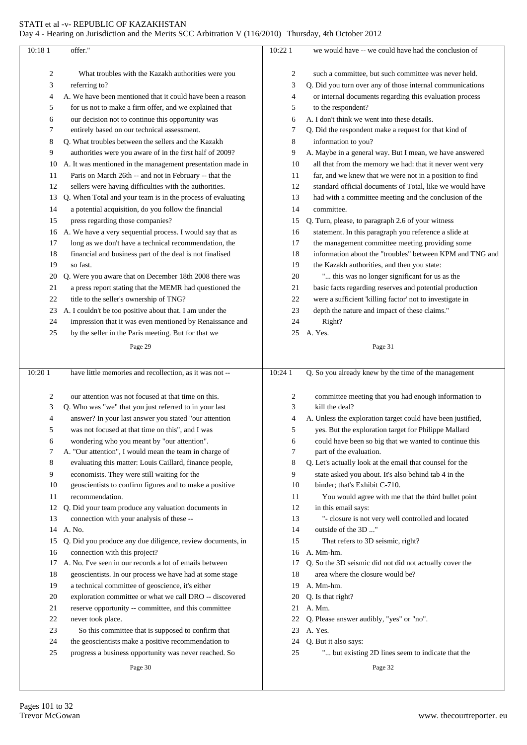| 10:18 1        | offer."                                                                                                   | 10:22 1        | we would have -- we could have had the conclusion of        |
|----------------|-----------------------------------------------------------------------------------------------------------|----------------|-------------------------------------------------------------|
| $\overline{c}$ | What troubles with the Kazakh authorities were you                                                        | $\overline{c}$ | such a committee, but such committee was never held.        |
| 3              | referring to?                                                                                             | 3              | Q. Did you turn over any of those internal communications   |
| 4              | A. We have been mentioned that it could have been a reason                                                | 4              | or internal documents regarding this evaluation process     |
| 5              | for us not to make a firm offer, and we explained that                                                    | 5              | to the respondent?                                          |
| 6              | our decision not to continue this opportunity was                                                         | 6              | A. I don't think we went into these details.                |
| 7              | entirely based on our technical assessment.                                                               | $\tau$         | Q. Did the respondent make a request for that kind of       |
| 8              | Q. What troubles between the sellers and the Kazakh                                                       | 8              | information to you?                                         |
| 9              | authorities were you aware of in the first half of 2009?                                                  | 9              | A. Maybe in a general way. But I mean, we have answered     |
| 10             | A. It was mentioned in the management presentation made in                                                | 10             | all that from the memory we had: that it never went very    |
| 11             | Paris on March 26th -- and not in February -- that the                                                    | 11             | far, and we knew that we were not in a position to find     |
| 12             | sellers were having difficulties with the authorities.                                                    | 12             | standard official documents of Total, like we would have    |
| 13             | Q. When Total and your team is in the process of evaluating                                               | 13             | had with a committee meeting and the conclusion of the      |
| 14             | a potential acquisition, do you follow the financial                                                      | 14             | committee.                                                  |
| 15             | press regarding those companies?                                                                          | 15             | Q. Turn, please, to paragraph 2.6 of your witness           |
|                | A. We have a very sequential process. I would say that as                                                 | 16             | statement. In this paragraph you reference a slide at       |
| 16<br>17       | long as we don't have a technical recommendation, the                                                     | 17             | the management committee meeting providing some             |
| 18             | financial and business part of the deal is not finalised                                                  | 18             | information about the "troubles" between KPM and TNG and    |
| 19             | so fast.                                                                                                  | 19             | the Kazakh authorities, and then you state:                 |
|                |                                                                                                           |                |                                                             |
| 20<br>21       | Q. Were you aware that on December 18th 2008 there was                                                    | 20<br>21       | " this was no longer significant for us as the              |
|                | a press report stating that the MEMR had questioned the                                                   |                | basic facts regarding reserves and potential production     |
| 22             | title to the seller's ownership of TNG?                                                                   | 22             | were a sufficient 'killing factor' not to investigate in    |
| 23             | A. I couldn't be too positive about that. I am under the                                                  | 23             | depth the nature and impact of these claims."               |
| 24             | impression that it was even mentioned by Renaissance and                                                  | 24             | Right?                                                      |
| 25             | by the seller in the Paris meeting. But for that we                                                       | 25             | A. Yes.                                                     |
|                | Page 29                                                                                                   |                | Page 31                                                     |
|                |                                                                                                           |                |                                                             |
| 10:201         | have little memories and recollection, as it was not --                                                   | 10:24 1        | Q. So you already knew by the time of the management        |
|                |                                                                                                           |                |                                                             |
| 2              | our attention was not focused at that time on this.                                                       | $\overline{c}$ | committee meeting that you had enough information to        |
| 3              | Q. Who was "we" that you just referred to in your last                                                    | 3              | kill the deal?                                              |
| 4              | answer? In your last answer you stated "our attention                                                     | $\overline{4}$ | A. Unless the exploration target could have been justified, |
| 5              | was not focused at that time on this", and I was                                                          | 5              | yes. But the exploration target for Philippe Mallard        |
| 6              | wondering who you meant by "our attention".                                                               | 6              | could have been so big that we wanted to continue this      |
| 7              | A. "Our attention", I would mean the team in charge of                                                    | 7              | part of the evaluation.                                     |
| 8              | evaluating this matter: Louis Caillard, finance people,                                                   | 8              | Q. Let's actually look at the email that counsel for the    |
| 9              | economists. They were still waiting for the                                                               | 9              | state asked you about. It's also behind tab 4 in the        |
| 10             | geoscientists to confirm figures and to make a positive                                                   | 10             | binder; that's Exhibit C-710.                               |
| 11             | recommendation.                                                                                           | 11             | You would agree with me that the third bullet point         |
| 12             | Q. Did your team produce any valuation documents in                                                       | 12             | in this email says:                                         |
| 13             | connection with your analysis of these --                                                                 | 13             | "- closure is not very well controlled and located          |
| 14             | A. No.                                                                                                    | 14             | outside of the 3D "                                         |
| 15             | Q. Did you produce any due diligence, review documents, in                                                | 15             | That refers to 3D seismic, right?                           |
| 16             | connection with this project?                                                                             | 16             | A. Mm-hm.                                                   |
| 17             | A. No. I've seen in our records a lot of emails between                                                   | 17             | Q. So the 3D seismic did not did not actually cover the     |
| 18             | geoscientists. In our process we have had at some stage                                                   | 18             | area where the closure would be?                            |
| 19             | a technical committee of geoscience, it's either                                                          | 19             | A. Mm-hm.                                                   |
| 20             | exploration committee or what we call DRO -- discovered                                                   | 20             | Q. Is that right?                                           |
| 21             | reserve opportunity -- committee, and this committee                                                      | 21             | A. Mm.                                                      |
| $22\,$         | never took place.                                                                                         | 22             | Q. Please answer audibly, "yes" or "no".                    |
| $23\,$         |                                                                                                           | 23             | A. Yes.                                                     |
| 24             | So this committee that is supposed to confirm that<br>the geoscientists make a positive recommendation to | 24             | Q. But it also says:                                        |
| 25             | progress a business opportunity was never reached. So                                                     | 25             | " but existing 2D lines seem to indicate that the           |
|                | Page 30                                                                                                   |                | Page 32                                                     |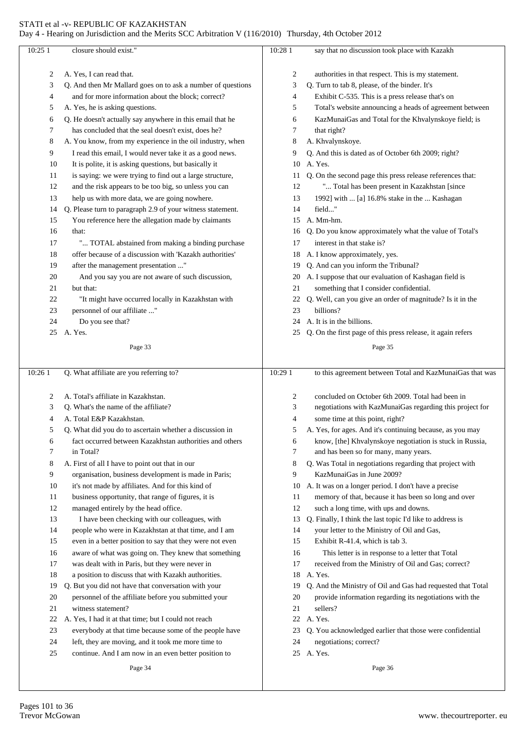| 10:25 1 | closure should exist."                                      | 10:28 1 | say that no discussion took place with Kazakh               |
|---------|-------------------------------------------------------------|---------|-------------------------------------------------------------|
|         |                                                             |         |                                                             |
| 2       | A. Yes, I can read that.                                    | 2       | authorities in that respect. This is my statement.          |
| 3       | Q. And then Mr Mallard goes on to ask a number of questions | 3       | Q. Turn to tab 8, please, of the binder. It's               |
| 4       | and for more information about the block; correct?          | 4       | Exhibit C-535. This is a press release that's on            |
| 5       | A. Yes, he is asking questions.                             | 5       | Total's website announcing a heads of agreement between     |
| 6       | Q. He doesn't actually say anywhere in this email that he   | 6       | KazMunaiGas and Total for the Khvalynskoye field; is        |
| 7       | has concluded that the seal doesn't exist, does he?         | 7       | that right?                                                 |
| 8       | A. You know, from my experience in the oil industry, when   | 8       | A. Khvalynskoye.                                            |
| 9       | I read this email, I would never take it as a good news.    | 9       | Q. And this is dated as of October 6th 2009; right?         |
| 10      | It is polite, it is asking questions, but basically it      | 10      | A. Yes.                                                     |
| 11      | is saying: we were trying to find out a large structure,    | 11      | Q. On the second page this press release references that:   |
| 12      | and the risk appears to be too big, so unless you can       | 12      | " Total has been present in Kazakhstan [since               |
| 13      | help us with more data, we are going nowhere.               | 13      | 1992] with  [a] 16.8% stake in the  Kashagan                |
| 14      | Q. Please turn to paragraph 2.9 of your witness statement.  | 14      | field"                                                      |
| 15      | You reference here the allegation made by claimants         | 15      | A. Mm-hm.                                                   |
| 16      | that:                                                       | 16      | Q. Do you know approximately what the value of Total's      |
| 17      | " TOTAL abstained from making a binding purchase            | 17      | interest in that stake is?                                  |
| 18      | offer because of a discussion with 'Kazakh authorities'     |         | A. I know approximately, yes.                               |
|         |                                                             | 18      | Q. And can you inform the Tribunal?                         |
| 19      | after the management presentation "                         | 19      |                                                             |
| 20      | And you say you are not aware of such discussion,           | 20      | A. I suppose that our evaluation of Kashagan field is       |
| 21      | but that:                                                   | 21      | something that I consider confidential.                     |
| 22      | "It might have occurred locally in Kazakhstan with          | 22      | Q. Well, can you give an order of magnitude? Is it in the   |
| 23      | personnel of our affiliate "                                | 23      | billions?                                                   |
| 24      | Do you see that?                                            | 24      | A. It is in the billions.                                   |
| 25      | A. Yes.                                                     | 25      | Q. On the first page of this press release, it again refers |
|         | Page 33                                                     |         | Page 35                                                     |
|         |                                                             |         |                                                             |
| 10:26 1 | Q. What affiliate are you referring to?                     | 10:291  | to this agreement between Total and KazMunaiGas that was    |
| 2       | A. Total's affiliate in Kazakhstan.                         | 2       | concluded on October 6th 2009. Total had been in            |
| 3       | Q. What's the name of the affiliate?                        | 3       | negotiations with KazMunaiGas regarding this project for    |
| 4       | A. Total E&P Kazakhstan.                                    |         |                                                             |
|         |                                                             |         |                                                             |
|         |                                                             | 4       | some time at this point, right?                             |
| 5       | Q. What did you do to ascertain whether a discussion in     | 5       | A. Yes, for ages. And it's continuing because, as you may   |
| 6       | fact occurred between Kazakhstan authorities and others     | 6       | know, [the] Khvalynskoye negotiation is stuck in Russia,    |
| 7       | in Total?                                                   | 7       | and has been so for many, many years.                       |
| 8       | A. First of all I have to point out that in our             | 8       | Q. Was Total in negotiations regarding that project with    |
| 9       | organisation, business development is made in Paris;        | 9       | KazMunaiGas in June 2009?                                   |
| 10      | it's not made by affiliates. And for this kind of           | 10      | A. It was on a longer period. I don't have a precise        |
| 11      | business opportunity, that range of figures, it is          | 11      | memory of that, because it has been so long and over        |
| 12      | managed entirely by the head office.                        | 12      | such a long time, with ups and downs.                       |
| 13      | I have been checking with our colleagues, with              | 13      | Q. Finally, I think the last topic I'd like to address is   |
| 14      | people who were in Kazakhstan at that time, and I am        | 14      | your letter to the Ministry of Oil and Gas,                 |
| 15      | even in a better position to say that they were not even    | 15      | Exhibit R-41.4, which is tab 3.                             |
| 16      | aware of what was going on. They knew that something        | 16      | This letter is in response to a letter that Total           |
| 17      | was dealt with in Paris, but they were never in             | 17      | received from the Ministry of Oil and Gas; correct?         |
| 18      | a position to discuss that with Kazakh authorities.         | 18      | A. Yes.                                                     |
| 19      | Q. But you did not have that conversation with your         | 19      | Q. And the Ministry of Oil and Gas had requested that Total |
| 20      | personnel of the affiliate before you submitted your        | 20      | provide information regarding its negotiations with the     |
| 21      | witness statement?                                          | 21      | sellers?                                                    |
| 22      | A. Yes, I had it at that time; but I could not reach        | 22      | A. Yes.                                                     |
| 23      | everybody at that time because some of the people have      | 23      | Q. You acknowledged earlier that those were confidential    |
| 24      | left, they are moving, and it took me more time to          | 24      | negotiations; correct?                                      |
| 25      | continue. And I am now in an even better position to        |         | 25 A. Yes.                                                  |
|         | Page 34                                                     |         | Page 36                                                     |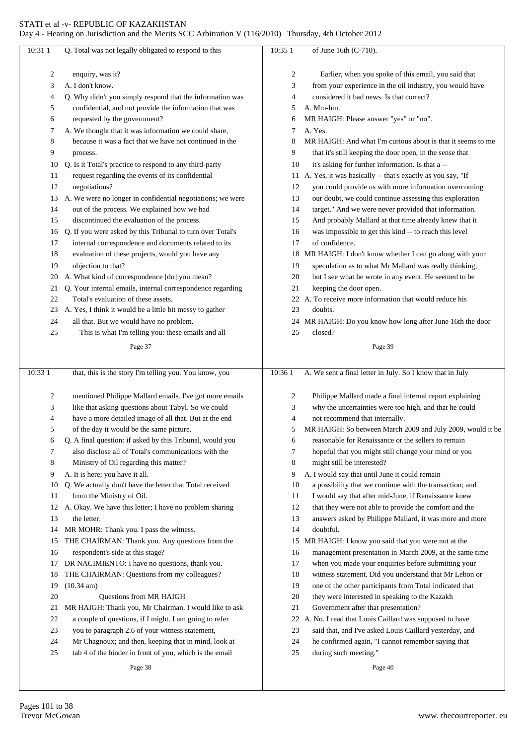| 10:31 1        | Q. Total was not legally obligated to respond to this      | 10:351<br>of June 16th (C-710).                                      |
|----------------|------------------------------------------------------------|----------------------------------------------------------------------|
| 2              | enquiry, was it?                                           | 2<br>Earlier, when you spoke of this email, you said that            |
| 3              | A. I don't know.                                           | 3<br>from your experience in the oil industry, you would have        |
| 4              | Q. Why didn't you simply respond that the information was  | considered it bad news. Is that correct?<br>4                        |
| 5              | confidential, and not provide the information that was     | 5<br>A. Mm-hm.                                                       |
| 6              | requested by the government?                               | MR HAIGH: Please answer "yes" or "no".<br>6                          |
| 7              | A. We thought that it was information we could share,      | A. Yes.<br>7                                                         |
| 8              | because it was a fact that we have not continued in the    | 8<br>MR HAIGH: And what I'm curious about is that it seems to me     |
| 9              | process.                                                   | 9<br>that it's still keeping the door open, in the sense that        |
| 10             | Q. Is it Total's practice to respond to any third-party    | it's asking for further information. Is that a --<br>10              |
| 11             | request regarding the events of its confidential           | A. Yes, it was basically -- that's exactly as you say, "If<br>11     |
| 12             | negotiations?                                              | you could provide us with more information overcoming<br>12          |
|                |                                                            | our doubt, we could continue assessing this exploration              |
| 13             | A. We were no longer in confidential negotiations; we were | 13                                                                   |
| 14             | out of the process. We explained how we had                | target." And we were never provided that information.<br>14          |
| 15             | discontinued the evaluation of the process.                | And probably Mallard at that time already knew that it<br>15         |
| 16             | Q. If you were asked by this Tribunal to turn over Total's | was impossible to get this kind -- to reach this level<br>16         |
| 17             | internal correspondence and documents related to its       | of confidence.<br>17                                                 |
| 18             | evaluation of these projects, would you have any           | 18 MR HAIGH: I don't know whether I can go along with your           |
| 19             | objection to that?                                         | speculation as to what Mr Mallard was really thinking,<br>19         |
| 20             | A. What kind of correspondence [do] you mean?              | but I see what he wrote in any event. He seemed to be<br>20          |
| 21             | Q. Your internal emails, internal correspondence regarding | 21<br>keeping the door open.                                         |
| 22             | Total's evaluation of these assets.                        | 22 A. To receive more information that would reduce his              |
| 23             | A. Yes, I think it would be a little bit messy to gather   | 23<br>doubts.                                                        |
| 24             | all that. But we would have no problem.                    | MR HAIGH: Do you know how long after June 16th the door<br>24        |
| 25             | This is what I'm telling you: these emails and all         | 25<br>closed?                                                        |
|                | Page 37                                                    | Page 39                                                              |
|                |                                                            |                                                                      |
| 10:33 1        | that, this is the story I'm telling you. You know, you     | 10:36 1<br>A. We sent a final letter in July. So I know that in July |
|                |                                                            |                                                                      |
| $\overline{c}$ | mentioned Philippe Mallard emails. I've got more emails    | Philippe Mallard made a final internal report explaining<br>2        |
| 3              | like that asking questions about Tabyl. So we could        | why the uncertainties were too high, and that he could<br>3          |
| 4              | have a more detailed image of all that. But at the end     | not recommend that internally.<br>4                                  |
| 5              | of the day it would be the same picture.                   | MR HAIGH: So between March 2009 and July 2009, would it be<br>5      |
| 6              | Q. A final question: if asked by this Tribunal, would you  | reasonable for Renaissance or the sellers to remain<br>6             |
| 7              | also disclose all of Total's communications with the       | 7<br>hopeful that you might still change your mind or you            |
| 8              | Ministry of Oil regarding this matter?                     | 8<br>might still be interested?                                      |
| 9              | A. It is here; you have it all.                            | A. I would say that until June it could remain<br>9                  |
| 10             | Q. We actually don't have the letter that Total received   | a possibility that we continue with the transaction; and<br>10       |
| 11             | from the Ministry of Oil.                                  | I would say that after mid-June, if Renaissance knew<br>11           |
| 12             | A. Okay. We have this letter; I have no problem sharing    | that they were not able to provide the comfort and the<br>12         |
| 13             | the letter.                                                | 13<br>answers asked by Philippe Mallard, it was more and more        |
| 14             | MR MOHR: Thank you. I pass the witness.                    | 14<br>doubtful.                                                      |
| 15             | THE CHAIRMAN: Thank you. Any questions from the            | 15 MR HAIGH: I know you said that you were not at the                |
| 16             | respondent's side at this stage?                           | management presentation in March 2009, at the same time<br>16        |
| 17             | DR NACIMIENTO: I have no questions, thank you.             | 17<br>when you made your enquiries before submitting your            |
| 18             | THE CHAIRMAN: Questions from my colleagues?                | witness statement. Did you understand that Mr Lebon or<br>18         |
| 19             | $(10.34 \text{ am})$                                       | 19<br>one of the other participants from Total indicated that        |
| 20             | Questions from MR HAIGH                                    | they were interested in speaking to the Kazakh<br>20                 |
| 21             | MR HAIGH: Thank you, Mr Chairman. I would like to ask      | Government after that presentation?<br>21                            |
|                | a couple of questions, if I might. I am going to refer     | A. No. I read that Louis Caillard was supposed to have<br>22         |
| 22             |                                                            |                                                                      |
| 23             | you to paragraph 2.6 of your witness statement,            | $23\,$<br>said that, and I've asked Louis Caillard yesterday, and    |
| 24             | Mr Chagnoux; and then, keeping that in mind, look at       | 24<br>he confirmed again, "I cannot remember saying that             |
| 25             | tab 4 of the binder in front of you, which is the email    | during such meeting."<br>25                                          |
|                | Page 38                                                    | Page 40                                                              |
|                |                                                            |                                                                      |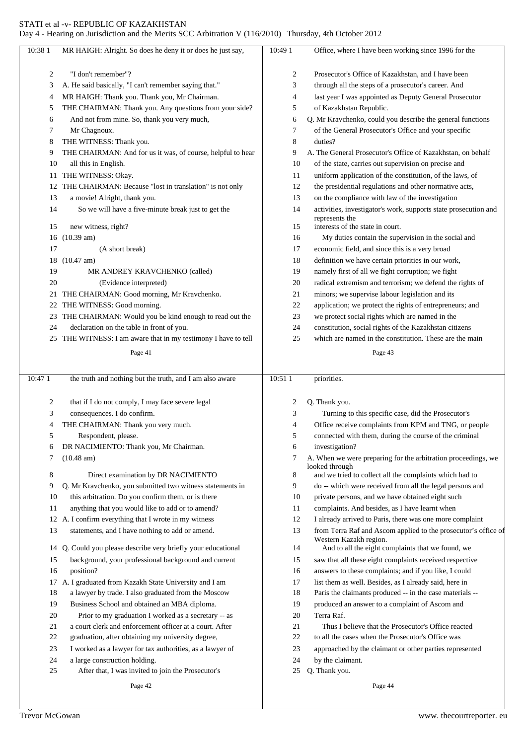| 10:38 1 | MR HAIGH: Alright. So does he deny it or does he just say,                                                | 10:49 1 | Office, where I have been working since 1996 for the                                                       |
|---------|-----------------------------------------------------------------------------------------------------------|---------|------------------------------------------------------------------------------------------------------------|
| 2       | "I don't remember"?                                                                                       | 2       | Prosecutor's Office of Kazakhstan, and I have been                                                         |
| 3       | A. He said basically, "I can't remember saying that."                                                     | 3       | through all the steps of a prosecutor's career. And                                                        |
| 4       | MR HAIGH: Thank you. Thank you, Mr Chairman.                                                              | 4       | last year I was appointed as Deputy General Prosecutor                                                     |
| 5       | THE CHAIRMAN: Thank you. Any questions from your side?                                                    | 5       | of Kazakhstan Republic.                                                                                    |
| 6       | And not from mine. So, thank you very much,                                                               | 6       | Q. Mr Kravchenko, could you describe the general functions                                                 |
| 7       | Mr Chagnoux.                                                                                              | 7       | of the General Prosecutor's Office and your specific                                                       |
| 8       | THE WITNESS: Thank you.                                                                                   | 8       | duties?                                                                                                    |
| 9       | THE CHAIRMAN: And for us it was, of course, helpful to hear                                               | 9       | A. The General Prosecutor's Office of Kazakhstan, on behalf                                                |
| 10      | all this in English.                                                                                      | 10      | of the state, carries out supervision on precise and                                                       |
| 11      | THE WITNESS: Okay.                                                                                        | 11      | uniform application of the constitution, of the laws, of                                                   |
|         | 12 THE CHAIRMAN: Because "lost in translation" is not only                                                | 12      | the presidential regulations and other normative acts,                                                     |
| 13      | a movie! Alright, thank you.                                                                              | 13      | on the compliance with law of the investigation                                                            |
| 14      | So we will have a five-minute break just to get the                                                       | 14      | activities, investigator's work, supports state prosecution and                                            |
| 15      | new witness, right?                                                                                       | 15      | represents the<br>interests of the state in court.                                                         |
|         | $16$ (10.39 am)                                                                                           | 16      | My duties contain the supervision in the social and                                                        |
| 17      | (A short break)                                                                                           | 17      | economic field, and since this is a very broad                                                             |
| 18      | $(10.47 \text{ am})$                                                                                      | 18      | definition we have certain priorities in our work,                                                         |
| 19      | MR ANDREY KRAVCHENKO (called)                                                                             | 19      | namely first of all we fight corruption; we fight                                                          |
| 20      | (Evidence interpreted)                                                                                    | $20\,$  | radical extremism and terrorism; we defend the rights of                                                   |
| 21      | THE CHAIRMAN: Good morning, Mr Kravchenko.                                                                | 21      | minors; we supervise labour legislation and its                                                            |
| 22      | THE WITNESS: Good morning.                                                                                | 22      | application; we protect the rights of entrepreneurs; and                                                   |
|         | 23 THE CHAIRMAN: Would you be kind enough to read out the                                                 | 23      | we protect social rights which are named in the                                                            |
| 24      | declaration on the table in front of you.                                                                 | 24      | constitution, social rights of the Kazakhstan citizens                                                     |
|         | 25 THE WITNESS: I am aware that in my testimony I have to tell                                            | 25      | which are named in the constitution. These are the main                                                    |
|         | Page 41                                                                                                   |         | Page 43                                                                                                    |
|         |                                                                                                           |         |                                                                                                            |
|         |                                                                                                           |         |                                                                                                            |
| 10:47 1 | the truth and nothing but the truth, and I am also aware                                                  | 10:51 1 | priorities.                                                                                                |
|         |                                                                                                           |         |                                                                                                            |
| 2       | that if I do not comply, I may face severe legal                                                          | 2       | Q. Thank you.                                                                                              |
| 3       | consequences. I do confirm.                                                                               | 3       | Turning to this specific case, did the Prosecutor's                                                        |
| 4       | THE CHAIRMAN: Thank you very much.                                                                        | 4       | Office receive complaints from KPM and TNG, or people                                                      |
| 5       | Respondent, please.                                                                                       |         | connected with them, during the course of the criminal                                                     |
| 6       | DR NACIMIENTO: Thank you, Mr Chairman.                                                                    | 6       | investigation?                                                                                             |
| 7       | $(10.48 \text{ am})$                                                                                      | 7       | A. When we were preparing for the arbitration proceedings, we                                              |
|         |                                                                                                           |         | looked through                                                                                             |
| 8<br>9  | Direct examination by DR NACIMIENTO<br>Q. Mr Kravchenko, you submitted two witness statements in          | 8<br>9  | and we tried to collect all the complaints which had to                                                    |
| 10      |                                                                                                           | 10      | do -- which were received from all the legal persons and                                                   |
| 11      | this arbitration. Do you confirm them, or is there                                                        | 11      | private persons, and we have obtained eight such                                                           |
|         | anything that you would like to add or to amend?<br>12 A. I confirm everything that I wrote in my witness | 12      | complaints. And besides, as I have learnt when<br>I already arrived to Paris, there was one more complaint |
| 13      | statements, and I have nothing to add or amend.                                                           | 13      | from Terra Raf and Ascom applied to the prosecutor's office of                                             |
|         |                                                                                                           |         | Western Kazakh region.                                                                                     |
| 14      | Q. Could you please describe very briefly your educational                                                | 14      | And to all the eight complaints that we found, we                                                          |
| 15      | background, your professional background and current                                                      | 15      | saw that all these eight complaints received respective                                                    |
| 16      | position?                                                                                                 | 16      | answers to these complaints; and if you like, I could                                                      |
|         | 17 A. I graduated from Kazakh State University and I am                                                   | 17      | list them as well. Besides, as I already said, here in                                                     |
| 18      | a lawyer by trade. I also graduated from the Moscow                                                       | 18      | Paris the claimants produced -- in the case materials --                                                   |
| 19      | Business School and obtained an MBA diploma.                                                              | 19      | produced an answer to a complaint of Ascom and                                                             |
| 20      | Prior to my graduation I worked as a secretary -- as                                                      | 20      | Terra Raf.                                                                                                 |
| 21      | a court clerk and enforcement officer at a court. After                                                   | 21      | Thus I believe that the Prosecutor's Office reacted                                                        |
| 22      | graduation, after obtaining my university degree,                                                         | $22\,$  | to all the cases when the Prosecutor's Office was                                                          |
| 23      | I worked as a lawyer for tax authorities, as a lawyer of                                                  | 23      | approached by the claimant or other parties represented                                                    |
| 24      | a large construction holding.                                                                             | 24      | by the claimant.                                                                                           |
| 25      | After that, I was invited to join the Prosecutor's<br>Page 42                                             | 25      | Q. Thank you.<br>Page 44                                                                                   |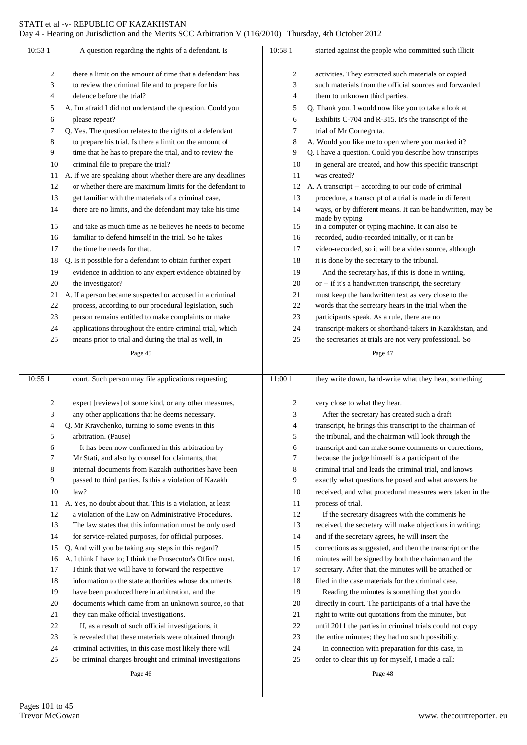| 10:53 1       | A question regarding the rights of a defendant. Is                                                       | 10:58 1 | started against the people who committed such illicit                        |
|---------------|----------------------------------------------------------------------------------------------------------|---------|------------------------------------------------------------------------------|
| 2             | there a limit on the amount of time that a defendant has                                                 | 2       | activities. They extracted such materials or copied                          |
| 3             | to review the criminal file and to prepare for his                                                       | 3       | such materials from the official sources and forwarded                       |
| 4             | defence before the trial?                                                                                | 4       | them to unknown third parties.                                               |
| 5             | A. I'm afraid I did not understand the question. Could you                                               | 5       | Q. Thank you. I would now like you to take a look at                         |
| 6             | please repeat?                                                                                           | 6       | Exhibits C-704 and R-315. It's the transcript of the                         |
| 7             | Q. Yes. The question relates to the rights of a defendant                                                | 7       | trial of Mr Cornegruta.                                                      |
| 8             | to prepare his trial. Is there a limit on the amount of                                                  | 8       | A. Would you like me to open where you marked it?                            |
| 9             | time that he has to prepare the trial, and to review the                                                 | 9       | Q. I have a question. Could you describe how transcripts                     |
| 10            | criminal file to prepare the trial?                                                                      | 10      | in general are created, and how this specific transcript                     |
| 11            | A. If we are speaking about whether there are any deadlines                                              | 11      | was created?                                                                 |
| 12            | or whether there are maximum limits for the defendant to                                                 | 12      | A. A transcript -- according to our code of criminal                         |
| 13            | get familiar with the materials of a criminal case,                                                      | 13      | procedure, a transcript of a trial is made in different                      |
| 14            | there are no limits, and the defendant may take his time                                                 | 14      | ways, or by different means. It can be handwritten, may be<br>made by typing |
| 15            | and take as much time as he believes he needs to become                                                  | 15      | in a computer or typing machine. It can also be                              |
| 16            | familiar to defend himself in the trial. So he takes                                                     | 16      | recorded, audio-recorded initially, or it can be                             |
| 17            | the time he needs for that.                                                                              | 17      | video-recorded, so it will be a video source, although                       |
| 18            | Q. Is it possible for a defendant to obtain further expert                                               | 18      | it is done by the secretary to the tribunal.                                 |
| 19            | evidence in addition to any expert evidence obtained by                                                  | 19      | And the secretary has, if this is done in writing,                           |
| 20            | the investigator?                                                                                        | 20      | or -- if it's a handwritten transcript, the secretary                        |
| 21            | A. If a person became suspected or accused in a criminal                                                 | 21      | must keep the handwritten text as very close to the                          |
| 22            | process, according to our procedural legislation, such                                                   | $22\,$  | words that the secretary hears in the trial when the                         |
| 23            | person remains entitled to make complaints or make                                                       | 23      | participants speak. As a rule, there are no                                  |
| 24            | applications throughout the entire criminal trial, which                                                 | 24      | transcript-makers or shorthand-takers in Kazakhstan, and                     |
| 25            | means prior to trial and during the trial as well, in                                                    | 25      | the secretaries at trials are not very professional. So                      |
|               | Page 45                                                                                                  |         | Page 47                                                                      |
|               |                                                                                                          |         |                                                                              |
|               |                                                                                                          |         |                                                                              |
| 10:55 1       | court. Such person may file applications requesting                                                      | 11:00 1 | they write down, hand-write what they hear, something                        |
| 2             |                                                                                                          | 2       | very close to what they hear.                                                |
| 3             | expert [reviews] of some kind, or any other measures,<br>any other applications that he deems necessary. | 3       | After the secretary has created such a draft                                 |
| 4             | Q. Mr Kravchenko, turning to some events in this                                                         | 4       | transcript, he brings this transcript to the chairman of                     |
| $\mathcal{L}$ | arbitration. (Pause)                                                                                     | 5       | the tribunal, and the chairman will look through the                         |
| 6             | It has been now confirmed in this arbitration by                                                         | 6       | transcript and can make some comments or corrections,                        |
| 7             | Mr Stati, and also by counsel for claimants, that                                                        | 7       | because the judge himself is a participant of the                            |
| 8             | internal documents from Kazakh authorities have been                                                     | 8       | criminal trial and leads the criminal trial, and knows                       |
| 9             | passed to third parties. Is this a violation of Kazakh                                                   | 9       | exactly what questions he posed and what answers he                          |
| 10            | law?                                                                                                     | 10      | received, and what procedural measures were taken in the                     |
| 11            | A. Yes, no doubt about that. This is a violation, at least                                               | 11      | process of trial.                                                            |
| 12            | a violation of the Law on Administrative Procedures.                                                     | 12      | If the secretary disagrees with the comments he                              |
| 13            | The law states that this information must be only used                                                   | 13      | received, the secretary will make objections in writing;                     |
| 14            | for service-related purposes, for official purposes.                                                     | 14      | and if the secretary agrees, he will insert the                              |
| 15            | Q. And will you be taking any steps in this regard?                                                      | 15      | corrections as suggested, and then the transcript or the                     |
| 16            | A. I think I have to; I think the Prosecutor's Office must.                                              | 16      | minutes will be signed by both the chairman and the                          |
| 17            | I think that we will have to forward the respective                                                      | 17      | secretary. After that, the minutes will be attached or                       |
| 18            | information to the state authorities whose documents                                                     | 18      | filed in the case materials for the criminal case.                           |
| 19            | have been produced here in arbitration, and the                                                          | 19      | Reading the minutes is something that you do                                 |
| 20            | documents which came from an unknown source, so that                                                     | 20      | directly in court. The participants of a trial have the                      |
| 21            | they can make official investigations.                                                                   | 21      | right to write out quotations from the minutes, but                          |
| 22            | If, as a result of such official investigations, it                                                      | 22      | until 2011 the parties in criminal trials could not copy                     |
| 23            | is revealed that these materials were obtained through                                                   | 23      | the entire minutes; they had no such possibility.                            |
| 24            | criminal activities, in this case most likely there will                                                 | 24      | In connection with preparation for this case, in                             |
| 25            | be criminal charges brought and criminal investigations<br>Page 46                                       | 25      | order to clear this up for myself, I made a call:<br>Page 48                 |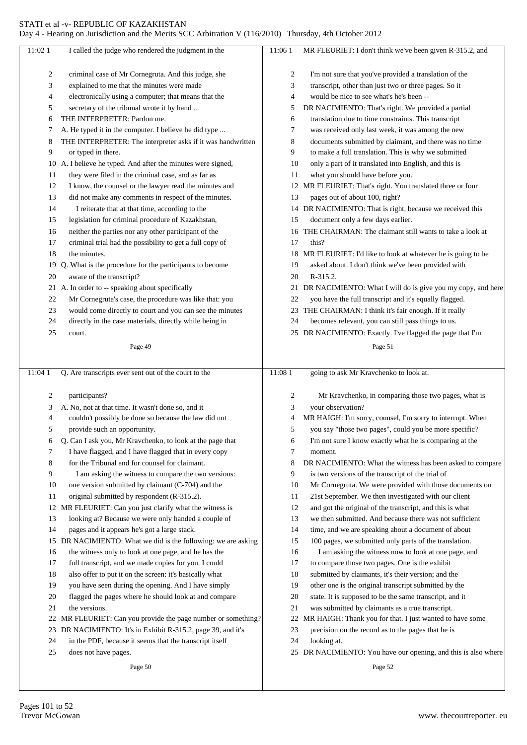| 11:02 1        | I called the judge who rendered the judgment in the           | 11:06 1 | MR FLEURIET: I don't think we've been given R-315.2, and                  |
|----------------|---------------------------------------------------------------|---------|---------------------------------------------------------------------------|
| $\overline{c}$ | criminal case of Mr Cornegruta. And this judge, she           | 2       | I'm not sure that you've provided a translation of the                    |
| 3              | explained to me that the minutes were made                    | 3       | transcript, other than just two or three pages. So it                     |
| 4              | electronically using a computer; that means that the          | 4       | would be nice to see what's he's been --                                  |
| 5              | secretary of the tribunal wrote it by hand                    | 5       | DR NACIMIENTO: That's right. We provided a partial                        |
| 6              | THE INTERPRETER: Pardon me.                                   | 6       | translation due to time constraints. This transcript                      |
| 7              | A. He typed it in the computer. I believe he did type         | 7       | was received only last week, it was among the new                         |
| 8              | THE INTERPRETER: The interpreter asks if it was handwritten   | 8       | documents submitted by claimant, and there was no time                    |
| 9              | or typed in there.                                            | 9       | to make a full translation. This is why we submitted                      |
|                | 10 A. I believe he typed. And after the minutes were signed,  | 10      | only a part of it translated into English, and this is                    |
| 11             | they were filed in the criminal case, and as far as           | 11      | what you should have before you.                                          |
| 12             | I know, the counsel or the lawyer read the minutes and        |         | 12 MR FLEURIET: That's right. You translated three or four                |
| 13             | did not make any comments in respect of the minutes.          | 13      | pages out of about 100, right?                                            |
| 14             | I reiterate that at that time, according to the               |         | 14 DR NACIMIENTO: That is right, because we received this                 |
| 15             | legislation for criminal procedure of Kazakhstan,             | 15      | document only a few days earlier.                                         |
| 16             | neither the parties nor any other participant of the          |         | 16 THE CHAIRMAN: The claimant still wants to take a look at               |
| 17             | criminal trial had the possibility to get a full copy of      | 17      | this?                                                                     |
| 18             | the minutes.                                                  |         | 18 MR FLEURIET: I'd like to look at whatever he is going to be            |
| 19             | Q. What is the procedure for the participants to become       | 19      | asked about. I don't think we've been provided with                       |
| 20             | aware of the transcript?                                      | 20      | R-315.2.                                                                  |
|                | 21 A. In order to -- speaking about specifically              |         | 21 DR NACIMIENTO: What I will do is give you my copy, and here            |
| 22             | Mr Cornegruta's case, the procedure was like that: you        | 22      | you have the full transcript and it's equally flagged.                    |
| 23             | would come directly to court and you can see the minutes      |         | 23 THE CHAIRMAN: I think it's fair enough. If it really                   |
| 24             | directly in the case materials, directly while being in       | 24      | becomes relevant, you can still pass things to us.                        |
| 25             | court.                                                        |         | 25 DR NACIMIENTO: Exactly. I've flagged the page that I'm                 |
|                | Page 49                                                       |         | Page 51                                                                   |
|                |                                                               |         |                                                                           |
|                |                                                               |         |                                                                           |
| 11:04 1        | Q. Are transcripts ever sent out of the court to the          | 11:08 1 | going to ask Mr Kravchenko to look at.                                    |
| 2              | participants?                                                 | 2       | Mr Kravchenko, in comparing those two pages, what is                      |
| 3              | A. No, not at that time. It wasn't done so, and it            | 3       | your observation?                                                         |
| 4              | couldn't possibly be done so because the law did not          | 4       | MR HAIGH: I'm sorry, counsel, I'm sorry to interrupt. When                |
| 5              | provide such an opportunity.                                  | 5       | you say "those two pages", could you be more specific?                    |
| 6              | Q. Can I ask you, Mr Kravchenko, to look at the page that     | 6       | I'm not sure I know exactly what he is comparing at the                   |
| 7              | I have flagged, and I have flagged that in every copy         | 7       | moment.                                                                   |
| 8              | for the Tribunal and for counsel for claimant.                | 8       | DR NACIMIENTO: What the witness has been asked to compare                 |
| 9              | I am asking the witness to compare the two versions:          | 9       | is two versions of the transcript of the trial of                         |
| 10             | one version submitted by claimant (C-704) and the             | 10      | Mr Cornegruta. We were provided with those documents on                   |
| 11             | original submitted by respondent (R-315.2).                   | 11      | 21st September. We then investigated with our client                      |
|                | 12 MR FLEURIET: Can you just clarify what the witness is      | 12      | and got the original of the transcript, and this is what                  |
| 13             | looking at? Because we were only handed a couple of           | 13      | we then submitted. And because there was not sufficient                   |
| 14             | pages and it appears he's got a large stack.                  | 14      | time, and we are speaking about a document of about                       |
|                | 15 DR NACIMIENTO: What we did is the following: we are asking | 15      | 100 pages, we submitted only parts of the translation.                    |
| 16             | the witness only to look at one page, and he has the          | 16      | I am asking the witness now to look at one page, and                      |
| 17             | full transcript, and we made copies for you. I could          | 17      | to compare those two pages. One is the exhibit                            |
| 18             | also offer to put it on the screen: it's basically what       | 18      | submitted by claimants, it's their version; and the                       |
| 19             | you have seen during the opening. And I have simply           | 19      | other one is the original transcript submitted by the                     |
| 20             | flagged the pages where he should look at and compare         | 20      | state. It is supposed to be the same transcript, and it                   |
| 21             | the versions.                                                 | 21      | was submitted by claimants as a true transcript.                          |
|                | 22 MR FLEURIET: Can you provide the page number or something? | 22      | MR HAIGH: Thank you for that. I just wanted to have some                  |
| 23             | DR NACIMIENTO: It's in Exhibit R-315.2, page 39, and it's     | 23      | precision on the record as to the pages that he is                        |
| 24             | in the PDF, because it seems that the transcript itself       | 24      | looking at.                                                               |
| 25             | does not have pages.<br>Page 50                               |         | 25 DR NACIMIENTO: You have our opening, and this is also where<br>Page 52 |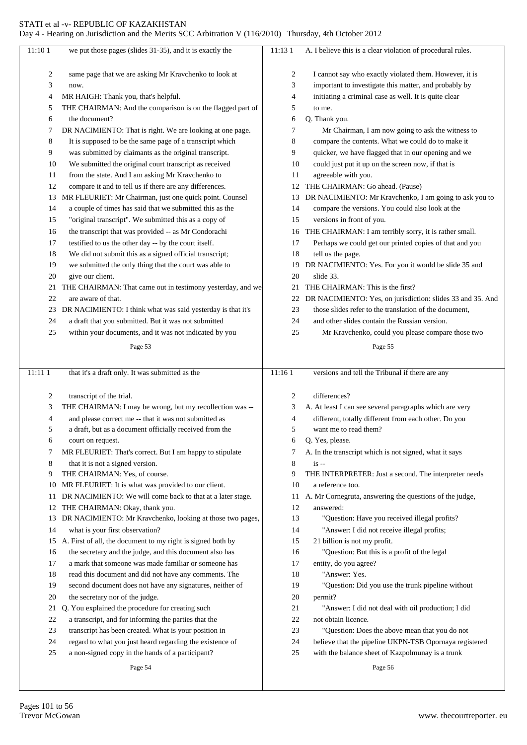| 11:101 | we put those pages (slides 31-35), and it is exactly the    | 11:13 1        | A. I believe this is a clear violation of procedural rules.               |
|--------|-------------------------------------------------------------|----------------|---------------------------------------------------------------------------|
| 2      | same page that we are asking Mr Kravchenko to look at       | 2              | I cannot say who exactly violated them. However, it is                    |
| 3      | now.                                                        | 3              | important to investigate this matter, and probably by                     |
| 4      | MR HAIGH: Thank you, that's helpful.                        | 4              | initiating a criminal case as well. It is quite clear                     |
| 5      | THE CHAIRMAN: And the comparison is on the flagged part of  | 5              | to me.                                                                    |
| 6      | the document?                                               | 6              | Q. Thank you.                                                             |
| 7      | DR NACIMIENTO: That is right. We are looking at one page.   | 7              | Mr Chairman, I am now going to ask the witness to                         |
| 8      | It is supposed to be the same page of a transcript which    | 8              | compare the contents. What we could do to make it                         |
| 9      | was submitted by claimants as the original transcript.      | 9              | quicker, we have flagged that in our opening and we                       |
| 10     | We submitted the original court transcript as received      | 10             | could just put it up on the screen now, if that is                        |
| 11     | from the state. And I am asking Mr Kravchenko to            | 11             | agreeable with you.                                                       |
| 12     | compare it and to tell us if there are any differences.     | 12             | THE CHAIRMAN: Go ahead. (Pause)                                           |
|        |                                                             |                |                                                                           |
| 13     | MR FLEURIET: Mr Chairman, just one quick point. Counsel     | 13             | DR NACIMIENTO: Mr Kravchenko, I am going to ask you to                    |
| 14     | a couple of times has said that we submitted this as the    | 14             | compare the versions. You could also look at the                          |
| 15     | "original transcript". We submitted this as a copy of       | 15             | versions in front of you.                                                 |
| 16     | the transcript that was provided -- as Mr Condorachi        |                | 16 THE CHAIRMAN: I am terribly sorry, it is rather small.                 |
| 17     | testified to us the other day -- by the court itself.       | 17             | Perhaps we could get our printed copies of that and you                   |
| 18     | We did not submit this as a signed official transcript;     | 18             | tell us the page.                                                         |
| 19     | we submitted the only thing that the court was able to      | 19             | DR NACIMIENTO: Yes. For you it would be slide 35 and                      |
| 20     | give our client.                                            | 20             | slide 33.                                                                 |
| 21     | THE CHAIRMAN: That came out in testimony yesterday, and we  | 21             | THE CHAIRMAN: This is the first?                                          |
| 22     | are aware of that.                                          | 22             | DR NACIMIENTO: Yes, on jurisdiction: slides 33 and 35. And                |
| 23     | DR NACIMIENTO: I think what was said yesterday is that it's | 23             | those slides refer to the translation of the document,                    |
| 24     | a draft that you submitted. But it was not submitted        | 24             | and other slides contain the Russian version.                             |
| 25     | within your documents, and it was not indicated by you      | 25             | Mr Kravchenko, could you please compare those two                         |
|        | Page 53                                                     |                | Page 55                                                                   |
|        |                                                             |                |                                                                           |
|        |                                                             |                |                                                                           |
| 11:111 | that it's a draft only. It was submitted as the             | 11:16 1        | versions and tell the Tribunal if there are any                           |
|        |                                                             |                |                                                                           |
| 2      | transcript of the trial.                                    | 2              | differences?                                                              |
| 3      | THE CHAIRMAN: I may be wrong, but my recollection was --    | 3              | A. At least I can see several paragraphs which are very                   |
| 4      | and please correct me -- that it was not submitted as       | $\overline{4}$ | different, totally different from each other. Do you                      |
| 5      | a draft, but as a document officially received from the     | 5              | want me to read them?                                                     |
| 6      | court on request.                                           | 6              | Q. Yes, please.                                                           |
| 7      | MR FLEURIET: That's correct. But I am happy to stipulate    | 7              | A. In the transcript which is not signed, what it says                    |
| 8      | that it is not a signed version.                            | 8              | $is -$                                                                    |
| 9      | THE CHAIRMAN: Yes, of course.                               | 9              | THE INTERPRETER: Just a second. The interpreter needs                     |
| 10     | MR FLEURIET: It is what was provided to our client.         | 10             | a reference too.                                                          |
| 11     | DR NACIMIENTO: We will come back to that at a later stage.  | 11             | A. Mr Cornegruta, answering the questions of the judge,                   |
|        | 12 THE CHAIRMAN: Okay, thank you.                           | 12             | answered:                                                                 |
| 13     | DR NACIMIENTO: Mr Kravchenko, looking at those two pages,   | 13             | "Question: Have you received illegal profits?                             |
| 14     | what is your first observation?                             | 14             | "Answer: I did not receive illegal profits;                               |
| 15     | A. First of all, the document to my right is signed both by | 15             | 21 billion is not my profit.                                              |
| 16     | the secretary and the judge, and this document also has     | 16             | "Question: But this is a profit of the legal                              |
| 17     | a mark that someone was made familiar or someone has        | 17             | entity, do you agree?                                                     |
| 18     | read this document and did not have any comments. The       | 18             | "Answer: Yes.                                                             |
| 19     | second document does not have any signatures, neither of    | 19             | "Question: Did you use the trunk pipeline without                         |
| 20     | the secretary nor of the judge.                             | 20             | permit?                                                                   |
| 21     | Q. You explained the procedure for creating such            | 21             |                                                                           |
| 22     |                                                             | $22\,$         | "Answer: I did not deal with oil production; I did<br>not obtain licence. |
| 23     | a transcript, and for informing the parties that the        | 23             |                                                                           |
| 24     | transcript has been created. What is your position in       | 24             | "Question: Does the above mean that you do not                            |
| 25     | regard to what you just heard regarding the existence of    | 25             | believe that the pipeline UKPN-TSB Opornaya registered                    |
|        | a non-signed copy in the hands of a participant?<br>Page 54 |                | with the balance sheet of Kazpolmunay is a trunk<br>Page 56               |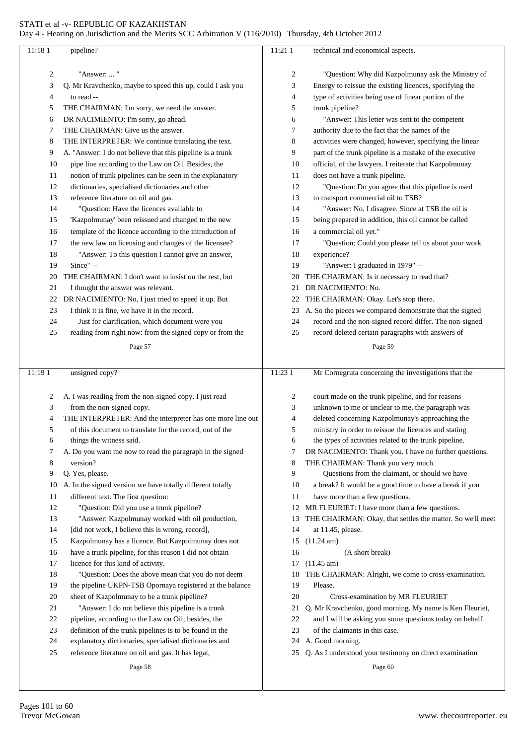| 11:181  | pipeline?                                                                               | 11:211  | technical and economical aspects.                                                                         |
|---------|-----------------------------------------------------------------------------------------|---------|-----------------------------------------------------------------------------------------------------------|
| 2       | "Answer:  "                                                                             | 2       | "Question: Why did Kazpolmunay ask the Ministry of                                                        |
| 3       | Q. Mr Kravchenko, maybe to speed this up, could I ask you                               | 3       | Energy to reissue the existing licences, specifying the                                                   |
| 4       | to read --                                                                              | 4       | type of activities being use of linear portion of the                                                     |
| 5       | THE CHAIRMAN: I'm sorry, we need the answer.                                            | 5       | trunk pipeline?                                                                                           |
| 6       | DR NACIMIENTO: I'm sorry, go ahead.                                                     | 6       | "Answer: This letter was sent to the competent                                                            |
| 7       | THE CHAIRMAN: Give us the answer.                                                       | 7       | authority due to the fact that the names of the                                                           |
| 8       | THE INTERPRETER: We continue translating the text.                                      | 8       | activities were changed, however, specifying the linear                                                   |
| 9       | A. "Answer: I do not believe that this pipeline is a trunk                              | 9       | part of the trunk pipeline is a mistake of the executive                                                  |
| 10      | pipe line according to the Law on Oil. Besides, the                                     | 10      | official, of the lawyers. I reiterate that Kazpolmunay                                                    |
| 11      | notion of trunk pipelines can be seen in the explanatory                                | 11      | does not have a trunk pipeline.                                                                           |
| 12      | dictionaries, specialised dictionaries and other                                        | 12      | "Question: Do you agree that this pipeline is used                                                        |
| 13      | reference literature on oil and gas.                                                    | 13      | to transport commercial oil to TSB?                                                                       |
| 14      | "Question: Have the licences available to                                               | 14      | "Answer: No, I disagree. Since at TSB the oil is                                                          |
| 15      | 'Kazpolmunay' been reissued and changed to the new                                      | 15      | being prepared in addition, this oil cannot be called                                                     |
| 16      | template of the licence according to the introduction of                                | 16      | a commercial oil yet."                                                                                    |
| 17      | the new law on licensing and changes of the licensee?                                   | 17      | "Question: Could you please tell us about your work                                                       |
| 18      | "Answer: To this question I cannot give an answer,                                      | 18      | experience?                                                                                               |
| 19      | Since" --                                                                               | 19      | "Answer: I graduated in 1979" --                                                                          |
| 20      | THE CHAIRMAN: I don't want to insist on the rest, but                                   | 20      | THE CHAIRMAN: Is it necessary to read that?                                                               |
| 21      | I thought the answer was relevant.                                                      | 21      | DR NACIMIENTO: No.                                                                                        |
| 22      | DR NACIMIENTO: No, I just tried to speed it up. But                                     | 22      | THE CHAIRMAN: Okay. Let's stop there.                                                                     |
| 23      | I think it is fine, we have it in the record.                                           | 23      | A. So the pieces we compared demonstrate that the signed                                                  |
| 24      | Just for clarification, which document were you                                         | 24      | record and the non-signed record differ. The non-signed                                                   |
| 25      | reading from right now: from the signed copy or from the                                | 25      | record deleted certain paragraphs with answers of                                                         |
|         | Page 57                                                                                 |         | Page 59                                                                                                   |
|         |                                                                                         |         |                                                                                                           |
| 11:19 1 | unsigned copy?                                                                          | 11:23 1 | Mr Cornegruta concerning the investigations that the                                                      |
|         |                                                                                         |         |                                                                                                           |
|         |                                                                                         |         |                                                                                                           |
| 2<br>3  | A. I was reading from the non-signed copy. I just read                                  | 2<br>3  | court made on the trunk pipeline, and for reasons                                                         |
| 4       | from the non-signed copy.<br>THE INTERPRETER: And the interpreter has one more line out | 4       | unknown to me or unclear to me, the paragraph was                                                         |
| 5       |                                                                                         | 5       | deleted concerning Kazpolmunay's approaching the<br>ministry in order to reissue the licences and stating |
| 6       | of this document to translate for the record, out of the<br>things the witness said.    | 6       | the types of activities related to the trunk pipeline.                                                    |
| 7       | A. Do you want me now to read the paragraph in the signed                               | 7       | DR NACIMIENTO: Thank you. I have no further questions.                                                    |
| 8       | version?                                                                                | 8       | THE CHAIRMAN: Thank you very much.                                                                        |
| 9       | Q. Yes, please.                                                                         | 9       | Questions from the claimant, or should we have                                                            |
| 10      | A. In the signed version we have totally different totally                              | 10      | a break? It would be a good time to have a break if you                                                   |
| 11      | different text. The first question:                                                     | 11      | have more than a few questions.                                                                           |
| 12      | "Question: Did you use a trunk pipeline?                                                | 12      | MR FLEURIET: I have more than a few questions.                                                            |
| 13      | "Answer: Kazpolmunay worked with oil production,                                        | 13      | THE CHAIRMAN: Okay, that settles the matter. So we'll meet                                                |
| 14      | [did not work, I believe this is wrong, record],                                        | 14      | at 11.45, please.                                                                                         |
| 15      | Kazpolmunay has a licence. But Kazpolmunay does not                                     | 15      | $(11.24 \text{ am})$                                                                                      |
| 16      | have a trunk pipeline, for this reason I did not obtain                                 | 16      | (A short break)                                                                                           |
| 17      | licence for this kind of activity.                                                      | 17      | $(11.45 \text{ am})$                                                                                      |
| 18      | "Question: Does the above mean that you do not deem                                     | 18      | THE CHAIRMAN: Alright, we come to cross-examination.                                                      |
| 19      | the pipeline UKPN-TSB Opornaya registered at the balance                                | 19      | Please.                                                                                                   |
| 20      | sheet of Kazpolmunay to be a trunk pipeline?                                            | 20      | Cross-examination by MR FLEURIET                                                                          |
| 21      | "Answer: I do not believe this pipeline is a trunk                                      | 21      | Q. Mr Kravchenko, good morning. My name is Ken Fleuriet,                                                  |
| $22\,$  | pipeline, according to the Law on Oil; besides, the                                     | 22      | and I will be asking you some questions today on behalf                                                   |
| 23      | definition of the trunk pipelines is to be found in the                                 | 23      | of the claimants in this case.                                                                            |
| 24      | explanatory dictionaries, specialised dictionaries and                                  | 24      | A. Good morning.                                                                                          |
| 25      | reference literature on oil and gas. It has legal,                                      | 25      | Q. As I understood your testimony on direct examination                                                   |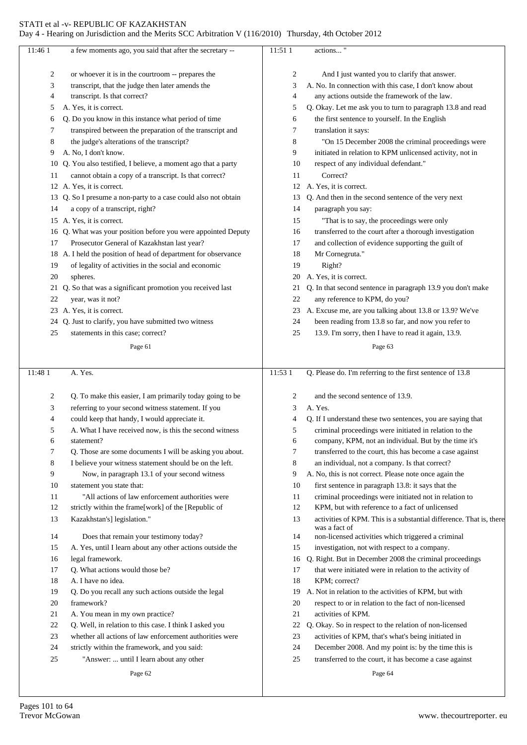| Day 4 - Hearing on Jurisdiction and the Merits SCC Arbitration V (116/2010) Thursday, 4th October 2012 |  |
|--------------------------------------------------------------------------------------------------------|--|
|--------------------------------------------------------------------------------------------------------|--|

| 11:46 1        | a few moments ago, you said that after the secretary --        | 11:51 1        | actions"                                                            |
|----------------|----------------------------------------------------------------|----------------|---------------------------------------------------------------------|
|                |                                                                |                |                                                                     |
| $\overline{c}$ | or whoever it is in the courtroom -- prepares the              | 2              | And I just wanted you to clarify that answer.                       |
| 3              | transcript, that the judge then later amends the               | 3              | A. No. In connection with this case, I don't know about             |
| 4              | transcript. Is that correct?                                   | 4              | any actions outside the framework of the law.                       |
| 5              | A. Yes, it is correct.                                         | 5              | Q. Okay. Let me ask you to turn to paragraph 13.8 and read          |
| 6              | Q. Do you know in this instance what period of time            | 6              | the first sentence to yourself. In the English                      |
| 7              | transpired between the preparation of the transcript and       | 7              | translation it says:                                                |
| 8              | the judge's alterations of the transcript?                     | 8              | "On 15 December 2008 the criminal proceedings were                  |
| 9              | A. No, I don't know.                                           | 9              | initiated in relation to KPM unlicensed activity, not in            |
| 10             | Q. You also testified, I believe, a moment ago that a party    | 10             | respect of any individual defendant."                               |
| 11             | cannot obtain a copy of a transcript. Is that correct?         | 11             | Correct?                                                            |
|                | 12 A. Yes, it is correct.                                      | 12             | A. Yes, it is correct.                                              |
| 13             | Q. So I presume a non-party to a case could also not obtain    | 13             | Q. And then in the second sentence of the very next                 |
| 14             | a copy of a transcript, right?                                 | 14             | paragraph you say:                                                  |
|                | 15 A. Yes, it is correct.                                      | 15             | "That is to say, the proceedings were only                          |
| 16             | Q. What was your position before you were appointed Deputy     | 16             | transferred to the court after a thorough investigation             |
| 17             | Prosecutor General of Kazakhstan last year?                    | 17             | and collection of evidence supporting the guilt of                  |
|                | 18 A. I held the position of head of department for observance | 18             | Mr Cornegruta."                                                     |
| 19             | of legality of activities in the social and economic           | 19             | Right?                                                              |
| 20             | spheres.                                                       | 20             | A. Yes, it is correct.                                              |
| 21             | Q. So that was a significant promotion you received last       | 21             | Q. In that second sentence in paragraph 13.9 you don't make         |
| 22             | year, was it not?                                              | 22             | any reference to KPM, do you?                                       |
| 23             | A. Yes, it is correct.                                         | 23             | A. Excuse me, are you talking about 13.8 or 13.9? We've             |
| 24             | Q. Just to clarify, you have submitted two witness             | 24             | been reading from 13.8 so far, and now you refer to                 |
| 25             | statements in this case; correct?                              | 25             | 13.9. I'm sorry, then I have to read it again, 13.9.                |
|                | Page 61                                                        |                | Page 63                                                             |
|                |                                                                |                |                                                                     |
| 11:48 1        | A. Yes.                                                        | 11:53 1        | Q. Please do. I'm referring to the first sentence of 13.8           |
|                |                                                                |                |                                                                     |
| 2              | Q. To make this easier, I am primarily today going to be       | 2              | and the second sentence of 13.9.                                    |
| 3              | referring to your second witness statement. If you             | 3              | A. Yes.                                                             |
| 4              | could keep that handy, I would appreciate it.                  | $\overline{4}$ | Q. If I understand these two sentences, you are saying that         |
| 5              | A. What I have received now, is this the second witness        | 5              | criminal proceedings were initiated in relation to the              |
| 6              | statement?                                                     | 6              | company, KPM, not an individual. But by the time it's               |
| 7              | Q. Those are some documents I will be asking you about.        | 7              | transferred to the court, this has become a case against            |
| 8              | I believe your witness statement should be on the left.        | 8              | an individual, not a company. Is that correct?                      |
| 9              | Now, in paragraph 13.1 of your second witness                  | 9              | A. No, this is not correct. Please note once again the              |
| 10             | statement you state that:                                      | 10             | first sentence in paragraph 13.8: it says that the                  |
| 11             | "All actions of law enforcement authorities were               | 11             | criminal proceedings were initiated not in relation to              |
| 12             | strictly within the frame[work] of the [Republic of            | 12             | KPM, but with reference to a fact of unlicensed                     |
| 13             | Kazakhstan's] legislation."                                    | 13             | activities of KPM. This is a substantial difference. That is, there |
| 14             | Does that remain your testimony today?                         | 14             | was a fact of<br>non-licensed activities which triggered a criminal |
| 15             | A. Yes, until I learn about any other actions outside the      | 15             | investigation, not with respect to a company.                       |
| 16             | legal framework.                                               | 16             | Q. Right. But in December 2008 the criminal proceedings             |
| 17             | Q. What actions would those be?                                | 17             | that were initiated were in relation to the activity of             |
| 18             | A. I have no idea.                                             | 18             | KPM; correct?                                                       |
| 19             | Q. Do you recall any such actions outside the legal            | 19             | A. Not in relation to the activities of KPM, but with               |
| 20             | framework?                                                     | 20             | respect to or in relation to the fact of non-licensed               |
| 21             | A. You mean in my own practice?                                | 21             | activities of KPM.                                                  |
| 22             | Q. Well, in relation to this case. I think I asked you         | 22             | Q. Okay. So in respect to the relation of non-licensed              |
| 23             | whether all actions of law enforcement authorities were        | 23             | activities of KPM, that's what's being initiated in                 |
| 24             | strictly within the framework, and you said:                   | 24             | December 2008. And my point is: by the time this is                 |
| 25             | "Answer:  until I learn about any other                        | 25             | transferred to the court, it has become a case against              |
|                | Page 62                                                        |                | Page 64                                                             |
|                |                                                                |                |                                                                     |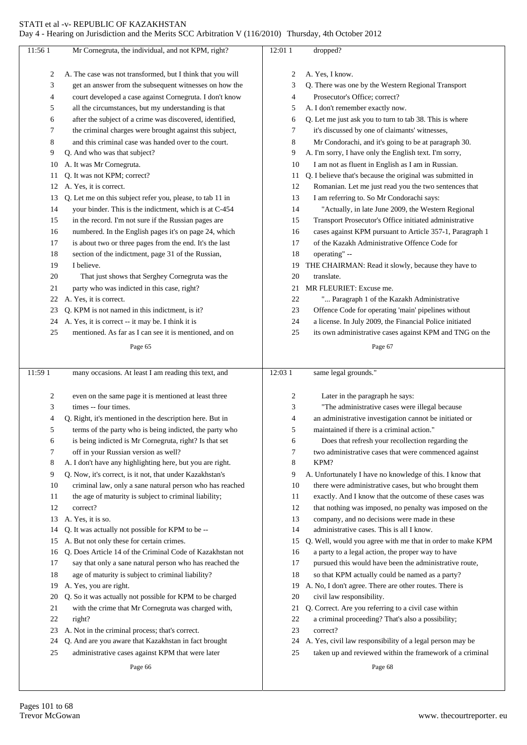| 11:56 1        | Mr Cornegruta, the individual, and not KPM, right?         | 12:01 1        | dropped?                                                   |
|----------------|------------------------------------------------------------|----------------|------------------------------------------------------------|
| $\overline{c}$ | A. The case was not transformed, but I think that you will | 2              | A. Yes, I know.                                            |
| 3              | get an answer from the subsequent witnesses on how the     | 3              | Q. There was one by the Western Regional Transport         |
| 4              | court developed a case against Cornegruta. I don't know    | $\overline{4}$ | Prosecutor's Office; correct?                              |
| 5              | all the circumstances, but my understanding is that        | 5              | A. I don't remember exactly now.                           |
| 6              | after the subject of a crime was discovered, identified,   | 6              | Q. Let me just ask you to turn to tab 38. This is where    |
| 7              | the criminal charges were brought against this subject,    | 7              | it's discussed by one of claimants' witnesses,             |
| 8              | and this criminal case was handed over to the court.       | 8              | Mr Condorachi, and it's going to be at paragraph 30.       |
| 9              | Q. And who was that subject?                               | 9              | A. I'm sorry, I have only the English text. I'm sorry,     |
| 10             | A. It was Mr Cornegruta.                                   | 10             | I am not as fluent in English as I am in Russian.          |
| 11             | Q. It was not KPM; correct?                                | 11             | Q. I believe that's because the original was submitted in  |
| 12             | A. Yes, it is correct.                                     | 12             | Romanian. Let me just read you the two sentences that      |
| 13             | Q. Let me on this subject refer you, please, to tab 11 in  | 13             | I am referring to. So Mr Condorachi says:                  |
| 14             | your binder. This is the indictment, which is at C-454     | 14             | "Actually, in late June 2009, the Western Regional         |
| 15             | in the record. I'm not sure if the Russian pages are       | 15             | Transport Prosecutor's Office initiated administrative     |
| 16             | numbered. In the English pages it's on page 24, which      | 16             | cases against KPM pursuant to Article 357-1, Paragraph 1   |
| 17             | is about two or three pages from the end. It's the last    | 17             | of the Kazakh Administrative Offence Code for              |
| 18             | section of the indictment, page 31 of the Russian,         | 18             | operating" --                                              |
| 19             | I believe.                                                 | 19             | THE CHAIRMAN: Read it slowly, because they have to         |
| 20             | That just shows that Serghey Cornegruta was the            | 20             | translate.                                                 |
| 21             | party who was indicted in this case, right?                | 21             | MR FLEURIET: Excuse me.                                    |
| 22             | A. Yes, it is correct.                                     | 22             | " Paragraph 1 of the Kazakh Administrative                 |
| 23             | Q. KPM is not named in this indictment, is it?             | 23             | Offence Code for operating 'main' pipelines without        |
| 24             | A. Yes, it is correct -- it may be. I think it is          | 24             | a license. In July 2009, the Financial Police initiated    |
| 25             | mentioned. As far as I can see it is mentioned, and on     | 25             | its own administrative cases against KPM and TNG on the    |
|                | Page 65                                                    |                | Page 67                                                    |
|                |                                                            |                |                                                            |
| 11:59 1        | many occasions. At least I am reading this text, and       | 12:03 1        | same legal grounds."                                       |
| $\overline{c}$ | even on the same page it is mentioned at least three       | 2              | Later in the paragraph he says:                            |
| 3              | times -- four times.                                       | 3              | "The administrative cases were illegal because             |
| 4              | Q. Right, it's mentioned in the description here. But in   | 4              | an administrative investigation cannot be initiated or     |
| 5              | terms of the party who is being indicted, the party who    | 5              | maintained if there is a criminal action."                 |
| 6              | is being indicted is Mr Cornegruta, right? Is that set     | 6              | Does that refresh your recollection regarding the          |
| $\tau$         | off in your Russian version as well?                       | 7              | two administrative cases that were commenced against       |
| 8              | A. I don't have any highlighting here, but you are right.  | 8              | KPM?                                                       |
| 9              | Q. Now, it's correct, is it not, that under Kazakhstan's   | 9              | A. Unfortunately I have no knowledge of this. I know that  |
| 10             | criminal law, only a sane natural person who has reached   | 10             | there were administrative cases, but who brought them      |
| 11             | the age of maturity is subject to criminal liability;      | 11             | exactly. And I know that the outcome of these cases was    |
| 12             | correct?                                                   | 12             | that nothing was imposed, no penalty was imposed on the    |
| 13             | A. Yes, it is so.                                          | 13             | company, and no decisions were made in these               |
| 14             | Q. It was actually not possible for KPM to be --           | 14             | administrative cases. This is all I know.                  |
| 15             | A. But not only these for certain crimes.                  | 15             | Q. Well, would you agree with me that in order to make KPM |
| 16             | Q. Does Article 14 of the Criminal Code of Kazakhstan not  | 16             | a party to a legal action, the proper way to have          |
| 17             | say that only a sane natural person who has reached the    | 17             | pursued this would have been the administrative route,     |
| 18             | age of maturity is subject to criminal liability?          | 18             | so that KPM actually could be named as a party?            |
| 19             | A. Yes, you are right.                                     | 19             | A. No, I don't agree. There are other routes. There is     |
| 20             | Q. So it was actually not possible for KPM to be charged   | 20             | civil law responsibility.                                  |
| 21             | with the crime that Mr Cornegruta was charged with,        | 21             | Q. Correct. Are you referring to a civil case within       |
| 22             | right?                                                     | 22             | a criminal proceeding? That's also a possibility;          |
| 23             | A. Not in the criminal process; that's correct.            | 23             | correct?                                                   |
| 24             | Q. And are you aware that Kazakhstan in fact brought       | 24             | A. Yes, civil law responsibility of a legal person may be  |
| 25             | administrative cases against KPM that were later           | 25             | taken up and reviewed within the framework of a criminal   |
|                | Page 66                                                    |                | Page 68                                                    |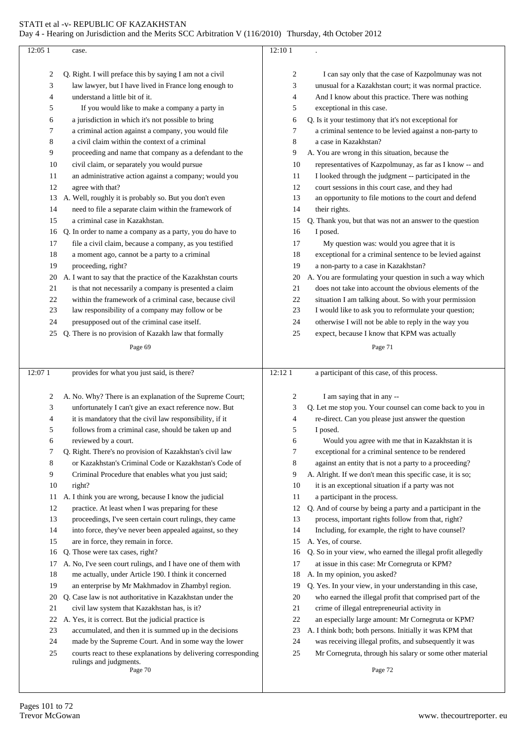| 12:051         | case.                                                                                                            | 12:101         |                                                                                                                    |
|----------------|------------------------------------------------------------------------------------------------------------------|----------------|--------------------------------------------------------------------------------------------------------------------|
|                |                                                                                                                  |                |                                                                                                                    |
| 2              | Q. Right. I will preface this by saying I am not a civil                                                         | 2              | I can say only that the case of Kazpolmunay was not                                                                |
| 3              | law lawyer, but I have lived in France long enough to                                                            | 3              | unusual for a Kazakhstan court; it was normal practice.                                                            |
| 4              | understand a little bit of it.                                                                                   | $\overline{4}$ | And I know about this practice. There was nothing                                                                  |
| 5              | If you would like to make a company a party in                                                                   | 5              | exceptional in this case.                                                                                          |
| 6              | a jurisdiction in which it's not possible to bring                                                               | 6              | Q. Is it your testimony that it's not exceptional for                                                              |
| 7              | a criminal action against a company, you would file                                                              | 7              | a criminal sentence to be levied against a non-party to                                                            |
| $\,8\,$        | a civil claim within the context of a criminal                                                                   | 8              | a case in Kazakhstan?                                                                                              |
| 9              | proceeding and name that company as a defendant to the                                                           | 9              | A. You are wrong in this situation, because the                                                                    |
| 10             | civil claim, or separately you would pursue                                                                      | 10             | representatives of Kazpolmunay, as far as I know -- and                                                            |
| 11             | an administrative action against a company; would you                                                            | 11             | I looked through the judgment -- participated in the                                                               |
| 12             | agree with that?                                                                                                 | 12             | court sessions in this court case, and they had                                                                    |
| 13             | A. Well, roughly it is probably so. But you don't even                                                           | 13             | an opportunity to file motions to the court and defend                                                             |
| 14             | need to file a separate claim within the framework of                                                            | 14             | their rights.                                                                                                      |
| 15             | a criminal case in Kazakhstan.                                                                                   | 15             | Q. Thank you, but that was not an answer to the question                                                           |
| 16             | Q. In order to name a company as a party, you do have to                                                         | 16             | I posed.                                                                                                           |
| 17             | file a civil claim, because a company, as you testified                                                          | 17             | My question was: would you agree that it is                                                                        |
| 18             | a moment ago, cannot be a party to a criminal                                                                    | 18             | exceptional for a criminal sentence to be levied against                                                           |
| 19             | proceeding, right?                                                                                               | 19             | a non-party to a case in Kazakhstan?                                                                               |
| 20             | A. I want to say that the practice of the Kazakhstan courts                                                      | 20             | A. You are formulating your question in such a way which<br>does not take into account the obvious elements of the |
| 21<br>22       | is that not necessarily a company is presented a claim<br>within the framework of a criminal case, because civil | 21<br>22       |                                                                                                                    |
| 23             | law responsibility of a company may follow or be                                                                 | 23             | situation I am talking about. So with your permission<br>I would like to ask you to reformulate your question;     |
| 24             | presupposed out of the criminal case itself.                                                                     | 24             | otherwise I will not be able to reply in the way you                                                               |
| 25             | Q. There is no provision of Kazakh law that formally                                                             | 25             | expect, because I know that KPM was actually                                                                       |
|                |                                                                                                                  |                |                                                                                                                    |
|                | Page 69                                                                                                          |                | Page 71                                                                                                            |
|                |                                                                                                                  |                |                                                                                                                    |
|                |                                                                                                                  |                |                                                                                                                    |
| 12:07 1        | provides for what you just said, is there?                                                                       | 12:12 1        | a participant of this case, of this process.                                                                       |
|                |                                                                                                                  |                |                                                                                                                    |
| 2              | A. No. Why? There is an explanation of the Supreme Court;                                                        | 2              | I am saying that in any --                                                                                         |
| 3              | unfortunately I can't give an exact reference now. But                                                           | 3              | Q. Let me stop you. Your counsel can come back to you in                                                           |
| $\overline{4}$ | it is mandatory that the civil law responsibility, if it                                                         | $\overline{4}$ | re-direct. Can you please just answer the question                                                                 |
| 5              | follows from a criminal case, should be taken up and                                                             | 5              | I posed.                                                                                                           |
| 6              | reviewed by a court.                                                                                             | 6              | Would you agree with me that in Kazakhstan it is                                                                   |
| $\tau$         | Q. Right. There's no provision of Kazakhstan's civil law                                                         | $\tau$         | exceptional for a criminal sentence to be rendered                                                                 |
| $\,8\,$        | or Kazakhstan's Criminal Code or Kazakhstan's Code of                                                            | 8<br>9         | against an entity that is not a party to a proceeding?                                                             |
| 9<br>10        | Criminal Procedure that enables what you just said;                                                              | 10             | A. Alright. If we don't mean this specific case, it is so;<br>it is an exceptional situation if a party was not    |
|                | right?<br>11 A. I think you are wrong, because I know the judicial                                               | 11             | a participant in the process.                                                                                      |
| 12             | practice. At least when I was preparing for these                                                                | 12             | Q. And of course by being a party and a participant in the                                                         |
| 13             | proceedings, I've seen certain court rulings, they came                                                          | 13             | process, important rights follow from that, right?                                                                 |
| 14             | into force, they've never been appealed against, so they                                                         | 14             | Including, for example, the right to have counsel?                                                                 |
| 15             | are in force, they remain in force.                                                                              | 15             | A. Yes, of course.                                                                                                 |
| 16             | Q. Those were tax cases, right?                                                                                  | 16             | Q. So in your view, who earned the illegal profit allegedly                                                        |
|                | 17 A. No, I've seen court rulings, and I have one of them with                                                   | 17             | at issue in this case: Mr Cornegruta or KPM?                                                                       |
| 18             | me actually, under Article 190. I think it concerned                                                             | 18             | A. In my opinion, you asked?                                                                                       |
| 19             | an enterprise by Mr Makhmadov in Zhambyl region.                                                                 | 19             | Q. Yes. In your view, in your understanding in this case,                                                          |
| 20             | Q. Case law is not authoritative in Kazakhstan under the                                                         | 20             | who earned the illegal profit that comprised part of the                                                           |
| 21             | civil law system that Kazakhstan has, is it?                                                                     | 21             | crime of illegal entrepreneurial activity in                                                                       |
|                | 22 A. Yes, it is correct. But the judicial practice is                                                           | 22             | an especially large amount: Mr Cornegruta or KPM?                                                                  |
| 23             | accumulated, and then it is summed up in the decisions                                                           | 23             | A. I think both; both persons. Initially it was KPM that                                                           |
| $24\,$         | made by the Supreme Court. And in some way the lower                                                             | 24             | was receiving illegal profits, and subsequently it was                                                             |
| 25             | courts react to these explanations by delivering corresponding                                                   | 25             | Mr Cornegruta, through his salary or some other material                                                           |
|                | rulings and judgments.<br>Page 70                                                                                |                | Page 72                                                                                                            |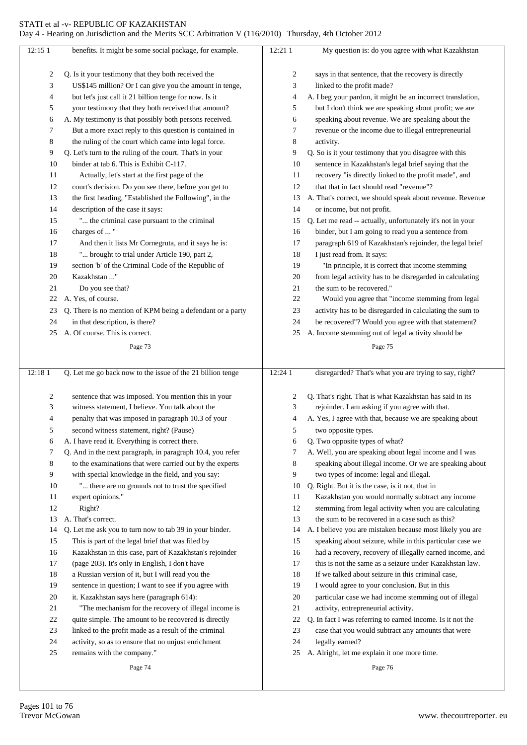| 12:15 1                 | benefits. It might be some social package, for example.    | 12:211 | My question is: do you agree with what Kazakhstan           |
|-------------------------|------------------------------------------------------------|--------|-------------------------------------------------------------|
|                         |                                                            |        |                                                             |
| $\overline{\mathbf{c}}$ | Q. Is it your testimony that they both received the        | 2      | says in that sentence, that the recovery is directly        |
| 3                       | US\$145 million? Or I can give you the amount in tenge,    | 3      | linked to the profit made?                                  |
| 4                       | but let's just call it 21 billion tenge for now. Is it     | 4      | A. I beg your pardon, it might be an incorrect translation, |
| 5                       | your testimony that they both received that amount?        | 5      | but I don't think we are speaking about profit; we are      |
| 6                       | A. My testimony is that possibly both persons received.    | 6      | speaking about revenue. We are speaking about the           |
| 7                       | But a more exact reply to this question is contained in    | 7      | revenue or the income due to illegal entrepreneurial        |
| 8                       | the ruling of the court which came into legal force.       | 8      | activity.                                                   |
| 9                       | Q. Let's turn to the ruling of the court. That's in your   | 9      | Q. So is it your testimony that you disagree with this      |
| 10                      | binder at tab 6. This is Exhibit C-117.                    | 10     | sentence in Kazakhstan's legal brief saying that the        |
| 11                      | Actually, let's start at the first page of the             | 11     | recovery "is directly linked to the profit made", and       |
| 12                      | court's decision. Do you see there, before you get to      | 12     | that that in fact should read "revenue"?                    |
| 13                      | the first heading, "Established the Following", in the     | 13     | A. That's correct, we should speak about revenue. Revenue   |
| 14                      | description of the case it says:                           | 14     | or income, but not profit.                                  |
| 15                      | " the criminal case pursuant to the criminal               | 15     | Q. Let me read -- actually, unfortunately it's not in your  |
| 16                      | charges of  "                                              | 16     | binder, but I am going to read you a sentence from          |
| 17                      | And then it lists Mr Cornegruta, and it says he is:        | 17     | paragraph 619 of Kazakhstan's rejoinder, the legal brief    |
| 18                      | " brought to trial under Article 190, part 2,              | 18     | I just read from. It says:                                  |
| 19                      | section 'b' of the Criminal Code of the Republic of        | 19     | "In principle, it is correct that income stemming           |
| 20                      | Kazakhstan "                                               | 20     | from legal activity has to be disregarded in calculating    |
| 21                      | Do you see that?                                           | 21     | the sum to be recovered."                                   |
| 22                      | A. Yes, of course.                                         | $22\,$ | Would you agree that "income stemming from legal            |
| 23                      | Q. There is no mention of KPM being a defendant or a party | 23     | activity has to be disregarded in calculating the sum to    |
| 24                      | in that description, is there?                             | 24     | be recovered"? Would you agree with that statement?         |
| 25                      | A. Of course. This is correct.                             | 25     | A. Income stemming out of legal activity should be          |
|                         | Page 73                                                    |        | Page 75                                                     |
|                         |                                                            |        |                                                             |
| 12:18 1                 | Q. Let me go back now to the issue of the 21 billion tenge | 12:241 | disregarded? That's what you are trying to say, right?      |
|                         |                                                            |        |                                                             |
| 2                       | sentence that was imposed. You mention this in your        | 2      | Q. That's right. That is what Kazakhstan has said in its    |
| 3                       | witness statement, I believe. You talk about the           | 3      | rejoinder. I am asking if you agree with that.              |
| 4                       | penalty that was imposed in paragraph 10.3 of your         | 4      | A. Yes, I agree with that, because we are speaking about    |
| 5                       | second witness statement, right? (Pause)                   | 5      | two opposite types.                                         |
| 6                       | A. I have read it. Everything is correct there.            | 6      | Q. Two opposite types of what?                              |
| 7                       | Q. And in the next paragraph, in paragraph 10.4, you refer | 7      | A. Well, you are speaking about legal income and I was      |
| 8                       | to the examinations that were carried out by the experts   | 8      | speaking about illegal income. Or we are speaking about     |
| 9                       | with special knowledge in the field, and you say:          | 9      | two types of income: legal and illegal.                     |
| 10                      | " there are no grounds not to trust the specified          | 10     | Q. Right. But it is the case, is it not, that in            |
| 11                      | expert opinions."                                          | 11     | Kazakhstan you would normally subtract any income           |
| 12                      | Right?                                                     | 12     | stemming from legal activity when you are calculating       |
| 13                      | A. That's correct.                                         | 13     | the sum to be recovered in a case such as this?             |
| 14                      | Q. Let me ask you to turn now to tab 39 in your binder.    | 14     | A. I believe you are mistaken because most likely you are   |
| 15                      | This is part of the legal brief that was filed by          | 15     | speaking about seizure, while in this particular case we    |
| 16                      | Kazakhstan in this case, part of Kazakhstan's rejoinder    | 16     | had a recovery, recovery of illegally earned income, and    |
| 17                      | (page 203). It's only in English, I don't have             | 17     | this is not the same as a seizure under Kazakhstan law.     |
| 18                      | a Russian version of it, but I will read you the           | 18     | If we talked about seizure in this criminal case,           |
| 19                      | sentence in question; I want to see if you agree with      | 19     | I would agree to your conclusion. But in this               |
| 20                      | it. Kazakhstan says here (paragraph 614):                  | 20     | particular case we had income stemming out of illegal       |
| 21                      | "The mechanism for the recovery of illegal income is       | 21     | activity, entrepreneurial activity.                         |
| 22                      | quite simple. The amount to be recovered is directly       | 22     | Q. In fact I was referring to earned income. Is it not the  |
| 23                      | linked to the profit made as a result of the criminal      | 23     | case that you would subtract any amounts that were          |
| 24                      | activity, so as to ensure that no unjust enrichment        | 24     | legally earned?                                             |
| 25                      | remains with the company."                                 | 25     | A. Alright, let me explain it one more time.                |
|                         | Page 74                                                    |        | Page 76                                                     |
|                         |                                                            |        |                                                             |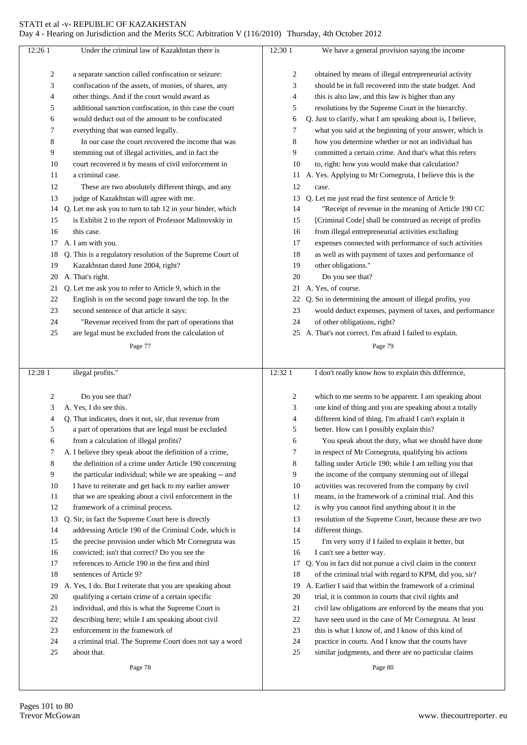|          |                                                            |          | We have a general provision saying the income                    |
|----------|------------------------------------------------------------|----------|------------------------------------------------------------------|
| 12:26 1  | Under the criminal law of Kazakhstan there is              | 12:30 1  |                                                                  |
| 2        | a separate sanction called confiscation or seizure:        | 2        | obtained by means of illegal entrepreneurial activity            |
| 3        | confiscation of the assets, of monies, of shares, any      | 3        | should be in full recovered into the state budget. And           |
| 4        | other things. And if the court would award as              | 4        | this is also law, and this law is higher than any                |
| 5        | additional sanction confiscation, in this case the court   | 5        | resolutions by the Supreme Court in the hierarchy.               |
| 6        | would deduct out of the amount to be confiscated           | 6        | Q. Just to clarify, what I am speaking about is, I believe,      |
| 7        | everything that was earned legally.                        | 7        | what you said at the beginning of your answer, which is          |
| 8        | In our case the court recovered the income that was        | 8        | how you determine whether or not an individual has               |
| 9        | stemming out of illegal activities, and in fact the        | 9        | committed a certain crime. And that's what this refers           |
| 10       | court recovered it by means of civil enforcement in        | 10       | to, right: how you would make that calculation?                  |
| 11       | a criminal case.                                           | 11       | A. Yes. Applying to Mr Cornegruta, I believe this is the         |
| 12       | These are two absolutely different things, and any         | 12       | case.                                                            |
| 13       | judge of Kazakhstan will agree with me.                    | 13       | Q. Let me just read the first sentence of Article 9:             |
| 14       | Q. Let me ask you to turn to tab 12 in your binder, which  | 14       | "Receipt of revenue in the meaning of Article 190 CC             |
| 15       | is Exhibit 2 to the report of Professor Malinovskiy in     | 15       | [Criminal Code] shall be construed as receipt of profits         |
| 16       | this case.                                                 | 16       | from illegal entrepreneurial activities excluding                |
|          | A. I am with you.                                          | 17       | expenses connected with performance of such activities           |
| 17       | Q. This is a regulatory resolution of the Supreme Court of | 18       | as well as with payment of taxes and performance of              |
| 18<br>19 | Kazakhstan dated June 2004, right?                         | 19       |                                                                  |
|          | A. That's right.                                           | 20       | other obligations."<br>Do you see that?                          |
| 20       | Q. Let me ask you to refer to Article 9, which in the      |          | A. Yes, of course.                                               |
| 21<br>22 | English is on the second page toward the top. In the       | 21<br>22 | Q. So in determining the amount of illegal profits, you          |
| 23       | second sentence of that article it says:                   | 23       | would deduct expenses, payment of taxes, and performance         |
| 24       | "Revenue received from the part of operations that         | 24       | of other obligations, right?                                     |
| 25       | are legal must be excluded from the calculation of         |          | 25 A. That's not correct. I'm afraid I failed to explain.        |
|          |                                                            |          |                                                                  |
|          | Page 77                                                    |          | Page 79                                                          |
|          |                                                            |          |                                                                  |
|          |                                                            |          |                                                                  |
| 12:28 1  | illegal profits."                                          | 12:32 1  | I don't really know how to explain this difference,              |
|          |                                                            |          |                                                                  |
| 2        | Do you see that?                                           | 2        | which to me seems to be apparent. I am speaking about            |
| 3        | A. Yes, I do see this.                                     | 3        | one kind of thing and you are speaking about a totally           |
| 4        | Q. That indicates, does it not, sir, that revenue from     | 4        | different kind of thing. I'm afraid I can't explain it           |
| 5        | a part of operations that are legal must be excluded       | 5        | better. How can I possibly explain this?                         |
| 6        | from a calculation of illegal profits?                     | 6        | You speak about the duty, what we should have done               |
| 7        | A. I believe they speak about the definition of a crime,   | 7        | in respect of Mr Cornegruta, qualifying his actions              |
| 8        | the definition of a crime under Article 190 concerning     | 8        | falling under Article 190; while I am telling you that           |
| 9        | the particular individual; while we are speaking -- and    | 9        | the income of the company stemming out of illegal                |
| 10       | I have to reiterate and get back to my earlier answer      | 10       | activities was recovered from the company by civil               |
| 11       | that we are speaking about a civil enforcement in the      | 11       | means, in the framework of a criminal trial. And this            |
| 12       | framework of a criminal process.                           | 12       | is why you cannot find anything about it in the                  |
| 13       | Q. Sir, in fact the Supreme Court here is directly         | 13       | resolution of the Supreme Court, because these are two           |
| 14       | addressing Article 190 of the Criminal Code, which is      | 14       | different things.                                                |
| 15       | the precise provision under which Mr Cornegruta was        | 15       | I'm very sorry if I failed to explain it better, but             |
| 16       | convicted; isn't that correct? Do you see the              | 16       | I can't see a better way.                                        |
| 17       | references to Article 190 in the first and third           | 17       | Q. You in fact did not pursue a civil claim in the context       |
| 18       | sentences of Article 9?                                    | 18       | of the criminal trial with regard to KPM, did you, sir?          |
| 19       | A. Yes, I do. But I reiterate that you are speaking about  |          | 19 A. Earlier I said that within the framework of a criminal     |
| 20       | qualifying a certain crime of a certain specific           | 20       | trial, it is common in courts that civil rights and              |
| 21       | individual, and this is what the Supreme Court is          | 21       | civil law obligations are enforced by the means that you         |
| 22       | describing here; while I am speaking about civil           | 22       | have seen used in the case of Mr Cornegruta. At least            |
| 23       | enforcement in the framework of                            | 23       | this is what I know of, and I know of this kind of               |
| 24       | a criminal trial. The Supreme Court does not say a word    | 24       | practice in courts. And I know that the courts have              |
| 25       | about that.<br>Page 78                                     | 25       | similar judgments, and there are no particular claims<br>Page 80 |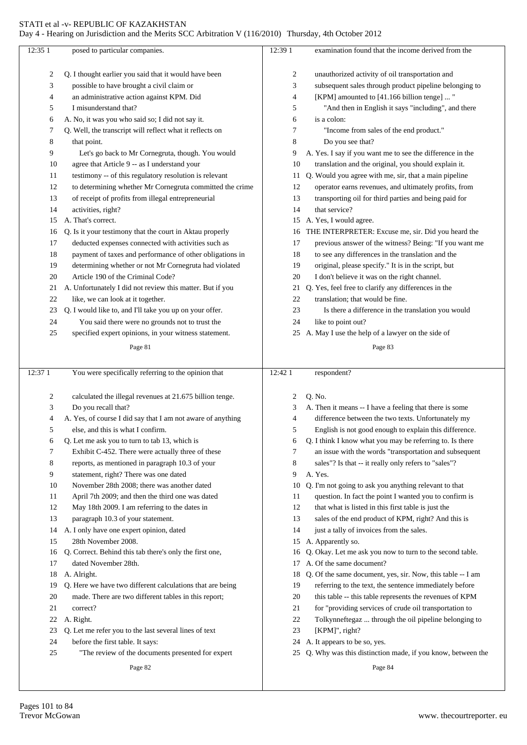| 12:35 1        | posed to particular companies.                              | 12:39 1        | examination found that the income derived from the         |
|----------------|-------------------------------------------------------------|----------------|------------------------------------------------------------|
| $\overline{c}$ | Q. I thought earlier you said that it would have been       | $\overline{c}$ | unauthorized activity of oil transportation and            |
| 3              | possible to have brought a civil claim or                   | 3              | subsequent sales through product pipeline belonging to     |
| 4              | an administrative action against KPM. Did                   | 4              | [KPM] amounted to [41.166 billion tenge]  "                |
| 5              | I misunderstand that?                                       | 5              | "And then in English it says "including", and there        |
| 6              | A. No, it was you who said so; I did not say it.            | 6              | is a colon:                                                |
| 7              | Q. Well, the transcript will reflect what it reflects on    | 7              | "Income from sales of the end product."                    |
| 8              | that point.                                                 | 8              | Do you see that?                                           |
| 9              | Let's go back to Mr Cornegruta, though. You would           | 9              | A. Yes. I say if you want me to see the difference in the  |
| 10             | agree that Article 9 -- as I understand your                | 10             | translation and the original, you should explain it.       |
| 11             | testimony -- of this regulatory resolution is relevant      | 11             | Q. Would you agree with me, sir, that a main pipeline      |
| 12             | to determining whether Mr Cornegruta committed the crime    | 12             | operator earns revenues, and ultimately profits, from      |
| 13             | of receipt of profits from illegal entrepreneurial          | 13             | transporting oil for third parties and being paid for      |
| 14             | activities, right?                                          | 14             | that service?                                              |
| 15             | A. That's correct.                                          | 15             | A. Yes, I would agree.                                     |
| 16             | Q. Is it your testimony that the court in Aktau properly    | 16             | THE INTERPRETER: Excuse me, sir. Did you heard the         |
| 17             | deducted expenses connected with activities such as         | 17             | previous answer of the witness? Being: "If you want me     |
| 18             | payment of taxes and performance of other obligations in    | 18             | to see any differences in the translation and the          |
| 19             | determining whether or not Mr Cornegruta had violated       | 19             | original, please specify." It is in the script, but        |
|                |                                                             |                |                                                            |
| 20             | Article 190 of the Criminal Code?                           | 20             | I don't believe it was on the right channel.               |
| 21             | A. Unfortunately I did not review this matter. But if you   | 21             | Q. Yes, feel free to clarify any differences in the        |
| 22             | like, we can look at it together.                           | 22             | translation; that would be fine.                           |
| 23             | Q. I would like to, and I'll take you up on your offer.     | 23             | Is there a difference in the translation you would         |
| 24             | You said there were no grounds not to trust the             | 24             | like to point out?                                         |
| 25             | specified expert opinions, in your witness statement.       | 25             | A. May I use the help of a lawyer on the side of           |
|                | Page 81                                                     |                | Page 83                                                    |
| 12:37 1        | You were specifically referring to the opinion that         | 12:42 1        | respondent?                                                |
|                |                                                             |                |                                                            |
| 2              | calculated the illegal revenues at 21.675 billion tenge.    | 2              | <b>O.</b> No.                                              |
| 3              | Do you recall that?                                         | 3              | A. Then it means -- I have a feeling that there is some    |
| 4              | A. Yes, of course I did say that I am not aware of anything | $\overline{4}$ | difference between the two texts. Unfortunately my         |
| 5              | else, and this is what I confirm.                           | 5              | English is not good enough to explain this difference.     |
| 6              | Q. Let me ask you to turn to tab 13, which is               | 6              | Q. I think I know what you may be referring to. Is there   |
| 7              | Exhibit C-452. There were actually three of these           | 7              | an issue with the words "transportation and subsequent     |
| 8              | reports, as mentioned in paragraph 10.3 of your             | 8              | sales"? Is that -- it really only refers to "sales"?       |
| 9              | statement, right? There was one dated                       | 9              | A. Yes.                                                    |
| 10             | November 28th 2008; there was another dated                 | 10             | Q. I'm not going to ask you anything relevant to that      |
| 11             | April 7th 2009; and then the third one was dated            | 11             | question. In fact the point I wanted you to confirm is     |
| 12             | May 18th 2009. I am referring to the dates in               | 12             | that what is listed in this first table is just the        |
| 13             | paragraph 10.3 of your statement.                           | 13             | sales of the end product of KPM, right? And this is        |
| 14             | A. I only have one expert opinion, dated                    | 14             | just a tally of invoices from the sales.                   |
| 15             | 28th November 2008.                                         | 15             | A. Apparently so.                                          |
| 16             | Q. Correct. Behind this tab there's only the first one,     | 16             | Q. Okay. Let me ask you now to turn to the second table.   |
| 17             | dated November 28th.                                        | 17             | A. Of the same document?                                   |
| 18             | A. Alright.                                                 | 18             | Q. Of the same document, yes, sir. Now, this table -- I am |
| 19             | Q. Here we have two different calculations that are being   | 19             | referring to the text, the sentence immediately before     |
| 20             | made. There are two different tables in this report;        | 20             | this table -- this table represents the revenues of KPM    |
| 21             | correct?                                                    | 21             | for "providing services of crude oil transportation to     |
| 22             | A. Right.                                                   | 22             | Tolkynneftegaz  through the oil pipeline belonging to      |
|                | Q. Let me refer you to the last several lines of text       | 23             | [KPM]", right?                                             |
| 23<br>24       | before the first table. It says:                            |                | A. It appears to be so, yes.                               |
|                | "The review of the documents presented for expert           | 24             | Q. Why was this distinction made, if you know, between the |
| 25             |                                                             | 25             |                                                            |
|                | Page 82                                                     |                | Page 84                                                    |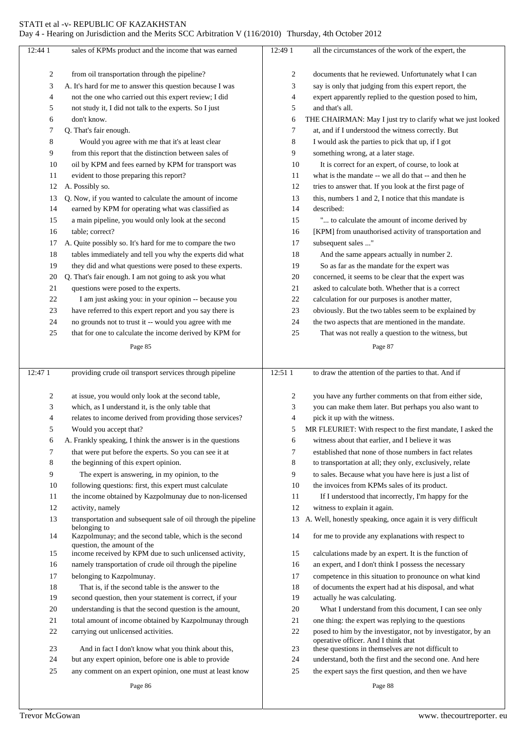| 12:44 1  | sales of KPMs product and the income that was earned                               | 12:49 1                  | all the circumstances of the work of the expert, the                                                |
|----------|------------------------------------------------------------------------------------|--------------------------|-----------------------------------------------------------------------------------------------------|
| 2        | from oil transportation through the pipeline?                                      | $\overline{c}$           | documents that he reviewed. Unfortunately what I can                                                |
| 3        | A. It's hard for me to answer this question because I was                          | 3                        | say is only that judging from this expert report, the                                               |
| 4        | not the one who carried out this expert review; I did                              | 4                        | expert apparently replied to the question posed to him,                                             |
| 5        | not study it, I did not talk to the experts. So I just                             | 5                        | and that's all.                                                                                     |
| 6        | don't know.                                                                        | 6                        | THE CHAIRMAN: May I just try to clarify what we just looked                                         |
| 7        | Q. That's fair enough.                                                             | 7                        | at, and if I understood the witness correctly. But                                                  |
| 8        | Would you agree with me that it's at least clear                                   | 8                        | I would ask the parties to pick that up, if I got                                                   |
| 9        | from this report that the distinction between sales of                             | 9                        | something wrong, at a later stage.                                                                  |
|          |                                                                                    |                          |                                                                                                     |
| 10       | oil by KPM and fees earned by KPM for transport was                                | 10                       | It is correct for an expert, of course, to look at                                                  |
| 11       | evident to those preparing this report?                                            | 11                       | what is the mandate -- we all do that -- and then he                                                |
| 12       | A. Possibly so.                                                                    | 12                       | tries to answer that. If you look at the first page of                                              |
| 13       | Q. Now, if you wanted to calculate the amount of income                            | 13                       | this, numbers 1 and 2, I notice that this mandate is                                                |
| 14       | earned by KPM for operating what was classified as                                 | 14                       | described:                                                                                          |
| 15       | a main pipeline, you would only look at the second                                 | 15                       | " to calculate the amount of income derived by                                                      |
| 16       | table; correct?                                                                    | 16                       | [KPM] from unauthorised activity of transportation and                                              |
| 17       | A. Quite possibly so. It's hard for me to compare the two                          | 17                       | subsequent sales "                                                                                  |
| 18       | tables immediately and tell you why the experts did what                           | 18                       | And the same appears actually in number 2.                                                          |
| 19       | they did and what questions were posed to these experts.                           | 19                       | So as far as the mandate for the expert was                                                         |
| 20       | Q. That's fair enough. I am not going to ask you what                              | 20                       | concerned, it seems to be clear that the expert was                                                 |
| 21       | questions were posed to the experts.                                               | 21                       | asked to calculate both. Whether that is a correct                                                  |
| 22       | I am just asking you: in your opinion -- because you                               | 22                       | calculation for our purposes is another matter,                                                     |
| 23       | have referred to this expert report and you say there is                           | 23                       | obviously. But the two tables seem to be explained by                                               |
| 24       | no grounds not to trust it -- would you agree with me                              | 24                       | the two aspects that are mentioned in the mandate.                                                  |
| 25       | that for one to calculate the income derived by KPM for                            | $25\,$                   | That was not really a question to the witness, but                                                  |
|          |                                                                                    |                          |                                                                                                     |
|          | Page 85                                                                            |                          | Page 87                                                                                             |
|          | providing crude oil transport services through pipeline                            | 12:51 1                  |                                                                                                     |
|          |                                                                                    |                          |                                                                                                     |
| 12:47 1  |                                                                                    |                          | to draw the attention of the parties to that. And if                                                |
| 2        | at issue, you would only look at the second table,                                 | 2                        | you have any further comments on that from either side,                                             |
| 3        | which, as I understand it, is the only table that                                  | 3                        | you can make them later. But perhaps you also want to                                               |
| 4        | relates to income derived from providing those services?                           | $\overline{\mathcal{A}}$ | pick it up with the witness.                                                                        |
| 5        | Would you accept that?                                                             | 5                        | MR FLEURIET: With respect to the first mandate, I asked the                                         |
| 6        | A. Frankly speaking, I think the answer is in the questions                        | 6                        | witness about that earlier, and I believe it was                                                    |
|          |                                                                                    |                          |                                                                                                     |
| 7        | that were put before the experts. So you can see it at                             | 7<br>8                   | established that none of those numbers in fact relates                                              |
| 8        | the beginning of this expert opinion.                                              |                          | to transportation at all; they only, exclusively, relate                                            |
| 9        | The expert is answering, in my opinion, to the                                     | 9                        | to sales. Because what you have here is just a list of                                              |
| 10       | following questions: first, this expert must calculate                             | 10                       | the invoices from KPMs sales of its product.                                                        |
| 11       | the income obtained by Kazpolmunay due to non-licensed                             | 11                       | If I understood that incorrectly, I'm happy for the                                                 |
| 12<br>13 | activity, namely<br>transportation and subsequent sale of oil through the pipeline | 12<br>13                 | witness to explain it again.<br>A. Well, honestly speaking, once again it is very difficult         |
| 14       | belonging to<br>Kazpolmunay; and the second table, which is the second             | 14                       | for me to provide any explanations with respect to                                                  |
|          | question, the amount of the                                                        |                          |                                                                                                     |
| 15       | income received by KPM due to such unlicensed activity,                            | 15                       | calculations made by an expert. It is the function of                                               |
| 16       | namely transportation of crude oil through the pipeline                            | 16                       | an expert, and I don't think I possess the necessary                                                |
| 17       | belonging to Kazpolmunay.                                                          | 17                       | competence in this situation to pronounce on what kind                                              |
| 18       | That is, if the second table is the answer to the                                  | 18                       | of documents the expert had at his disposal, and what                                               |
| 19       | second question, then your statement is correct, if your                           | 19                       | actually he was calculating.                                                                        |
| 20       | understanding is that the second question is the amount,                           | 20                       | What I understand from this document, I can see only                                                |
| 21       | total amount of income obtained by Kazpolmunay through                             | 21                       | one thing: the expert was replying to the questions                                                 |
| 22       | carrying out unlicensed activities.                                                | 22                       | posed to him by the investigator, not by investigator, by an<br>operative officer. And I think that |
| 23       | And in fact I don't know what you think about this,                                | 23                       | these questions in themselves are not difficult to                                                  |
| 24       | but any expert opinion, before one is able to provide                              | 24                       | understand, both the first and the second one. And here                                             |
| 25       | any comment on an expert opinion, one must at least know                           | 25                       | the expert says the first question, and then we have                                                |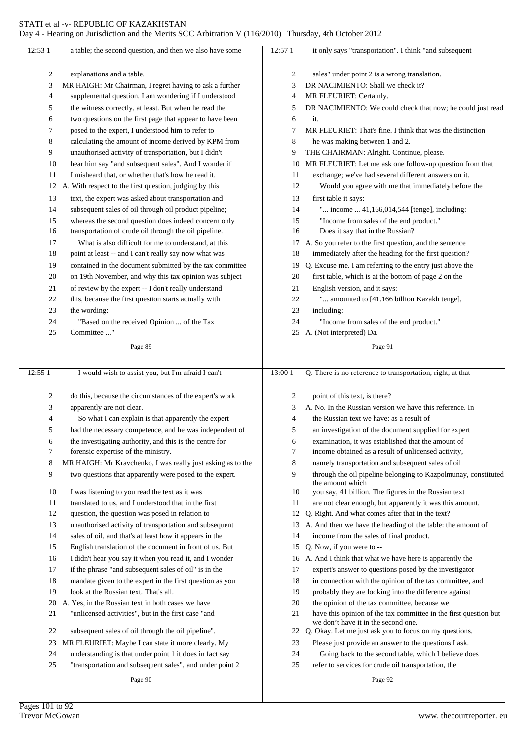| 12:53 1        | a table; the second question, and then we also have some                                                 | 12:57 1        | it only says "transportation". I think "and subsequent                                                                                                  |
|----------------|----------------------------------------------------------------------------------------------------------|----------------|---------------------------------------------------------------------------------------------------------------------------------------------------------|
|                |                                                                                                          |                |                                                                                                                                                         |
| 2              | explanations and a table.                                                                                | 2              | sales" under point 2 is a wrong translation.                                                                                                            |
| 3              | MR HAIGH: Mr Chairman, I regret having to ask a further                                                  | 3              | DR NACIMIENTO: Shall we check it?                                                                                                                       |
| 4              | supplemental question. I am wondering if I understood                                                    | 4              | MR FLEURIET: Certainly.                                                                                                                                 |
| 5              | the witness correctly, at least. But when he read the                                                    | 5              | DR NACIMIENTO: We could check that now; he could just read                                                                                              |
| 6              | two questions on the first page that appear to have been                                                 | 6              | it.                                                                                                                                                     |
| 7              | posed to the expert, I understood him to refer to                                                        | 7              | MR FLEURIET: That's fine. I think that was the distinction                                                                                              |
| 8              | calculating the amount of income derived by KPM from                                                     | 8              | he was making between 1 and 2.                                                                                                                          |
| 9              | unauthorised activity of transportation, but I didn't                                                    | 9              | THE CHAIRMAN: Alright. Continue, please.                                                                                                                |
| 10             | hear him say "and subsequent sales". And I wonder if                                                     | 10             | MR FLEURIET: Let me ask one follow-up question from that                                                                                                |
| 11             | I misheard that, or whether that's how he read it.                                                       | 11             | exchange; we've had several different answers on it.                                                                                                    |
| 12             | A. With respect to the first question, judging by this                                                   | 12             | Would you agree with me that immediately before the                                                                                                     |
| 13             | text, the expert was asked about transportation and                                                      | 13             | first table it says:                                                                                                                                    |
| 14             | subsequent sales of oil through oil product pipeline;                                                    | 14             | " income  41,166,014,544 [tenge], including:                                                                                                            |
| 15             | whereas the second question does indeed concern only                                                     | 15             | "Income from sales of the end product."                                                                                                                 |
| 16             | transportation of crude oil through the oil pipeline.                                                    | 16             | Does it say that in the Russian?                                                                                                                        |
| 17             | What is also difficult for me to understand, at this                                                     | 17             | A. So you refer to the first question, and the sentence                                                                                                 |
| 18             | point at least -- and I can't really say now what was                                                    | 18             | immediately after the heading for the first question?                                                                                                   |
| 19             | contained in the document submitted by the tax committee                                                 | 19             | Q. Excuse me. I am referring to the entry just above the                                                                                                |
| 20             | on 19th November, and why this tax opinion was subject                                                   | 20             | first table, which is at the bottom of page 2 on the                                                                                                    |
| 21             | of review by the expert -- I don't really understand                                                     | 21             | English version, and it says:                                                                                                                           |
| 22             | this, because the first question starts actually with                                                    | 22             | " amounted to [41.166 billion Kazakh tenge],                                                                                                            |
| 23             | the wording:                                                                                             | 23             | including:                                                                                                                                              |
| 24             | "Based on the received Opinion  of the Tax                                                               | 24             | "Income from sales of the end product."                                                                                                                 |
| 25             | Committee "                                                                                              | 25             | A. (Not interpreted) Da.                                                                                                                                |
|                | Page 89                                                                                                  |                | Page 91                                                                                                                                                 |
|                |                                                                                                          |                |                                                                                                                                                         |
|                |                                                                                                          |                |                                                                                                                                                         |
|                |                                                                                                          |                |                                                                                                                                                         |
| 12:55 1        | I would wish to assist you, but I'm afraid I can't                                                       | 13:00 1        | Q. There is no reference to transportation, right, at that                                                                                              |
| 2              | do this, because the circumstances of the expert's work                                                  | 2              | point of this text, is there?                                                                                                                           |
| 3              | apparently are not clear.                                                                                | 3              | A. No. In the Russian version we have this reference. In                                                                                                |
| $\overline{4}$ | So what I can explain is that apparently the expert                                                      | $\overline{4}$ | the Russian text we have: as a result of                                                                                                                |
| 5              | had the necessary competence, and he was independent of                                                  | 5              | an investigation of the document supplied for expert                                                                                                    |
| 6              | the investigating authority, and this is the centre for                                                  | 6              | examination, it was established that the amount of                                                                                                      |
| 7              | forensic expertise of the ministry.                                                                      | 7              | income obtained as a result of unlicensed activity,                                                                                                     |
| 8              | MR HAIGH: Mr Kravchenko, I was really just asking as to the                                              | 8              | namely transportation and subsequent sales of oil                                                                                                       |
| 9              | two questions that apparently were posed to the expert.                                                  | 9              | through the oil pipeline belonging to Kazpolmunay, constituted<br>the amount which                                                                      |
| 10             | I was listening to you read the text as it was                                                           | 10             | you say, 41 billion. The figures in the Russian text                                                                                                    |
| 11             | translated to us, and I understood that in the first                                                     | 11             | are not clear enough, but apparently it was this amount.                                                                                                |
| 12             | question, the question was posed in relation to                                                          | 12             | Q. Right. And what comes after that in the text?                                                                                                        |
| 13             | unauthorised activity of transportation and subsequent                                                   | 13             | A. And then we have the heading of the table: the amount of                                                                                             |
| 14             | sales of oil, and that's at least how it appears in the                                                  | 14             | income from the sales of final product.                                                                                                                 |
| 15             | English translation of the document in front of us. But                                                  | 15             | Q. Now, if you were to --                                                                                                                               |
| 16             | I didn't hear you say it when you read it, and I wonder                                                  | 16             | A. And I think that what we have here is apparently the                                                                                                 |
| 17             | if the phrase "and subsequent sales of oil" is in the                                                    | 17             | expert's answer to questions posed by the investigator                                                                                                  |
| 18             | mandate given to the expert in the first question as you                                                 | 18             | in connection with the opinion of the tax committee, and                                                                                                |
| 19             | look at the Russian text. That's all.                                                                    | 19             | probably they are looking into the difference against                                                                                                   |
| 20             |                                                                                                          | 20             |                                                                                                                                                         |
| 21             | A. Yes, in the Russian text in both cases we have<br>"unlicensed activities", but in the first case "and | 21             | the opinion of the tax committee, because we<br>have this opinion of the tax committee in the first question but<br>we don't have it in the second one. |
| 22             | subsequent sales of oil through the oil pipeline".                                                       | 22             | Q. Okay. Let me just ask you to focus on my questions.                                                                                                  |
| 23             | MR FLEURIET: Maybe I can state it more clearly. My                                                       | 23             | Please just provide an answer to the questions I ask.                                                                                                   |
| 24             | understanding is that under point 1 it does in fact say                                                  | 24             | Going back to the second table, which I believe does                                                                                                    |
| 25             | "transportation and subsequent sales", and under point 2                                                 | 25             | refer to services for crude oil transportation, the                                                                                                     |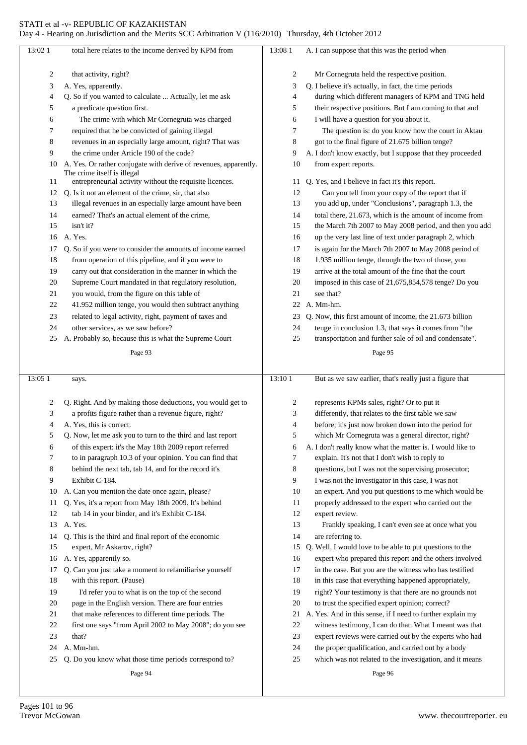| 13:02 1 | total here relates to the income derived by KPM from                                    | 13:08 1 | A. I can suppose that this was the period when             |
|---------|-----------------------------------------------------------------------------------------|---------|------------------------------------------------------------|
| 2       | that activity, right?                                                                   | 2       | Mr Cornegruta held the respective position.                |
| 3       | A. Yes, apparently.                                                                     | 3       | Q. I believe it's actually, in fact, the time periods      |
| 4       | Q. So if you wanted to calculate  Actually, let me ask                                  | 4       | during which different managers of KPM and TNG held        |
|         |                                                                                         |         |                                                            |
| 5       | a predicate question first.                                                             | 5       | their respective positions. But I am coming to that and    |
| 6       | The crime with which Mr Cornegruta was charged                                          | 6       | I will have a question for you about it.                   |
| 7       | required that he be convicted of gaining illegal                                        | 7       | The question is: do you know how the court in Aktau        |
| 8       | revenues in an especially large amount, right? That was                                 | 8       | got to the final figure of 21.675 billion tenge?           |
| 9       | the crime under Article 190 of the code?                                                | 9       | A. I don't know exactly, but I suppose that they proceeded |
| 10      | A. Yes. Or rather conjugate with derive of revenues, apparently.                        | 10      | from expert reports.                                       |
| 11      | The crime itself is illegal<br>entrepreneurial activity without the requisite licences. | 11      | Q. Yes, and I believe in fact it's this report.            |
| 12      | Q. Is it not an element of the crime, sir, that also                                    | 12      | Can you tell from your copy of the report that if          |
| 13      | illegal revenues in an especially large amount have been                                | 13      | you add up, under "Conclusions", paragraph 1.3, the        |
|         |                                                                                         |         | total there, 21.673, which is the amount of income from    |
| 14      | earned? That's an actual element of the crime,                                          | 14      |                                                            |
| 15      | isn't it?                                                                               | 15      | the March 7th 2007 to May 2008 period, and then you add    |
|         | 16 A. Yes.                                                                              | 16      | up the very last line of text under paragraph 2, which     |
| 17      | Q. So if you were to consider the amounts of income earned                              | 17      | is again for the March 7th 2007 to May 2008 period of      |
| 18      | from operation of this pipeline, and if you were to                                     | 18      | 1.935 million tenge, through the two of those, you         |
| 19      | carry out that consideration in the manner in which the                                 | 19      | arrive at the total amount of the fine that the court      |
| 20      | Supreme Court mandated in that regulatory resolution,                                   | 20      | imposed in this case of 21,675,854,578 tenge? Do you       |
| 21      | you would, from the figure on this table of                                             | 21      | see that?                                                  |
| 22      | 41.952 million tenge, you would then subtract anything                                  |         | 22 A. Mm-hm.                                               |
| 23      | related to legal activity, right, payment of taxes and                                  | 23      | Q. Now, this first amount of income, the 21.673 billion    |
| 24      | other services, as we saw before?                                                       | 24      | tenge in conclusion 1.3, that says it comes from "the      |
| 25      | A. Probably so, because this is what the Supreme Court                                  | 25      | transportation and further sale of oil and condensate".    |
|         |                                                                                         |         |                                                            |
|         | Page 93                                                                                 |         | Page 95                                                    |
| 13:05 1 | says.                                                                                   | 13:10 1 | But as we saw earlier, that's really just a figure that    |
|         |                                                                                         |         |                                                            |
| 2       | Q. Right. And by making those deductions, you would get to                              | 2       | represents KPMs sales, right? Or to put it                 |
| 3       | a profits figure rather than a revenue figure, right?                                   | 3       | differently, that relates to the first table we saw        |
| 4       | A. Yes, this is correct.                                                                | 4       | before; it's just now broken down into the period for      |
|         | Q. Now, let me ask you to turn to the third and last report                             |         | which Mr Cornegruta was a general director, right?         |
| 6       | of this expert: it's the May 18th 2009 report referred                                  | 6       | A. I don't really know what the matter is. I would like to |
| 7       | to in paragraph 10.3 of your opinion. You can find that                                 | 7       | explain. It's not that I don't wish to reply to            |
| 8       | behind the next tab, tab 14, and for the record it's                                    | 8       | questions, but I was not the supervising prosecutor;       |
| 9       | Exhibit C-184.                                                                          | 9       | I was not the investigator in this case, I was not         |
| 10      | A. Can you mention the date once again, please?                                         | 10      | an expert. And you put questions to me which would be      |
|         | Q. Yes, it's a report from May 18th 2009. It's behind                                   | 11      | properly addressed to the expert who carried out the       |
| 11      |                                                                                         |         |                                                            |
| 12      | tab 14 in your binder, and it's Exhibit C-184.                                          | 12      | expert review.                                             |
| 13      | A. Yes.                                                                                 | 13      | Frankly speaking, I can't even see at once what you        |
| 14      | Q. This is the third and final report of the economic                                   | 14      | are referring to.                                          |
| 15      | expert, Mr Askarov, right?                                                              | 15      | Q. Well, I would love to be able to put questions to the   |
| 16      | A. Yes, apparently so.                                                                  | 16      | expert who prepared this report and the others involved    |
| 17      | Q. Can you just take a moment to refamiliarise yourself                                 | 17      | in the case. But you are the witness who has testified     |
| 18      | with this report. (Pause)                                                               | 18      | in this case that everything happened appropriately,       |
| 19      | I'd refer you to what is on the top of the second                                       | 19      | right? Your testimony is that there are no grounds not     |
| 20      | page in the English version. There are four entries                                     | 20      | to trust the specified expert opinion; correct?            |
| 21      | that make references to different time periods. The                                     | 21      | A. Yes. And in this sense, if I need to further explain my |
| 22      | first one says "from April 2002 to May 2008"; do you see                                | 22      | witness testimony, I can do that. What I meant was that    |
| 23      | that?                                                                                   | 23      | expert reviews were carried out by the experts who had     |
| 24      | A. Mm-hm.                                                                               | 24      | the proper qualification, and carried out by a body        |
| 25      | Q. Do you know what those time periods correspond to?                                   | 25      | which was not related to the investigation, and it means   |
|         |                                                                                         |         |                                                            |
|         | Page 94                                                                                 |         | Page 96                                                    |
|         |                                                                                         |         |                                                            |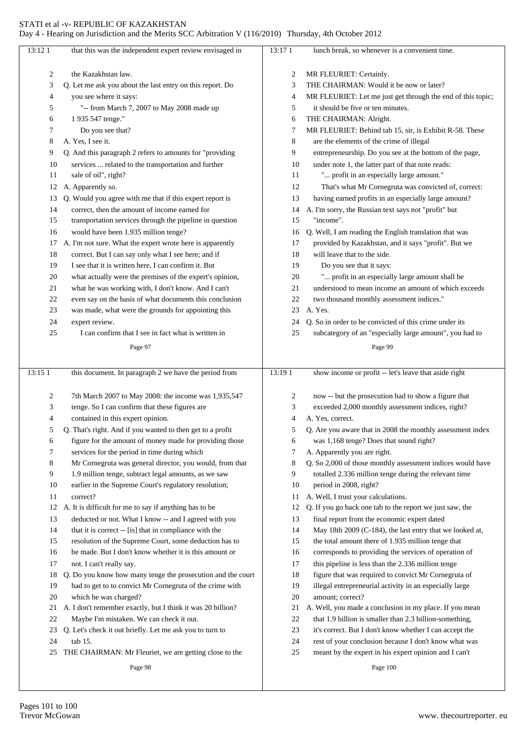| 13:12 1 | that this was the independent expert review envisaged in    | 13:17 1        | lunch break, so whenever is a convenient time.              |
|---------|-------------------------------------------------------------|----------------|-------------------------------------------------------------|
|         |                                                             |                |                                                             |
| 2       | the Kazakhstan law.                                         | 2              | MR FLEURIET: Certainly.                                     |
| 3       | Q. Let me ask you about the last entry on this report. Do   | 3              | THE CHAIRMAN: Would it be now or later?                     |
| 4       | you see where it says:                                      | 4              | MR FLEURIET: Let me just get through the end of this topic; |
| 5       | "-- from March 7, 2007 to May 2008 made up                  | 5              | it should be five or ten minutes.                           |
| 6       | 1 935 547 tenge."                                           | 6              | THE CHAIRMAN: Alright.                                      |
| 7       | Do you see that?                                            | 7              | MR FLEURIET: Behind tab 15, sir, is Exhibit R-58. These     |
| 8       | A. Yes, I see it.                                           | 8              | are the elements of the crime of illegal                    |
| 9       | Q. And this paragraph 2 refers to amounts for "providing    | 9              | entrepreneurship. Do you see at the bottom of the page,     |
| 10      | services  related to the transportation and further         | 10             | under note 1, the latter part of that note reads:           |
| 11      | sale of oil", right?                                        | 11             | " profit in an especially large amount."                    |
| 12      | A. Apparently so.                                           | 12             | That's what Mr Cornegruta was convicted of, correct:        |
| 13      | Q. Would you agree with me that if this expert report is    | 13             | having earned profits in an especially large amount?        |
| 14      | correct, then the amount of income earned for               | 14             | A. I'm sorry, the Russian text says not "profit" but        |
| 15      | transportation services through the pipeline in question    | 15             | "income".                                                   |
| 16      | would have been 1.935 million tenge?                        | 16             | Q. Well, I am reading the English translation that was      |
| 17      | A. I'm not sure. What the expert wrote here is apparently   | 17             | provided by Kazakhstan, and it says "profit". But we        |
| 18      | correct. But I can say only what I see here; and if         | 18             | will leave that to the side.                                |
| 19      | I see that it is written here, I can confirm it. But        | 19             | Do you see that it says:                                    |
| 20      | what actually were the premises of the expert's opinion,    | 20             | " profit in an especially large amount shall be             |
| 21      | what he was working with, I don't know. And I can't         | 21             | understood to mean income an amount of which exceeds        |
| 22      | even say on the basis of what documents this conclusion     | 22             | two thousand monthly assessment indices."                   |
| 23      | was made, what were the grounds for appointing this         | 23             | A. Yes.                                                     |
| 24      | expert review.                                              | 24             | Q. So in order to be convicted of this crime under its      |
| 25      | I can confirm that I see in fact what is written in         | 25             | subcategory of an "especially large amount", you had to     |
|         | Page 97                                                     |                | Page 99                                                     |
|         |                                                             |                |                                                             |
| 13:15 1 | this document. In paragraph 2 we have the period from       | 13:19 1        | show income or profit -- let's leave that aside right       |
| 2       | 7th March 2007 to May 2008: the income was 1,935,547        | 2              | now -- but the prosecution had to show a figure that        |
| 3       | tenge. So I can confirm that these figures are              | 3              | exceeded 2,000 monthly assessment indices, right?           |
| 4       | contained in this expert opinion.                           | $\overline{4}$ | A. Yes, correct.                                            |
| 5       | Q. That's right. And if you wanted to then get to a profit  | 5              | Q. Are you aware that in 2008 the monthly assessment index  |
| 6       | figure for the amount of money made for providing those     | 6              | was 1,168 tenge? Does that sound right?                     |
| 7       | services for the period in time during which                | $\overline{7}$ | A. Apparently you are right.                                |
| 8       | Mr Cornegruta was general director, you would, from that    | 8              | Q. So 2,000 of those monthly assessment indices would have  |
| 9       | 1.9 million tenge, subtract legal amounts, as we saw        | 9              | totalled 2.336 million tenge during the relevant time       |
| 10      | earlier in the Supreme Court's regulatory resolution;       | 10             | period in 2008, right?                                      |
| 11      | correct?                                                    | 11             | A. Well, I trust your calculations.                         |
|         | 12 A. It is difficult for me to say if anything has to be   | 12             | Q. If you go back one tab to the report we just saw, the    |
| 13      | deducted or not. What I know -- and I agreed with you       | 13             | final report from the economic expert dated                 |
| 14      | that it is correct -- [is] that in compliance with the      | 14             | May 18th 2009 (C-184), the last entry that we looked at,    |
| 15      | resolution of the Supreme Court, some deduction has to      | 15             | the total amount there of 1.935 million tenge that          |
| 16      | be made. But I don't know whether it is this amount or      | 16             | corresponds to providing the services of operation of       |
| 17      | not. I can't really say.                                    | 17             | this pipeline is less than the 2.336 million tenge          |
| 18      | Q. Do you know how many tenge the prosecution and the court | 18             | figure that was required to convict Mr Cornegruta of        |
| 19      | had to get to to convict Mr Cornegruta of the crime with    | 19             | illegal entrepreneurial activity in an especially large     |
| 20      | which he was charged?                                       | 20             | amount; correct?                                            |
| 21      | A. I don't remember exactly, but I think it was 20 billion? | 21             | A. Well, you made a conclusion in my place. If you mean     |
| 22      | Maybe I'm mistaken. We can check it out.                    | $22\,$         | that 1.9 billion is smaller than 2.3 billion-something,     |
| 23      | Q. Let's check it out briefly. Let me ask you to turn to    | 23             | it's correct. But I don't know whether I can accept the     |
| 24      | tab 15.                                                     | 24             | rest of your conclusion because I don't know what was       |
| 25      | THE CHAIRMAN: Mr Fleuriet, we are getting close to the      | 25             | meant by the expert in his expert opinion and I can't       |
|         | Page 98                                                     |                | Page 100                                                    |
|         |                                                             |                |                                                             |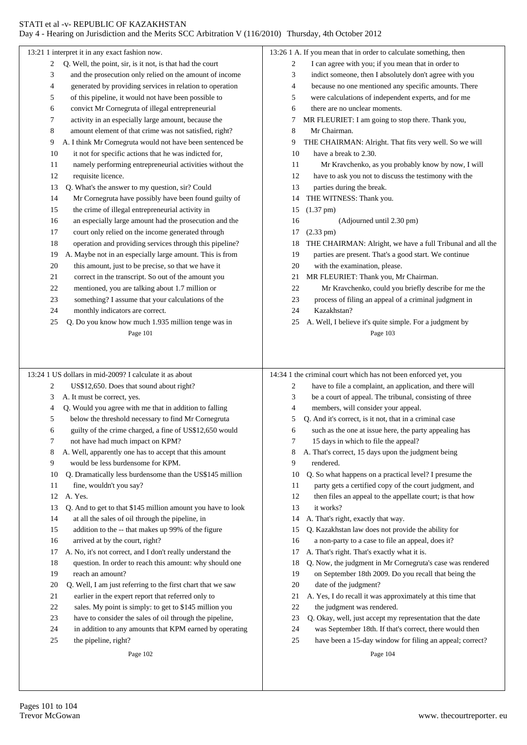| 13:21 1 interpret it in any exact fashion now.              | 13:26 1 A. If you mean that in order to calculate something, then |
|-------------------------------------------------------------|-------------------------------------------------------------------|
| Q. Well, the point, sir, is it not, is that had the court   | I can agree with you; if you mean that in order to                |
| 2                                                           | 2                                                                 |
| 3                                                           | indict someone, then I absolutely don't agree with you            |
| and the prosecution only relied on the amount of income     | 3                                                                 |
| generated by providing services in relation to operation    | because no one mentioned any specific amounts. There              |
| 4                                                           | 4                                                                 |
| 5                                                           | were calculations of independent experts, and for me              |
| of this pipeline, it would not have been possible to        | 5                                                                 |
| 6                                                           | there are no unclear moments.                                     |
| convict Mr Cornegruta of illegal entrepreneurial            | 6                                                                 |
| 7                                                           | MR FLEURIET: I am going to stop there. Thank you,                 |
| activity in an especially large amount, because the         | 7                                                                 |
| amount element of that crime was not satisfied, right?      | 8                                                                 |
| 8                                                           | Mr Chairman.                                                      |
| A. I think Mr Cornegruta would not have been sentenced be   | 9                                                                 |
| 9                                                           | THE CHAIRMAN: Alright. That fits very well. So we will            |
| it not for specific actions that he was indicted for,       | have a break to 2.30.                                             |
| 10                                                          | 10                                                                |
| namely performing entrepreneurial activities without the    | Mr Kravchenko, as you probably know by now, I will                |
| 11                                                          | 11                                                                |
| 12                                                          | 12                                                                |
| requisite licence.                                          | have to ask you not to discuss the testimony with the             |
| 13                                                          | 13                                                                |
| Q. What's the answer to my question, sir? Could             | parties during the break.                                         |
| Mr Cornegruta have possibly have been found guilty of       | THE WITNESS: Thank you.                                           |
| 14                                                          | 14                                                                |
| the crime of illegal entrepreneurial activity in            | 15                                                                |
| 15                                                          | $(1.37 \text{ pm})$                                               |
| an especially large amount had the prosecution and the      | 16                                                                |
| 16                                                          | (Adjourned until 2.30 pm)                                         |
| court only relied on the income generated through           | $(2.33 \text{ pm})$                                               |
| 17                                                          | 17                                                                |
| 18                                                          | THE CHAIRMAN: Alright, we have a full Tribunal and all the        |
| operation and providing services through this pipeline?     | 18                                                                |
| A. Maybe not in an especially large amount. This is from    | parties are present. That's a good start. We continue             |
| 19                                                          | 19                                                                |
| this amount, just to be precise, so that we have it         | with the examination, please.                                     |
| 20                                                          | 20                                                                |
| correct in the transcript. So out of the amount you         | MR FLEURIET: Thank you, Mr Chairman.                              |
| 21                                                          | 21                                                                |
| 22                                                          | Mr Kravchenko, could you briefly describe for me the              |
| mentioned, you are talking about 1.7 million or             | 22                                                                |
| 23                                                          | process of filing an appeal of a criminal judgment in             |
| something? I assume that your calculations of the           | 23                                                                |
| monthly indicators are correct.                             | Kazakhstan?                                                       |
| 24                                                          | 24                                                                |
| Q. Do you know how much 1.935 million tenge was in          | A. Well, I believe it's quite simple. For a judgment by           |
| 25                                                          | 25                                                                |
| Page 101                                                    | Page 103                                                          |
|                                                             |                                                                   |
|                                                             |                                                                   |
|                                                             |                                                                   |
| 13:24 1 US dollars in mid-2009? I calculate it as about     | 14:34 1 the criminal court which has not been enforced yet, you   |
| 2                                                           | have to file a complaint, an application, and there will          |
| US\$12,650. Does that sound about right?                    | 2                                                                 |
| A. It must be correct, yes.                                 | be a court of appeal. The tribunal, consisting of three           |
| 3                                                           | 3                                                                 |
| Q. Would you agree with me that in addition to falling      | members, will consider your appeal.                               |
| 4                                                           | 4                                                                 |
| below the threshold necessary to find Mr Cornegruta         | Q. And it's correct, is it not, that in a criminal case           |
| 5                                                           | 5                                                                 |
| 6                                                           | 6                                                                 |
| guilty of the crime charged, a fine of US\$12,650 would     | such as the one at issue here, the party appealing has            |
| 7                                                           | $\tau$                                                            |
| not have had much impact on KPM?                            | 15 days in which to file the appeal?                              |
| 8                                                           | A. That's correct, 15 days upon the judgment being                |
| A. Well, apparently one has to accept that this amount      | 8                                                                 |
| 9                                                           | 9                                                                 |
| would be less burdensome for KPM.                           | rendered.                                                         |
| Q. Dramatically less burdensome than the US\$145 million    | Q. So what happens on a practical level? I presume the            |
| 10                                                          | 10                                                                |
| fine, wouldn't you say?                                     | party gets a certified copy of the court judgment, and            |
| 11                                                          | 11                                                                |
| A. Yes.                                                     | 12                                                                |
| 12                                                          | then files an appeal to the appellate court; is that how          |
| Q. And to get to that \$145 million amount you have to look | 13                                                                |
| 13                                                          | it works?                                                         |
| at all the sales of oil through the pipeline, in            | A. That's right, exactly that way.                                |
| 14                                                          | 14                                                                |
| addition to the -- that makes up 99% of the figure          | Q. Kazakhstan law does not provide the ability for                |
| 15                                                          | 15                                                                |
| arrived at by the court, right?                             | a non-party to a case to file an appeal, does it?                 |
| 16                                                          | 16                                                                |
| A. No, it's not correct, and I don't really understand the  | A. That's right. That's exactly what it is.                       |
| 17                                                          | 17                                                                |
| 18                                                          | Q. Now, the judgment in Mr Cornegruta's case was rendered         |
| question. In order to reach this amount: why should one     | 18                                                                |
| 19                                                          | on September 18th 2009. Do you recall that being the              |
| reach an amount?                                            | 19                                                                |
| 20                                                          | 20                                                                |
| Q. Well, I am just referring to the first chart that we saw | date of the judgment?                                             |
| earlier in the expert report that referred only to          | A. Yes, I do recall it was approximately at this time that        |
| 21                                                          | 21                                                                |
| $22\,$                                                      | the judgment was rendered.                                        |
| sales. My point is simply: to get to \$145 million you      | 22                                                                |
| have to consider the sales of oil through the pipeline,     | 23                                                                |
| 23                                                          | Q. Okay, well, just accept my representation that the date        |
| 24                                                          | was September 18th. If that's correct, there would then           |
| in addition to any amounts that KPM earned by operating     | 24                                                                |
| 25                                                          | 25                                                                |
| the pipeline, right?                                        | have been a 15-day window for filing an appeal; correct?          |
| Page 102                                                    | Page 104                                                          |
|                                                             |                                                                   |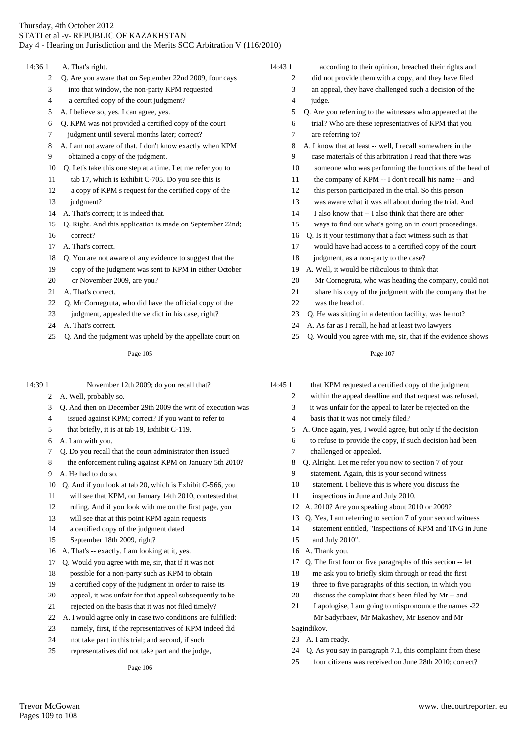### 14:36 1 A. That's right.

- Q. Are you aware that on September 22nd 2009, four days
- into that window, the non-party KPM requested
- a certified copy of the court judgment?
- A. I believe so, yes. I can agree, yes.
- Q. KPM was not provided a certified copy of the court
- 7 judgment until several months later; correct?
- A. I am not aware of that. I don't know exactly when KPM
- obtained a copy of the judgment.
- Q. Let's take this one step at a time. Let me refer you to
- 11 tab 17, which is Exhibit C-705. Do you see this is
- a copy of KPM s request for the certified copy of the
- 13 judgment?
- A. That's correct; it is indeed that.
- Q. Right. And this application is made on September 22nd;
- correct?
- A. That's correct.
- Q. You are not aware of any evidence to suggest that the
- copy of the judgment was sent to KPM in either October
- or November 2009, are you?
- A. That's correct.
- Q. Mr Cornegruta, who did have the official copy of the
- judgment, appealed the verdict in his case, right?
- A. That's correct.
- Q. And the judgment was upheld by the appellate court on

Page 105

- 14:39 1 November 12th 2009; do you recall that?
	- A. Well, probably so.
	- Q. And then on December 29th 2009 the writ of execution was
	- issued against KPM; correct? If you want to refer to
	- that briefly, it is at tab 19, Exhibit C-119.
	- A. I am with you.
	- Q. Do you recall that the court administrator then issued
	- the enforcement ruling against KPM on January 5th 2010?
	- A. He had to do so.

Pages 109 to 108

- Q. And if you look at tab 20, which is Exhibit C-566, you
- will see that KPM, on January 14th 2010, contested that
- ruling. And if you look with me on the first page, you
- will see that at this point KPM again requests
- a certified copy of the judgment dated
- September 18th 2009, right?
- A. That's -- exactly. I am looking at it, yes.
- Q. Would you agree with me, sir, that if it was not
- possible for a non-party such as KPM to obtain
- a certified copy of the judgment in order to raise its
- appeal, it was unfair for that appeal subsequently to be
- rejected on the basis that it was not filed timely?
- A. I would agree only in case two conditions are fulfilled:
- namely, first, if the representatives of KPM indeed did
- not take part in this trial; and second, if such
- representatives did not take part and the judge,

Page 106

14:43 1 according to their opinion, breached their rights and

did not provide them with a copy, and they have filed

- an appeal, they have challenged such a decision of the
- judge.
- Q. Are you referring to the witnesses who appeared at the
- trial? Who are these representatives of KPM that you
- are referring to?
- A. I know that at least -- well, I recall somewhere in the case materials of this arbitration I read that there was
- someone who was performing the functions of the head of
- the company of KPM -- I don't recall his name -- and
- this person participated in the trial. So this person
- was aware what it was all about during the trial. And
- I also know that -- I also think that there are other
- ways to find out what's going on in court proceedings.
- Q. Is it your testimony that a fact witness such as that
- would have had access to a certified copy of the court
- 18 judgment, as a non-party to the case?
- A. Well, it would be ridiculous to think that
- Mr Cornegruta, who was heading the company, could not
- share his copy of the judgment with the company that he
- was the head of.
- Q. He was sitting in a detention facility, was he not?
- A. As far as I recall, he had at least two lawyers.
- Q. Would you agree with me, sir, that if the evidence shows

## Page 107

- 14:45 1 that KPM requested a certified copy of the judgment
	- within the appeal deadline and that request was refused,
	- it was unfair for the appeal to later be rejected on the
	- basis that it was not timely filed?
	- A. Once again, yes, I would agree, but only if the decision to refuse to provide the copy, if such decision had been
	- challenged or appealed.
	- Q. Alright. Let me refer you now to section 7 of your
	- statement. Again, this is your second witness
	- statement. I believe this is where you discuss the
	- inspections in June and July 2010.
	- A. 2010? Are you speaking about 2010 or 2009?
	- Q. Yes, I am referring to section 7 of your second witness
	- statement entitled, "Inspections of KPM and TNG in June
	- and July 2010".
	- A. Thank you.
	- Q. The first four or five paragraphs of this section -- let
	- me ask you to briefly skim through or read the first
	- three to five paragraphs of this section, in which you
	- discuss the complaint that's been filed by Mr -- and
	- I apologise, I am going to mispronounce the names -22 Mr Sadyrbaev, Mr Makashev, Mr Esenov and Mr

 Q. As you say in paragraph 7.1, this complaint from these four citizens was received on June 28th 2010; correct?

Sagindikov.

Trevor McGowan www. thecourtreporter. eu

A. I am ready.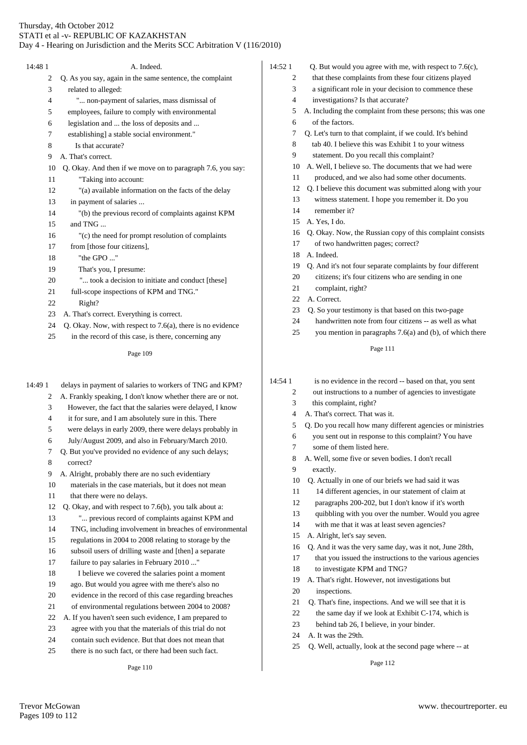| 14:48 1 | A. Indeed.                                                    | 14 |
|---------|---------------------------------------------------------------|----|
| 2       | Q. As you say, again in the same sentence, the complaint      |    |
| 3       | related to alleged:                                           |    |
| 4       | " non-payment of salaries, mass dismissal of                  |    |
| 5       | employees, failure to comply with environmental               |    |
| 6       | legislation and  the loss of deposits and                     |    |
| 7       | establishing] a stable social environment."                   |    |
| 8       | Is that accurate?                                             |    |
| 9       | A. That's correct.                                            |    |
| 10      | Q. Okay. And then if we move on to paragraph 7.6, you say:    |    |
| 11      | "Taking into account:                                         |    |
| 12      | "(a) available information on the facts of the delay          |    |
| 13      | in payment of salaries                                        |    |
| 14      | "(b) the previous record of complaints against KPM            |    |
| 15      | and TNG                                                       |    |
| 16      | "(c) the need for prompt resolution of complaints             |    |
| 17      | from [those four citizens],                                   |    |
| 18      | "the GPO "                                                    |    |
| 19      | That's you, I presume:                                        |    |
| 20      | " took a decision to initiate and conduct [these]             |    |
| 21      | full-scope inspections of KPM and TNG."                       |    |
| 22      | Right?                                                        |    |
| 23      | A. That's correct. Everything is correct.                     |    |
| 24      | Q. Okay. Now, with respect to $7.6(a)$ , there is no evidence |    |

- 
- in the record of this case, is there, concerning any

### Page 109

- 14:49 1 delays in payment of salaries to workers of TNG and KPM?
	- A. Frankly speaking, I don't know whether there are or not.
	- However, the fact that the salaries were delayed, I know
	- it for sure, and I am absolutely sure in this. There
	- were delays in early 2009, there were delays probably in
	- July/August 2009, and also in February/March 2010.
	- Q. But you've provided no evidence of any such delays; correct?
	- A. Alright, probably there are no such evidentiary
	- materials in the case materials, but it does not mean
	- 11 that there were no delays.
	- Q. Okay, and with respect to 7.6(b), you talk about a:
	- "... previous record of complaints against KPM and
	- TNG, including involvement in breaches of environmental
	- regulations in 2004 to 2008 relating to storage by the
	- subsoil users of drilling waste and [then] a separate
	- failure to pay salaries in February 2010 ..."
	- I believe we covered the salaries point a moment
	- ago. But would you agree with me there's also no
	- evidence in the record of this case regarding breaches
	- of environmental regulations between 2004 to 2008?
	- A. If you haven't seen such evidence, I am prepared to
	- agree with you that the materials of this trial do not
	- contain such evidence. But that does not mean that
	- there is no such fact, or there had been such fact.

Page 110

- 4:52 1 Q. But would you agree with me, with respect to  $7.6(c)$ , that these complaints from these four citizens played a significant role in your decision to commence these investigations? Is that accurate? A. Including the complaint from these persons; this was one of the factors. Q. Let's turn to that complaint, if we could. It's behind tab 40. I believe this was Exhibit 1 to your witness statement. Do you recall this complaint? A. Well, I believe so. The documents that we had were produced, and we also had some other documents. Q. I believe this document was submitted along with your witness statement. I hope you remember it. Do you remember it? A. Yes, I do. Q. Okay. Now, the Russian copy of this complaint consists of two handwritten pages; correct? A. Indeed.
	- Q. And it's not four separate complaints by four different
	- citizens; it's four citizens who are sending in one
	- complaint, right?
	- A. Correct.
	- Q. So your testimony is that based on this two-page
	- handwritten note from four citizens -- as well as what
	- you mention in paragraphs 7.6(a) and (b), of which there

#### Page 111

- 14:54 1 is no evidence in the record -- based on that, you sent
	- out instructions to a number of agencies to investigate
	- this complaint, right?
	- A. That's correct. That was it.
	- Q. Do you recall how many different agencies or ministries
	- you sent out in response to this complaint? You have
	- some of them listed here.
	- A. Well, some five or seven bodies. I don't recall
	- exactly.
	- Q. Actually in one of our briefs we had said it was
	- 14 different agencies, in our statement of claim at
	- paragraphs 200-202, but I don't know if it's worth
	- quibbling with you over the number. Would you agree
	- with me that it was at least seven agencies?
	- A. Alright, let's say seven.
	- Q. And it was the very same day, was it not, June 28th,
	- that you issued the instructions to the various agencies
	- to investigate KPM and TNG?
	- A. That's right. However, not investigations but
	- inspections.
	- Q. That's fine, inspections. And we will see that it is
	- the same day if we look at Exhibit C-174, which is
	- behind tab 26, I believe, in your binder.
	- A. It was the 29th.
	- Q. Well, actually, look at the second page where -- at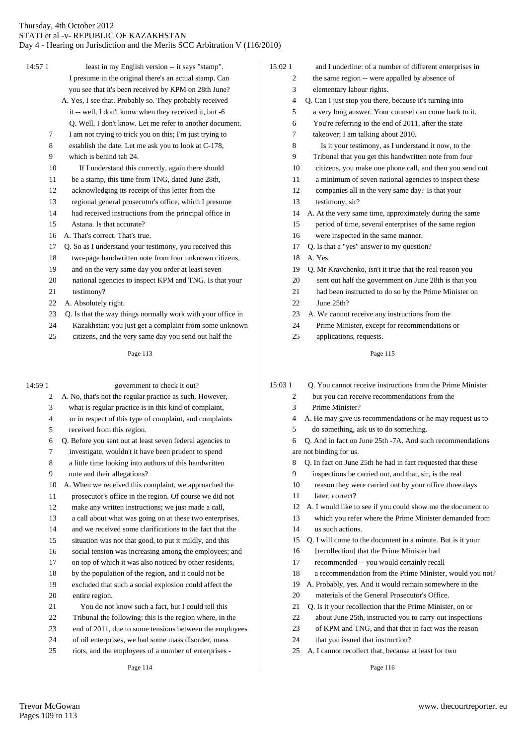- 14:57 1 least in my English version -- it says "stamp". I presume in the original there's an actual stamp. Can you see that it's been received by KPM on 28th June?
	- A. Yes, I see that. Probably so. They probably received it -- well, I don't know when they received it, but -6 Q. Well, I don't know. Let me refer to another document.
	- I am not trying to trick you on this; I'm just trying to
	- establish the date. Let me ask you to look at C-178,
	- which is behind tab 24.
	- 10 If I understand this correctly, again there should
	- be a stamp, this time from TNG, dated June 28th,
	- acknowledging its receipt of this letter from the
	- regional general prosecutor's office, which I presume
	- had received instructions from the principal office in
	- Astana. Is that accurate?
	- A. That's correct. That's true.
	- Q. So as I understand your testimony, you received this
	- two-page handwritten note from four unknown citizens,
	- and on the very same day you order at least seven
	- national agencies to inspect KPM and TNG. Is that your
	- testimony?
	- A. Absolutely right.
	- Q. Is that the way things normally work with your office in
	- Kazakhstan: you just get a complaint from some unknown
	- citizens, and the very same day you send out half the

## Page 113

- 14:59 1 government to check it out?
	- A. No, that's not the regular practice as such. However, what is regular practice is in this kind of complaint,
	- or in respect of this type of complaint, and complaints
	- received from this region.
	- Q. Before you sent out at least seven federal agencies to
	- investigate, wouldn't it have been prudent to spend
	- a little time looking into authors of this handwritten
	- note and their allegations?
	- A. When we received this complaint, we approached the
	- prosecutor's office in the region. Of course we did not
	- make any written instructions; we just made a call,
	- a call about what was going on at these two enterprises,
	- and we received some clarifications to the fact that the
	- situation was not that good, to put it mildly, and this
	- social tension was increasing among the employees; and
	- on top of which it was also noticed by other residents,
	- by the population of the region, and it could not be
	- excluded that such a social explosion could affect the entire region.
	- You do not know such a fact, but I could tell this
	- Tribunal the following: this is the region where, in the
	- end of 2011, due to some tensions between the employees
	- of oil enterprises, we had some mass disorder, mass
	- riots, and the employees of a number of enterprises -

Page 114

- 15:02 1 and I underline: of a number of different enterprises in
	- the same region -- were appalled by absence of
	- elementary labour rights.
	- Q. Can I just stop you there, because it's turning into
	- a very long answer. Your counsel can come back to it.
	- You're referring to the end of 2011, after the state
	- takeover; I am talking about 2010.
	- Is it your testimony, as I understand it now, to the
	- Tribunal that you get this handwritten note from four
	- citizens, you make one phone call, and then you send out
	- a minimum of seven national agencies to inspect these
	- companies all in the very same day? Is that your
	- testimony, sir?
	- A. At the very same time, approximately during the same
	- period of time, several enterprises of the same region were inspected in the same manner.
	- Q. Is that a "yes" answer to my question?
	- A. Yes.
	- Q. Mr Kravchenko, isn't it true that the real reason you
	- sent out half the government on June 28th is that you
	- had been instructed to do so by the Prime Minister on
	- June 25th?
	- A. We cannot receive any instructions from the
	- Prime Minister, except for recommendations or
	- applications, requests.

### Page 115

- 15:03 1 C. You cannot receive instructions from the Prime Minister
	- but you can receive recommendations from the
	- Prime Minister?
	- A. He may give us recommendations or he may request us to
	- do something, ask us to do something.
	- Q. And in fact on June 25th -7A. And such recommendations are not binding for us.
	- Q. In fact on June 25th he had in fact requested that these
	- inspections be carried out, and that, sir, is the real
	- reason they were carried out by your office three days
	- later; correct?
	- A. I would like to see if you could show me the document to
	- which you refer where the Prime Minister demanded from
	- us such actions.
	- Q. I will come to the document in a minute. But is it your
	- [recollection] that the Prime Minister had
	- recommended -- you would certainly recall
	- a recommendation from the Prime Minister, would you not?
	- A. Probably, yes. And it would remain somewhere in the
	- materials of the General Prosecutor's Office.
	- 21 Q. Is it your recollection that the Prime Minister, on or
	- about June 25th, instructed you to carry out inspections
	- of KPM and TNG, and that that in fact was the reason
	- 24 that you issued that instruction?
	- A. I cannot recollect that, because at least for two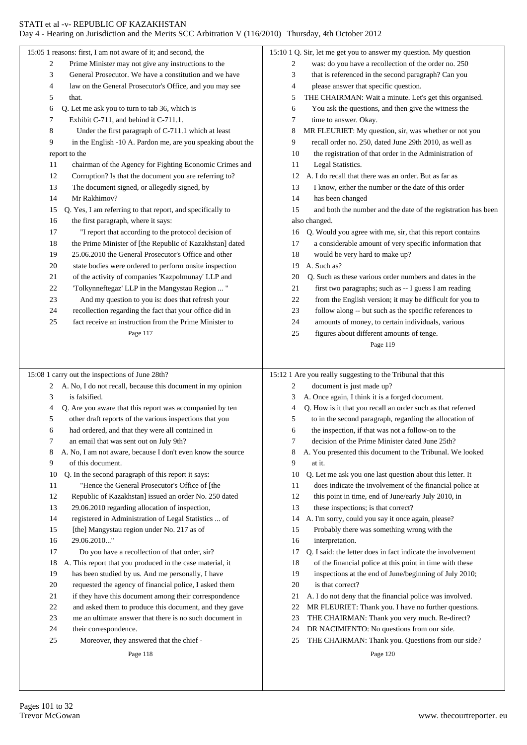| Treating on surfaction and the merits been from allow $\tau$ (110/2010) Thursday, 4th october 20                |                                                                   |
|-----------------------------------------------------------------------------------------------------------------|-------------------------------------------------------------------|
| 15:05 1 reasons: first, I am not aware of it; and second, the                                                   | 15:10 1 Q. Sir, let me get you to answer my question. My question |
| Prime Minister may not give any instructions to the                                                             | was: do you have a recollection of the order no. 250              |
| 2                                                                                                               | 2                                                                 |
| 3                                                                                                               | 3                                                                 |
| General Prosecutor. We have a constitution and we have                                                          | that is referenced in the second paragraph? Can you               |
| $\overline{\mathcal{L}}$                                                                                        | 4                                                                 |
| law on the General Prosecutor's Office, and you may see                                                         | please answer that specific question.                             |
| 5                                                                                                               | THE CHAIRMAN: Wait a minute. Let's get this organised.            |
| that.                                                                                                           | 5                                                                 |
| Q. Let me ask you to turn to tab 36, which is                                                                   | You ask the questions, and then give the witness the              |
| 6                                                                                                               | 6                                                                 |
| Exhibit C-711, and behind it C-711.1.                                                                           | 7                                                                 |
| 7                                                                                                               | time to answer. Okay.                                             |
| 8                                                                                                               | MR FLEURIET: My question, sir, was whether or not you             |
| Under the first paragraph of C-711.1 which at least                                                             | 8                                                                 |
| 9                                                                                                               | 9                                                                 |
| in the English -10 A. Pardon me, are you speaking about the                                                     | recall order no. 250, dated June 29th 2010, as well as            |
| report to the                                                                                                   | 10<br>the registration of that order in the Administration of     |
| chairman of the Agency for Fighting Economic Crimes and                                                         | Legal Statistics.                                                 |
| 11                                                                                                              | 11                                                                |
| Corruption? Is that the document you are referring to?                                                          | A. I do recall that there was an order. But as far as             |
| 12                                                                                                              | 12                                                                |
| 13                                                                                                              | I know, either the number or the date of this order               |
| The document signed, or allegedly signed, by                                                                    | 13                                                                |
| Mr Rakhimov?                                                                                                    | 14                                                                |
| 14                                                                                                              | has been changed                                                  |
| Q. Yes, I am referring to that report, and specifically to                                                      | 15                                                                |
| 15                                                                                                              | and both the number and the date of the registration has been     |
| the first paragraph, where it says:<br>16                                                                       | also changed.                                                     |
| 17                                                                                                              | Q. Would you agree with me, sir, that this report contains        |
| "I report that according to the protocol decision of                                                            | 16                                                                |
| $18\,$                                                                                                          | a considerable amount of very specific information that           |
| the Prime Minister of [the Republic of Kazakhstan] dated                                                        | 17                                                                |
| 25.06.2010 the General Prosecutor's Office and other                                                            | 18                                                                |
| 19                                                                                                              | would be very hard to make up?                                    |
| $20\,$                                                                                                          | A. Such as?                                                       |
| state bodies were ordered to perform onsite inspection                                                          | 19                                                                |
| 21                                                                                                              | Q. Such as these various order numbers and dates in the           |
| of the activity of companies 'Kazpolmunay' LLP and                                                              | 20                                                                |
| 22                                                                                                              | first two paragraphs; such as -- I guess I am reading             |
| "Tolkynneftegaz' LLP in the Mangystau Region  "                                                                 | 21                                                                |
| 23                                                                                                              | 22                                                                |
| And my question to you is: does that refresh your                                                               | from the English version; it may be difficult for you to          |
| 24                                                                                                              | follow along -- but such as the specific references to            |
| recollection regarding the fact that your office did in                                                         | 23                                                                |
| fact receive an instruction from the Prime Minister to                                                          | amounts of money, to certain individuals, various                 |
| 25                                                                                                              | 24                                                                |
| Page 117                                                                                                        | 25<br>figures about different amounts of tenge.                   |
|                                                                                                                 | Page 119                                                          |
|                                                                                                                 |                                                                   |
|                                                                                                                 |                                                                   |
|                                                                                                                 | 15:12 1 Are you really suggesting to the Tribunal that this       |
| A. No, I do not recall, because this document in my opinion                                                     | document is just made up?                                         |
| 2                                                                                                               | 2                                                                 |
| 3                                                                                                               | A. Once again, I think it is a forged document.                   |
| is falsified.                                                                                                   | 3                                                                 |
| Q. Are you aware that this report was accompanied by ten                                                        | Q. How is it that you recall an order such as that referred       |
| 4                                                                                                               | 4                                                                 |
| 15:08 1 carry out the inspections of June 28th?<br>other draft reports of the various inspections that you<br>5 | to in the second paragraph, regarding the allocation of<br>5      |
| 6                                                                                                               | 6                                                                 |
| had ordered, and that they were all contained in                                                                | the inspection, if that was not a follow-on to the                |
| 7                                                                                                               | 7                                                                 |
| an email that was sent out on July 9th?                                                                         | decision of the Prime Minister dated June 25th?                   |
| 8                                                                                                               | 8                                                                 |
| A. No, I am not aware, because I don't even know the source                                                     | A. You presented this document to the Tribunal. We looked         |
| 9                                                                                                               | 9                                                                 |
| of this document.                                                                                               | at it.                                                            |
| Q. In the second paragraph of this report it says:                                                              | Q. Let me ask you one last question about this letter. It         |
| 10                                                                                                              | 10                                                                |
| 11                                                                                                              | does indicate the involvement of the financial police at          |
| "Hence the General Prosecutor's Office of [the                                                                  | 11                                                                |
| 12                                                                                                              | 12                                                                |
| Republic of Kazakhstan] issued an order No. 250 dated                                                           | this point in time, end of June/early July 2010, in               |
| 29.06.2010 regarding allocation of inspection,                                                                  | these inspections; is that correct?                               |
| 13                                                                                                              | 13                                                                |
| registered in Administration of Legal Statistics  of                                                            | A. I'm sorry, could you say it once again, please?                |
| 14                                                                                                              | 14                                                                |
| 15                                                                                                              | 15                                                                |
| [the] Mangystau region under No. 217 as of                                                                      | Probably there was something wrong with the                       |
| 16                                                                                                              | 16                                                                |
| 29.06.2010"                                                                                                     | interpretation.                                                   |
| 17                                                                                                              | Q. I said: the letter does in fact indicate the involvement       |
| Do you have a recollection of that order, sir?                                                                  | 17                                                                |
| A. This report that you produced in the case material, it                                                       | of the financial police at this point in time with these          |
| 18                                                                                                              | 18                                                                |
| has been studied by us. And me personally, I have                                                               | 19                                                                |
| 19                                                                                                              | inspections at the end of June/beginning of July 2010;            |
| 20                                                                                                              | 20                                                                |
| requested the agency of financial police, I asked them                                                          | is that correct?                                                  |
| if they have this document among their correspondence                                                           | A. I do not deny that the financial police was involved.          |
| 21                                                                                                              | 21                                                                |
| $22\,$                                                                                                          | MR FLEURIET: Thank you. I have no further questions.              |
| and asked them to produce this document, and they gave                                                          | 22                                                                |
| $23\,$                                                                                                          | THE CHAIRMAN: Thank you very much. Re-direct?                     |
| me an ultimate answer that there is no such document in                                                         | 23                                                                |
| $24\,$                                                                                                          | DR NACIMIENTO: No questions from our side.                        |
| their correspondence.                                                                                           | 24                                                                |
| Moreover, they answered that the chief -                                                                        | THE CHAIRMAN: Thank you. Questions from our side?                 |
| 25                                                                                                              | 25                                                                |
| Page 118                                                                                                        | Page 120                                                          |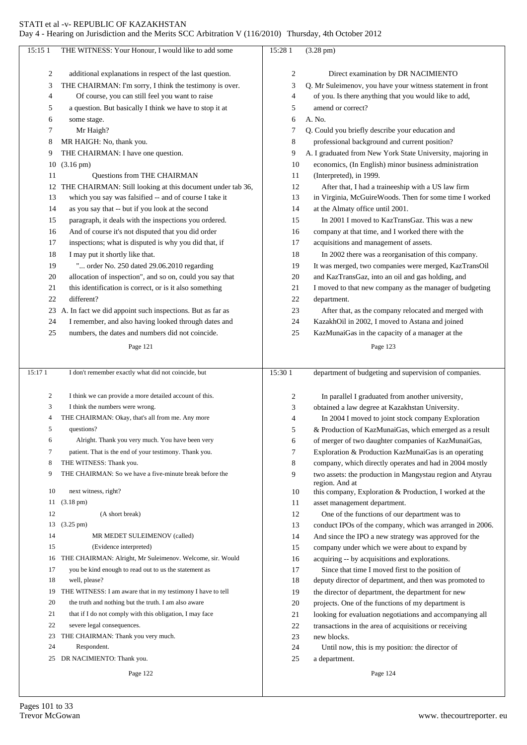| 15:151   | THE WITNESS: Your Honour, I would like to add some                                         | 15:28 1  | $(3.28 \text{ pm})$                                                                                          |
|----------|--------------------------------------------------------------------------------------------|----------|--------------------------------------------------------------------------------------------------------------|
|          |                                                                                            |          |                                                                                                              |
| 2        | additional explanations in respect of the last question.                                   | 2        | Direct examination by DR NACIMIENTO                                                                          |
| 3        | THE CHAIRMAN: I'm sorry, I think the testimony is over.                                    | 3        | Q. Mr Suleimenov, you have your witness statement in front                                                   |
| 4        | Of course, you can still feel you want to raise                                            | 4        | of you. Is there anything that you would like to add,                                                        |
| 5        | a question. But basically I think we have to stop it at                                    | 5        | amend or correct?                                                                                            |
| 6        | some stage.                                                                                | 6        | A. No.                                                                                                       |
| 7        | Mr Haigh?                                                                                  | 7        | Q. Could you briefly describe your education and                                                             |
| 8        | MR HAIGH: No, thank you.                                                                   | 8        | professional background and current position?                                                                |
| 9        | THE CHAIRMAN: I have one question.                                                         | 9        | A. I graduated from New York State University, majoring in                                                   |
| 10       | $(3.16 \text{ pm})$                                                                        | 10       | economics, (In English) minor business administration                                                        |
| 11       | Questions from THE CHAIRMAN                                                                | 11       | (Interpreted), in 1999.                                                                                      |
| 12       | THE CHAIRMAN: Still looking at this document under tab 36,                                 | 12       | After that, I had a traineeship with a US law firm                                                           |
| 13       | which you say was falsified -- and of course I take it                                     | 13       | in Virginia, McGuireWoods. Then for some time I worked                                                       |
| 14       | as you say that -- but if you look at the second                                           | 14       | at the Almaty office until 2001.                                                                             |
| 15       | paragraph, it deals with the inspections you ordered.                                      | 15       | In 2001 I moved to KazTransGaz. This was a new                                                               |
| 16       | And of course it's not disputed that you did order                                         | 16       | company at that time, and I worked there with the                                                            |
| 17       | inspections; what is disputed is why you did that, if                                      | 17       | acquisitions and management of assets.                                                                       |
| 18       | I may put it shortly like that.                                                            | 18       | In 2002 there was a reorganisation of this company.                                                          |
| 19       | " order No. 250 dated 29.06.2010 regarding                                                 | 19       | It was merged, two companies were merged, KazTransOil                                                        |
| 20       | allocation of inspection", and so on, could you say that                                   | 20       | and KazTransGaz, into an oil and gas holding, and                                                            |
| 21       | this identification is correct, or is it also something                                    | 21       | I moved to that new company as the manager of budgeting                                                      |
| 22       | different?                                                                                 | 22       | department.                                                                                                  |
|          | 23 A. In fact we did appoint such inspections. But as far as                               | 23       | After that, as the company relocated and merged with                                                         |
| 24       | I remember, and also having looked through dates and                                       | 24       | KazakhOil in 2002, I moved to Astana and joined                                                              |
| 25       | numbers, the dates and numbers did not coincide.                                           | 25       | KazMunaiGas in the capacity of a manager at the                                                              |
|          | Page 121                                                                                   |          | Page 123                                                                                                     |
|          |                                                                                            |          |                                                                                                              |
|          |                                                                                            |          |                                                                                                              |
|          |                                                                                            |          |                                                                                                              |
| 15:17 1  | I don't remember exactly what did not coincide, but                                        | 15:30 1  | department of budgeting and supervision of companies.                                                        |
|          |                                                                                            |          |                                                                                                              |
| 2<br>3   | I think we can provide a more detailed account of this.<br>I think the numbers were wrong. | 2<br>3   | In parallel I graduated from another university,                                                             |
| 4        | THE CHAIRMAN: Okay, that's all from me. Any more                                           | 4        | obtained a law degree at Kazakhstan University.                                                              |
| 5        | questions?                                                                                 | 5        | In 2004 I moved to joint stock company Exploration<br>& Production of KazMunaiGas, which emerged as a result |
| 6        | Alright. Thank you very much. You have been very                                           | 6        | of merger of two daughter companies of KazMunaiGas,                                                          |
| 7        | patient. That is the end of your testimony. Thank you.                                     | 7        | Exploration & Production KazMunaiGas is an operating                                                         |
| 8        | THE WITNESS: Thank you.                                                                    | 8        | company, which directly operates and had in 2004 mostly                                                      |
| 9        | THE CHAIRMAN: So we have a five-minute break before the                                    | 9        | two assets: the production in Mangystau region and Atyrau                                                    |
|          |                                                                                            |          | region. And at                                                                                               |
| 10       | next witness, right?                                                                       | 10       | this company, Exploration & Production, I worked at the                                                      |
| 11       | $(3.18 \text{ pm})$                                                                        | 11       | asset management department.                                                                                 |
| 12       | (A short break)                                                                            | 12       | One of the functions of our department was to                                                                |
|          | 13 (3.25 pm)                                                                               | 13       | conduct IPOs of the company, which was arranged in 2006.                                                     |
| 14       | MR MEDET SULEIMENOV (called)                                                               | 14       | And since the IPO a new strategy was approved for the                                                        |
| 15       | (Evidence interpreted)                                                                     | 15       | company under which we were about to expand by                                                               |
| 16       | THE CHAIRMAN: Alright, Mr Suleimenov. Welcome, sir. Would                                  | 16       | acquiring -- by acquisitions and explorations.                                                               |
| 17<br>18 | you be kind enough to read out to us the statement as<br>well, please?                     | 17       | Since that time I moved first to the position of                                                             |
|          | 19 THE WITNESS: I am aware that in my testimony I have to tell                             | 18<br>19 | deputy director of department, and then was promoted to                                                      |
| 20       | the truth and nothing but the truth. I am also aware                                       | 20       | the director of department, the department for new<br>projects. One of the functions of my department is     |
| 21       | that if I do not comply with this obligation, I may face                                   | 21       | looking for evaluation negotiations and accompanying all                                                     |
| 22       | severe legal consequences.                                                                 | 22       | transactions in the area of acquisitions or receiving                                                        |
| 23       | THE CHAIRMAN: Thank you very much.                                                         | 23       | new blocks.                                                                                                  |
| 24       | Respondent.                                                                                | 24       | Until now, this is my position: the director of                                                              |
| 25       | DR NACIMIENTO: Thank you.                                                                  | 25       | a department.                                                                                                |
|          | Page 122                                                                                   |          | Page 124                                                                                                     |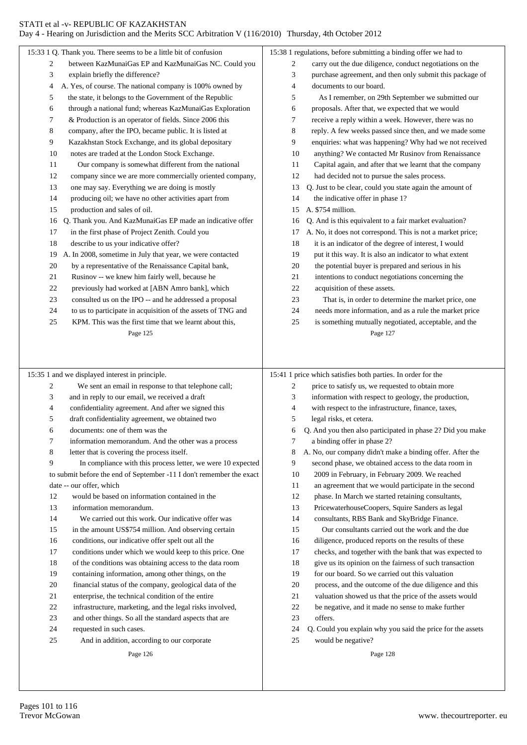| 15:33 1 Q. Thank you. There seems to be a little bit of confusion                                           | 15:38 1 regulations, before submitting a binding offer we had to |
|-------------------------------------------------------------------------------------------------------------|------------------------------------------------------------------|
| between KazMunaiGas EP and KazMunaiGas NC. Could you                                                        | carry out the due diligence, conduct negotiations on the         |
| 2                                                                                                           | $\overline{c}$                                                   |
| 3                                                                                                           | purchase agreement, and then only submit this package of         |
| explain briefly the difference?                                                                             | 3                                                                |
| A. Yes, of course. The national company is 100% owned by                                                    | documents to our board.                                          |
| 4                                                                                                           | 4                                                                |
| the state, it belongs to the Government of the Republic                                                     | As I remember, on 29th September we submitted our                |
| 5                                                                                                           | 5                                                                |
| 6                                                                                                           | proposals. After that, we expected that we would                 |
| through a national fund; whereas KazMunaiGas Exploration                                                    | 6                                                                |
| 7                                                                                                           | receive a reply within a week. However, there was no             |
| & Production is an operator of fields. Since 2006 this                                                      | 7                                                                |
| $\,8\,$                                                                                                     | 8                                                                |
| company, after the IPO, became public. It is listed at                                                      | reply. A few weeks passed since then, and we made some           |
| 9                                                                                                           | 9                                                                |
| Kazakhstan Stock Exchange, and its global depositary                                                        | enquiries: what was happening? Why had we not received           |
| notes are traded at the London Stock Exchange.                                                              | 10                                                               |
| 10                                                                                                          | anything? We contacted Mr Rusinov from Renaissance               |
|                                                                                                             |                                                                  |
| Our company is somewhat different from the national                                                         | Capital again, and after that we learnt that the company         |
| 11                                                                                                          | 11                                                               |
| 12                                                                                                          | had decided not to pursue the sales process.                     |
| company since we are more commercially oriented company,                                                    | 12                                                               |
| one may say. Everything we are doing is mostly                                                              | Q. Just to be clear, could you state again the amount of         |
| 13                                                                                                          | 13                                                               |
| producing oil; we have no other activities apart from                                                       | 14                                                               |
| 14                                                                                                          | the indicative offer in phase 1?                                 |
| 15                                                                                                          | A. \$754 million.                                                |
| production and sales of oil.                                                                                | 15                                                               |
| Q. Thank you. And KazMunaiGas EP made an indicative offer                                                   | Q. And is this equivalent to a fair market evaluation?           |
| 16                                                                                                          | 16                                                               |
| 17                                                                                                          | A. No, it does not correspond. This is not a market price;       |
| in the first phase of Project Zenith. Could you                                                             | 17                                                               |
| 18                                                                                                          | 18                                                               |
| describe to us your indicative offer?                                                                       | it is an indicator of the degree of interest, I would            |
| A. In 2008, sometime in July that year, we were contacted                                                   | put it this way. It is also an indicator to what extent          |
| 19                                                                                                          | 19                                                               |
| by a representative of the Renaissance Capital bank,                                                        | the potential buyer is prepared and serious in his               |
| 20                                                                                                          | 20                                                               |
| 21                                                                                                          | intentions to conduct negotiations concerning the                |
| Rusinov -- we knew him fairly well, because he                                                              | 21                                                               |
| 22                                                                                                          | acquisition of these assets.                                     |
| previously had worked at [ABN Amro bank], which                                                             | 22                                                               |
| 23                                                                                                          | 23                                                               |
| consulted us on the IPO -- and he addressed a proposal                                                      | That is, in order to determine the market price, one             |
| to us to participate in acquisition of the assets of TNG and                                                | needs more information, and as a rule the market price           |
| 24                                                                                                          | 24                                                               |
| 25                                                                                                          | 25                                                               |
| KPM. This was the first time that we learnt about this,                                                     | is something mutually negotiated, acceptable, and the            |
| Page 125                                                                                                    | Page 127                                                         |
|                                                                                                             |                                                                  |
|                                                                                                             |                                                                  |
|                                                                                                             |                                                                  |
|                                                                                                             |                                                                  |
| 15:35 1 and we displayed interest in principle.                                                             | 15:41 1 price which satisfies both parties. In order for the     |
| 2                                                                                                           | 2                                                                |
| We sent an email in response to that telephone call;<br>3<br>and in reply to our email, we received a draft | price to satisfy us, we requested to obtain more<br>3            |
| 4                                                                                                           | information with respect to geology, the production,<br>4        |
| confidentiality agreement. And after we signed this                                                         | with respect to the infrastructure, finance, taxes,              |
| 5                                                                                                           | 5                                                                |
| draft confidentiality agreement, we obtained two<br>6<br>documents: one of them was the                     | legal risks, et cetera.<br>6                                     |
|                                                                                                             | Q. And you then also participated in phase 2? Did you make       |
| $\tau$                                                                                                      | a binding offer in phase 2?                                      |
| information memorandum. And the other was a process                                                         | 7                                                                |
| 8                                                                                                           | 8                                                                |
| letter that is covering the process itself.                                                                 | A. No, our company didn't make a binding offer. After the        |
| 9                                                                                                           | 9                                                                |
| In compliance with this process letter, we were 10 expected                                                 | second phase, we obtained access to the data room in             |
| to submit before the end of September -11 I don't remember the exact                                        | 2009 in February, in February 2009. We reached<br>10             |
| date -- our offer, which                                                                                    | 11<br>an agreement that we would participate in the second       |
| 12                                                                                                          | 12                                                               |
| would be based on information contained in the                                                              | phase. In March we started retaining consultants,                |
| information memorandum.                                                                                     | PricewaterhouseCoopers, Squire Sanders as legal                  |
| 13                                                                                                          | 13                                                               |
| 14                                                                                                          | consultants, RBS Bank and SkyBridge Finance.                     |
| We carried out this work. Our indicative offer was                                                          | 14                                                               |
| in the amount US\$754 million. And observing certain                                                        | Our consultants carried out the work and the due                 |
| 15                                                                                                          | 15                                                               |
| 16                                                                                                          | 16                                                               |
| conditions, our indicative offer spelt out all the                                                          | diligence, produced reports on the results of these              |
| 17                                                                                                          | 17                                                               |
| conditions under which we would keep to this price. One                                                     | checks, and together with the bank that was expected to          |
| of the conditions was obtaining access to the data room                                                     | give us its opinion on the fairness of such transaction          |
| 18                                                                                                          | 18                                                               |
| 19                                                                                                          | for our board. So we carried out this valuation                  |
| containing information, among other things, on the                                                          | 19                                                               |
| $20\,$                                                                                                      | 20                                                               |
| financial status of the company, geological data of the                                                     | process, and the outcome of the due diligence and this           |
| enterprise, the technical condition of the entire                                                           | 21                                                               |
| 21                                                                                                          | valuation showed us that the price of the assets would           |
| $22\,$                                                                                                      | 22                                                               |
| infrastructure, marketing, and the legal risks involved,                                                    | be negative, and it made no sense to make further                |
| $23\,$                                                                                                      | 23                                                               |
| and other things. So all the standard aspects that are                                                      | offers.                                                          |
| $24\,$                                                                                                      | 24                                                               |
| requested in such cases.                                                                                    | Q. Could you explain why you said the price for the assets       |
| 25                                                                                                          | 25                                                               |
| And in addition, according to our corporate                                                                 | would be negative?                                               |
| Page 126                                                                                                    | Page 128                                                         |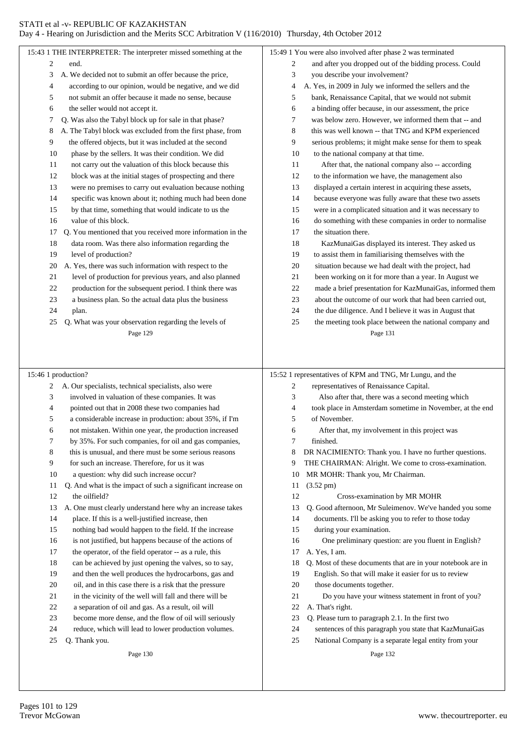|                     | 15:43 1 THE INTERPRETER: The interpreter missed something at the                                                    |          | 15:49 1 You were also involved after phase 2 was terminated              |
|---------------------|---------------------------------------------------------------------------------------------------------------------|----------|--------------------------------------------------------------------------|
| 2                   | end.                                                                                                                | 2        | and after you dropped out of the bidding process. Could                  |
| 3                   | A. We decided not to submit an offer because the price,                                                             | 3        | you describe your involvement?                                           |
| 4                   | according to our opinion, would be negative, and we did                                                             | 4        | A. Yes, in 2009 in July we informed the sellers and the                  |
| 5                   | not submit an offer because it made no sense, because                                                               | 5        | bank, Renaissance Capital, that we would not submit                      |
| 6                   | the seller would not accept it.                                                                                     | 6        | a binding offer because, in our assessment, the price                    |
| 7                   | Q. Was also the Tabyl block up for sale in that phase?                                                              | 7        | was below zero. However, we informed them that -- and                    |
| 8                   | A. The Tabyl block was excluded from the first phase, from                                                          | 8        | this was well known -- that TNG and KPM experienced                      |
| 9                   | the offered objects, but it was included at the second                                                              | 9        | serious problems; it might make sense for them to speak                  |
| 10                  | phase by the sellers. It was their condition. We did                                                                | 10       | to the national company at that time.                                    |
| 11                  | not carry out the valuation of this block because this                                                              | 11       | After that, the national company also -- according                       |
| 12                  | block was at the initial stages of prospecting and there                                                            | 12       | to the information we have, the management also                          |
| 13                  | were no premises to carry out evaluation because nothing                                                            | 13       | displayed a certain interest in acquiring these assets,                  |
| 14                  | specific was known about it; nothing much had been done                                                             | 14       | because everyone was fully aware that these two assets                   |
| 15                  | by that time, something that would indicate to us the                                                               | 15       | were in a complicated situation and it was necessary to                  |
| 16                  | value of this block.                                                                                                | 16       | do something with these companies in order to normalise                  |
| 17                  | Q. You mentioned that you received more information in the                                                          | 17       | the situation there.                                                     |
| 18                  | data room. Was there also information regarding the                                                                 | 18       | KazMunaiGas displayed its interest. They asked us                        |
| 19                  | level of production?                                                                                                | 19       | to assist them in familiarising themselves with the                      |
| 20                  | A. Yes, there was such information with respect to the                                                              | 20       | situation because we had dealt with the project, had                     |
| 21                  | level of production for previous years, and also planned                                                            | 21       | been working on it for more than a year. In August we                    |
| $22\,$              | production for the subsequent period. I think there was                                                             | 22       | made a brief presentation for KazMunaiGas, informed them                 |
| 23                  | a business plan. So the actual data plus the business                                                               | 23       | about the outcome of our work that had been carried out,                 |
| 24                  | plan.                                                                                                               | 24       | the due diligence. And I believe it was in August that                   |
| 25                  | Q. What was your observation regarding the levels of                                                                | 25       | the meeting took place between the national company and                  |
|                     | Page 129                                                                                                            |          | Page 131                                                                 |
|                     |                                                                                                                     |          |                                                                          |
|                     |                                                                                                                     |          |                                                                          |
|                     |                                                                                                                     |          |                                                                          |
|                     |                                                                                                                     |          |                                                                          |
| 15:46 1 production? |                                                                                                                     |          | 15:52 1 representatives of KPM and TNG, Mr Lungu, and the                |
| 2                   | A. Our specialists, technical specialists, also were                                                                | 2        |                                                                          |
| 3                   | involved in valuation of these companies. It was                                                                    | 3        | representatives of Renaissance Capital.                                  |
| 4                   |                                                                                                                     | 4        | Also after that, there was a second meeting which                        |
| 5                   | pointed out that in 2008 these two companies had                                                                    | 5        | took place in Amsterdam sometime in November, at the end<br>of November. |
| 6                   | a considerable increase in production: about 35%, if I'm<br>not mistaken. Within one year, the production increased | 6        | After that, my involvement in this project was                           |
| 7                   | by 35%. For such companies, for oil and gas companies,                                                              | 7        | finished.                                                                |
| 8                   |                                                                                                                     | 8        |                                                                          |
| 9                   | this is unusual, and there must be some serious reasons                                                             | 9        | DR NACIMIENTO: Thank you. I have no further questions.                   |
|                     | for such an increase. Therefore, for us it was                                                                      | 10       | THE CHAIRMAN: Alright. We come to cross-examination.                     |
| 10                  | a question: why did such increase occur?                                                                            |          | MR MOHR: Thank you, Mr Chairman.                                         |
| 11<br>12            | Q. And what is the impact of such a significant increase on<br>the oilfield?                                        | 11<br>12 | $(3.52 \text{ pm})$                                                      |
|                     |                                                                                                                     |          | Cross-examination by MR MOHR                                             |
| 13                  | A. One must clearly understand here why an increase takes                                                           | 13       | Q. Good afternoon, Mr Suleimenov. We've handed you some                  |
| 14                  | place. If this is a well-justified increase, then                                                                   | 14       | documents. I'll be asking you to refer to those today                    |
| 15                  | nothing bad would happen to the field. If the increase                                                              | 15       | during your examination.                                                 |
| 16                  | is not justified, but happens because of the actions of                                                             | 16       | One preliminary question: are you fluent in English?                     |
| 17                  | the operator, of the field operator -- as a rule, this                                                              | 17<br>18 | A. Yes, I am.                                                            |
| 18                  | can be achieved by just opening the valves, so to say,                                                              |          | Q. Most of these documents that are in your notebook are in              |
| 19                  | and then the well produces the hydrocarbons, gas and                                                                | 19<br>20 | English. So that will make it easier for us to review                    |
| 20                  | oil, and in this case there is a risk that the pressure                                                             |          | those documents together.                                                |
| 21                  | in the vicinity of the well will fall and there will be                                                             | 21       | Do you have your witness statement in front of you?                      |
| $22\,$              | a separation of oil and gas. As a result, oil will                                                                  | 22       | A. That's right.                                                         |
| 23                  | become more dense, and the flow of oil will seriously                                                               | 23       | Q. Please turn to paragraph 2.1. In the first two                        |
| 24                  | reduce, which will lead to lower production volumes.                                                                | 24       | sentences of this paragraph you state that KazMunaiGas                   |
| 25                  | Q. Thank you.                                                                                                       | 25       | National Company is a separate legal entity from your                    |
|                     | Page 130                                                                                                            |          | Page 132                                                                 |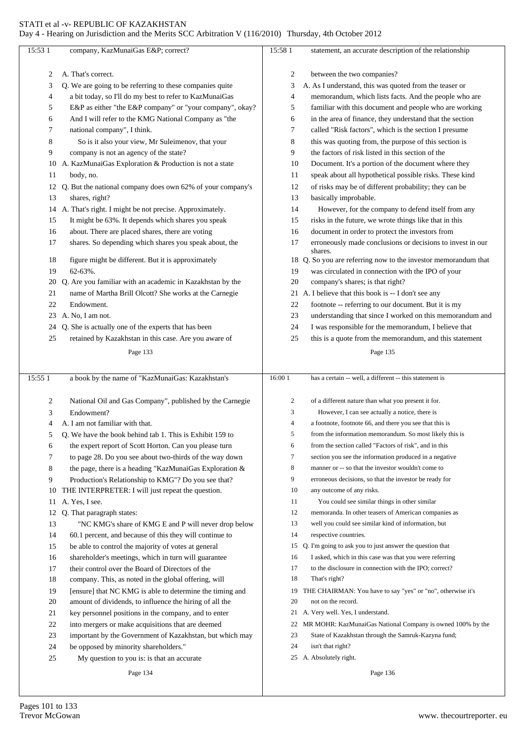| 15:53 1 | company, KazMunaiGas E&P correct?                                      | 15:58 1        | statement, an accurate description of the relationship                |
|---------|------------------------------------------------------------------------|----------------|-----------------------------------------------------------------------|
| 2       | A. That's correct.                                                     | 2              | between the two companies?                                            |
| 3       | Q. We are going to be referring to these companies quite               | 3              | A. As I understand, this was quoted from the teaser or                |
| 4       | a bit today, so I'll do my best to refer to KazMunaiGas                | 4              | memorandum, which lists facts. And the people who are                 |
| 5       | E&P as either "the E&P company" or "your company", okay?               | 5              | familiar with this document and people who are working                |
| 6       | And I will refer to the KMG National Company as "the                   | 6              | in the area of finance, they understand that the section              |
| 7       | national company", I think.                                            | 7              | called "Risk factors", which is the section I presume                 |
| 8       | So is it also your view, Mr Suleimenov, that your                      | 8              | this was quoting from, the purpose of this section is                 |
| 9       | company is not an agency of the state?                                 | 9              | the factors of risk listed in this section of the                     |
| 10      | A. KazMunaiGas Exploration & Production is not a state                 | 10             | Document. It's a portion of the document where they                   |
| 11      | body, no.                                                              | 11             | speak about all hypothetical possible risks. These kind               |
| 12      | Q. But the national company does own 62% of your company's             | 12             | of risks may be of different probability; they can be                 |
| 13      | shares, right?                                                         | 13             | basically improbable.                                                 |
| 14      | A. That's right. I might be not precise. Approximately.                | 14             | However, for the company to defend itself from any                    |
| 15      | It might be 63%. It depends which shares you speak                     | 15             | risks in the future, we wrote things like that in this                |
| 16      | about. There are placed shares, there are voting                       | 16             | document in order to protect the investors from                       |
| 17      | shares. So depending which shares you speak about, the                 | 17             | erroneously made conclusions or decisions to invest in our<br>shares. |
| 18      | figure might be different. But it is approximately                     |                | 18 Q. So you are referring now to the investor memorandum that        |
| 19      | 62-63%.                                                                | 19             | was circulated in connection with the IPO of your                     |
| 20      | Q. Are you familiar with an academic in Kazakhstan by the              | 20             | company's shares; is that right?                                      |
| 21      | name of Martha Brill Olcott? She works at the Carnegie                 |                | 21 A. I believe that this book is -- I don't see any                  |
| 22      | Endowment.                                                             | 22             | footnote -- referring to our document. But it is my                   |
| 23      | A. No, I am not.                                                       | 23             | understanding that since I worked on this memorandum and              |
| 24      | Q. She is actually one of the experts that has been                    | 24             | I was responsible for the memorandum, I believe that                  |
| 25      | retained by Kazakhstan in this case. Are you aware of                  | 25             | this is a quote from the memorandum, and this statement               |
|         | Page 133                                                               |                | Page 135                                                              |
|         |                                                                        |                |                                                                       |
| 15:55 1 | a book by the name of "KazMunaiGas: Kazakhstan's                       | 16:00 1        | has a certain -- well, a different -- this statement is               |
| 2       |                                                                        | 2              | of a different nature than what you present it for.                   |
| 3       | National Oil and Gas Company", published by the Carnegie<br>Endowment? | 3              | However, I can see actually a notice, there is                        |
| 4       | A. I am not familiar with that.                                        | $\overline{4}$ | a footnote, footnote 66, and there you see that this is               |
| 5       | O. We have the book behind tab 1. This is Exhibit 159 to               | 5              | from the information memorandum. So most likely this is               |
| 6       | the expert report of Scott Horton. Can you please turn                 | 6              | from the section called "Factors of risk", and in this                |
| 7       | to page 28. Do you see about two-thirds of the way down                | 7              | section you see the information produced in a negative                |
| 8       | the page, there is a heading "KazMunaiGas Exploration &                | 8              | manner or -- so that the investor wouldn't come to                    |
| 9       | Production's Relationship to KMG"? Do you see that?                    | 9              | erroneous decisions, so that the investor be ready for                |
| 10      | THE INTERPRETER: I will just repeat the question.                      | 10             | any outcome of any risks.                                             |
| 11      | A. Yes, I see.                                                         | 11             | You could see similar things in other similar                         |
| 12      | Q. That paragraph states:                                              | 12             | memoranda. In other teasers of American companies as                  |
| 13      | "NC KMG's share of KMG E and P will never drop below                   | 13             | well you could see similar kind of information, but                   |
| 14      | 60.1 percent, and because of this they will continue to                | 14             | respective countries.                                                 |
| 15      | be able to control the majority of votes at general                    | 15             | Q. I'm going to ask you to just answer the question that              |
| 16      | shareholder's meetings, which in turn will guarantee                   | 16             | I asked, which in this case was that you were referring               |
| 17      | their control over the Board of Directors of the                       | 17             | to the disclosure in connection with the IPO; correct?                |
| 18      | company. This, as noted in the global offering, will                   | 18             | That's right?                                                         |
| 19      | [ensure] that NC KMG is able to determine the timing and               |                | 19 THE CHAIRMAN: You have to say "yes" or "no", otherwise it's        |
| 20      | amount of dividends, to influence the hiring of all the                | 20             | not on the record.                                                    |
| 21      | key personnel positions in the company, and to enter                   | 21             | A. Very well. Yes, I understand.                                      |
| 22      | into mergers or make acquisitions that are deemed                      | 22             | MR MOHR: KazMunaiGas National Company is owned 100% by the            |
| 23      | important by the Government of Kazakhstan, but which may               | 23             | State of Kazakhstan through the Samruk-Kazyna fund;                   |
| 24      | be opposed by minority shareholders."                                  | 24             | isn't that right?                                                     |
| 25      | My question to you is: is that an accurate<br>Page 134                 |                | 25 A. Absolutely right.<br>Page 136                                   |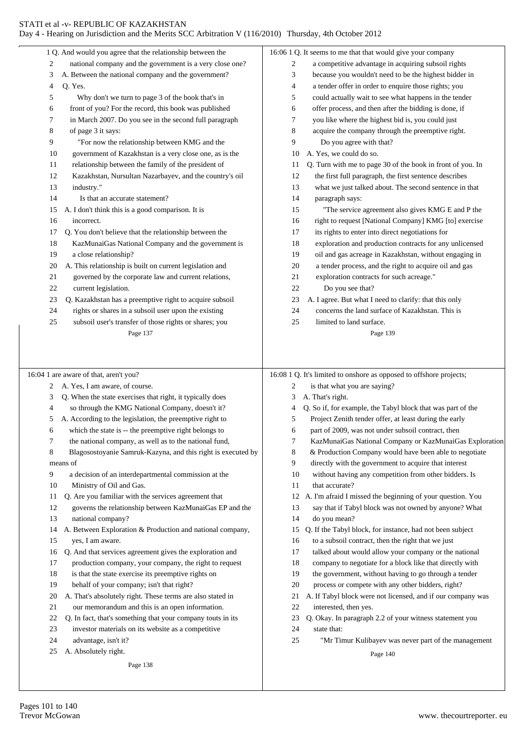| 1 Q. And would you agree that the relationship between the                                                    | 16:06 1 Q. It seems to me that that would give your company                                                                  |
|---------------------------------------------------------------------------------------------------------------|------------------------------------------------------------------------------------------------------------------------------|
| national company and the government is a very close one?                                                      | 2                                                                                                                            |
| 2                                                                                                             | a competitive advantage in acquiring subsoil rights                                                                          |
| A. Between the national company and the government?                                                           | 3                                                                                                                            |
| 3                                                                                                             | because you wouldn't need to be the highest bidder in                                                                        |
| 4                                                                                                             | 4                                                                                                                            |
| Q. Yes.                                                                                                       | a tender offer in order to enquire those rights; you                                                                         |
| 5                                                                                                             | 5                                                                                                                            |
| Why don't we turn to page 3 of the book that's in                                                             | could actually wait to see what happens in the tender                                                                        |
| 6                                                                                                             | 6                                                                                                                            |
| front of you? For the record, this book was published                                                         | offer process, and then after the bidding is done, if                                                                        |
| 7                                                                                                             | 7                                                                                                                            |
| in March 2007. Do you see in the second full paragraph                                                        | you like where the highest bid is, you could just                                                                            |
| 8                                                                                                             | 8                                                                                                                            |
| of page 3 it says:                                                                                            | acquire the company through the preemptive right.                                                                            |
| 9                                                                                                             | 9                                                                                                                            |
| "For now the relationship between KMG and the                                                                 | Do you agree with that?                                                                                                      |
| government of Kazakhstan is a very close one, as is the                                                       | A. Yes, we could do so.                                                                                                      |
| 10                                                                                                            | 10                                                                                                                           |
| relationship between the family of the president of                                                           | Q. Turn with me to page 30 of the book in front of you. In                                                                   |
| 11                                                                                                            | 11                                                                                                                           |
| Kazakhstan, Nursultan Nazarbayev, and the country's oil                                                       | the first full paragraph, the first sentence describes                                                                       |
| 12                                                                                                            | 12                                                                                                                           |
| 13                                                                                                            | 13                                                                                                                           |
| industry."                                                                                                    | what we just talked about. The second sentence in that                                                                       |
| 14                                                                                                            | 14                                                                                                                           |
| Is that an accurate statement?                                                                                | paragraph says:                                                                                                              |
| 15                                                                                                            | 15                                                                                                                           |
| A. I don't think this is a good comparison. It is                                                             | "The service agreement also gives KMG E and P the                                                                            |
| 16                                                                                                            | right to request [National Company] KMG [to] exercise                                                                        |
| incorrect.                                                                                                    | 16                                                                                                                           |
| 17                                                                                                            | its rights to enter into direct negotiations for                                                                             |
| Q. You don't believe that the relationship between the                                                        | 17                                                                                                                           |
| 18                                                                                                            | 18                                                                                                                           |
| KazMunaiGas National Company and the government is                                                            | exploration and production contracts for any unlicensed                                                                      |
| 19                                                                                                            | 19                                                                                                                           |
| a close relationship?                                                                                         | oil and gas acreage in Kazakhstan, without engaging in                                                                       |
| A. This relationship is built on current legislation and                                                      | 20                                                                                                                           |
| 20                                                                                                            | a tender process, and the right to acquire oil and gas                                                                       |
| 21                                                                                                            | 21                                                                                                                           |
| governed by the corporate law and current relations,                                                          | exploration contracts for such acreage."                                                                                     |
| 22                                                                                                            | $22\,$                                                                                                                       |
| current legislation.                                                                                          | Do you see that?                                                                                                             |
| Q. Kazakhstan has a preemptive right to acquire subsoil                                                       | A. I agree. But what I need to clarify: that this only                                                                       |
| 23                                                                                                            | 23                                                                                                                           |
| rights or shares in a subsoil user upon the existing                                                          | concerns the land surface of Kazakhstan. This is                                                                             |
| 24                                                                                                            | 24                                                                                                                           |
| subsoil user's transfer of those rights or shares; you                                                        | 25                                                                                                                           |
| 25                                                                                                            | limited to land surface.                                                                                                     |
| Page 137                                                                                                      | Page 139                                                                                                                     |
| 16:04 1 are aware of that, aren't you?                                                                        | 16:08 1 Q. It's limited to onshore as opposed to offshore projects;                                                          |
| A. Yes, I am aware, of course.                                                                                | 2                                                                                                                            |
| 2                                                                                                             | is that what you are saying?                                                                                                 |
| Q. When the state exercises that right, it typically does                                                     | A. That's right.                                                                                                             |
| 3                                                                                                             | 3                                                                                                                            |
| so through the KMG National Company, doesn't it?                                                              | Q. So if, for example, the Tabyl block that was part of the                                                                  |
| 4                                                                                                             | 4                                                                                                                            |
| A. According to the legislation, the preemptive right to                                                      | Project Zenith tender offer, at least during the early                                                                       |
| 5                                                                                                             | 5                                                                                                                            |
| 6                                                                                                             | 6                                                                                                                            |
| which the state is -- the preemptive right belongs to                                                         | part of 2009, was not under subsoil contract, then                                                                           |
| the national company, as well as to the national fund,                                                        | KazMunaiGas National Company or KazMunaiGas Exploration                                                                      |
| 7                                                                                                             | 7                                                                                                                            |
| 8                                                                                                             | 8                                                                                                                            |
| Blagosostoyanie Samruk-Kazyna, and this right is executed by                                                  | & Production Company would have been able to negotiate                                                                       |
| means of                                                                                                      | 9<br>directly with the government to acquire that interest                                                                   |
| 9                                                                                                             | 10                                                                                                                           |
| a decision of an interdepartmental commission at the                                                          | without having any competition from other bidders. Is                                                                        |
| 10                                                                                                            | that accurate?                                                                                                               |
| Ministry of Oil and Gas.                                                                                      | 11                                                                                                                           |
| Q. Are you familiar with the services agreement that<br>11                                                    | 12 A. I'm afraid I missed the beginning of your question. You                                                                |
| 12                                                                                                            | 13                                                                                                                           |
| governs the relationship between KazMunaiGas EP and the                                                       | say that if Tabyl block was not owned by anyone? What                                                                        |
| 13                                                                                                            | 14                                                                                                                           |
| national company?                                                                                             | do you mean?                                                                                                                 |
| A. Between Exploration & Production and national company,                                                     | Q. If the Tabyl block, for instance, had not been subject                                                                    |
| 14                                                                                                            | 15                                                                                                                           |
| 15                                                                                                            | to a subsoil contract, then the right that we just                                                                           |
| yes, I am aware.                                                                                              | 16                                                                                                                           |
| Q. And that services agreement gives the exploration and                                                      | 17                                                                                                                           |
| 16                                                                                                            | talked about would allow your company or the national                                                                        |
| 17                                                                                                            | 18                                                                                                                           |
| production company, your company, the right to request                                                        | company to negotiate for a block like that directly with                                                                     |
| 18                                                                                                            | 19                                                                                                                           |
| is that the state exercise its preemptive rights on                                                           | the government, without having to go through a tender                                                                        |
| 19                                                                                                            |                                                                                                                              |
| behalf of your company; isn't that right?<br>A. That's absolutely right. These terms are also stated in<br>20 | 20<br>process or compete with any other bidders, right?<br>A. If Tabyl block were not licensed, and if our company was<br>21 |
| 21                                                                                                            | 22                                                                                                                           |
| our memorandum and this is an open information.                                                               | interested, then yes.                                                                                                        |
| 22                                                                                                            | 23                                                                                                                           |
| Q. In fact, that's something that your company touts in its                                                   | Q. Okay. In paragraph 2.2 of your witness statement you                                                                      |
| 23                                                                                                            | 24                                                                                                                           |
| investor materials on its website as a competitive                                                            | state that:                                                                                                                  |
| 24                                                                                                            | $25\,$                                                                                                                       |
| advantage, isn't it?                                                                                          | "Mr Timur Kulibayev was never part of the management                                                                         |
| A. Absolutely right.<br>25                                                                                    |                                                                                                                              |
|                                                                                                               | Page 140                                                                                                                     |
|                                                                                                               |                                                                                                                              |
| Page 138                                                                                                      |                                                                                                                              |

 $\overline{a}$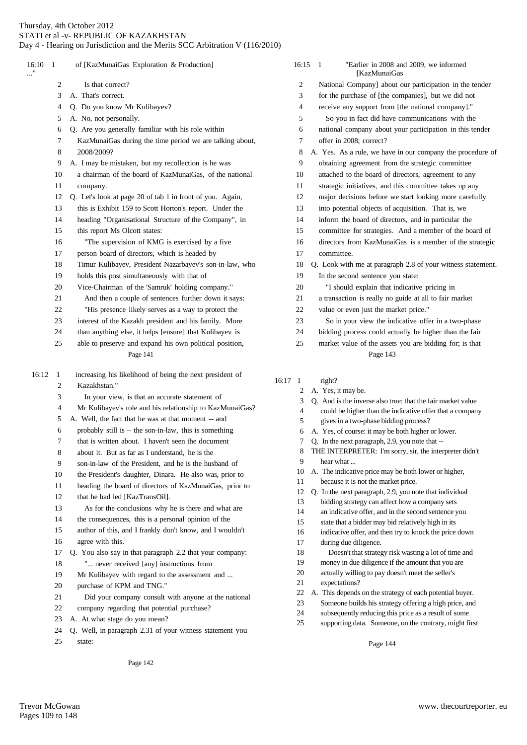# Thursday, 4th October 2012 STATI et al -v- REPUBLIC OF KAZAKHSTAN

|                               | Day 4 - Hearing on Jurisdiction and the Merits SCC Arbitration V (116/2010) |         |          |                    |                                                                                                           |
|-------------------------------|-----------------------------------------------------------------------------|---------|----------|--------------------|-----------------------------------------------------------------------------------------------------------|
| $16:10 \quad 1$<br>$\ldots$ " | of [KazMunaiGas Exploration & Production]                                   |         | 16:15    | $\!1$              | "Earlier in 2008 and 2009, we informed<br>[KazMunaiGas]                                                   |
|                               | Is that correct?<br>2                                                       |         | 2        |                    | National Company] about our participation in the tender                                                   |
| 3                             | A. That's correct.                                                          |         | 3        |                    | for the purchase of [the companies], but we did not                                                       |
| 4                             | Q. Do you know Mr Kulibayev?                                                |         | 4        |                    | receive any support from [the national company]."                                                         |
| 5                             | A. No, not personally.                                                      |         | 5        |                    | So you in fact did have communications with the                                                           |
|                               | Q. Are you generally familiar with his role within<br>6                     |         | 6        |                    | national company about your participation in this tender                                                  |
| 7                             | KazMunaiGas during the time period we are talking about,                    |         | 7        |                    | offer in 2008; correct?                                                                                   |
|                               | 2008/2009?<br>8                                                             |         | 8        |                    | A. Yes. As a rule, we have in our company the procedure of                                                |
|                               | A. I may be mistaken, but my recollection is he was<br>9                    |         | 9        |                    | obtaining agreement from the strategic committee                                                          |
| 10                            | a chairman of the board of KazMunaiGas, of the national                     |         | 10       |                    | attached to the board of directors, agreement to any                                                      |
| 11                            | company.                                                                    |         | 11       |                    | strategic initiatives, and this committee takes up any                                                    |
| 12                            | Q. Let's look at page 20 of tab 1 in front of you. Again,                   |         | 12       |                    | major decisions before we start looking more carefully                                                    |
| 13                            | this is Exhibit 159 to Scott Horton's report. Under the                     |         | 13       |                    | into potential objects of acquisition. That is, we                                                        |
| 14                            | heading "Organisational Structure of the Company", in                       |         | 14       |                    | inform the board of directors, and in particular the                                                      |
| 15                            | this report Ms Olcott states:                                               |         | 15       |                    | committee for strategies. And a member of the board of                                                    |
| 16                            | "The supervision of KMG is exercised by a five                              |         | 16       |                    | directors from KazMunaiGas is a member of the strategic                                                   |
| 17                            | person board of directors, which is headed by                               |         | 17       | committee.         |                                                                                                           |
| 18                            | Timur Kulibayev, President Nazarbayev's son-in-law, who                     |         | 18       |                    | Q. Look with me at paragraph 2.8 of your witness statement.                                               |
| 19                            | holds this post simultaneously with that of                                 |         | 19       |                    | In the second sentence you state:                                                                         |
| 20                            | Vice-Chairman of the 'Samruk' holding company."                             |         | 20       |                    | "I should explain that indicative pricing in                                                              |
| 21                            | And then a couple of sentences further down it says:                        |         | 21       |                    | a transaction is really no guide at all to fair market                                                    |
| $22\,$                        | "His presence likely serves as a way to protect the                         |         | $22\,$   |                    |                                                                                                           |
|                               |                                                                             |         | 23       |                    | value or even just the market price."                                                                     |
| 23                            | interest of the Kazakh president and his family. More                       |         |          |                    | So in your view the indicative offer in a two-phase                                                       |
| 24                            | than anything else, it helps [ensure] that Kulibayev is                     |         | 24       |                    | bidding process could actually be higher than the fair                                                    |
| 25                            | able to preserve and expand his own political position,<br>Page 141         |         | 25       |                    | market value of the assets you are bidding for; is that<br>Page 143                                       |
| $16:12 \quad 1$               | increasing his likelihood of being the next president of                    | 16:17 1 |          | right?             |                                                                                                           |
|                               | Kazakhstan."<br>2                                                           |         | 2        | A. Yes, it may be. |                                                                                                           |
|                               | 3<br>In your view, is that an accurate statement of                         |         | 3        |                    | Q. And is the inverse also true: that the fair market value                                               |
| 4                             | Mr Kulibayev's role and his relationship to KazMunaiGas?                    |         | 4        |                    | could be higher than the indicative offer that a company                                                  |
| 5                             | A. Well, the fact that he was at that moment -- and                         |         | 5        |                    | gives in a two-phase bidding process?                                                                     |
|                               | probably still is -- the son-in-law, this is something<br>6                 |         | 6        |                    | A. Yes, of course: it may be both higher or lower.                                                        |
|                               | 7<br>that is written about. I haven't seen the document                     |         | 7        |                    | Q. In the next paragraph, 2.9, you note that --                                                           |
|                               | 8<br>about it. But as far as I understand, he is the                        |         | 8        |                    | THE INTERPRETER: I'm sorry, sir, the interpreter didn't                                                   |
| 9                             | son-in-law of the President, and he is the husband of                       |         | 9        | hear what          |                                                                                                           |
| 10                            | the President's daughter, Dinara. He also was, prior to                     |         | 10       |                    | A. The indicative price may be both lower or higher,                                                      |
| 11                            | heading the board of directors of KazMunaiGas, prior to                     |         | 11       |                    | because it is not the market price.                                                                       |
| 12                            | that he had led [KazTransOil].                                              |         | 12<br>13 |                    | Q. In the next paragraph, 2.9, you note that individual<br>bidding strategy can affect how a company sets |
| 13                            | As for the conclusions why he is there and what are                         |         | 14       |                    | an indicative offer, and in the second sentence you                                                       |
| 14                            | the consequences, this is a personal opinion of the                         |         | 15       |                    | state that a bidder may bid relatively high in its                                                        |

- 15 author of this, and I frankly don't know, and I wouldn't 16 agree with this.
- 17 Q. You also say in that paragraph 2.2 that your company:
- 18 "... never received [any] instructions from
- 19 Mr Kulibayev with regard to the assessment and ...
- 20 purchase of KPM and TNG."
- 21 Did your company consult with anyone at the national
- 22 company regarding that potential purchase?
- 23 A. At what stage do you mean?
- 24 Q. Well, in paragraph 2.31 of your witness statement you
- 25 state:

Page 142

## tee. with me at paragraph 2.8 of your witness statement. econd sentence you state: uld explain that indicative pricing in ction is really no guide at all to fair market even just the market price." your view the indicative offer in a two-phase process could actually be higher than the fair

- may be.
- the inverse also true: that the fair market value
- e higher than the indicative offer that a company a two-phase bidding process?
- course: it may be both higher or lower.
- ext paragraph, 2.9, you note that --
- RERETER: I'm sorry, sir, the interpreter didn't
- iat ...
- licative price may be both lower or higher,
- it is not the market price.
- next paragraph, 2.9, you note that individual
- strategy can affect how a company sets
- eative offer, and in the second sentence you
- at a bidder may bid relatively high in its
- 16 indicative offer, and then try to knock the price down
- 17 during due diligence.
- 18 Doesn't that strategy risk wasting a lot of time and
- 19 money in due diligence if the amount that you are
- 20 actually willing to pay doesn't meet the seller's
- 21 expectations?
- 22 A. This depends on the strategy of each potential buyer.
- 23 Someone builds his strategy offering a high price, and
- 24 subsequently reducing this price as a result of some
- 25 supporting data. Someone, on the contrary, might first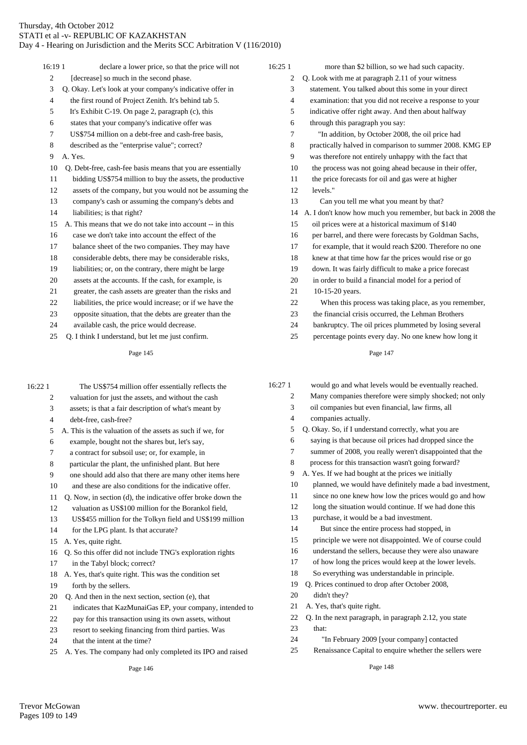#### 16:19 1 declare a lower price, so that the price will not

- 2 [decrease] so much in the second phase.
- Q. Okay. Let's look at your company's indicative offer in
- the first round of Project Zenith. It's behind tab 5.
- It's Exhibit C-19. On page 2, paragraph (c), this
- states that your company's indicative offer was
- US\$754 million on a debt-free and cash-free basis,
- described as the "enterprise value"; correct?
- A. Yes.
- Q. Debt-free, cash-fee basis means that you are essentially
- bidding US\$754 million to buy the assets, the productive
- assets of the company, but you would not be assuming the
- company's cash or assuming the company's debts and
- liabilities; is that right?
- A. This means that we do not take into account -- in this
- case we don't take into account the effect of the
- balance sheet of the two companies. They may have
- considerable debts, there may be considerable risks,
- liabilities; or, on the contrary, there might be large
- assets at the accounts. If the cash, for example, is
- greater, the cash assets are greater than the risks and
- liabilities, the price would increase; or if we have the
- opposite situation, that the debts are greater than the
- available cash, the price would decrease.
- Q. I think I understand, but let me just confirm.

### Page 145

| 16:22 1 | The US\$754 million offer essentially reflects the          | 16:27 1 |                |  |
|---------|-------------------------------------------------------------|---------|----------------|--|
| 2       | valuation for just the assets, and without the cash         |         | 2              |  |
| 3       | assets; is that a fair description of what's meant by       |         | 3              |  |
| 4       | debt-free, cash-free?                                       |         | $\overline{4}$ |  |
| 5       | A. This is the valuation of the assets as such if we, for   |         | 5              |  |
| 6       | example, bought not the shares but, let's say,              |         | 6              |  |
| 7       | a contract for subsoil use; or, for example, in             |         | 7              |  |
| 8       | particular the plant, the unfinished plant. But here        |         | 8              |  |
| 9       | one should add also that there are many other items here    |         | 9              |  |
| 10      | and these are also conditions for the indicative offer.     |         | 10             |  |
| 11      | Q. Now, in section (d), the indicative offer broke down the |         | 11             |  |
| 12      | valuation as US\$100 million for the Borankol field,        |         | 12             |  |
| 13      | US\$455 million for the Tolkyn field and US\$199 million    |         | 13             |  |
| 14      | for the LPG plant. Is that accurate?                        |         | 14             |  |
| 15      | A. Yes, quite right.                                        |         | 15             |  |
| 16      | Q. So this offer did not include TNG's exploration rights   |         | 16             |  |
| 17      | in the Tabyl block; correct?                                |         | 17             |  |
| 18      | A. Yes, that's quite right. This was the condition set      |         | 18             |  |
| 19      | forth by the sellers.                                       |         | 19             |  |
| 20      | Q. And then in the next section, section (e), that          |         | 20             |  |
| 21      | indicates that KazMunaiGas EP, your company, intended to    |         | 21             |  |

- pay for this transaction using its own assets, without
- resort to seeking financing from third parties. Was
- 24 that the intent at the time?
- A. Yes. The company had only completed its IPO and raised

Page 146

- 16:25 1 more than \$2 billion, so we had such capacity. Q. Look with me at paragraph 2.11 of your witness
	- statement. You talked about this some in your direct
	- examination: that you did not receive a response to your
	- indicative offer right away. And then about halfway
	- through this paragraph you say:
	- "In addition, by October 2008, the oil price had
	- practically halved in comparison to summer 2008. KMG EP
	- was therefore not entirely unhappy with the fact that
	- the process was not going ahead because in their offer,
	- the price forecasts for oil and gas were at higher
	- levels."
	- Can you tell me what you meant by that?
	- A. I don't know how much you remember, but back in 2008 the
	- oil prices were at a historical maximum of \$140
	- 16 per barrel, and there were forecasts by Goldman Sachs,
	- for example, that it would reach \$200. Therefore no one
	- knew at that time how far the prices would rise or go
	- down. It was fairly difficult to make a price forecast
	- in order to build a financial model for a period of
	- 21 10-15-20 years.
	- When this process was taking place, as you remember,
	- the financial crisis occurred, the Lehman Brothers
	- bankruptcy. The oil prices plummeted by losing several
	- percentage points every day. No one knew how long it

#### Page 147

| 16:271 | would go and what levels would be eventually reached.    |
|--------|----------------------------------------------------------|
| 2      | Many companies therefore were simply shocked; not only   |
| 3      | oil companies but even financial, law firms, all         |
| 4      | companies actually.                                      |
| 5      | Q. Okay. So, if I understand correctly, what you are     |
| 6      | saying is that because oil prices had dropped since the  |
| 7      | summer of 2008, you really weren't disappointed that the |
| 8      | process for this transaction wasn't going forward?       |
| 9      | A. Yes. If we had bought at the prices we initially      |
| 10     | planned, we would have definitely made a bad investment, |
| 11     | since no one knew how low the prices would go and how    |
| 12     | long the situation would continue. If we had done this   |
| 13     | purchase, it would be a bad investment.                  |
| 14     | But since the entire process had stopped, in             |
| 15     | principle we were not disappointed. We of course could   |
| 16     | understand the sellers, because they were also unaware   |
| 17     | of how long the prices would keep at the lower levels.   |
| 18     | So everything was understandable in principle.           |
| 19     | Q. Prices continued to drop after October 2008,          |
| 20     | didn't they?                                             |
| 21     | A. Yes, that's quite right.                              |
| 22     | Q. In the next paragraph, in paragraph 2.12, you state   |
| 23     | that:                                                    |
| 24     | "In February 2009 [your company] contacted               |

Renaissance Capital to enquire whether the sellers were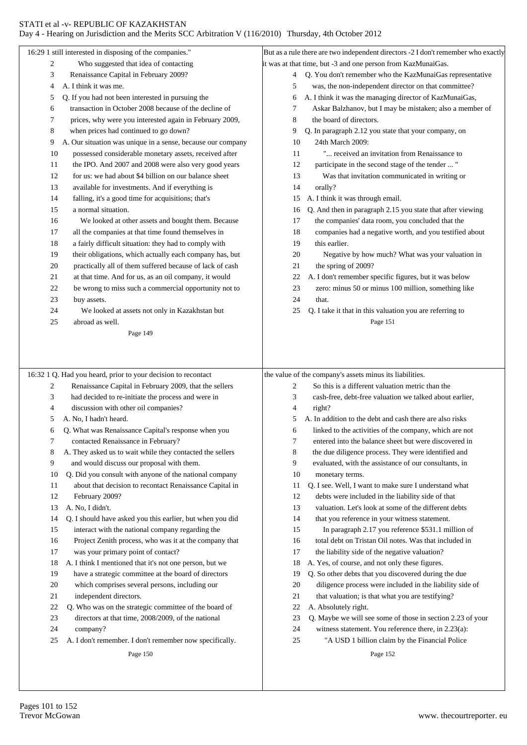| 16:29 1 still interested in disposing of the companies."                        | But as a rule there are two independent directors -2 I don't remember who exactly                                 |
|---------------------------------------------------------------------------------|-------------------------------------------------------------------------------------------------------------------|
| $\overline{c}$<br>Who suggested that idea of contacting                         | it was at that time, but -3 and one person from KazMunaiGas.                                                      |
| Renaissance Capital in February 2009?                                           | Q. You don't remember who the KazMunaiGas representative                                                          |
| 3                                                                               | 4                                                                                                                 |
| A. I think it was me.                                                           | was, the non-independent director on that committee?                                                              |
| 4                                                                               | 5                                                                                                                 |
| Q. If you had not been interested in pursuing the                               | A. I think it was the managing director of KazMunaiGas,                                                           |
| 5                                                                               | 6                                                                                                                 |
| transaction in October 2008 because of the decline of                           | Askar Balzhanov, but I may be mistaken; also a member of                                                          |
| 6                                                                               | 7                                                                                                                 |
| prices, why were you interested again in February 2009,                         | 8                                                                                                                 |
| 7                                                                               | the board of directors.                                                                                           |
| when prices had continued to go down?                                           | Q. In paragraph 2.12 you state that your company, on                                                              |
| 8                                                                               | 9                                                                                                                 |
| A. Our situation was unique in a sense, because our company                     | 10                                                                                                                |
| 9                                                                               | 24th March 2009:                                                                                                  |
| possessed considerable monetary assets, received after                          | 11                                                                                                                |
| 10                                                                              | " received an invitation from Renaissance to                                                                      |
| the IPO. And 2007 and 2008 were also very good years                            | participate in the second stage of the tender  "                                                                  |
| 11                                                                              | 12                                                                                                                |
| for us: we had about \$4 billion on our balance sheet                           | 13                                                                                                                |
| 12                                                                              | Was that invitation communicated in writing or                                                                    |
| available for investments. And if everything is                                 | 14                                                                                                                |
| 13                                                                              | orally?                                                                                                           |
| falling, it's a good time for acquisitions; that's                              | A. I think it was through email.                                                                                  |
| 14                                                                              | 15                                                                                                                |
| a normal situation.                                                             | Q. And then in paragraph 2.15 you state that after viewing                                                        |
| 15                                                                              | 16                                                                                                                |
| We looked at other assets and bought them. Because                              | the companies' data room, you concluded that the                                                                  |
| 16                                                                              | 17                                                                                                                |
| all the companies at that time found themselves in                              | 18                                                                                                                |
| 17                                                                              | companies had a negative worth, and you testified about                                                           |
| a fairly difficult situation: they had to comply with                           | this earlier.                                                                                                     |
| 18                                                                              | 19                                                                                                                |
| 19                                                                              | 20                                                                                                                |
| their obligations, which actually each company has, but                         | Negative by how much? What was your valuation in                                                                  |
| practically all of them suffered because of lack of cash                        | the spring of 2009?                                                                                               |
| 20                                                                              | 21                                                                                                                |
| at that time. And for us, as an oil company, it would                           | A. I don't remember specific figures, but it was below                                                            |
| 21                                                                              | 22                                                                                                                |
| 22                                                                              | 23                                                                                                                |
| be wrong to miss such a commercial opportunity not to                           | zero: minus 50 or minus 100 million, something like                                                               |
| 23                                                                              | 24                                                                                                                |
| buy assets.                                                                     | that.                                                                                                             |
| 24                                                                              | 25                                                                                                                |
| We looked at assets not only in Kazakhstan but                                  | Q. I take it that in this valuation you are referring to                                                          |
| 25<br>abroad as well.                                                           | Page 151                                                                                                          |
| Page 149                                                                        |                                                                                                                   |
|                                                                                 |                                                                                                                   |
| 16:32 1 Q. Had you heard, prior to your decision to recontact<br>$\overline{c}$ | the value of the company's assets minus its liabilities.<br>2<br>So this is a different valuation metric than the |
| Renaissance Capital in February 2009, that the sellers<br>3                     | 3                                                                                                                 |
| had decided to re-initiate the process and were in                              | cash-free, debt-free valuation we talked about earlier,                                                           |
| discussion with other oil companies?                                            | 4                                                                                                                 |
| 4                                                                               | right?                                                                                                            |
| A. No, I hadn't heard.                                                          | A. In addition to the debt and cash there are also risks                                                          |
| 5                                                                               | 5                                                                                                                 |
| Q. What was Renaissance Capital's response when you                             | linked to the activities of the company, which are not                                                            |
| 6                                                                               | 6                                                                                                                 |
| 7                                                                               | 7                                                                                                                 |
| contacted Renaissance in February?                                              | entered into the balance sheet but were discovered in                                                             |
| 8                                                                               | 8                                                                                                                 |
| A. They asked us to wait while they contacted the sellers                       | the due diligence process. They were identified and                                                               |
| and would discuss our proposal with them.                                       | 9                                                                                                                 |
| 9                                                                               | evaluated, with the assistance of our consultants, in                                                             |
| Q. Did you consult with anyone of the national company                          | 10                                                                                                                |
| 10                                                                              | monetary terms.                                                                                                   |
| about that decision to recontact Renaissance Capital in                         | Q. I see. Well, I want to make sure I understand what                                                             |
| 11                                                                              | 11                                                                                                                |
| 12                                                                              | 12                                                                                                                |
| February 2009?                                                                  | debts were included in the liability side of that                                                                 |
| A. No, I didn't.                                                                | 13                                                                                                                |
| 13                                                                              | valuation. Let's look at some of the different debts                                                              |
| Q. I should have asked you this earlier, but when you did                       | 14                                                                                                                |
| 14                                                                              | that you reference in your witness statement.                                                                     |
| interact with the national company regarding the                                | 15                                                                                                                |
| 15                                                                              | In paragraph 2.17 you reference \$531.1 million of                                                                |
| Project Zenith process, who was it at the company that                          | 16                                                                                                                |
| 16                                                                              | total debt on Tristan Oil notes. Was that included in                                                             |
| 17                                                                              | 17                                                                                                                |
| was your primary point of contact?                                              | the liability side of the negative valuation?                                                                     |
| A. I think I mentioned that it's not one person, but we                         | A. Yes, of course, and not only these figures.                                                                    |
| 18                                                                              | 18                                                                                                                |
| have a strategic committee at the board of directors                            | Q. So other debts that you discovered during the due                                                              |
| 19                                                                              | 19                                                                                                                |
| 20                                                                              | 20                                                                                                                |
| which comprises several persons, including our                                  | diligence process were included in the liability side of                                                          |
| 21                                                                              | 21                                                                                                                |
| independent directors.                                                          | that valuation; is that what you are testifying?                                                                  |
| Q. Who was on the strategic committee of the board of                           | 22                                                                                                                |
| 22                                                                              | A. Absolutely right.                                                                                              |
| 23                                                                              | 23                                                                                                                |
| directors at that time, 2008/2009, of the national                              | Q. Maybe we will see some of those in section 2.23 of your                                                        |
| company?                                                                        | $24\,$                                                                                                            |
| 24                                                                              | witness statement. You reference there, in 2.23(a):                                                               |
| A. I don't remember. I don't remember now specifically.                         | 25                                                                                                                |
| 25                                                                              | "A USD 1 billion claim by the Financial Police                                                                    |
| Page 150                                                                        | Page 152                                                                                                          |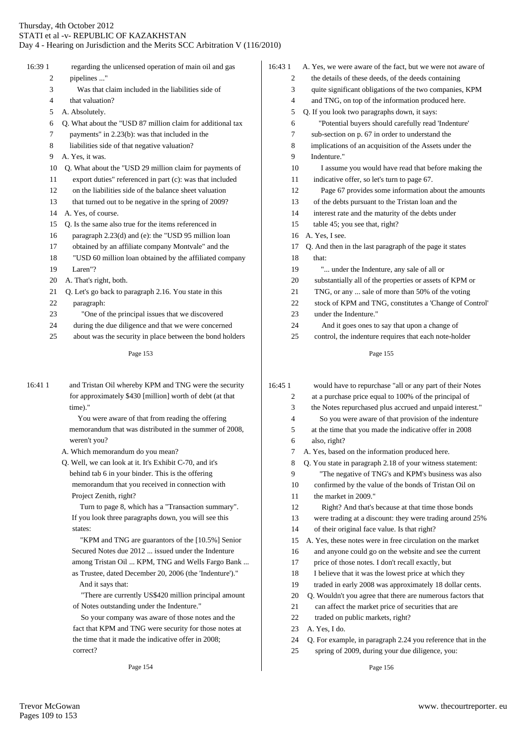| 16:39 1 | regarding the unlicensed operation of main oil and gas     | 16:43 1        | A. Yes, we were aware of the fact, but we were not aware of |
|---------|------------------------------------------------------------|----------------|-------------------------------------------------------------|
| 2       | pipelines "                                                | 2              | the details of these deeds, of the deeds containing         |
| 3       | Was that claim included in the liabilities side of         | 3              | quite significant obligations of the two companies, KPM     |
| 4       | that valuation?                                            | $\overline{4}$ | and TNG, on top of the information produced here.           |
| 5       | A. Absolutely.                                             | 5              | Q. If you look two paragraphs down, it says:                |
| 6       | Q. What about the "USD 87 million claim for additional tax | 6              | "Potential buyers should carefully read 'Indenture'         |
| 7       | payments" in 2.23(b): was that included in the             | 7              | sub-section on p. 67 in order to understand the             |
| 8       | liabilities side of that negative valuation?               | 8              | implications of an acquisition of the Assets under the      |
| 9       | A. Yes, it was.                                            | 9              | Indenture."                                                 |
| 10      | Q. What about the "USD 29 million claim for payments of    | 10             | I assume you would have read that before making the         |
| 11      | export duties" referenced in part (c): was that included   | 11             | indicative offer, so let's turn to page 67.                 |
| 12      | on the liabilities side of the balance sheet valuation     | 12             | Page 67 provides some information about the amounts         |
| 13      | that turned out to be negative in the spring of 2009?      | 13             | of the debts pursuant to the Tristan loan and the           |
| 14      | A. Yes, of course.                                         | 14             | interest rate and the maturity of the debts under           |
| 15      | Q. Is the same also true for the items referenced in       | 15             | table 45; you see that, right?                              |
| 16      | paragraph 2.23(d) and (e): the "USD 95 million loan        | 16             | A. Yes, I see.                                              |
| 17      | obtained by an affiliate company Montvale" and the         | 17             | Q. And then in the last paragraph of the page it states     |
| 18      | "USD 60 million loan obtained by the affiliated company    | 18             | that:                                                       |
| 19      | Laren"?                                                    | 19             | " under the Indenture, any sale of all or                   |
| 20      | A. That's right, both.                                     | 20             | substantially all of the properties or assets of KPM or     |
| 21      | Q. Let's go back to paragraph 2.16. You state in this      | 21             | TNG, or any  sale of more than 50% of the voting            |
| 22      | paragraph:                                                 | 22             | stock of KPM and TNG, constitutes a 'Change of Contro       |
| 23      | "One of the principal issues that we discovered            | 23             | under the Indenture."                                       |
| 24      | during the due diligence and that we were concerned        | 24             | And it goes ones to say that upon a change of               |
| 25      | about was the security in place between the bond holders   | 25             | control, the indenture requires that each note-holder       |

about was the security in place between the bond holders

## Page 153

16:41 1 and Tristan Oil whereby KPM and TNG were the security for approximately \$430 [million] worth of debt (at that time).'

> You were aware of that from reading the offering memorandum that was distributed in the summer of 2008, weren't you?

- A. Which memorandum do you mean?
- Q. Well, we can look at it. It's Exhibit C-70, and it's behind tab 6 in your binder. This is the offering memorandum that you received in connection with Project Zenith, right?

Turn to page 8, which has a "Transaction summary". If you look three paragraphs down, you will see this states:

"KPM and TNG are guarantors of the [10.5%] Senior Secured Notes due 2012 ... issued under the Indenture among Tristan Oil ... KPM, TNG and Wells Fargo Bank ... as Trustee, dated December 20, 2006 (the 'Indenture')." And it says that:

"There are currently US\$420 million principal amount of Notes outstanding under the Indenture."

So your company was aware of those notes and the fact that KPM and TNG were security for those notes at the time that it made the indicative offer in 2008; correct?

Page 154

 also, right? A. Yes, based on the information produced here.

Q. You state in paragraph 2.18 of your witness statement:

Page 155

16:45 1 would have to repurchase "all or any part of their Notes at a purchase price equal to 100% of the principal of the Notes repurchased plus accrued and unpaid interest." So you were aware of that provision of the indenture at the time that you made the indicative offer in 2008

- "The negative of TNG's and KPM's business was also
- confirmed by the value of the bonds of Tristan Oil on
- 11 the market in 2009."
- Right? And that's because at that time those bonds
- were trading at a discount: they were trading around 25%
- of their original face value. Is that right?
- A. Yes, these notes were in free circulation on the market
- and anyone could go on the website and see the current
- price of those notes. I don't recall exactly, but
- I believe that it was the lowest price at which they
- traded in early 2008 was approximately 18 dollar cents.
- Q. Wouldn't you agree that there are numerous factors that
- can affect the market price of securities that are
- traded on public markets, right?
- A. Yes, I do.
- Q. For example, in paragraph 2.24 you reference that in the
- spring of 2009, during your due diligence, you:

Page 156

Control'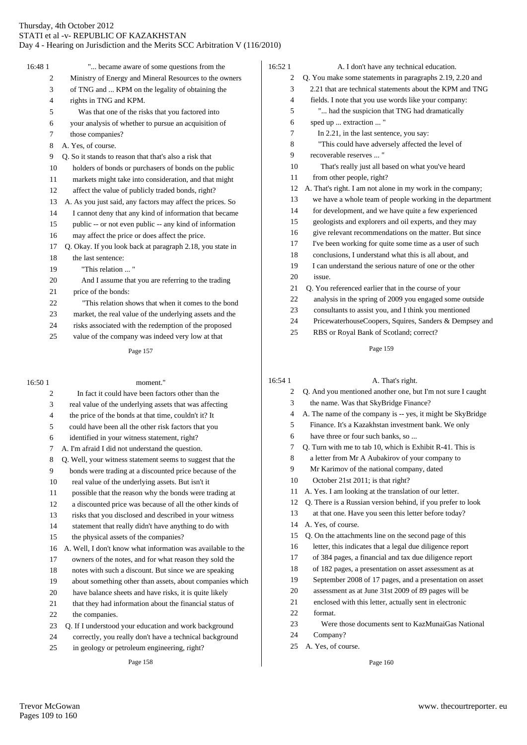|         |    | $\alpha$ and $\alpha$ is a subsequently the metric because the metric $\alpha$ |
|---------|----|--------------------------------------------------------------------------------|
| 16:48 1 |    | " became aware of some questions from the                                      |
|         | 2  | Ministry of Energy and Mineral Resources to the owners                         |
|         | 3  | of TNG and  KPM on the legality of obtaining the                               |
|         | 4  | rights in TNG and KPM.                                                         |
|         | 5  | Was that one of the risks that you factored into                               |
|         | 6  | your analysis of whether to pursue an acquisition of                           |
|         | 7  | those companies?                                                               |
|         | 8  | A. Yes, of course.                                                             |
|         | 9  | Q. So it stands to reason that that's also a risk that                         |
|         | 10 | holders of bonds or purchasers of bonds on the public                          |
|         | 11 | markets might take into consideration, and that might                          |
|         | 12 | affect the value of publicly traded bonds, right?                              |
|         | 13 | A. As you just said, any factors may affect the prices. So                     |
|         | 14 | I cannot deny that any kind of information that became                         |
|         | 15 | public -- or not even public -- any kind of information                        |
|         | 16 | may affect the price or does affect the price.                                 |
|         | 17 | Q. Okay. If you look back at paragraph 2.18, you state in                      |
|         | 18 | the last sentence:                                                             |
|         | 19 | "This relation  "                                                              |
|         | 20 | And I assume that you are referring to the trading                             |
|         | 21 | price of the bonds:                                                            |
|         | 22 | "This relation shows that when it comes to the bond                            |
|         | 23 | market, the real value of the underlying assets and the                        |
|         | 24 | risks associated with the redemption of the proposed                           |

value of the company was indeed very low at that

#### Page 157

#### 16:50 1 moment."

- In fact it could have been factors other than the
- real value of the underlying assets that was affecting
- the price of the bonds at that time, couldn't it? It
- could have been all the other risk factors that you
- identified in your witness statement, right?
- A. I'm afraid I did not understand the question.
- Q. Well, your witness statement seems to suggest that the
- bonds were trading at a discounted price because of the
- real value of the underlying assets. But isn't it
- possible that the reason why the bonds were trading at
- a discounted price was because of all the other kinds of
- risks that you disclosed and described in your witness
- statement that really didn't have anything to do with
- the physical assets of the companies?
- A. Well, I don't know what information was available to the
- owners of the notes, and for what reason they sold the
- notes with such a discount. But since we are speaking
- about something other than assets, about companies which
- have balance sheets and have risks, it is quite likely
- that they had information about the financial status of
- the companies.
- Q. If I understood your education and work background
- correctly, you really don't have a technical background
- in geology or petroleum engineering, right?

Page 158

- 16:52 1 A. I don't have any technical education.
	- Q. You make some statements in paragraphs 2.19, 2.20 and
	- 2.21 that are technical statements about the KPM and TNG
	- fields. I note that you use words like your company:
	- "... had the suspicion that TNG had dramatically
	- sped up ... extraction ... "
	- 7 In 2.21, in the last sentence, you say:
	- "This could have adversely affected the level of
	- recoverable reserves ... "
	- That's really just all based on what you've heard
	- from other people, right?
	- A. That's right. I am not alone in my work in the company;
	- we have a whole team of people working in the department
	- for development, and we have quite a few experienced
	- geologists and explorers and oil experts, and they may
	- 16 give relevant recommendations on the matter. But since
	- I've been working for quite some time as a user of such
	- conclusions, I understand what this is all about, and
	- I can understand the serious nature of one or the other
	- issue.
	- Q. You referenced earlier that in the course of your
	- analysis in the spring of 2009 you engaged some outside
	- consultants to assist you, and I think you mentioned
	- PricewaterhouseCoopers, Squires, Sanders & Dempsey and
	- RBS or Royal Bank of Scotland; correct?

#### Page 159

#### 16:54 1 **A. That's right.**

- Q. And you mentioned another one, but I'm not sure I caught
- the name. Was that SkyBridge Finance?
- A. The name of the company is -- yes, it might be SkyBridge
- Finance. It's a Kazakhstan investment bank. We only
- have three or four such banks, so ...
- Q. Turn with me to tab 10, which is Exhibit R-41. This is
- a letter from Mr A Aubakirov of your company to
- Mr Karimov of the national company, dated
- October 21st 2011; is that right?
- A. Yes. I am looking at the translation of our letter.
- Q. There is a Russian version behind, if you prefer to look
- at that one. Have you seen this letter before today?
- A. Yes, of course.
- Q. On the attachments line on the second page of this
- letter, this indicates that a legal due diligence report
- of 384 pages, a financial and tax due diligence report
- of 182 pages, a presentation on asset assessment as at
- September 2008 of 17 pages, and a presentation on asset
- assessment as at June 31st 2009 of 89 pages will be
- enclosed with this letter, actually sent in electronic
- format.
- Were those documents sent to KazMunaiGas National
- Company?
- A. Yes, of course.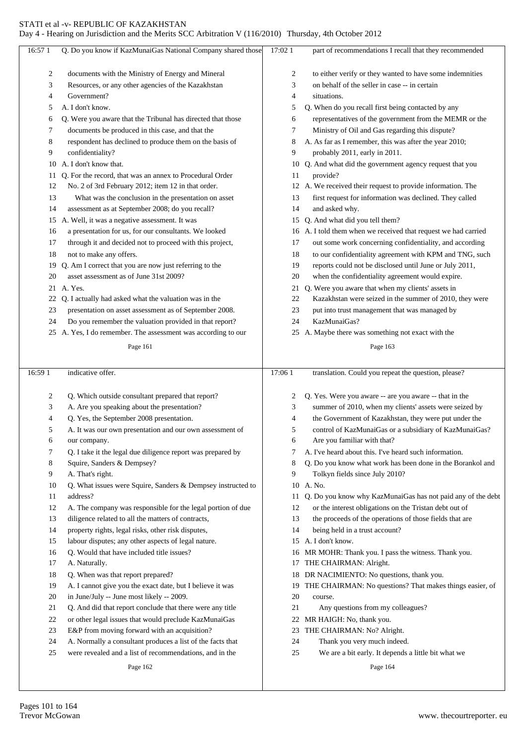| 16:57 1 | Q. Do you know if KazMunaiGas National Company shared those                                      | 17:02 1 | part of recommendations I recall that they recommended                                                           |
|---------|--------------------------------------------------------------------------------------------------|---------|------------------------------------------------------------------------------------------------------------------|
| 2       | documents with the Ministry of Energy and Mineral                                                | 2       | to either verify or they wanted to have some indemnities                                                         |
| 3       | Resources, or any other agencies of the Kazakhstan                                               | 3       | on behalf of the seller in case -- in certain                                                                    |
| 4       | Government?                                                                                      | 4       | situations.                                                                                                      |
| 5       | A. I don't know.                                                                                 | 5       | Q. When do you recall first being contacted by any                                                               |
| 6       | Q. Were you aware that the Tribunal has directed that those                                      | 6       | representatives of the government from the MEMR or the                                                           |
| 7       | documents be produced in this case, and that the                                                 | 7       | Ministry of Oil and Gas regarding this dispute?                                                                  |
| 8       | respondent has declined to produce them on the basis of                                          | 8       | A. As far as I remember, this was after the year 2010;                                                           |
| 9       | confidentiality?                                                                                 | 9       | probably 2011, early in 2011.                                                                                    |
| 10      | A. I don't know that.                                                                            | 10      | Q. And what did the government agency request that you                                                           |
| 11      | Q. For the record, that was an annex to Procedural Order                                         | 11      | provide?                                                                                                         |
| 12      | No. 2 of 3rd February 2012; item 12 in that order.                                               |         | 12 A. We received their request to provide information. The                                                      |
| 13      | What was the conclusion in the presentation on asset                                             | 13      | first request for information was declined. They called                                                          |
| 14      | assessment as at September 2008; do you recall?                                                  | 14      | and asked why.                                                                                                   |
| 15      | A. Well, it was a negative assessment. It was                                                    | 15      | Q. And what did you tell them?                                                                                   |
| 16      | a presentation for us, for our consultants. We looked                                            |         | 16 A. I told them when we received that request we had carried                                                   |
| 17      | through it and decided not to proceed with this project,                                         | 17      | out some work concerning confidentiality, and according                                                          |
| 18      | not to make any offers.                                                                          | 18      | to our confidentiality agreement with KPM and TNG, such                                                          |
| 19      | Q. Am I correct that you are now just referring to the                                           | 19      | reports could not be disclosed until June or July 2011,                                                          |
| 20      | asset assessment as of June 31st 2009?                                                           | 20      | when the confidentiality agreement would expire.                                                                 |
| 21      | A. Yes.                                                                                          | 21      | Q. Were you aware that when my clients' assets in                                                                |
| 22      | Q. I actually had asked what the valuation was in the                                            | 22      | Kazakhstan were seized in the summer of 2010, they were                                                          |
| 23      | presentation on asset assessment as of September 2008.                                           | 23      | put into trust management that was managed by                                                                    |
| 24      | Do you remember the valuation provided in that report?                                           | 24      | KazMunaiGas?                                                                                                     |
|         | 25 A. Yes, I do remember. The assessment was according to our                                    |         | 25 A. Maybe there was something not exact with the                                                               |
|         | Page 161                                                                                         |         | Page 163                                                                                                         |
|         |                                                                                                  |         |                                                                                                                  |
|         |                                                                                                  |         |                                                                                                                  |
| 16:59 1 | indicative offer.                                                                                | 17:06 1 | translation. Could you repeat the question, please?                                                              |
| 2       |                                                                                                  | 2       |                                                                                                                  |
| 3       | Q. Which outside consultant prepared that report?<br>A. Are you speaking about the presentation? | 3       | Q. Yes. Were you aware -- are you aware -- that in the<br>summer of 2010, when my clients' assets were seized by |
| 4       | Q. Yes, the September 2008 presentation.                                                         | 4       | the Government of Kazakhstan, they were put under the                                                            |
| 5       | A. It was our own presentation and our own assessment of                                         | 5       | control of KazMunaiGas or a subsidiary of KazMunaiGas?                                                           |
| 6       | our company.                                                                                     | 6       | Are you familiar with that?                                                                                      |
| 7       | Q. I take it the legal due diligence report was prepared by                                      | 7       | A. I've heard about this. I've heard such information.                                                           |
| 8       | Squire, Sanders & Dempsey?                                                                       | 8       | Q. Do you know what work has been done in the Borankol and                                                       |
| 9       | A. That's right.                                                                                 | 9       | Tolkyn fields since July 2010?                                                                                   |
| 10      | Q. What issues were Squire, Sanders $&$ Dempsey instructed to                                    | 10      | A. No.                                                                                                           |
| 11      | address?                                                                                         | 11      | Q. Do you know why KazMunaiGas has not paid any of the debt                                                      |
| 12      | A. The company was responsible for the legal portion of due                                      | 12      | or the interest obligations on the Tristan debt out of                                                           |
| 13      | diligence related to all the matters of contracts,                                               | 13      | the proceeds of the operations of those fields that are                                                          |
| 14      | property rights, legal risks, other risk disputes,                                               | 14      | being held in a trust account?                                                                                   |
| 15      | labour disputes; any other aspects of legal nature.                                              | 15      | A. I don't know.                                                                                                 |
| 16      | Q. Would that have included title issues?                                                        | 16      | MR MOHR: Thank you. I pass the witness. Thank you.                                                               |
| 17      | A. Naturally.                                                                                    | 17      | THE CHAIRMAN: Alright.                                                                                           |
| 18      | Q. When was that report prepared?                                                                | 18      | DR NACIMIENTO: No questions, thank you.                                                                          |
| 19      | A. I cannot give you the exact date, but I believe it was                                        | 19      | THE CHAIRMAN: No questions? That makes things easier, of                                                         |
| 20      | in June/July -- June most likely -- 2009.                                                        | 20      | course.                                                                                                          |
| 21      | Q. And did that report conclude that there were any title                                        | 21      | Any questions from my colleagues?                                                                                |
| 22      | or other legal issues that would preclude KazMunaiGas                                            |         | 22 MR HAIGH: No, thank you.                                                                                      |
| 23      | E&P from moving forward with an acquisition?                                                     | 23      | THE CHAIRMAN: No? Alright.                                                                                       |
| 24      | A. Normally a consultant produces a list of the facts that                                       | 24      | Thank you very much indeed.                                                                                      |
| 25      | were revealed and a list of recommendations, and in the                                          | 25      | We are a bit early. It depends a little bit what we                                                              |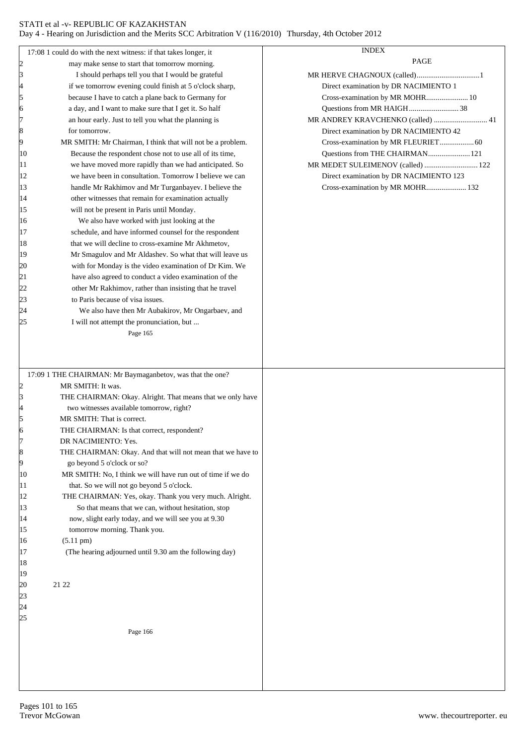|    | 17:08 1 could do with the next witness: if that takes longer, it | <b>INDEX</b>                            |
|----|------------------------------------------------------------------|-----------------------------------------|
| 2  | may make sense to start that tomorrow morning.                   | PAGE                                    |
| β  | I should perhaps tell you that I would be grateful               |                                         |
| 4  | if we tomorrow evening could finish at 5 o'clock sharp,          | Direct examination by DR NACIMIENTO 1   |
| 5  | because I have to catch a plane back to Germany for              | Cross-examination by MR MOHR 10         |
| 6  | a day, and I want to make sure that I get it. So half            |                                         |
| 7  | an hour early. Just to tell you what the planning is             | MR ANDREY KRAVCHENKO (called)  41       |
| 8  | for tomorrow.                                                    | Direct examination by DR NACIMIENTO 42  |
|    | MR SMITH: Mr Chairman, I think that will not be a problem.       |                                         |
| 10 | Because the respondent chose not to use all of its time,         | Questions from THE CHAIRMAN 121         |
| 11 | we have moved more rapidly than we had anticipated. So           | MR MEDET SULEIMENOV (called)  122       |
|    | we have been in consultation. Tomorrow I believe we can          |                                         |
| 12 |                                                                  | Direct examination by DR NACIMIENTO 123 |
| 13 | handle Mr Rakhimov and Mr Turganbayev. I believe the             | Cross-examination by MR MOHR 132        |
| 14 | other witnesses that remain for examination actually             |                                         |
| 15 | will not be present in Paris until Monday.                       |                                         |
| 16 | We also have worked with just looking at the                     |                                         |
| 17 | schedule, and have informed counsel for the respondent           |                                         |
| 18 | that we will decline to cross-examine Mr Akhmetov,               |                                         |
| 19 | Mr Smagulov and Mr Aldashev. So what that will leave us          |                                         |
| 20 | with for Monday is the video examination of Dr Kim. We           |                                         |
| 21 | have also agreed to conduct a video examination of the           |                                         |
| 22 | other Mr Rakhimov, rather than insisting that he travel          |                                         |
| 23 | to Paris because of visa issues.                                 |                                         |
| 24 | We also have then Mr Aubakirov, Mr Ongarbaev, and                |                                         |
| 25 | I will not attempt the pronunciation, but                        |                                         |
|    | Page 165                                                         |                                         |
|    |                                                                  |                                         |
|    |                                                                  |                                         |
|    |                                                                  |                                         |
|    | 17:09 1 THE CHAIRMAN: Mr Baymaganbetov, was that the one?        |                                         |
| 2  | MR SMITH: It was.                                                |                                         |
| 3  | THE CHAIRMAN: Okay. Alright. That means that we only have        |                                         |
|    | two witnesses available tomorrow, right?                         |                                         |
| 5  | MR SMITH: That is correct.                                       |                                         |
| 6  | THE CHAIRMAN: Is that correct, respondent?                       |                                         |
| 17 | DR NACIMIENTO: Yes.                                              |                                         |
| 8  | THE CHAIRMAN: Okay. And that will not mean that we have to       |                                         |
| 9  | go beyond 5 o'clock or so?                                       |                                         |
| 10 | MR SMITH: No, I think we will have run out of time if we do      |                                         |
| 11 | that. So we will not go beyond 5 o'clock.                        |                                         |
| 12 | THE CHAIRMAN: Yes, okay. Thank you very much. Alright.           |                                         |
| 13 | So that means that we can, without hesitation, stop              |                                         |
| 14 | now, slight early today, and we will see you at 9.30             |                                         |
| 15 | tomorrow morning. Thank you.                                     |                                         |
| 16 | $(5.11 \text{ pm})$                                              |                                         |
| 17 | (The hearing adjourned until 9.30 am the following day)          |                                         |
| 18 |                                                                  |                                         |
| 19 |                                                                  |                                         |
| 20 | 21 22                                                            |                                         |
| 23 |                                                                  |                                         |
| 24 |                                                                  |                                         |
| 25 |                                                                  |                                         |
|    |                                                                  |                                         |
|    | Page 166                                                         |                                         |
|    |                                                                  |                                         |
|    |                                                                  |                                         |
|    |                                                                  |                                         |
|    |                                                                  |                                         |
|    |                                                                  |                                         |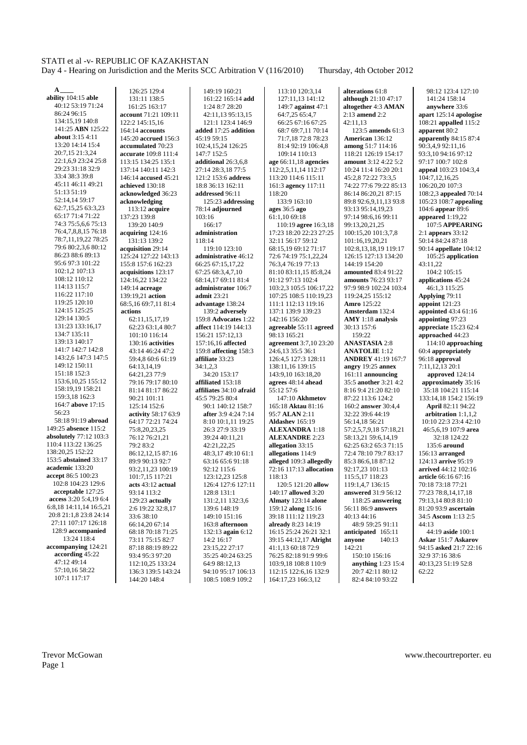**A \_\_\_\_ ability** 104:15 **able** 40:12 53:19 71:24 86:24 96:15 134:15,19 140:8 141:25 **ABN** 125:22 **about** 3:15 4:11 13:20 14:14 15:4 20:7,15 21:3,24 22:1,6,9 23:24 25:8 29:23 31:18 32:9 33:4 38:3 39:8 45:11 46:11 49:21 51:13 51:19 52:14,14 59:17 62:7,15,25 63:3,23 65:17 71:4 71:22 74:3 75:5,6,6 75:13 76:4,7,8,8,15 76:18 78:7,11,19,22 78:25 79:6 80:2,3,6 80:12 86:23 88:6 89:13 95:6 97:3 101:22 102:1,2 107:13 108:12 110:12 114:13 115:7 116:22 117:10 119:25 120:10 124:15 125:25 129:14 130:5 131:23 133:16,17 134:7 135:11 139:13 140:17 141:7 142:7 142:8 143:2,6 147:3 147:5 149:12 150:11 151:18 152:3 153:6,10,25 155:12 158:19,19 158:21 159:3,18 162:3 164:7 **above** 17:15 56:23 58:18 91:19 **abroad** 149:25 **absence** 115:2 **absolutely** 77:12 103:3 110:4 113:22 136:25 138:20,25 152:22 153:5 **abstained** 33:17 **academic** 133:20 **accept** 86:5 100:23 102:8 104:23 129:6 **acceptable** 127:25 **access** 3:20 5:4,19 6:4 6:8,18 14:11,14 16:5,21 20:8 21:1,8 23:8 24:14 27:11 107:17 126:18 128:9 **accompanied** 13:24 118:4 **accompanying** 124:21 **according** 45:22 47:12 49:14 57:10,16 58:22 107:1 117:17

126:25 129:4 131:11 138:5 161:25 163:17 **account** 71:21 109:11 122:2 145:15,16 164:14 **accounts** 145:20 **accrued** 156:3 **accumulated** 70:23 **accurate** 109:8 111:4 113:15 134:25 135:1 137:14 140:11 142:3 146:14 **accused** 45:21 **achieved** 130:18 **acknowledged** 36:23 **acknowledging** 113:12 **acquire** 137:23 139:8 139:20 140:9 **acquiring** 124:16 131:13 139:2 **acquisition** 29:14 125:24 127:22 143:13 155:8 157:6 162:23 **acquisitions** 123:17 124:16,22 134:22 149:14 **acreage** 139:19,21 **action** 68:5,16 69:7,11 81:4 **actions** 62:11,15,17,19 62:23 63:1,4 80:7 101:10 116:14 130:16 **activities** 43:14 46:24 47:2 59:4,8 60:6 61:19 64:13,14,19 64:21,23 77:9 79:16 79:17 80:10 81:14 81:17 86:22 90:21 101:11 125:14 152:6 **activity** 58:17 63:9 64:17 72:21 74:24 75:8,20,23,25 76:12 76:21,21 79:2 83:2 86:12,12,15 87:16 89:9 90:13 92:7 93:2,11,23 100:19 101:7,15 117:21 **acts** 43:12 **actual** 93:14 113:2 129:23 **actually** 2:6 19:22 32:8,17 33:6 38:10 66:14,20 67:14 68:18 70:18 71:25 73:11 75:15 82:7 87:18 88:19 89:22 93:4 95:3 97:20 112:10,25 133:24 136:3 139:5 143:24 144:20 148:4

149:19 160:21 161:22 165:14 **add** 1:24 8:7 28:20 42:11,13 95:13,15 121:1 123:4 146:9 **added** 17:25 **addition** 45:19 59:15 102:4,15,24 126:25 147:7 152:5 **additional** 26:3,6,8 27:14 28:3,18 77:5 121:2 153:6 **address** 18:8 36:13 162:11 **addressed** 96:11 125:23 **addressing** 78:14 **adjourned** 103:16 166:17 **administration** 118:14 119:10 123:10 **administrative** 46:12 66:25 67:15,17,22 67:25 68:3,4,7,10 68:14,17 69:11 81:4 **administrator** 106:7 **admit** 23:21 **advantage** 138:24 139:2 **adversely** 159:8 **Advocates** 1:22 **affect** 114:19 144:13 156:21 157:12,13 157:16,16 **affected** 159:8 **affecting** 158:3 **affiliate** 33:23  $34.123$ 34:20 153:17 **affiliated** 153:18 **affiliates** 34:10 **afraid** 45:5 79:25 80:4 90:1 140:12 158:7 **after** 3:9 4:24 7:14 8:10 10:1,11 19:25 26:3 27:9 33:19 39:24 40:11,21 42:21,22,25 48:3,17 49:10 61:1 63:16 65:6 91:18 92:12 115:6 123:12,23 125:8 126:4 127:6 127:11 128:8 131:1  $131.211132.36$ 139:6 148:19 149:10 151:16 163:8 **afternoon** 132:13 **again** 6:12  $14.2 16.17$ 23:15,22 27:17 35:25 40:24 63:25 64:9 88:12,13 94:10 95:17 106:13 108:5 108:9 109:2

113:10 120:3,14 127:11,13 141:12 149:7 **against** 47:1 64:7,25 65:4,7 66:25 67:16 67:25 68:7 69:7,11 70:14 71:7,18 72:8 78:23 81:4 92:19 106:4,8 109:14 110:13 **age** 66:11,18 **agencies** 112:2,5,11,14 112:17 113:20 114:6 115:11 161:3 **agency** 117:11 118:20 133:9 163:10 **ages** 36:5 **ago**  $61 \cdot 1, 1069 \cdot 18$ 110:19 **agree** 16:3,18 17:23 18:20 22:23 27:25 32:11 56:17 59:12 68:15,19 69:12 71:17 72:6 74:19 75:1,22,24 76:3,4 76:19 77:13 81:10 83:11,15 85:8,24 91:12 97:13 102:4 103:2,3 105:5 106:17,22 107:25 108:5 110:19,23 111:1 112:13 119:16 137:1 139:9 139:23 142:16 156:20 **agreeable** 55:11 **agreed** 98:13 165:21 **agreement** 3:7,10 23:20 24:6,13 35:5 36:1 126:4,5 127:3 128:11 138:11,16 139:15 143:9,10 163:18,20 **agrees** 48:14 **ahead** 55:12 57:6 147:10 **Akhmetov** 165:18 **Aktau** 81:16 95:7 **ALAN** 2:11 **Aldashev** 165:19 **ALEXANDRA** 1:18 **ALEXANDRE** 2:23 **allegation** 33:15 **allegations** 114:9 **alleged** 109:3 **allegedly** 72:16 117:13 **allocation** 118:13 120:5 121:20 **allow** 140:17 **allowed** 3:20 **Almaty** 123:14 **alone** 159:12 **along** 15:16 39:18 111:12 119:23 **already** 8:23 14:19 16:15 25:24 26:21 32:1 39:15 44:12,17 **Alright** 41:1,13 60:18 72:9 76:25 82:18 91:9 99:6 103:9,18 108:8 110:9 112:15 122:6,16 132:9 164:17,23 166:3,12

**alterations** 61:8 **although** 21:10 47:17 **altogether** 4:3 **AMAN** 2:13 **amend** 2:2 42:11,13 123:5 **amends** 61:3 **American** 136:12 **among** 51:7 114:16 118:21 126:19 154:17 **amount** 3:12 4:22 5:2 10:24 11:4 16:20 20:1  $45.2872.227335$ 74:22 77:6 79:22 85:13 86:14 86:20,21 87:15 89:8 92:6,9,11,13 93:8 93:13 95:14,19,23 97:14 98:6,16 99:11 99:13,20,21,25  $100.15,20,101.3,7,8$ 101:16,19,20,21 102:8,13,18,19 119:17 126:15 127:13 134:20 144:19 154:20 **amounted** 83:4 91:22 **amounts** 76:23 93:17 97:9 98:9 102:24 103:4 119:24,25 155:12 **Amro** 125:22 **Amsterdam** 132:4 **AMY** 1:18 **analysis** 30:13 157:6 159:22 **ANASTASIA** 2:8 **ANATOLIE** 1:12 **ANDREY** 41:19 167:7 **angry** 19:25 **annex** 161:11 **announcing** 35:5 **another** 3:21 4:2 8:16 9:4 21:20 82:10 87:22 113:6 124:2 160:2 **answer** 30:4,4 32:22 39:6 44:19 56:14,18 56:21 57:2,5,7,9,18 57:18,21 58:13,21 59:6,14,19 62:25 63:2 65:3 71:15 72:4 78:10 79:7 83:17 85:3 86:6,18 87:12 92:17,23 101:13 115:5,17 118:23 119:1,4,7 136:15 **answered** 31:9 56:12 118:25 **answering** 56:11 86:9 **answers** 40:13 44:16 48:9 59:25 91:11 **anticipated**  $165:11$ <br>**anyone**  $140:13$ anyone  $142.21$ 150:10 156:16 **anything** 1:23 15:4 20:7 42:11 80:12 82:4 84:10 93:22

98:12 123:4 127:10 141:24 158:14 **anywhere** 33:6 **apart** 125:14 **apologise** 108:21 **appalled** 115:2 **apparent** 80:2 **apparently** 84:15 87:4 90:3,4,9 92:11,16 93:3,10 94:16 97:12 97:17 100:7 102:8 **appeal** 103:23 104:3,4  $104.7, 12, 16, 25$ 106:20,20 107:3 108:2,3 **appealed** 70:14 105:23 108:7 **appealing** 104:6 **appear** 89:6 **appeared** 1:19,22 107:5 **APPEARING** 2:1 **appears** 33:12 50:14 84:24 87:18 90:14 **appellate** 104:12 105:25 **application**  $43:11,22$ 104:2 105:15 **applications** 45:24 .<br>46:1,3 115:25 **Applying** 79:11 **appoint** 121:23 **appointed** 43:4 61:16 **appointing** 97:23 **appreciate** 15:23 62:4 **approached** 44:23 114:10 **approaching** 60:4 **appropriately** 96:18 **approval** 7:11,12,13 20:1 **approved** 124:14 **approximately** 35:16 35:18 104:21 115:14 133:14,18 154:2 156:19 **April** 82:11 94:22 **arbitration** 1:1,1,2 10:10 22:3 23:4 42:10 46:5,6,19 107:9 **area** 32:18 124:22 135:6 **around** 156:13 **arranged** 124:13 **arrive** 95:19 **arrived** 44:12 102:16 **article** 66:16 67:16 70:18 73:18 77:21 77:23 78:8,14,17,18 79:13,14 80:8 81:10 81:20 93:9 **ascertain** 34:5 **Ascom** 1:13 2:5 44:13 44:19 **aside** 100:1 **Askar** 151:7 **Askarov** 94:15 **asked** 21:7 22:16

Page 1

Trevor McGowan www.thecourtreporter. eu

32:9 37:16 38:6 40:13,23 51:19 52:8

 $62.22$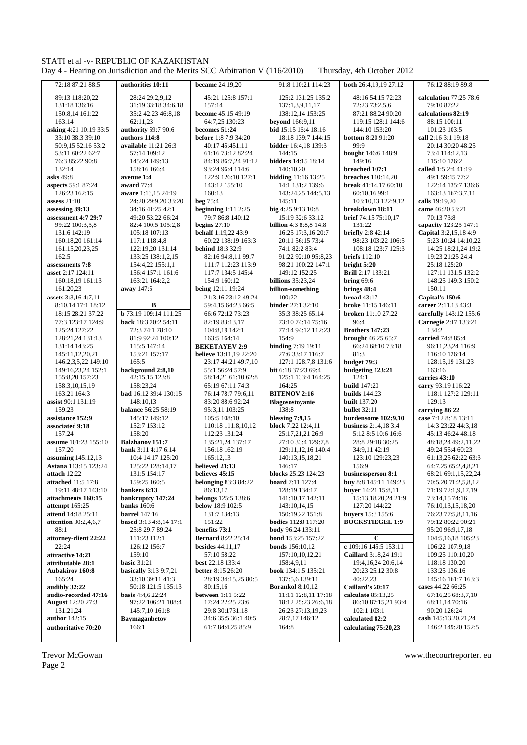| 72:18 87:21 88:5                        | authorities 10:11                         | became 24:19,20                         | 91:8 110:21 114:23                              | both 26:4,19,19 27:12                          | 76:12 88:19 89:8                               |
|-----------------------------------------|-------------------------------------------|-----------------------------------------|-------------------------------------------------|------------------------------------------------|------------------------------------------------|
| 89:13 118:20,22                         | 28:24 29:2,9,12                           | 45:21 125:8 157:1                       | 125:2 131:25 135:2                              | 48:16 54:15 72:23                              | calculation 77:25 78:6                         |
| 131:18 136:16                           | 31:19 33:18 34:6,18                       | 157:14                                  | 137:1,3,9,11,17                                 | 72:23 73:2,5,6                                 | 79:10 87:22                                    |
| 150:8,14 161:22                         | 35:2 42:23 46:8,18                        | become 45:15 49:19                      | 138:12,14 153:25                                | 87:21 88:24 90:20                              | calculations 82:19                             |
| 163:14                                  | 62:11,23                                  | 64:7,25 130:23                          | <b>beyond</b> 166:9,11                          | 119:15 128:1 144:6                             | 88:15 100:11                                   |
| asking 4:21 10:19 33:5                  | authority 59:7 90:6                       | becomes 51:24                           | bid 15:15 16:4 18:16                            | 144:10 153:20                                  | 101:23 103:5                                   |
| 33:10 38:3 39:10                        | authors 114:8                             | <b>before</b> 1:8 7:9 34:20             | 18:18 139:7 144:15                              | <b>bottom 8:20 91:20</b>                       | call 2:16 3:1 19:18                            |
| 50:9,15 52:16 53:2                      | available 11:21 26:3                      | 40:17 45:451:11                         | bidder 16:4,18 139:3                            | 99:9                                           | 20:14 30:20 48:25                              |
| 53:11 60:22 62:7<br>76:3 85:22 90:8     | 57:14 109:12<br>145:24 149:13             | 61:16 73:12 82:24                       | 144:15<br>bidders 14:15 18:14                   | bought 146:6 148:9<br>149:16                   | 73:4 114:12,13<br>115:10 126:2                 |
| 132:14                                  | 158:16 166:4                              | 84:19 86:7,24 91:12<br>93:24 96:4 114:6 | 140:10,20                                       | breached 107:1                                 | called 1:5 2:4 41:19                           |
| asks 49:8                               | avenue 1:4                                | 122:9 126:10 127:1                      | <b>bidding</b> 11:16 13:25                      | <b>breaches</b> 110:14,20                      | 49:1 59:15 77:2                                |
| aspects 59:1 87:24                      | award 77:4                                | 143:12 155:10                           | 14:1 131:2 139:6                                | <b>break</b> 41:14,17 60:10                    | 122:14 135:7 136:6                             |
| 126:23 162:15                           | aware 1:13,15 24:19                       | 160:13                                  | 143:24,25 144:5,13                              | 60:10,16 99:1                                  | 163:13 167:3,7,11                              |
| assess $21:10$                          | 24:20 29:9,20 33:20                       | beg 75:4                                | 145:11                                          | 103:10,13 122:9,12                             | calls 19:19,20                                 |
| assessing 39:13                         | 34:16 41:25 42:1                          | beginning $1:11$ $2:25$                 | big 4:25 9:13 10:8                              | breakdown 18:11                                | came 46:20 53:21                               |
| assessment 4:7 29:7                     | 49:20 53:22 66:24                         | 79:7 86:8 140:12                        | 15:19 32:6 33:12                                | brief 74:15 75:10,17                           | 70:13 73:8                                     |
| 99:22 100:3,5,8                         | 82:4 100:5 105:2,8<br>105:18 107:13       | begins $27:10$<br>behalf 1:19,22 43:9   | <b>billion</b> 4:3 8:8,8 14:8                   | 131:22                                         | capacity 123:25 147:1                          |
| 131:6 142:19<br>160:18,20 161:14        | 117:1 118:4,8                             | 60:22 138:19 163:3                      | 16:25 17:3,16 20:7<br>20:11 56:15 73:4          | <b>briefly</b> 2:8 42:14<br>98:23 103:22 106:5 | Capital 3:2,15,184:9<br>5:23 10:24 14:10,22    |
| 161:15,20,23,25                         | 122:19,20 131:14                          | <b>behind</b> 18:3 32:9                 | 74:1 82:2 83:4                                  | 108:18 123:7 125:3                             | 14:25 18:21,24 19:2                            |
| 162:5                                   | 133:25 138:1,2,15                         | 82:16 94:8,11 99:7                      | 91:22 92:10 95:8,23                             | <b>briefs</b> 112:10                           | 19:23 21:25 24:4                               |
| assessments 7:8                         | 154:4,22 155:1,1                          | 111:7 112:23 113:9                      | 98:21 100:22 147:1                              | bright 5:20                                    | 25:18 125:20                                   |
| asset 2:17 124:11                       | 156:4 157:1 161:6                         | 117:7 134:5 145:4                       | 149:12 152:25                                   | <b>Brill</b> 2:17 133:21                       | 127:11 131:5 132:2                             |
| 160:18,19 161:13                        | 163:21 164:2,2                            | 154:9 160:12                            | <b>billions</b> 35:23,24                        | bring $69:6$                                   | 148:25 149:3 150:2                             |
| 161:20,23                               | away 147:5                                | <b>being</b> 12:11 19:24                | billion-something                               | brings 48:4                                    | 150:11                                         |
| assets 3:3,16 4:7,11                    |                                           | 21:3,16 23:12 49:24                     | 100:22                                          | <b>broad</b> 43:17                             | Capital's 150:6                                |
| 8:10,14 17:1 18:12<br>18:15 28:21 37:22 | B<br><b>b</b> 73:19 109:14 111:25         | 59:4,15 64:23 66:5<br>66:6 72:12 73:23  | <b>binder</b> 27:1 32:10<br>35:3 38:25 65:14    | broke 11:15 146:11<br>broken 11:10 27:22       | career 2:11,13 43:3                            |
| 77:3 123:17 124:9                       | back 18:3 20:2 54:11                      | 82:19 83:13,17                          | 73:10 74:14 75:16                               | 96:4                                           | carefully 143:12 155:6<br>Carnegie 2:17 133:21 |
| 125:24 127:22                           | 72:3 74:1 78:10                           | 104:8,19 142:1                          | 77:14 94:12 112:23                              | <b>Brothers 147:23</b>                         | 134:2                                          |
| 128:21,24 131:13                        | 81:9 92:24 100:12                         | 163:5 164:14                            | 154:9                                           | <b>brought</b> 46:25 65:7                      | carried 74:8 85:4                              |
| 131:14 143:25                           | 115:5 147:14                              | <b>BEKETAYEV 2:9</b>                    | <b>binding</b> 7:19 19:11                       | 66:24 68:10 73:18                              | 96:11,23,24 116:9                              |
| 145:11,12,20,21                         | 153:21 157:17                             | <b>believe</b> 13:11,19 22:20           | 27:6 33:17 116:7                                | 81:3                                           | 116:10 126:14                                  |
| 146:2,3,5,22 149:10                     | 165:5                                     | 23:17 44:21 49:7,10                     | 127:1 128:7,8 131:6                             | budget 79:3                                    | 128:15,19 131:23                               |
| 149:16,23,24 152:1                      | background 2:8,10                         | 55:1 56:24 57:9                         | bit 6:18 37:23 69:4                             | budgeting 123:21                               | 163:16                                         |
| 155:8,20 157:23                         | 42:15,15 123:8<br>158:23,24               | 58:14,21 61:10 62:8                     | 125:1 133:4 164:25<br>164:25                    | 124:1<br><b>build</b> 147:20                   | carries 43:10<br>carry 93:19 116:22            |
| 158:3,10,15,19<br>163:21 164:3          | bad 16:12 39:4 130:15                     | 65:19 67:11 74:3<br>76:14 78:7 79:6,11  | <b>BITENOV 2:16</b>                             | builds $144:23$                                | 118:1 127:2 129:11                             |
| assist 90:1 131:19                      | 148:10,13                                 | 83:20 88:6 92:24                        | Blagosostoyanie                                 | <b>built</b> 137:20                            | 129:13                                         |
| 159:23                                  | <b>balance</b> 56:25 58:19                | 95:3,11 103:25                          | 138:8                                           | <b>bullet</b> 32:11                            | carrying 86:22                                 |
| assistance 152:9                        | 145:17 149:12                             | 105:5 108:10                            | blessing $7:9,15$                               | burdensome 102:9,10                            | case 7:12 8:18 13:11                           |
| associated 9:18                         | 152:7 153:12                              | 110:18 111:8,10,12                      | block 7:22 12:4,11                              | <b>business</b> $2:14,183:4$                   | 14:3 23:22 44:3.18                             |
| 157:24                                  | 158:20                                    | 112:23 131:24                           | 25:17,21,21 26:9                                | 5:12 8:5 10:6 16:6                             | 45:13 46:24 48:18                              |
| assume 101:23 155:10                    | Balzhanov 151:7                           | 135:21,24 137:17                        | 27:10 33:4 129:7,8                              | 28:8 29:18 30:25                               | 48:18,24 49:2,11,22                            |
| 157:20<br>assuming 145:12,13            | bank 3:11 4:17 6:14<br>10:4 14:17 125:20  | 156:18 162:19<br>165:12,13              | 129:11,12,16 140:4<br>140:13,15,18,21           | 34:9,11 42:19<br>123:10 129:23,23              | 49:24 55:4 60:23<br>61:13,25 62:22 63:3        |
| Astana 113:15 123:24                    | 125:22 128:14,17                          | believed 21:13                          | 146:17                                          | 156:9                                          | 64:7,25 65:2,4,8,21                            |
| attach 12:22                            | 131:5 154:17                              | believes 45:15                          | <b>blocks</b> 25:23 124:23                      | businessperson 8:1                             | 68:21 69:1,15,22,24                            |
| attached 11:5 17:8                      | 159:25 160:5                              | belonging $83:384:22$                   | board 7:11 127:4                                | buy 8:8 145:11 149:23                          | 70:5,20 71:2,5,8,12                            |
| 19:11 48:17 143:10                      | bankers 6:13                              | 86:13,17                                | 128:19 134:17                                   | buyer 14:21 15:8,11                            | 71:19 72:1,9,17,19                             |
| attachments 160:15                      | bankruptcy 147:24                         | belongs 125:5 138:6                     | 141:10,17 142:11                                | 15:13,18,20,24 21:9                            | 73:14,15 74:16                                 |
| attempt $165:25$                        | banks $160:6$                             | <b>below</b> 18:9 102:5                 | 143:10,14,15                                    | 127:20 144:22                                  | 76:10,13,15,18,20                              |
| attend 14:18 25:11                      | <b>barrel</b> 147:16                      | 131:7 134:13                            | 150:19,22 151:8                                 | buyers 15:3 155:6                              | 76:23 77:5,8,11,16                             |
| attention $30:2,4,6,7$<br>88:1          | based 3:13 4:8,14 17:1<br>25:8 29:7 89:24 | 151:22<br>benefits 73:1                 | <b>bodies</b> 112:8 117:20<br>body 96:24 133:11 | <b>BOCKSTIEGEL 1:9</b>                         | 79:12 80:22 90:21<br>95:20 96:9,17,18          |
| attorney-client 22:22                   | 111:23 112:1                              | <b>Bernard</b> 8:22 25:14               | <b>bond</b> 153:25 157:22                       | $\mathbf C$                                    | 104:5,16,18 105:23                             |
| 22:24                                   | 126:12 156:7                              | besides 44:11,17                        | <b>bonds</b> 156:10,12                          | c 109:16 145:5 153:11                          | 106:22 107:9,18                                |
| attractive 14:21                        | 159:10                                    | 57:10 58:22                             | 157:10,10,12,21                                 | Caillard 3:18,24 19:1                          | 109:25 110:10,20                               |
| attributable 28:1                       | <b>basic 31:21</b>                        | <b>best</b> 22:18 133:4                 | 158:4,9,11                                      | 19:4, 16, 24 20:6, 14                          | 118:18 130:20                                  |
| <b>Aubakirov 160:8</b>                  | <b>basically</b> 3:13 9:7,21              | <b>better</b> 8:15 26:20                | <b>book</b> 134:1,5 135:21                      | 20:23 25:12 30:8                               | 133:25 136:16                                  |
| 165:24                                  | 33:10 39:11 41:3                          | 28:19 34:15,25 80:5                     | 137:5,6 139:11                                  | 40:22,23                                       | 145:16 161:7 163:3                             |
| audibly 32:22                           | 50:18 121:5 135:13                        | 80:15,16                                | <b>Borankol</b> 8:10,12                         | Caillard's 20:17                               | cases 44:22 66:25                              |
| audio-recorded 47:16                    | <b>basis</b> 4:4,6 22:24                  | <b>between</b> 1:11 5:22                | 11:11 12:8,11 17:18                             | calculate 85:13,25                             | 67:16,25 68:3,7,10                             |
| <b>August</b> 12:20 27:3<br>131:21,24   | 97:22 106:21 108:4<br>145:7,10 161:8      | 17:24 22:25 23:6<br>29:8 30:1731:18     | 18:12 25:23 26:6,18<br>26:23 27:13,19,23        | 86:10 87:15,21 93:4<br>102:1 103:1             | 68:11,14 70:16<br>90:20 126:24                 |
| author 142:15                           | Baymaganbetov                             | 34:6 35:5 36:1 40:5                     | 28:7,17 146:12                                  | calculated 82:2                                | cash 145:13,20,21,24                           |
| authoritative 70:20                     | 166:1                                     | 61:7 84:4,25 85:9                       | 164:8                                           | calculating 75:20,23                           | 146:2 149:20 152:5                             |
|                                         |                                           |                                         |                                                 |                                                |                                                |

Trevor McGowan<br>Page 2

www.thecourtreporter. eu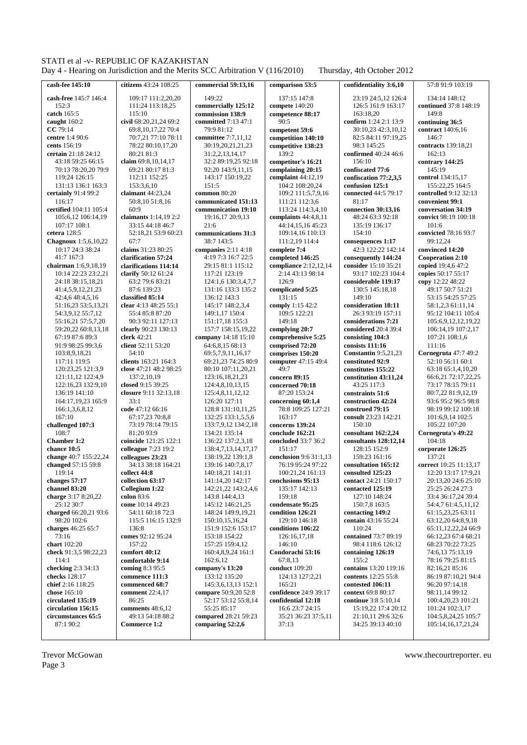**Chagnoux** 1:5,6,10,22 **charge** 3:17 8:20,22

**cash-fee 145:10 citizens** 43:24 108:25 **commercial 59:13,16 comparison 53:5 confidentiality 3:6,10** 57:8 91:9 103:19 119:24 126:15 112:11 152:25 143:17 150:19.22 complaint 44:12.19 **clarify** 50:12 61:24 **closure** 9:11 32:13,18 **cumstances 65:5 compared** 28:21 59:23 35:21 36:23 37:5,11 21:10,11 29:6 32:6 104:5,8,24,25 105:1<br>87:19 87:19 34:25 39:13 40:10 105:14.16.17.21.24 **Commerce 1:2** comparing 52:2,6

**145:3,6,13,13 152:1** 

**cash-free** 145:7 146:4 109:17 111:2,20,20 149:22 137:15 147:8 23:19 24:5,12 126:4 134:14 148:12 **CC** 79:14 69:8,10,17,22 70:4 79:9 81:12 **competent 59:6** 30:10,23 42:3,10,12 **competent 51:6** 30:10,23 42:3,10,12 **contraction 140:10** 82:5 84:11 97:19 25 105:6,12 106:14,19 **claimants** 1:14,19 2:2 19:16,17 20:9,13 **complaints** 44:4,8,11 48:24 63:3 92:18 **convict** 98:19 100:18 51:16,23 53:5,13,21 **clear** 4:13 48:25 55:1 **comply** 1:15 42:2 **consideration 18:11** 54:3,9,12 55:1,12 55:4 85:8 87:20 **149:1,17** 150:4 **consideration 18:11 consideration 18:11** 117:11 119:5 **clients** 163:21 164:3 69:21,23 74:25 80:9 **computer** 47:15 49:4 **constituted 92:9 chance 10:5 colleague** 7:23 19:2 138:4,7,13,14,17,17 151:17 151:17 128:15 152:9 **change** 40:7 155:22.24 **colleagues 23:23** 138:19.22 139:1.8 **conclusion** 9:6 31:1.13 159:23 161:16 **comfort 40:12** 157:25 159:4,12 146:10 98:4 118:6 126:12<br> **comfort 40:12** 160:4 8.9.24 161:1 **Condorachi 53:16** containing 126:19

152:3 111:24 113:18,25 **commercially 125:12 compete** 140:20 126:5 161:9 163:17 **continued** 37:8 148:19 **catch** 165:5 115:10 **commission 138:9 competence 88:17** 163:18,20 149:8 **commission 138:9 committed** 7:13 47:1 90:5 **confirm** 1:24 2:1 13:9 **continuing 36:5 c c c civil** 68:20,21,24 69:2 **committed** 7:13 47:1 **committed** 7:13 47:1 **confirm** 1:24 2:1 13:9 **continuing 36:5 cc** 79:14 **continuing 36:5 cc** 79:14 **continuing 36:5 continuing 36:5 continuing 36:5 co competition 140:10**<br> **commetitive 138:23**<br> **contracts** 139:18.21<br> **contracts** 139:18.21 **cents** 156:19 78:22 80:10,17,20 30:19,20,21,21,23 **competitive 138:23** 98:3 145:25 **contracts** 136:19 **contracts** 139:2 **continued** 40:24 46:6 162:13 **chain** 21:18 24:12 80:21 81:3 80:21 81:3 31:2,2,13,14,17 139:2 **confirmed** 40:24 46:6 162:13<br>43:18 59:25 66:15 **claim** 69:8,10,14,17 32:2 89:19.25 92:18 **competitor's 16:21** 156:10 **aim** 69:8,10,14,17 32:2 89:19,25 92:18 **competitor's 16:21** 156:10<br> **complaining 20:15 confiscated 77:6** 145:19 70:13 78:20,20 79:9 69:21 80:17 81:3 92:20 143:9,11,15 **complaining 20:15 confiscated 77:6** 145:19 131:13 136:1 163:3 155:22,25 164:5 153:3,6,10 151:5 104:2 108:20,24 **confusion 125:1** 155:22,25 164:5 **certainly** 91:4 99:2 **claimant** 44:23,24 **common** 80:20 109:2 111:5,7,9,16 **connected** 44:5 79:17 **controlled** 9:12 32:13<br>11:21 11:21 11:23,6 81:17 **convenient 99:1** 116:17 50:8,10 51:8,16 **communicated 151:13** 111:21 112:3,6 81:17 **convenient 99:1**<br> **communication 19:10** 113:24 114:3.4.10 **connection 30:13.16 conversation 34:19 certified** 104:11 105:4 60:9 **communication 19:10** 113:24 114:3,4,10 **connection 30:13,16 conversation 34:19**<br>105:6.12 106:14.19 **connection 31:14.19** 2:2 19:16,17 20:9.13 **complaints** 44:4,8,11 48:24 63:3 92:18 **convict** 107:17 108:1 33:15 44:18 46:7 21:6 44:14.15.16 45:23 135:19 136:17 101:6 **cetera** 128:5 52:18,21 53:9 60:23 **communications 31:3** 109:14,16 110:13 154:10 **convicted** 78:16 93:7<br> **Chagnoux** 1:5.6,10,22 67:7 13:5 111:2,19 114:4 **consequences 1:17** 99:12,24 10:17 24:3 38:24 **claims** 31:23 80:25 **companies** 2:11 4:18 **complete 7:4** 42:3 122:22 142:14 **convinced 14:20**  41:7 167:3 **clarification 57:24** 4:19 7:3 16:7 22:5 **completed 146:25 consequently 144:24 Cooperation 2:10 chairman** 1:6,9,18,19 **clarifications 114:14 compliance** 2:12,12,14 **consider** 15:10 35:21 **copied** 19:4,6 47:2<br>10:14 **22:23 23:2,21 copies** 50:17 55:17 24:18 38:15,18,21 63:2 79:6 83:21 124:1,6 130:3,4,7,7 126:9 **considerable 119:17 copy** 12:22 48:22 41:4,5,9,12,21,23 87:6 139:23 131:16 133:3 135:2 **complicated 5:25** 130:5 145:18,18 49:17 50:7 51:21 42:4,6 48:4,5,16 **classified 85:14** 136:12 143:3 131:15 149:10 149:10 53:15 54:25 57:25<br>51:16,23 53:5,13,21 **clear** 4:13 48:25 55:1 145:17 148:2,3,4 **comply** 1:15 42:2 **consideration 18:11** 58:1,2,3 61:11,14 55:16,21 57:5,7,20 90:3 92:11 127:13 151:17,18 155:3 149:18 **considerations 7:21** 105:6,9,12,12,19,22 59:20,22 60:8,13,18 **clearly** 90:23 130:13 157:7 158:15,19,22 **complying 20:7 considered** 20:4 39:4 106:14,19 107:2,17 67:19 87:6 89:3 **clerk** 42:21 **company** 14:18 15:10 **comprehensive 5:25 consisting 104:3** 107:21 108:1,6 91:9 98:25 99:3,6 **client** 52:11 53:20 **consists 111:16 comprised 72:20 consists 111:16 consists 111:16 consists 111:16 consists 111:16 consists 111:16 consists 111:16 consists 111:16 consists 111:16 co** 103:10 69:5,7,9,11,16,17 **comprises 150:20 Constantin** 9:5,21,23 **Cornegruta** 47:7 49:2<br> **constantin** 9:5,21,23 **Corregruta** 47:7 49:2<br> **constantin** 9:5,21,23 **Corregruta** 47:7 49:2 120:23,25 121:3,9 **close** 47:21 48:2 98:25 80:10 107:11,20,21 49:7 **constitutes 155:22** 63:18 65:1,4,10,20<br>121:11,12 122:4,9 137:2,10,19 123:16,18,21,23 **concern 89:15 constitution 43:11,24** 66:6,21 72:17,22.25 constitution 43:11,24 122:16,23 132:9,10 **closed** 9:15 39:25 124:4,8,10,13,15 **concerned 70:18** 136:19 141:10 **closure** 9:11 32:13,18 125:4,8,11,12,12 87:20 153:24 **constraints 51:6** 80:7,22 81:9,12,19 164:17,19,23 165:9 33:1 126:20 127:11 **concerning 60:1,4 construction 42:24** 93:6 95:2 96:5 98:8 166:1,3,6,8,12 **code** 47:12 66:16 128:8 131:10,11,25 78:8 109:25 127:21 **construed 79:15** 98:19 99:12 100:18 167:10 67:17,23 70:8,8 132:25 133:1,5,5,6 163:17 **consult** 23:23 142:21 101:6,9,14 102:5 **challenged 107:3** 73:19 78:14 79:15 133:7,9,12 134:2,18 **concerns 139:24** 150:10 105:22 107:20<br>134:21 135:14 **conclude 162:21 conclude 162:21 consultant 162:2.24 concernita's 49:** 108:7 81:20 93:9 134:21 135:14 **conclude 162:21** consultant 162:2,24 **concerta**'s 49:22<br> **Chamber 1:2** concide 121:25 122:1 136:22 137:2.3.18 **concluded** 33:7.36:2 **Chamber 1:2** coincide 121:25 122:1 136:22 137:2,3,18 **concluded** 33:7 36:2 **consultants 128:12,14** 104:18 **concluded** 33:7 36:2 **consultants 128:12,14** 104:18 **concluded** 33:7 36:2 **consultants 128:15** 128:15 152:9 **corpo change** 40:7 155:22,24 **colleagues 23:23** 138:19,22 139:1,8 **conclusion** 9:6 31:1,13 159:23 161:16 137:21<br>**changed** 57:15 59:8 34:13 38:18 164:21 139:16 140:7,8,17 76:19 95:24 97:22 **consultation 165:12 correct** 10 **consultation 165:12 correct** 10:25 11:13,17 **consultation 165:12 consultation 165:12 consultation 165:12 consultation 165:12 consultation 165:12 consultation 165:12 consultation 165:12 consultation 165:12** 119:14 **collect 44:8** 140:18,21 141:11 100:21,24 161:13 **consulted 125:23** 12:20 13:17 17:9,21 **changes 57:17 collection 63:17** 141:14,20 142:17 **conclusions 95:13 contact** 24:21 150:17 20:13,20 24:6 25:10 **channel 83:20 collegium 1:22** 142:21,22 143:2,4,6 135:17 142:13 **contacted 125:19** 25:25 26:24 27:3<br> **colon** 83:6 143:8 144:4,13 159:18 127:10 148:24 33:4 36:17.24 39:4 25:12 30:7 **come** 10:14 49:23 145:12 146:21,25 **condensate 95:25** 150:7,8 163:5 54:4,7 61:4,5,11,12<br> **arged** 66:20.21 93:6 54:11 60:18 72:3 148:24 149:9,19,21 **condition 126:21 contacting 149:2** 61:15.23.25 63:11 **charged** 66:20,21 93:6 54:11 60:18 72:3 148:24 149:9,19,21 **condition 126:21** contacting 149:2 61:15,23,25 63:11<br>98:20 102:6 115:5 116:15 132:9 150:10.15.16.24 129:10 146:18 **contain** 43:16 55:24 63:12.20 64:8.9.18 98:20 102:6 115:5 116:15 132:9 150:10,15,16,24 129:10 146:18 **contain** 43:16 55:24 53:12,20 64:8,9,18 **charges** 46:25 65:7 136:8 153:18 151:9 152:6 153:17 **conditions 106:22** 110:24 65:11,12,22,24 66:9<br>153:18 154:22 126:16,17,18 **contained** 73:7 89:19 66:12,23 67:4 68:21 **comes** 92:12 95:24 153:18 154:22 126:16,17,18 **contained** 73:7 89:19 **contained** 157:22 157:22 157:22 157:22 157:22 157:22 157:22 157:22 157:22 159:4,12 **check** 91:3,5 98:22,23 **comfort 40:12** 160:4,8,9,24 161:1 **Condorachi 53:16 containing 126:19** 74:6,13 75:13,19 **comfortable 9:14** 162:6,12 | 67:8,13 | 155:2 78:16 79:25 81:15 **checking** 2:3 34:13 **coming** 8:3 95:5 **company's 13:20 conduct** 109:20 **contains** 13:20 119:16 82:16,21 85:16 **commence 111:3** 133:12 135:20 124:13 127:2.21 **contents** 12:25 55:8 8 86:19 87:10,21 **checks** 128:17 **commence 111:3 commence 111:3** 133:12 135:20 124:13 127:2,21 **contents** 12:25 55:8 86:19 87:10,21 94:4<br> **commenced 68:7** 145:3.6.13,13 152:1 165:21 **contested 106:11** 96:20 97:14.18 **chose** 165:10 **comment** 22:4,17 **compare** 50:9,20 52:8 **confidence** 24:9 39:17 **context** 69:8 80:17 98:11,14 99:12 **circulated 135:19 circulated 135:19 confidential 12:18 confidential 12:18 continue** 3:8 5:10,14 100:4,20,23 101:21 **circulation 156:15 comments** 48:6.12 55:25 85:17 16:6 23:7 24:15 15:19.22 17:4 20:12 101:24 102 **circulation 156:15** comments 48:6,12 55:25 85:17 16:6 23:7 24:15 15:19,22 17:4 20:12 101:24 102:3,17<br> **circumstances 65:5** 49:13 54:18 88:2 compared 28:21 59:23 35:21 36:23 37:5,11 21:10,11 29:6 32:6 104:5,8,24,25 105:7

95:12 104:11 105:4

Page 3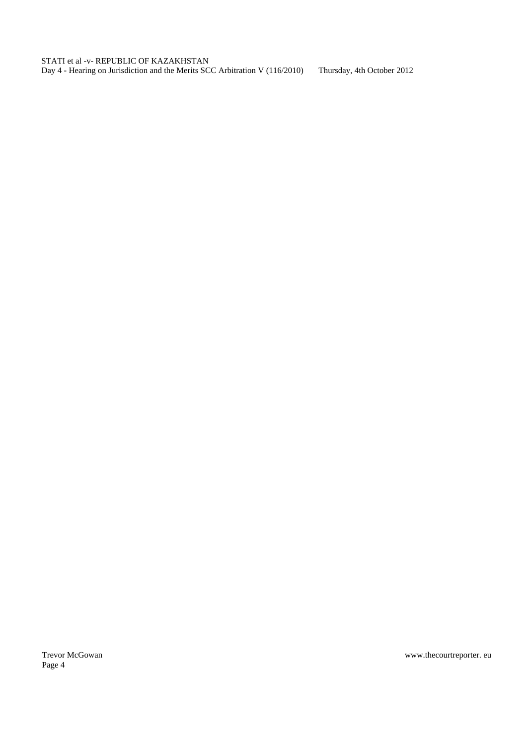Page 4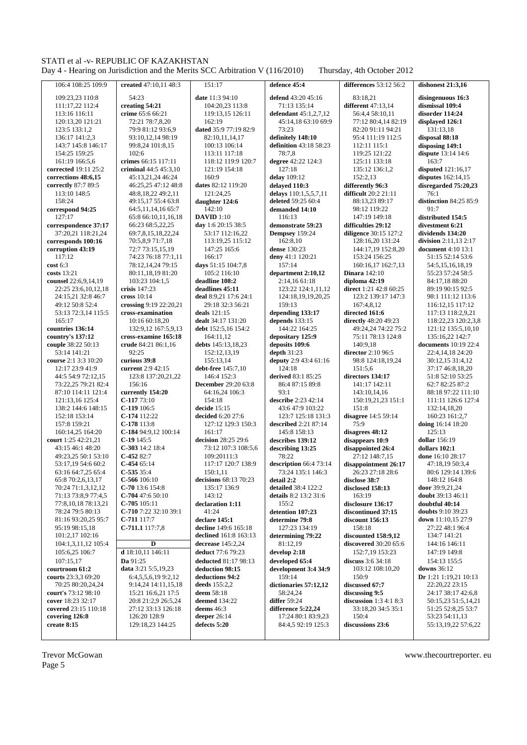| 106:4 108:25 109:9                          | created 47:10,11 48:3                        | 151:17                                | defence 45:4                        | differences 53:12 56:2                | dishonest 21:3,16                            |
|---------------------------------------------|----------------------------------------------|---------------------------------------|-------------------------------------|---------------------------------------|----------------------------------------------|
| 109:23,23 110:8                             | 54:23                                        | date 11:3 94:10                       | defend 43:20 45:16                  | 83:18,21                              | disingenuous 16:3                            |
| 111:17,22 112:4                             | creating 54:21                               | 104:20,23 113:8                       | 71:13 135:14                        | different 47:13,14                    | dismissal 109:4                              |
| 113:16 116:11                               | crime 65:6 66:21                             | 119:13,15 126:11                      | defendant $45:1,2,7,12$             | 56:4,4 58:10,11                       | disorder 114:24                              |
| 120:13,20 121:21                            | 72:21 78:7,8,20                              | 162:19                                | 45:14,18 63:10 69:9                 | 77:12 80:4,14 82:19                   | displayed 126:1                              |
| 123:5 133:1,2                               | 79:9 81:12 93:6,9                            | dated 35:9 77:19 82:9                 | 73:23                               | 82:20 91:11 94:21                     | 131:13,18                                    |
| 136:17 141:2,3                              | 93:10,12,14 98:19                            | 82:10,11,14,17                        | definitely 148:10                   | 95:4 111:19 112:5                     | disposal 88:18                               |
| 143:7 145:8 146:17                          | 99:8,24 101:8,15                             | 100:13 106:14                         | definition 43:18 58:23              | 112:11 115:1                          | disposing 149:1                              |
| 154:25 159:25                               | 102:6                                        | 113:11 117:18                         | 78:7,8                              | 119:25 121:22                         | <b>dispute</b> 13:14 14:6                    |
| 161:19 166:5,6                              | crimes 66:15 117:11<br>criminal 44:5 45:3.10 | 118:12 119:9 120:7                    | degree 42:22 124:3                  | 125:11 133:18                         | 163:7                                        |
| corrected 19:11 25:2<br>corrections 48:6,15 | 45:13,21,24 46:24                            | 121:19 154:18<br>160.9                | 127:18<br>delay 109:12              | 135:12 136:1,2<br>152:2,13            | disputed $121:16,17$<br>disputes $162:14,15$ |
| correctly 87:7 89:5                         | 46:25.25 47:12 48:8                          | dates 82:12 119:20                    | delayed 110:3                       | differently 96:3                      | disregarded 75:20,23                         |
| 113:10 148:5                                | 48:8, 18, 22 49:2, 11                        | 121:24,25                             | delays 110:1,5,5,7,11               | difficult 20:2 21:11                  | 76:1                                         |
| 158:24                                      | 49:15,17 55:4 63:8                           | daughter 124:6                        | deleted 59:25 60:4                  | 88:13,23 89:17                        | distinction 84:25 85:9                       |
| correspond 94:25                            | 64:5, 11, 14, 16 65: 7                       | 142:10                                | demanded 14:10                      | 98:12 119:22                          | 91:7                                         |
| 127:17                                      | 65:8 66:10,11,16,18                          | <b>DAVID</b> 1:10                     | 116:13                              | 147:19 149:18                         | distributed 154:5                            |
| correspondence 37:17                        | 66:23 68:5,22,25                             | day 1:6 20:15 38:5                    | demonstrate 59:23                   | difficulties 29:12                    | divestment 6:21                              |
| 37:20,21 118:21,24                          | 69:7,8,15,18,22,24                           | 53:17 112:16,22                       | Dempsey 159:24                      | diligence 30:15 127:2                 | dividends 134:20                             |
| corresponds 100:16                          | 70:5,8,9 71:7,18                             | 113:19,25 115:12                      | 162:8,10                            | 128:16,20 131:24                      | division $2:11,13$ $2:17$                    |
| corruption 43:19                            | 72:7 73:15,15,19                             | 147:25 165:6                          | dense 130:23                        | 144:17,19 152:8,20                    | <b>document</b> 4:10 13:1                    |
| 117:12                                      | 74:23 76:18 77:1,11                          | 166:17                                | deny 41:1 120:21                    | 153:24 156:25                         | 51:15 52:14 53:6                             |
| cost 6:3                                    | 78:12,14,24 79:15                            | days 51:15 104:7,8                    | 157:14                              | 160:16,17 162:7,13                    | 54:5,15,16,18,19<br>55:23 57:24 58:5         |
| costs $13:21$<br>counsel 22:6,9,14,19       | 80:11,18,19 81:20<br>103:23 104:1,5          | 105:2 116:10<br>deadline 108:2        | department 2:10,12<br>2:14,16 61:18 | <b>Dinara</b> 142:10<br>diploma 42:19 | 84:17,18 88:20                               |
| 22:25 23:6,10,12,18                         | crisis $147:23$                              | deadlines 45:11                       | 123:22 124:1,11,12                  | direct 1:21 42:8 60:25                | 89:19 90:15 92:5                             |
| 24:15,21 32:8 46:7                          | cross $10:14$                                | deal 8:9,21 17:6 24:1                 | 124:18,19,19,20,25                  | 123:2 139:17 147:3                    | 98:1 111:12 113:6                            |
| 49:12 50:8 52:4                             | crossing 9:19 22:20,21                       | 29:18 32:3 56:21                      | 159:13                              | 167:4,8,12                            | 116:12,15 117:12                             |
| 53:13 72:3,14 115:5                         | cross-examination                            | deals 121:15                          | depending 133:17                    | directed 161:6                        | 117:13 118:2,9,21                            |
| 165:17                                      | 10:16 60:18,20                               | dealt 34:17 131:20                    | depends $133:15$                    | directly 48:20 49:23                  | 118:22,23 120:2,3,8                          |
| countries 136:14                            | 132:9,12 167:5,9,13                          | debt 152:5,16 154:2                   | 144:22 164:25                       | 49:24,24 74:22 75:2                   | 121:12 135:5,10,10                           |
| country's 137:12                            | cross-examine 165:18                         | 164:11,12                             | depositary 125:9                    | 75:11 78:13 124:8                     | 135:16,22 142:7                              |
| couple 38:22 50:13                          | crude 84:21 86:1,16                          | debts 145:13,18,23                    | deposits 109:6                      | 140:9,18                              | <b>documents</b> 10:19 22:4                  |
| 53:14 141:21                                | 92:25                                        | 152:12,13,19                          | depth $31:23$                       | director 2:10 96:5                    | 22:4,14,18 24:20                             |
| course 2:1 3:3 10:20                        | curious 39:8                                 | 155:13,14                             | deputy 2:9 43:4 61:16               | 98:8 124:18,19,24                     | 30:12,15 31:4,12                             |
| 12:17 23:9 41:9<br>44:5 54:9 72:12,15       | current 2:9 42:15                            | debt-free $145:7,10$<br>146:4 152:3   | 124:18<br>derived 83:1 85:25        | 151:5,6<br>directors 134:17           | 37:17 46:8,18,20<br>51:8 52:10 53:25         |
| 73:22,25 79:21 82:4                         | 123:8 137:20,21,22<br>156:16                 | December 29:20 63:8                   | 86:4 87:15 89:8                     | 141:17 142:11                         | 62:7 82:25 87:2                              |
| 87:10 114:11 121:4                          | currently 154:20                             | 64:16,24 106:3                        | 93:1                                | 143:10,14,16                          | 88:18 97:22 111:10                           |
| 121:13,16 125:4                             | $C-11773:10$                                 | 154:18                                | describe 2:23 42:14                 | 150:19,21,23 151:1                    | 111:11 126:6 127:4                           |
| 138:2 144:6 148:15                          | $C-119$ 106:5                                | decide $15:15$                        | 43:6 47:9 103:22                    | 151:8                                 | 132:14,18,20                                 |
| 152:18 153:14                               | $C-174$ 112:22                               | decided 6:20 27:6                     | 123:7 125:18 131:3                  | disagree 14:5 59:14                   | 160:23 161:2,7                               |
| 157:8 159:21                                | C-178 113:8                                  | 127:12 129:3 150:3                    | described 2:21 87:14                | 75:9                                  | doing 16:14 18:20                            |
| 160:14,25 164:20                            | C-184 94:9,12 100:14                         | 161:17                                | 145:8 158:13                        | disagrees 48:12                       | 125:13                                       |
| court 1:25 42:21,21                         | $C-19$ 145:5                                 | decision 28:25 29:6                   | describes 139:12                    | disappears 10:9                       | dollar 156:19                                |
| 43:15 46:1 48:20                            | C-303 14:2 18:4                              | 73:12 107:3 108:5,6                   | describing 13:25                    | disappointed 26:4                     | dollars 102:1                                |
| 49:23,25 50:1 53:10                         | $C-45282:7$                                  | 109:20111:3                           | 78:22                               | 27:12 148:7,15                        | done 16:10 28:17                             |
| 53:17,19 54:6 60:2                          | $C-45465:14$                                 | 117:17 120:7 138:9                    | description 66:4 73:14              | disappointment 26:17                  | 47:18,19 50:3,4                              |
| 63:16 64:7,25 65:4                          | $C-53535:4$<br>$C-566$ 106:10                | 150:1,11                              | 73:24 135:1 146:3<br>detail 2:2     | 26:23 27:18 28:6<br>disclose 38:7     | 80:6 129:14 139:6<br>148:12 164:8            |
| 65:8 70:2,6,13,17<br>70:24 71:1,3,12,12     | $C-70$ 13:6 154:8                            | decisions 68:13 70:23<br>135:17 136:9 | detailed 38:4 122:2                 | disclosed 158:13                      | door 39:9,21,24                              |
| 71:13 73:8,9 77:4,5                         | $C-704$ 47:6 50:10                           | 143:12                                | details 8:2 13:2 31:6               | 163:19                                | doubt 39:13 46:11                            |
| 77:8, 10, 18 78: 13, 21                     | $C-705$ 105:11                               | declaration 1:11                      | 155:2                               | disclosure 136:17                     | doubtful 40:14                               |
| 78:24 79:5 80:13                            | C-710 7:22 32:10 39:1                        | 41:24                                 | detention 107:23                    | discontinued 37:15                    | doubts 9:10 39:23                            |
| 81:16 93:20,25 95:7                         | $C-711$ 117:7                                | declare 145:1                         | determine 79:8                      | discount 156:13                       | down 11:10,15 27:9                           |
| 95:19 98:15,18                              | $C-711.1117:7,8$                             | decline 149:6 165:18                  | 127:23 134:19                       | 158:18                                | 27:22 48:1 96:4                              |
| 101:2,17 102:16                             |                                              | declined 161:8 163:13                 | determining 79:22                   | discounted 158:9,12                   | 134:7 141:21                                 |
| 104:1,3,11,12 105:4                         | D                                            | decrease 145:2,24                     | 81:12,19                            | discovered 30:20 65:6                 | 144:16 146:11                                |
| 105:6,25 106:7                              | d 18:10,11 146:11                            | deduct 77:6 79:23                     | develop 2:18                        | 152:7,19 153:23                       | 147:19 149:8                                 |
| 107:15,17                                   | Da 91:25                                     | deducted 81:17 98:13                  | developed 65:4                      | discuss $3:6$ 34:18                   | 154:13 155:5                                 |
| courtroom 61:2                              | data 3:21 5:5,19,23                          | deduction 98:15                       | development 3:4 34:9                | 103:12 108:10,20                      | downs 36:12                                  |
| courts 23:3,3 69:20<br>70:25 80:20,24,24    | 6:4,5,5,6,19 9:2,12<br>9:14,24 14:11,15,18   | deductions 94:2<br>deeds $155:2,2$    | 159:14<br>dictionaries 57:12,12     | 150:9<br>discussed 67:7               | Dr 1:21 1:19,21 10:13<br>22:20,22 23:15      |
| court's 73:12 98:10                         | 15:21 16:6,21 17:5                           | deem 58:18                            | 58:24,24                            | discussing 9:5                        | 24:17 38:17 42:6,8                           |
| cover 18:23 32:17                           | 20:8 21:2,9 26:5,24                          | deemed 134:22                         | differ 59:24                        | discussion 1:3 4:1 8:3                | 50:15,23 51:5,14,21                          |
| covered 23:15 110:18                        | 27:12 33:13 126:18                           | deems $46:3$                          | difference 5:22,24                  | 33:18,20 34:5 35:1                    | 51:25 52:8,25 53:7                           |
| covering 126:8                              | 126:20 128:9                                 | deeper 26:14                          | 17:24 80:1 83:9,23                  | 150:4                                 | 53:23 54:11,13                               |
| create 8:15                                 | 129:18,23 144:25                             | defects 5:20                          | 84:4,5 92:19 125:3                  | discussions 23:6                      | 55:13,19,22 57:6,22                          |
|                                             |                                              |                                       |                                     |                                       |                                              |
|                                             |                                              |                                       |                                     |                                       |                                              |

Page 5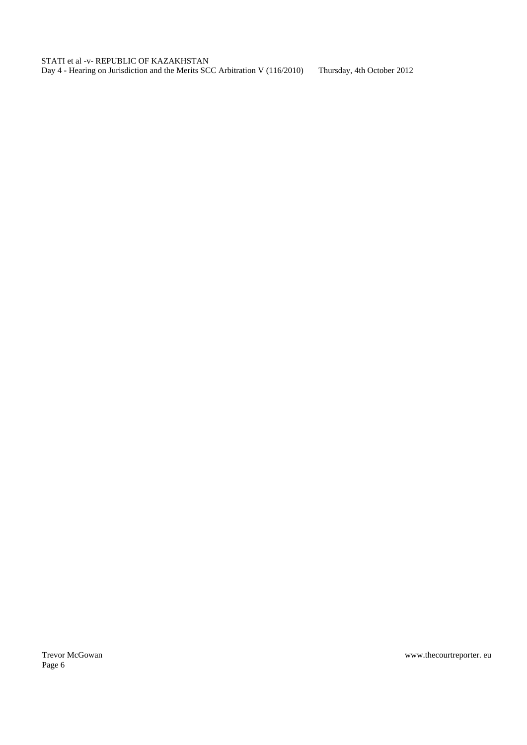Page 6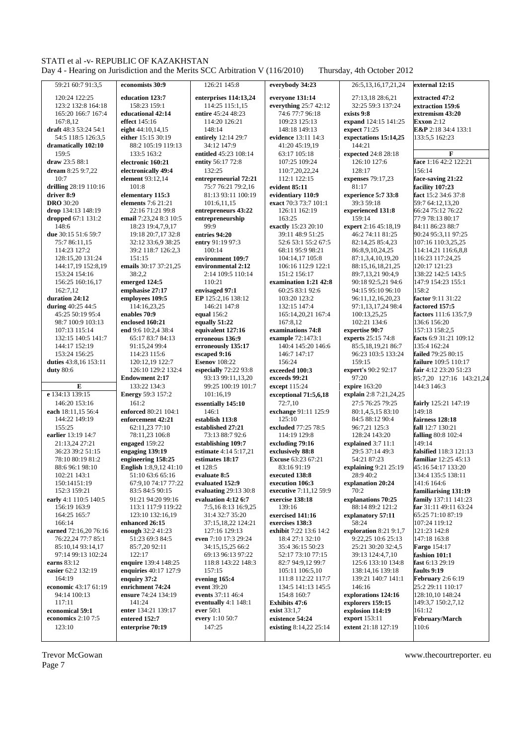| 59:21 60:7 91:3.5                       | economists 30:9                               | 126:21 145:8          | everybody 34:23                       | 26:5, 13, 16, 17, 21, 24               | external 12:15              |
|-----------------------------------------|-----------------------------------------------|-----------------------|---------------------------------------|----------------------------------------|-----------------------------|
| 120:24 122:25                           | education 123:7                               | enterprises 114:13,24 | everyone 131:14                       | 27:13,18 28:6,21                       | extracted 47:2              |
| 123:2 132:8 164:18                      | 158:23 159:1                                  | 114:25 115:1,15       | everything $25:742:12$                | 32:25 59:3 137:24                      | extraction 159:6            |
| 165:20 166:7 167:4                      | educational 42:14                             | entire 45:24 48:23    | 74:6 77:7 96:18                       | exists 9:8                             | extremism 43:20             |
| 167:8,12                                | effect 145:16                                 | 114:20 126:21         | 109:23 125:13                         | expand 124:15 141:25                   | <b>Exxon</b> 2:12           |
| draft 48:3 53:24 54:1                   | eight 44:10,14,15                             | 148:14                | 148:18 149:13                         | expect $71:25$                         | E&P 2:18 34:4 133:1         |
| 54:5 118:5 126:3,5                      | either 15:15 30:19                            | entirely 12:14 29:7   | evidence 13:11 14:3                   | expectations 15:14,25                  | 133:5,5 162:23              |
|                                         | 88:2 105:19 119:13                            | 34:12 147:9           |                                       | 144:21                                 |                             |
| dramatically 102:10                     |                                               |                       | 41:20 45:19,19                        |                                        |                             |
| 159:5                                   | 133:5 163:2                                   | entitled 45:23 108:14 | 63:17 105:18                          | expected 24:8 28:18                    | $\bf F$                     |
| draw 23:5 88:1                          | electronic 160:21                             | entity 56:17 72:8     | 107:25 109:24                         | 126:10 127:6                           | face $1:1642:2122:21$       |
| dream 8:25 9:7,22                       | electronically 49:4                           | 132:25                | 110:7,20,22,24                        | 128:17                                 | 156:14                      |
| 10:7                                    | element 93:12,14                              | entrepreneurial 72:21 | 112:1 122:15                          | expenses 79:17,23                      | face-saving 21:22           |
| drilling 28:19 110:16                   | 101:8                                         | 75:7 76:21 79:2,16    | evident 85:11                         | 81:17                                  | facility 107:23             |
| driver 8:9                              | elementary 115:3                              | 81:13 93:11 100:19    | evidentiary 110:9                     | experience 5:7 33:8                    | fact 15:2 34:6 37:8         |
| <b>DRO</b> 30:20                        | elements 7:6 21:21                            | 101:6,11,15           | exact 70:3 73:7 101:1                 | 39:3 59:18                             | 59:7 64:12,13,20            |
| drop 134:13 148:19                      | 22:16 71:21 99:8                              | entrepreneurs 43:22   | 126:11 162:19                         | experienced 131:8                      | 66:24 75:12 76:22           |
| <b>dropped</b> 67:1 131:2               | email 7:23,24 8:3 10:5                        | entrepreneurship      | 163:25                                | 159:14                                 | 77:9 78:13 80:17            |
| 148:6                                   | 18:23 19:4,7,9,17                             | 99:9                  | exactly 15:23 20:10                   | expert 2:16 45:18,19                   | 84:11 86:23 88:7            |
| due 30:15 51:6 59:7                     | 19:18 20:7,17 32:8                            | entries 94:20         | 39:11 48:9 51:25                      | 46:2 74:11 81:25                       | 90:24 95:3,11 97:25         |
| 75:7 86:11,15                           | 32:12 33:6,9 38:25                            | entry 91:19 97:3      | 52:6 53:1 55:2 67:5                   | 82:14,25 85:4,23                       | 107:16 110:3,25,25          |
| 114:23 127:2                            | 39:2 118:7 126:2,3                            | 100:14                | 68:11 95:9 98:21                      | 86:8,9,10,24,25                        | 114:14,21 116:6,8,8         |
| 128:15,20 131:24                        | 151:15                                        | environment 109:7     | 104:14,17 105:8                       | 87:1,3,4,10,19,20                      | 116:23 117:24,25            |
| 144:17,19 152:8,19                      | emails 30:17 37:21,25                         | environmental 2:12    | 106:16 112:9 122:1                    | 88:15,16,18,21,25                      | 120:17 121:23               |
| 153:24 154:16                           | 38:2,2                                        | 2:14 109:5 110:14     | 151:2 156:17                          | 89:7,13,21 90:4,9                      | 138:22 142:5 143:5          |
| 156:25 160:16,17                        | emerged 124:5                                 | 110:21                | examination 1:21 42:8                 | 90:18 92:5,21 94:6                     | 147:9 154:23 155:1          |
| 162:7,12                                | emphasise 27:17                               | envisaged 97:1        | 60:25 83:1 92:6                       | 94:15 95:10 96:10                      | 158:2                       |
| duration 24:12                          | employees 109:5                               | EP 125:2,16 138:12    | 103:20 123:2                          | 96:11,12,16,20,23                      | factor 9:11 31:22           |
| during $40:25\,44:5$                    | 114:16,23,25                                  | 146:21 147:8          | 132:15 147:4                          | 97:1,13,17,24 98:4                     | factored 157:5              |
| 45:25 50:19 95:4                        | enables 70:9                                  | equal 156:2           | 165:14,20,21 167:4                    | 100:13,25,25                           | factors 111:6 135:7,9       |
| 98:7 100:9 103:13                       | enclosed 160:21                               | equally 51:22         | 167:8,12                              | 102:21 134:6                           | 136:6 156:20                |
| 107:13 115:14                           | end 9:6 10:2,4 38:4                           | equivalent 127:16     | examinations 74:8                     | expertise 90:7                         | 157:13 158:2,5              |
| 132:15 140:5 141:7                      | 65:17 83:7 84:13                              | erroneous 136:9       | example 72:1473:1                     | experts 25:15 74:8                     | facts 6:9 31:21 109:12      |
| 144:17 152:19                           | 91:15,24 99:4                                 | erroneously 135:17    | 140:4 145:20 146:6                    | 85:5,18,19,21 86:7                     | 135:4 162:24                |
| 153:24 156:25                           | 114:23 115:6                                  | escaped 9:16          | 146:7 147:17                          | 96:23 103:5 133:24                     | failed 79:25 80:15          |
| duties 43:8,16 153:11                   | 120:12,19 122:7                               | <b>Esenov</b> 108:22  | 156:24                                | 159:15                                 | <b>failure</b> 109:5 110:17 |
| duty $80:6$                             | 126:10 129:2 132:4                            | especially 72:22 93:8 | exceeded 100:3                        | expert's 90:2 92:17                    | fair 4:12 23:20 51:23       |
|                                         | <b>Endowment 2:17</b>                         | 93:13 99:11,13,20     | exceeds 99:21                         | 97:20                                  | 85:7,20 127:16 143:21,24    |
| E                                       | 133:22 134:3                                  | 99:25 100:19 101:7    | except 115:24                         | expire 163:20                          | 144:3 146:3                 |
| e 134:13 139:15                         | <b>Energy 59:3 157:2</b>                      | 101:16,19             | exceptional 71:5,6,18                 | explain 2:8 7:21,24,25                 |                             |
| 146:20 153:16                           | 161:2                                         | essentially 145:10    | 72:7,10                               | 27:5 76:25 79:25                       | fairly 125:21 147:19        |
| each 18:11,15 56:4                      | enforced 80:21 104:1                          | 146:1                 | exchange 91:11 125:9                  | 80:1,4,5,15 83:10                      | 149:18                      |
| 144:22 149:19                           | enforcement 42:21                             | establish 113:8       | 125:10                                | 84:5 88:12 90:4                        | fairness 128:18             |
| 155:25                                  | 62:11,23 77:10                                | established 27:21     | excluded 77:25 78:5                   | 96:7,21 125:3                          | <b>fall</b> 12:7 130:21     |
| earlier 13:19 14:7                      | 78:11,23 106:8                                | 73:13 88:7 92:6       | 114:19 129:8                          | 128:24 143:20                          | <b>falling 80:8 102:4</b>   |
| 21:13,24 27:21                          | engaged 159:22                                | establishing 109:7    | excluding 79:16                       | explained 3:7 11:1                     | 149:14                      |
| 36:23 39:2 51:15                        | engaging 139:19                               | estimate 4:14 5:17.21 | exclusively 88:8                      | 29:5 37:14 49:3                        | falsified 118:3 121:13      |
| 78:10 80:19 81:2                        | engineering 158:25                            | estimates 18:17       | <b>Excuse</b> 63:23 67:21             | 54:21 87:23                            | familiar 12:25 45:13        |
| 88:6 96:1 98:10                         | <b>English</b> 1:8,9,12 41:10                 | et 128:5              | 83:16 91:19                           | explaining 9:21 25:19                  | 45:16 54:17 133:20          |
|                                         |                                               | evaluate 8:5          |                                       |                                        | 134:4 135:5 138:11          |
| 102:21 143:1<br>150:14151:19            | 51:10 63:6 65:16<br>67:9,10 74:17 77:22       | evaluated 152:9       | executed 138:8<br>execution 106:3     | 28.940.2<br>explanation 20:24          | 141:6 164:6                 |
| 152:3 159:21                            | 83:5 84:5 90:15                               | evaluating 29:13 30:8 | executive 7:11,12 59:9                | 70:2                                   | familiarising 131:19        |
| early 4:1 110:5 140:5                   | 91:21 94:20 99:16                             | evaluation 4:12 6:7   | exercise 138:18                       | explanations 70:25                     | family 137:11 141:23        |
| 156:19 163:9                            | 113:1 117:9 119:22                            | 7:5,16 8:13 16:9,25   | 139:16                                | 88:14 89:2 121:2                       | far 31:11 49:11 63:24       |
| 164:25 165:7                            | 123:10 132:16,19                              | 31:4 32:7 35:20       | exercised 141:16                      | explanatory 57:11                      | 65:25 71:10 87:19           |
| 166:14                                  | enhanced 26:15                                | 37:15,18,22 124:21    | exercises 138:3                       | 58:24                                  | 107:24 119:12               |
| earned 72:16,20 76:16                   | enough 32:2 41:23                             | 127:16 129:13         | exhibit 7:22 13:6 14:2                | exploration 8:21 9:1,7                 | 121:23 142:8                |
| 76:22,24 77:7 85:1                      | 51:23 69:3 84:5                               | even 7:10 17:3 29:24  | 18:4 27:1 32:10                       | 9:22.25 10:6 25:13                     | 147:18 163:8                |
|                                         |                                               |                       |                                       | 25:21 30:20 32:4,5                     |                             |
| 85:10,14 93:14,17<br>97:14 99:13 102:24 | 85:7,20 92:11<br>122:17                       | 34:15,15,25 66:2      | 35:4 36:15 50:23<br>52:17 73:10 77:15 |                                        | <b>Fargo</b> 154:17         |
|                                         |                                               | 69:13 96:13 97:22     |                                       | 39:13 124:4,7,10                       | fashion 101:1               |
| earns 83:12                             | enquire 139:4 148:25<br>enquiries 40:17 127:9 | 118:8 143:22 148:3    | 82:7 94:9,12 99:7                     | 125:6 133:10 134:8<br>138:14,16 139:18 | fast 6:13 29:19             |
| easier 62:2 132:19                      |                                               | 157:15                | 105:11 106:5,10                       |                                        | faults 9:19                 |
| 164:19                                  | enquiry 37:2                                  | evening 165:4         | 111:8 112:22 117:7                    | 139:21 140:7 141:1                     | <b>February</b> 2:6 6:19    |
| economic 43:17 61:19                    | enrichment 74:24                              | event 39:20           | 134:5 141:13 145:5                    | 146:16                                 | 25:2 29:11 110:17           |
| 94:14 100:13                            | ensure 74:24 134:19                           | events 37:11 46:4     | 154:8 160:7                           | explorations 124:16                    | 128:10,10 148:24            |
| 117:11                                  | 141:24                                        | eventually 4:1 148:1  | <b>Exhibits 47:6</b>                  | explorers 159:15                       | 149:3,7 150:2,7,12          |
| economical 59:1                         | enter 134:21 139:17                           | ever 50:1             | exist 33:1,7                          | explosion 114:19                       | 161:12                      |
| economics $2:107:5$                     | entered 152:7                                 | every 1:10 50:7       | existence 54:24                       | export 153:11                          | <b>February/March</b>       |
| 123:10                                  | enterprise 70:19                              | 147:25                | existing 8:14,22 25:14                | extent 21:18 127:19                    | 110:6                       |

Page 7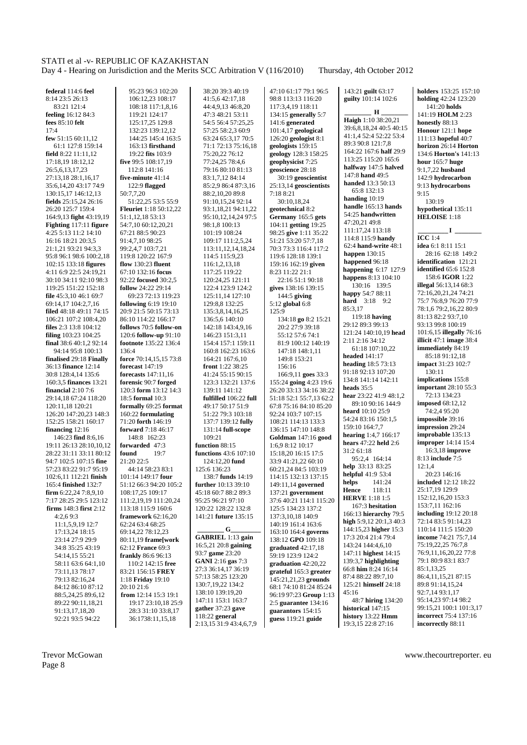**federal** 114:6 **feel** 8:14 23:5 26:13 83:21 121:4 **feeling** 16:12 84:3 **fees** 85:10 **felt**  $17:4$ **few** 51:15 60:11,12 61:1 127:8 159:14 **field** 8:22 11:11,12 17:18,19 18:12,12 26:5,6,13,17,23 27:13,18 28:1,16,17 35:6,14,20 43:17 74:9 130:15,17 146:12,13 **fields** 25:15,24 26:16 26:20 125:7 159:4 164:9,13 **fight** 43:19,19 **Fighting** 117:11 **figure** 4:25 5:13 11:2 14:10 16:16 18:21 20:3,5 21:1,21 93:21 94:3,3 95:8 96:1 98:6 100:2,18 102:15 133:18 **figures** 4:11 6:9 22:5 24:19,21 30:10 34:11 92:10 98:3 119:25 151:22 152:18 **file** 45:3,10 46:1 69:7 69:14,17 104:2,7,16 **filed** 48:18 49:11 74:15 106:21 107:2 108:4,20 **files** 2:3 13:8 104:12 **filing** 103:23 104:25 **final** 38:6 40:1,2 92:14 94:14 95:8 100:13 **finalised** 29:18 **Finally** 36:13 **finance** 12:14 30:8 128:4,14 135:6 160:3,5 **finances** 13:21 **financial** 2:10 7:6 29:14,18 67:24 118:20 120:11,18 120:21 126:20 147:20,23 148:3 152:25 158:21 160:17 **financing** 12:16 146:23 **find** 8:6,16 19:11 26:13 28:10,10,12 28:22 31:11 33:11 80:12 94:7 102:5 107:15 **fine** 57:23 83:22 91:7 95:19 102:6,11 112:21 **finish** 165:4 **finished** 132:7 **firm** 6:22,24 7:8,9,10 7:17 28:25 29:5 123:12 **firms** 148:3 **first** 2:12 4:2,6 9:3 11:1,5,9,19 12:7 17:13,24 18:15 23:14 27:9 29:9 34:8 35:25 43:19 54:14,15 55:21 58:11 63:6 64:1,10 73:11,13 78:17 79:13 82:16,24 84:12 86:10 87:12 88:5,24,25 89:6,12 89:22 90:11,18,21 91:13,17,18,20 92:21 93:5 94:22

95:23 96:3 102:20 106:12,23 108:17 108:18 117:1,8,16 119:21 124:17 125:17,25 129:8 132:23 139:12,12 144:25 145:4 163:5 163:13 **firsthand** 19:22 **fits** 103:9 **five** 99:5 108:17,19 112:8 141:16 **five-minute** 41:14 122:9 **flagged** 50:7,7,20 51:22,25 53:5 55:9 **Fleuriet** 1:18 50:12,22 51:1,12,18 53:13 54:7,10 60:12,20,21 67:21 88:5 90:23 91:4,7,10 98:25 99:2,4,7 103:7,21 119:8 120:22 167:9 **flow** 130:23 **fluent** 67:10 132:16 **focus** 92:22 **focused** 30:2,5 **follow** 24:22 29:14 69:23 72:13 119:23 **following** 6:19 19:10 20:9 21:5 50:15 73:13 86:10 114:22 166:17 **follows** 70:5 **follow-on** 120:6 **follow-up** 91:10 **footnote** 135:22 136:4 136:4 **force** 70:14,15,15 73:8 **forecast** 147:19 **forecasts** 147:11,16 **forensic** 90:7 **forged** 120:3 **form** 13:12 14:3 18:5 **formal** 10:3 **formally** 69:25 **format** 160:22 **formulating** 71:20 **forth** 146:19 **forward** 7:18 46:17 148:8 162:23 **forwarded** 47:3 **found** 19:7 21:20 22:5 44:14 58:23 83:1 101:14 149:17 **four** 51:12 66:3 94:20 105:2 108:17,25 109:17 111:2,19,19 111:20,24 113:18 115:9 160:6 **framework** 62:16,20 62:24 63:4 68:25 69:14,22 78:12,23 80:11,19 **frame[work** 62:12 **France** 69:3 **frankly** 86:6 96:13 110:2 142:15 **free** 83:21 156:15 **FREY** 1:18 **Friday** 19:10 20:10 21:6 **from** 12:14 15:3 19:1 19:17 23:10,18 25:9 28:3 31:10 33:8,17 36:1738:11,15,18

38:20 39:3 40:19 41:5,6 42:17,18 44:4,9,13 46:8,20 47:3 48:21 53:11 54:5 56:4 57:25,25  $57.2558.2360.9$ 63:24 65:3,17 70:5 71:1 72:13 75:16,18 75:20,22 76:12 77:24,25 78:4,6 79:16 80:10 81:13 83:1,7,12 84:14 85:2,9 86:4 87:3,16 88:2,10,20 89:8 91:10,15,24 92:14 93:1,18,21 94:11,22 95:10,12,14,24 97:5 98:1,8 100:13 101:19 108:24 109:17 111:2,5,24 113:11,12,14,18,24 114:5 115:9,23  $116.171318$ 117:25 119:22 120:24,25 121:11 122:4 123:9 124:2 125:11,14 127:10 129:8,8 132:25 135:3,8,14,16,25 136:5,6 140:10 142:18 143:4,9,16 146:23 151:3,11 154:4 157:1 159:11 160:8 162:23 163:6 164:21 167:6,10 **front** 1:22 38:25 41:24 55:15 90:15 123:3 132:21 137:6 139:11 141:12 **fulfilled** 106:22 **full** 49:17 50:17 51:9 51:22 79:3 103:18 137:7 139:12 **fully** 131:14 **full-scope** 109:21 **function** 88:15 **functions** 43:6 107:10 124:12,20 **fund** 125:6 136:23 138:7 **funds** 14:19 **further** 10:13 39:10 45:18 60:7 88:2 89:3 95:25 96:21 97:10 120:22 128:22 132:8 141:21 **future** 135:15  **\_\_\_\_\_\_\_\_ G \_\_\_\_\_\_\_\_\_ GABRIEL** 1:13 **gain** 16:5,21 20:8 **gaining** 93:7 **game** 23:20 **GANI** 2:16 **gas** 7:3 27:3 36:14,17 36:19 57:13 58:25 123:20 130:7,19,22 134:2 138:10 139:19,20 147:11 153:1 163:7 **gather** 37:23 **gave** 118:22 **general**

2:13,15 31:9 43:4,6,7,9

98:8 113:13 116:20 117:3,4,19 118:11 134:15 **generally** 5:7 141:6 **generated** 101:4,17 **geological** 126:20 **geologist** 8:1 **geologists** 159:15 **geology** 128:3 158:25 **geophysicist** 7:25 **geoscience** 28:18 30:19 **geoscientist** 25:13,14 **geoscientists** 7:18 8:21 30:10,18,24 **geotechnical** 8:2 **Germany** 165:5 **gets** 104:11 **getting** 19:25 98:25 **give** 1:11 35:22 51:21 53:20 57:7,18 70:3 73:3 116:4 117:2 119:6 128:18 139:1 159:16 162:19 **given** 8:23 11:22 21:1 22:16 51:1 90:18 **gives** 138:16 139:15 144:5 **giving** 5:12 **global** 6:8  $125.9$ 134:18 **go** 8:2 15:21 20:2 27:9 39:18 55:12 57:6 74:1 81:9 100:12 140:19 147:18 148:1,11 149:8 153:21 156:16 166:9,11 **goes** 33:3 155:24 **going** 4:23 19:6 26:20 33:13 34:16 38:22 51:18 52:1 55:7,13 62:2 67:8 75:16 84:10 85:20 92:24 103:7 107:15 108:21 114:13 133:3 136:15 147:10 148:8 **Goldman** 147:16 **good** 1:6,9 8:12 10:17 15:18,20 16:15 17:5 33:9 41:21,22 60:10 60:21,24 84:5 103:19 114:15 132:13 137:15 149:11,14 **governed** 137:21 **government** 37:6 40:21 114:1 115:20 125:5 134:23 137:2 137:3,10,18 140:9 140:19 161:4 163:6 163:10 164:4 **governs** 138:12 **GPO** 109:18 **graduated** 42:17,18 59:19 123:9 124:2 **graduation** 42:20,22 **grateful** 165:3 **greater** 145:21,21,23 **grounds** 68:1 74:10 81:24 85:24 96:19 97:23 **Group** 1:13 2:5 **guarantee** 134:16 **guarantors** 154:15 **guess** 119:21 **guide**

47:10 61:17 79:1 96:5

143:21 **guilt** 63:17 **guilty** 101:14 102:6

 **\_\_\_\_\_\_\_\_ H \_\_\_\_\_\_\_\_ Haigh** 1:10 38:20,21 39:6,8,18,24 40:5 40:15 41:1,4 52:4 52:22 53:4 89:3 90:8 121:7,8 164:22 167:6 **half** 29:9 113:25 115:20 165:6 **halfway** 147:5 **halved** 147:8 **hand** 49:5 **handed** 13:3 50:13 65:8 132:13 **handing** 10:19 **handle** 165:13 **hands** 54:25 **handwritten** 47:20,21 49:8 111:17,24 113:18 114:8 115:9 **handy** 62:4 **hand-write** 48:1 **happen** 130:15 **happened** 96:18 **happening** 6:17 127:9 **happens** 8:13 104:10 130:16 139:5 **happy** 54:7 88:11 **hard** 3:18 9:2  $85.3,17$ 119:18 **having** 29:12 89:3 99:13 121:24 140:10,19 **head** 2:11 2:16 34:12 61:18 107:10,22 **headed** 141:17 **heading** 18:5 73:13 91:18 92:13 107:20 134:8 141:14 142:11 **heads** 35:5 **hear** 23:22, 41:9, 48:1, 2 89:10 90:16 144:9 **heard** 10:10 25:9 54:24 83:16 150:1,5 159:10 164:7,7 **hearing** 1:4,7 166:17 **hears** 47:22 **held** 2:6  $31.261.18$ 95:2,4 164:14 **help** 33:13 83:25 **helpful** 41:9 53:4 **helps** 141:24 **Hence** 118:11 **HERVE** 1:18 1:5 167:3 **hesitation** 166:13 **hierarchy** 79:5 **high** 5:9,12 20:1,3 40:3 144:15,23 **higher** 15:3 17:3 20:4 21:4 79:4  $143.24$   $144.46$  10 147:11 **highest** 14:15 139:3,7 **highlighting** 66:8 **him** 8:24 16:14 87:4 88:22 89:7,10 125:21 **himself** 24:18 45:16 48:7 **hiring** 134:20 **historical** 147:15 **history** 13:22 **Hmm** 19:3,15 22:8 27:16

**holding** 42:24 123:20 141:20 **holds** 141:19 **HOLM** 2:23 **honestly** 88:13 **Honour** 121:1 **hope** 111:13 **hopeful** 40:7 **horizon** 26:14 **Horton** 134:6 **Horton's** 141:13 **hour** 165:7 **huge** 9:1,7,22 **husband** 142:9 **hydrocarbon** 9:13 **hydrocarbons** 9:15 130:19 **hypothetical** 135:11 **HELOISE** 1:18  **\_\_\_\_\_\_\_\_\_ I \_\_\_\_\_\_\_\_ ICC** 1:4 **idea** 6:1 8:11 15:1 28:16 62:18 149:2 **identification** 121:21 **identified** 65:6 152:8 158:6 **IGOR** 1:22 **illegal** 56:13,14 68:3 72:16,20,21,24 74:21 75:7 76:8,9 76:20 77:9 78:1,6 79:2,16,22 80:9 81:13 82:2 93:7,10 93:13 99:8 100:19 101:6,15 **illegally** 76:16 **illicit** 47:1 **image** 38:4 **immediately** 84:19 85:18 91:12,18 **impact** 31:23 102:7  $130.11$ **implications** 155:8 **important** 28:10 55:3  $72.13134.23$ **imposed** 68:12,12 74:2,4 95:20 **impossible** 39:16 **impression** 29:24 **improbable** 135:13 **improper** 14:14 15:4 16:3,18 **improve** 8:13 **include** 7:5  $12.14$ 20:23 146:16 **included** 12:12 18:22 25:17,19 129:9 152:12,16,20 153:3 153:7,11 162:16 **including** 19:12 20:18 72:14 83:5 91:14,23 110:14 111:5 150:20 **income** 74:21 75:7,14 75:19,22,25 76:7,8 76:9,11,16,20,22 77:8 79:1 80:9 83:1 83:7 85:1,13,25 86:4,11,15,21 87:15 89:8 91:14,15,24 92:7,14 93:1,17 95:14,23 97:14 98:2 99:15,21 100:1 101:3,17 **incorrect** 75:4 137:16

**holders** 153:25 157:10

Page 8

Trevor McGowan www.thecourtreporter. eu

**incorrectly** 88:11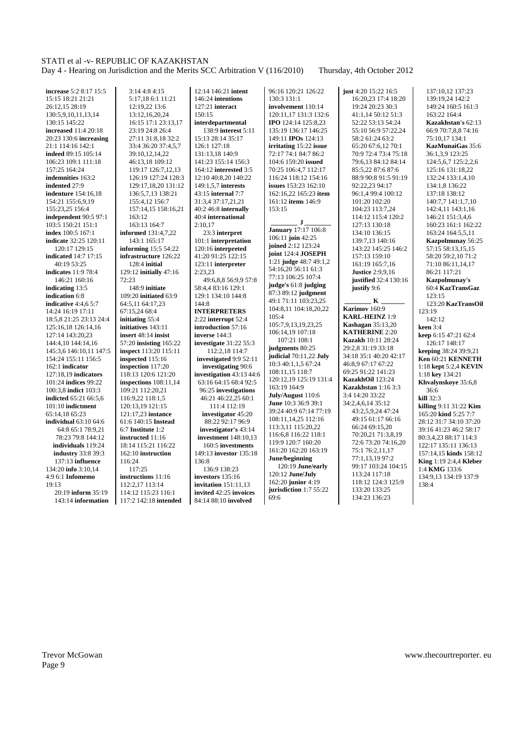**increase** 5:2 8:17 15:5 15:15 18:21 21:21 26:12,15 28:19 130:5,9,10,11,13,14 130:15 145:22 **increased** 11:4 20:18 20:23 130:6 **increasing** 21:1 114:16 142:1 **indeed** 89:15 105:14 106:23 109:1 111:18 157:25 164:24 **indemnities** 163:2 **indented** 27:9 **indenture** 154:16,18 154:21 155:6,9,19 155:23,25 156:4 **independent** 90:5 97:1 103:5 150:21 151:1 **index** 100:5 167:1 **indicate** 32:25 120:11 120:17 129:15 **indicated** 14:7 17:15 40:19 53:25 **indicates** 11:9 78:4 146:21 160:16 **indicating** 13:5 **indication** 6:8 **indicative** 4:4,6 5:7 14:24 16:19 17:11 18:5,8 21:25 23:13 24:4 125:16,18 126:14,16 127:14 143:20,23 144:4,10 144:14,16 145:3,6 146:10,11 147:5 154:24 155:11 156:5 162:1 **indicator** 127:18,19 **indicators** 101:24 **indices** 99:22 100:3,8 **indict** 103:3 **indicted** 65:21 66:5,6 101:10 **indictment** 65:14,18 65:23 **individual** 63:10 64:6 64:8 65:1 78:9,21 78:23 79:8 144:12 **individuals** 119:24 **industry** 33:8 39:3 137:13 **influence** 134:20 **info** 3:10,14 4:9 6:1 **Infomemo** 19:13 20:19 **inform** 35:19 143:14 **information**

3:14 4:8 4:15 5:17,18 6:1 11:21 12:19,22 13:6 13:12,16,20,24 16:15 17:1 23:13,17 23:19 24:8 26:4 27:11 31:8,18 32:2 33:4 36:20 37:4,5,7 39:10,12,14,22 46:13,18 109:12 119:17 126:7,12,13 126:19 127:24 128:3 129:17,18,20 131:12 136:5,7,13 138:21 155:4,12 156:7 157:14,15 158:16,21  $163 \cdot 12$ 163:13 164:7 **informed** 131:4,7,22 143:1 165:17 **informing** 15:5 54:22 **infrastructure** 126:22 128:4 **initial** 129:12 **initially** 47:16 72:23 148:9 **initiate** 109:20 **initiated** 63:9 64:5,11 64:17,23 67:15,24 68:4 **initiating** 55:4 **initiatives** 143:11 **insert** 48:14 **insist** 57:20 **insisting** 165:22 **inspect** 113:20 115:11 **inspected** 115:16 **inspection** 117:20 118:13 120:6 121:20 **inspections** 108:11,14 109:21 112:20,21 116:9,22 118:1,5 120:13,19 121:15 121:17,23 **instance** 61:6 140:15 **Instead** 6:7 **Institute** 1:2 **instructed** 11:16 18:14 115:21 116:22 162:10 **instruction** 116:24 117:25 **instructions** 11:16 112:2,17 113:14 114:12 115:23 116:1 117:2 142:18 **intended**

12:14 146:21 **intent** 146:24 **intentions** 127:21 **interact**  $150.15$ **interdepartmental** 138:9 **interest** 5:11 15:13 28:14 35:17 126:1 127:18 131:13,18 140:9 141:23 155:14 156:3 164:12 **interested** 3:5 12:10 40:8,20 140:22 149:1,5,7 **interests** 43:15 **internal** 7:7 31:3,4 37:17,21,21 40:2 46:8 **internally** 40:4 **international** 2:10,17 23:3 **interpret** 101:1 **interpretation** 120:16 **interpreted** 41:20 91:25 122:15 123:11 **interpreter** 2:23,23 49:6,8,8 56:9,9 57:8 58:4,4 83:16 129:1 129:1 134:10 144:8  $144.8$ **INTERPRETERS**  2:22 **interrupt** 52:4 **introduction** 57:16 **inverse** 144:3 **investigate** 31:22 55:3 112:2,18 114:7 **investigated** 9:9 52:11 **investigating** 90:6 **investigation** 43:13 44:6 63:16 64:15 68:4 92:5 96:25 **investigations** 46:21 46:22,25 60:1 111:4 112:19 **investigator** 45:20 88:22 92:17 96:9 **investigator's** 43:14 **investment** 148:10,13 160:5 **investments** 149:13 **investor** 135:18 136:8 136:9 138:23 **investors** 135:16 **invitation** 151:11,13 **invited** 42:25 **invoices** 84:14 88:10 **involved**

96:16 120:21 126:22 130:3 131:1 **involvement** 110:14 120:11,17 131:3 132:6 **IPO** 124:14 125:8,23 135:19 136:17 146:25 149:11 **IPOs** 124:13 **irritating** 15:22 **issue** 72:17 74:1 84:7 86:2 104:6 159:20 **issued** 70:25 106:4,7 112:17 116:24 118:12 154:16 **issues** 153:23 162:10 162:16,22 165:23 **item** 161:12 **items** 146:9  $153.15$  **\_\_\_\_\_\_\_\_ J \_\_\_\_\_\_\_\_ January** 17:17 106:8 106:11 **join** 42:25 **joined** 2:12 123:24 **joint** 124:4 **JOSEPH** 1:21 **judge** 48:7 49:1,2 54:16,20 56:11 61:3 77:13 106:25 107:4 **judge's** 61:8 **judging** 87:3 89:12 **judgment** 49:1 71:11 103:23,25 104:8,11 104:18,20,22  $105.4$ 105:7,9,13,19,23,25 106:14,19 107:18 107:21 108:1 **judgments** 80:25 **judicial** 70:11,22 **July** 10:3 40:1,1,5 67:24 108:11,15 118:7 120:12,19 125:19 131:4 163:19 164:9 **July/August** 110:6 **June** 10:3 36:9 39:1 39:24 40:9 67:14 77:19 108:11,14,25 112:16 113:3,11 115:20,22 116:6,8 116:22 118:1 119:9 120:7 160:20 161:20 162:20 163:19 **June/beginning**  120:19 **June/early** 120:12 **June/July** 162:20 **junior** 4:19 **jurisdiction** 1:7 55:22 69:6

**just** 4:20 15:22 16:5 16:20,23 17:4 18:20 19:24 20:23 30:3 41:1,14 50:12 51:3 52:22 53:13 54:24 55:10 56:9 57:22,24 58:2 61:24 63:2 65:20 67:6,12 70:1 70:9 72:4 73:4 75:18 79:6,13 84:12 84:14 85:5,22 87:6 87:6 88:9 90:8 91:5 91:19 92:22,23 94:17 96:1,4 99:4 100:12 101:20 102:20 104:23 113:7,24 114:12 115:4 120:2 127:13 130:18 134:10 136:15 139:7,13 140:16 143:22 145:25 146:2 157:13 159:10 161:19 165:7,16 **Justice** 2:9,9,16 **justified** 32:4 130:16 **justify** 9:6  **\_\_\_\_\_\_\_\_ K \_\_\_\_\_\_\_ Karimov** 160:9 **KARL-HEINZ** 1:9 **Kashagan** 35:13,20 **KATHERINE** 2:20 **Kazakh** 10:11 28:24 29:2,8 31:19 33:18 34:18 35:1 40:20 42:17  $46.8967176722$ 69:25 91:22 141:23 **KazakhOil** 123:24 **Kazakhstan** 1:16 3:3 3:4 14:20 33:22 34:2,4,6,14 35:12 43:2,5,9,24 47:24 49:15 61:17 66:16 66:24 69:15,20 70:20,21 71:3,8,19 72:6 73:20 74:16,20 75:1 76:2,11,17 77:1,13,19 97:2 99:17 103:24 104:15 113:24 117:18 118:12 124:3 125:9 133:20 133:25 134:23 136:23

137:10,12 137:23 139:19,24 142:2 149:24 160:5 161:3 163:22 164:4 **Kazakhstan's** 62:13 66:9 70:7,8,8 74:16 75:10,17 134:1 **KazMunaiGas** 35:6 36:1,3,9 123:25 124:5,6,7 125:2,2,6 125:16 131:18,22  $132.24$  133 $\cdot14,10$ 134:1,8 136:22 137:18 138:12 140:7,7 141:1,7,10 142:4,11 143:1,16 146:21 151:3,4,6 160:23 161:1 162:22  $163.24$   $164.5$  5 11 **Kazpolmunay** 56:25 57:15 58:13,15,15 58:20 59:2,10 71:2 71:10 86:11,14,17 86:21 117:21 **Kazpolmunay's** 60:4 **KazTransGaz**  $123.15$ 123:20 **KazTransOil**  $123.19$  $142.12$ **keen** 3:4 **keep** 6:15 47:21 62:4 126:17 148:17 **keeping** 38:24 39:9,21 **Ken** 60:21 **KENNETH** 1:18 **kept** 5:2,4 **KEVIN** 1:18 **key** 134:21 **Khvalynskoye** 35:6,8 36:6 **kill** 32:3 **killing** 9:11 31:22 **Kim** 165:20 **kind** 5:25 7:7 28:12 31:7 34:10 37:20 39:16 41:23 46:2 58:17 80:3,4,23 88:17 114:3 122:17 135:11 136:13 157:14,15 **kinds** 158:12 **King** 1:19 2:4,4 **Kleber** 1:4 **KMG** 133:6 134:9,13 134:19 137:9

138:4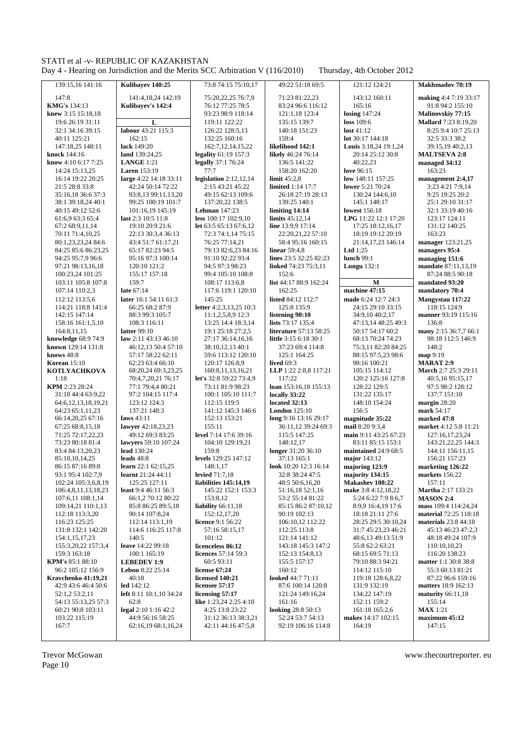| 139:15,16 141:16                         | Kulibayev 140:25                            | 73:8 74:15 75:10,17                          | 49:22 51:18 69:5                     | 121:12 124:21                                | <b>Makhmadov 70:19</b>                  |
|------------------------------------------|---------------------------------------------|----------------------------------------------|--------------------------------------|----------------------------------------------|-----------------------------------------|
| 147:8                                    | 141:4,18,24 142:19                          | 75:20,22,25 76:7,9                           | 71:23 81:22,23                       | 143:12 160:11                                | making 4:4 7:19 33:17                   |
| <b>KMG's 134:13</b>                      | Kulibayev's 142:4                           | 76:12 77:25 78:5                             | 83:24 96:6 116:12                    | 165:16                                       | 91:8 94:2 155:10                        |
| knew $3:15$ 15:18,18                     |                                             | 93:23 98:9 118:14                            | 121:1,18 123:4                       | losing $147:24$                              | Malinovskiy 77:15                       |
| 19:6 26:19 31:11                         | L                                           | 119:11 122:22                                | 135:15 139:7                         | loss 109:6                                   | <b>Mallard</b> 7:23 8:19,20             |
| 32:1 34:16 39:15                         | labour 43:21 115:3                          | 126:22 128:5,13                              | 140:18 151:23                        | lost $41:12$                                 | 8:25 9:4 10:7 25:13                     |
| 40:11 125:21                             | 162:15                                      | 132:25 160:16                                | 159:4                                | lot 30:17 144:18                             | 32:5 33:3 38:2                          |
| 147:18,25 148:11                         | lack 149:20                                 | 162:7, 12, 14, 15, 22                        | likelihood 142:1                     | <b>Louis</b> $3:18,24$ $19:1,24$             | 39:15,19 40:2,13                        |
| knock 144:16                             | land 139:24,25                              | legality 61:19 157:3                         | <b>likely</b> 46:24 76:14            | 20:14 25:12 30:8                             | <b>MALTSEVA 2:8</b>                     |
| know $4:106:177:25$                      | <b>LANGE 1:21</b>                           | legally 37:1 76:24                           | 136:5 141:22                         | 40:22,23                                     | managed 34:12                           |
| 14:24 15:13,25                           | <b>Laren</b> 153:19                         | 77:7                                         | 158:20 162:20                        | love 96:15                                   | 163:23                                  |
| 16:14 19:22 20:25<br>21:5 28:8 33:8      | large 4:22 14:18 33:11<br>42:24 50:14 72:22 | legislation $2:12,12,14$<br>2:15 43:21 45:22 | limit $45:2.8$<br>limited 1:14 17:7  | low 148:11 157:25<br><b>lower</b> 5:21 70:24 | management 2:4,17<br>3:23 4:21 7:9,14   |
| 35:16,18 36:6 37:3                       | 93:8,13 99:11,13,20                         | 49:15 62:13 109:6                            | 26:18 27:19 28:13                    | 130:24 144:6,10                              | 9:25 19:25 20:2                         |
| 38:1 39:18,24 40:1                       | 99:25 100:19 101:7                          | 137:20,22 138:5                              | 139:25 140:1                         | 145:1 148:17                                 | 25:1 29:10 31:17                        |
| 40:15 49:12 52:6                         | 101:16,19 145:19                            | Lehman $147:23$                              | limiting 14:14                       | lowest 156:18                                | 32:1 33:19 40:16                        |
| 61:6,9 63:3 65:4                         | last 2:3 10:5 11:8                          | less $100:17$ $102:9,10$                     | limits $45:12,14$                    | LPG 11:22 12:1 17:20                         | 123:17 124:11                           |
| 67:2 68:9,11,14                          | 19:10 20:9 21:6                             | let $63:565:1367:6,12$                       | line 13:9,9 17:14                    | 17:25 18:12,16,17                            | 131:12 140:25                           |
| 70:11 71:4,10,25                         | 22:13 30:3,4 36:13                          | 72:3 74:1,14 75:15                           | 22:20,21,22 57:10                    | 18:19 19:12 20:19                            | 163:23                                  |
| 80:1,23,23,24 84:6                       | 43:4 51:7 61:17,21                          | 76:25 77:14,21                               | 58:4 95:16 160:15                    | 21:14,17,23 146:14                           | manager 123:21,25                       |
| 84:25 85:6 86:23,25                      | 65:17 82:23 94:5                            | 79:13 82:6,23 84:16                          | linear $59:4,8$                      | Ltd $1:25$                                   | managers 95:4                           |
| 94:25 95:7,9 96:6                        | 95:16 97:3 100:14<br>120:10 121:2           | 91:10 92:22 93:4<br>94:5 97:3 98:23          | lines 23:5 32:25 82:23               | lunch 99:1                                   | managing 151:6<br>mandate 87:11,13,19   |
| 97:21 98:13,16,18<br>100:23,24 101:25    | 155:17 157:18                               | 99:4 105:10 108:8                            | <b>linked</b> 74:23 75:3,11<br>152:6 | <b>Lungu</b> $132:1$                         | 87:24 88:5 90:18                        |
| 103:11 105:8 107:8                       | 159:7                                       | 108:17 113:6,8                               | list 44:17 88:9 162:24               | $\mathbf{M}$                                 | mandated 93:20                          |
| 107:14 110:2,3                           | late 67:14                                  | 117:6 119:1 120:10                           | 162:25                               | machine 47:15                                | mandatory 70:4                          |
| 112:12 113:5,6                           | later 16:1 54:11 61:3                       | 145:25                                       | listed 84:12 112:7                   | made 6:24 12:7 24:3                          | Mangystau 117:22                        |
| 114:21 118:8 141:4                       | 66:25 68:2 87:9                             | letter 4:2,3,13,25 10:3                      | 125:8 135:9                          | 24:15 29:10 33:15                            | 118:15 124:9                            |
| 142:15 147:14                            | 88:3 99:3 105:7                             | 11:1,2,5,8,9 12:3                            | listening 90:10                      | 34:9,10 40:2,17                              | manner 93:19 115:16                     |
| 158:16 161:1,5,10                        | 108:3 116:11                                | 13:25 14:4 18:3,14                           | lists 73:17 135:4                    | 47:13,14 48:25 49:3                          | 136:8                                   |
| 164:8,11,15                              | latter 99:10                                | 19:1 25:18 27:2.5                            | literature 57:13 58:25               | 50:17 54:17 60:2                             | many 2:15 36:7,7 66:1                   |
| knowledge 68:9 74:9                      | law $2:11$ 43:13 46:10                      | 27:17 36:14,16,16                            | little 3:15 6:18 30:1                | 68:13 70:24 74:23                            | 98:18 112:5 146:9                       |
| known 129:14 131:8                       | 46:12,13 50:4 57:10                         | 38:10,12,13 40:1                             | 37:23 69:4 114:8                     | 75:3,11 82:20 84:25                          | 148:2                                   |
| knows $48:8$<br><b>Korean</b> 15:10      | 57:17 58:22 62:11<br>62:23 63:4 66:10       | 59:6 113:12 120:10<br>120:17 126:8,9         | 125:1 164:25<br><b>lived</b> 69:3    | 88:15 97:5,23 98:6<br>98:16 100:21           | map 9:19<br><b>MARAT 2:9</b>            |
| <b>KOTLYACHKOVA</b>                      | 68:20,24 69:3,23,25                         | 160:8, 11, 13, 16, 21                        | LLP 1:22 2:8,8 117:21                | 105:15 114:12                                | March 2:7 25:3 29:11                    |
| 1:18                                     | 70:4,7,20,21 76:17                          | <b>let's</b> 32:8 59:22 73:4,9               | 117:22                               | 120:2 125:16 127:8                           | 40:5,16 95:15,17                        |
| KPM 2:23 28:24                           | 77:1 79:4,4 80:21                           | 73:11 81:9 98:23                             | loan 153:16,18 155:13                | 128:22 129:5                                 | 97:5 98:2 128:12                        |
| 31:18 44:4 63:9,22                       | 97:2 104:15 117:4                           | 100:1 105:10 111:7                           | locally 33:22                        | 131:22 135:17                                | 137:7 151:10                            |
|                                          |                                             |                                              | located 32:13                        | 148:10 154:24                                |                                         |
| 64:6, 12, 13, 18, 19, 21                 | 123:12 124:3                                | 112:15 119:5                                 |                                      |                                              | margin $28:20$                          |
| 64:23 65:1,11,23                         | 137:21 148:3                                | 141:12 145:3 146:6                           | <b>London</b> $125:10$               | 156:5                                        | mark 54:17                              |
| 66:14,20,25 67:16                        | laws $43:11$                                | 152:13 153:21                                | long 9:16 13:16 29:17                | magnitude 35:22                              | marked 47:8                             |
| 67:25 68:8,15,18                         | lawyer 42:18,23,23                          | 155:11                                       | 36:11,12 39:24 69:3                  | mail 8:20 9:3,4                              | market 4:12 5:8 11:21                   |
| 71:25 72:17,22,23                        | 49:12 69:3 83:25                            | level 7:14 17:6 39:16                        | 115:5 147:25                         | main 9:11 43:25 67:23                        | 127:16,17,23,24                         |
| 73:23 80:18 81:4                         | lawyers 59:10 107:24                        | 104:10 129:19,21                             | 148:12,17                            | 83:11 85:15 153:1                            | 143:21,22,25 144:3                      |
| 83:4 84:13,20,23                         | <b>lead</b> 130:24                          | 159:8                                        | longer 31:20 36:10                   | maintained 24:9 68:5                         | 144:11 156:11,15                        |
| 85:10,10,14,25<br>86:15 87:16 89:8       | leads $48:8$<br>learn $22:162:15,25$        | levels 129:25 147:12<br>148:1,17             | 37:13 165:1<br>look 10:20 12:3 16:14 | major 143:12<br>majoring 123:9               | 156:21 157:23<br>marketing 126:22       |
| 93:1 95:4 102:7,9                        | <b>learnt</b> 21:24 44:11                   | levied 71:7,18                               | 32:8 38:24 47:5                      | majority 134:15                              | markets 156:22                          |
| 102:24 105:3,6,8,19                      | 125:25 127:11                               | liabilities 145:14,19                        | 48:5 50:6,16,20                      | Makashev 108:22                              | 157:11                                  |
| 106:4,8,11,13,18,23                      | least 9:4 46:11 56:3                        | 145:22 152:1 153:3                           | 51:16,18 52:1,16                     | make 3:8 4:12,18,22                          | <b>Martha 2:17 133:21</b>               |
| 107:6,11 108:1,14                        | 66:1,2 70:12 80:22                          | 153:8,12                                     | 53:2 55:14 81:22                     | 5:24 6:22 7:9 8:6,7                          | <b>MASON 2:4</b>                        |
| 109:14,21 110:1,13                       | 85:8 86:25 89:5,18                          | liability 66:11,18                           | 85:15 86:2 87:10,12                  | 8:9,9 16:4,19 17:6                           | mass 109:4 114:24,24                    |
| 112:18 113:3,20                          | 90:14 107:8,24                              | 152:12,17,20                                 | 90:19 102:13                         | 18:18 21:11 27:6                             | material 72:25 118:18                   |
| 116:23 125:25                            | 112:14 113:1,19<br>114:6 116:25 117:8       | licence $9:1\,56:22$                         | 106:10,12 112:22                     | 28:25 29:5 30:10,24                          | materials $23:844:18$                   |
| 131:8 132:1 142:20<br>154:1,15,17,23     | 140:5                                       | 57:16 58:15,17<br>101:12                     | 112:25 113:8<br>121:14 141:12        | 31:7 45:23,23 46:21<br>48:6,13 49:13 51:9    | 45:13 46:23 47:2,3<br>48:18 49:24 107:9 |
| 155:3,20,22 157:3,4                      | leave 14:22 99:18                           | licenceless 86:12                            | 143:18 145:3 147:2                   | 55:8 62:2 63:21                              | 110:10,10,23                            |
| 159:3 163:18                             | 100:1 165:19                                | licences 57:14 59:3                          | 152:13 154:8,13                      | 68:15 69:5 71:13                             | 116:20 138:23                           |
| <b>KPM's 85:1 88:10</b>                  | <b>LEBEDEV 1:9</b>                          | 60:5 93:11                                   | 155:5 157:17                         | 79:10 88:3 94:21                             | matter 1:1 30:8 38:8                    |
| 96:2 105:12 156:9                        | Lebon 8:22 25:14                            | license 67:24                                | 160:12                               | 114:12 115:10                                | 55:3 60:13 81:21                        |
| Kravchenko 41:19,21                      | 40:18                                       | licensed 140:21                              | looked 44:7 71:11                    | 119:18 128:6,8,22                            | 87:22 96:6 159:16                       |
| 42:9 43:6 46:4 50:6                      | led 142:12                                  | licensee 57:17                               | 87:6 100:14 120:8                    | 131:9 132:19                                 | matters 18:9 162:13                     |
| 52:1,2 53:2,11                           | left 8:11 10:1,10 34:24                     | licensing 57:17                              | 121:24 149:16,24                     | 134:22 147:19                                | maturity $66:11,18$                     |
| 54:13 55:13,25 57:3<br>60:21 90:8 103:11 | 62:8                                        | like $1:23,24$ 2:25 4:10<br>4:25 13:8 23:22  | 161:16<br><b>looking</b> 28:8 50:13  | 152:11 159:2<br>161:18 165:2,6               | 155:14<br><b>MAX</b> 1:21               |
| 103:22 115:19                            | legal 2:10 1:16 42:2<br>44:9 56:16 58:25    | 31:12 36:13 38:3,21                          | 52:24 53:7 54:13                     | makes 14:17 102:15                           | maximum 45:12                           |
| 167:7                                    | 62:16,19 68:1,16,24                         | 42:11 44:16 47:5,8                           | 92:19 106:16 114:8                   | 164:19                                       | 147:15                                  |

Trevor McGowan<br>Page 10

www.thecourtreporter. eu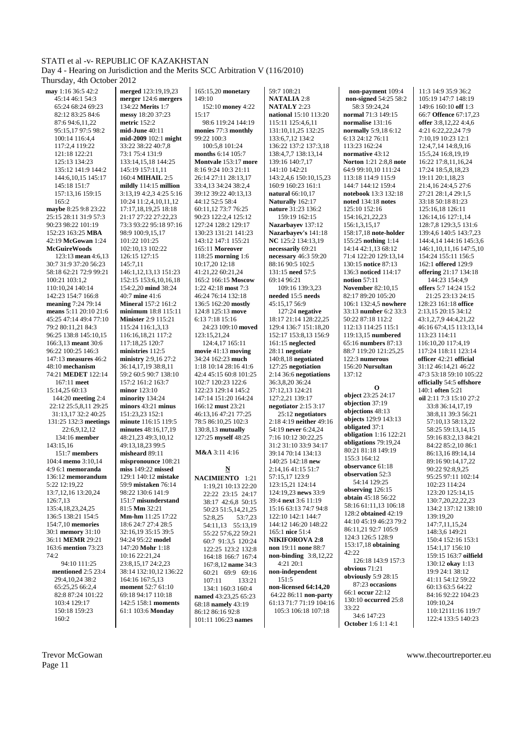Day 4 - Hearing on Jurisdiction and the Merits SCC Arbitration V (116/2010) Thursday, 4th October 2012

165:15,20 **monetary**

**may** 1:16 36:5 42:2 45:14 46:1 54:3 65:24 68:24 69:23 82:12 83:25 84:6 87:6 94:6,11,22 95:15,17 97:5 98:2 100:14 116:4,4 117:2,4 119:22 121:18 122:21 125:13 134:23 135:12 141:9 144:2 144:6,10,15 145:17 145:18 151:7 157:13,16 159:15  $165.2$ **maybe** 8:25 9:8 23:22 25:15 28:11 31:9 57:3 90:23 98:22 101:19 152:23 163:25 **MBA** 42:19 **McGowan** 1:24 **McGuireWoods** 123:13 **mean** 4:6,13 30:7 31:9 37:20 56:23 58:18 62:21 72:9 99:21 100:21 103:1,2 110:10,24 140:14 142:23 154:7 166:8 **meaning** 7:24 79:14 **means** 5:11 20:10 21:6 45:25 47:14 49:4 77:10 79:2 80:11,21 84:3 96:25 138:8 145:10,15 166:3,13 **meant** 30:6 96:22 100:25 146:3 147:13 **measures** 46:2 48:10 **mechanism** 74:21 **MEDET** 122:14 167:11 **meet** 15:14,25 60:13 144:20 **meeting** 2:4 22:12 25:5,8,11 29:25 31:13,17 32:2 40:25 131:25 132:3 **meetings** 22:6,9,12,12 134:16 **member** 143:15,16 151:7 **members** 104:4 **memo** 3:10,14 4:9 6:1 **memoranda** 136:12 **memorandum** 5:22 12:19,22 13:7,12,16 13:20,24  $126:713$ 135:4,18,23,24,25 136:5 138:21 154:5 154:7,10 **memories** 30:1 **memory** 31:10 36:11 **MEMR** 29:21 163:6 **mention** 73:23 74:2 94:10 111:25 **mentioned** 2:5 23:4 29:4,10,24 38:2 65:25,25 66:2,4 82:8 87:24 101:22 103:4 129:17 150:18 159:23  $160.2$ 

**merged** 123:19,19,23 **merger** 124:6 **mergers** 134:22 **Merits** 1:7 **messy** 18:20 37:23 **metric** 152:2 **mid-June** 40:11 **mid-2009** 102:1 **might** 33:22 38:22 40:7,8 73:1 75:4 131:9 133:14,15,18 144:25 145:19 157:11,11 160:4 **MIHAIL** 2:5 **mildly** 114:15 **million** 3:13,19 4:2,3 4:25 5:16 10:24 11:2,4,10,11,12 17:17,18,19,25 18:18 21:17 27:22 27:22,23 73:3 93:22 95:18 97:16 98:9 100:9,15,17 101:22 101:25 102:10,13 102:22 126:15 127:15  $145.711$ 146:1,12,13,13 151:23 152:15 153:6,10,16,18 154:2,20 **mind** 38:24 40:7 **mine** 41:6 **Mineral** 157:2 161:2 **minimum** 18:8 115:11 **Minister** 2:9 115:21 115:24 116:1,3,13 116:16,18,21 117:2 117:18,25 120:7 **ministries** 112:5 **ministry** 2:9,16 27:2 36:14,17,19 38:8,11 59:2 60:5 90:7 138:10 157:2 161:2 163:7 **minor** 123:10 **minority** 134:24 **minors** 43:21 **minus** 151:23,23 152:1 **minute** 116:15 119:5 **minutes** 48:16,17,19 48:21,23 49:3,10,12 49:13,18,23 99:5 **misheard** 89:11 **mispronounce** 108:21 **miss** 149:22 **missed** 129:1 140:12 **mistake** 59:9 **mistaken** 76:14 98:22 130:6 141:9 151:7 **misunderstand** 81:5 **Mm** 32:21 **Mm-hm** 11:25 17:22 18:6 24:7 27:4 28:5 32:16,19 35:15 39:5 94:24 95:22 **model** 147:20 **Mohr** 1:18 10:16 22:21,24 23:8,15,17 24:2,23 38:14 132:10,12 136:22 164:16 167:5,13 **moment** 52:7 61:10 69:18 94:17 110:18 142:5 158:1 **moments** 61:1 103:6 **Monday**

149:10 152:10 **money** 4:22  $15.17$ 98:6 119:24 144:19 **monies** 77:3 **monthly** 99:22 100:3 100:5,8 101:24 **months** 6:14 105:7 **Montvale** 153:17 **more** 8:16 9:24 10:3 21:11 26:14 27:11 28:13,17 33:4,13 34:24 38:2,4 39:12 39:22 40:13,13  $44.125255584$ 60:11,12 73:7 76:25 90:23 122:2,4 125:12 127:24 128:2 129:17 130:23 131:21 141:23 143:12 147:1 155:21 165:11 **Moreover** 118:25 **morning** 1:6 10:17,20 12:18 41:21,22 60:21,24 165:2 166:15 **Moscow** 1:22 42:18 **most** 7:3 46:24 76:14 132:18 136:5 162:20 **mostly** 124:8 125:13 **move** 6:13 7:18 15:16 24:23 109:10 **moved** 123:15,21,24 124:4,17 165:11 **movie** 41:13 **moving** 34:24 162:23 **much** 1:18 10:14 28:16 41:6 42:4 45:15 60:8 101:25 102:7 120:23 122:6 122:23 129:14 145:2 147:14 151:20 164:24 166:12 **must** 23:21 46:13,16 47:21 77:25 78:5 86:10,25 102:3 130:8,13 **mutually** 127:25 **myself** 48:25 **M&A** 3:11 4:16 **N NACIMIENTO** 1:21 1:19,21 10:13 22:20 22:22 23:15 24:17 38:17 42:6,8 50:15 50:23 51:5,14,21,25 52:8,25 53:7,23 54:11,13 55:13,19 55:22 57:6,22 59:21 60:7 91:3,5 120:24 122:25 123:2 132:8 164:18 166:7 167:4 167:8,12 **name** 34:3 60:21 69:9 69:16 107:11 133:21 134:1 160:3 160:4 **named** 43:23,25 65:23 68:18 **namely** 43:19

86:12 86:16 92:8 101:11 106:23 **names** 59:7 108:21 **NATALIA** 2:8 **NATALY** 2:23 **national** 15:10 113:20 115:11 125:4,6,11 131:10,11,25 132:25 133:6,7,12 134:2 136:22 137:2 137:3,18 138:4,7,7 138:13,14 139:16 140:7,17 141:10 142:21 143:2,4,6 150:10,15,23 160:9 160:23 161:1 **natural** 66:10,17 **Naturally** 162:17 **nature** 31:23 136:2 159:19 162:15 **Nazarbayev** 137:12 **Nazarbayev's** 141:18 **NC** 125:2 134:13,19 **necessarily** 69:21 **necessary** 46:3 59:20 88:16 90:5 102:5 131:15 **need** 57:5 69:14 96:21 109:16 139:3,23 **needed** 15:5 **needs** 45:15,17 56:9 127:24 **negative** 18:17 21:14 128:22,25 129:4 136:7 151:18,20 152:17 153:8,13 156:9 161:15 **neglected** 28:11 **negotiate** 140:8,18 **negotiated** 127:25 **negotiation** 2:14 36:6 **negotiations** 36:3,8,20 36:24 37:12,13 124:21 127:2,21 139:17 **negotiator** 2:15 3:17 25:12 **negotiators** 2:18 4:19 **neither** 49:16 54:19 **never** 6:24,24 7:16 10:12 30:22,25 31:2 31:10 33:9 34:17 39:14 70:14 134:13 140:25 142:18 **new** 2:14,16 41:15 51:7 57:15,17 123:9 123:15,21 124:14 124:19,23 **news** 33:9 39:4 **next** 3:6 11:19 15:16 63:13 74:7 94:8 122:10 142:1 144:7 144:12 146:20 148:22 165:1 **nice** 51:4 **NIKIFOROVA 2:8 non** 19:11 **none** 88:7 **non-binding** 3:8,12,22 4:21 20:1 **non-independent**  151:5 **non-licensed 64:14,20**  64:22 86:11 **non-party** 61:13 71:7 71:19 104:16 105:3 106:18 107:18

**non-signed** 54:25 58:2 58:3 59:24,24 **normal** 71:3 149:15 **normalise** 131:16 **normally** 5:9,18 6:12 6:13 24:12 76:11 113:23 162:24 **normative** 43:12 **Norton** 1:21 2:8,8 **note** 64:9 99:10,10 111:24 113:18 114:9 115:9 144:7 144:12 159:4 **notebook** 13:3 132:18 **noted** 134:18 **notes** 125:10 152:16 154:16,21,22,23 156:1,3,15,17 158:17,18 **note-holder** 155:25 **nothing** 1:14 14:14 42:1,13 68:12 71:4 122:20 129:13,14 130:15 **notice** 87:13 136:3 **noticed** 114:17 **notion** 57:11 **November** 82:10,15 82:17 89:20 105:20 106:1 132:4,5 **nowhere** 33:13 **number** 6:2 33:3 50:22 87:18 112:2 112:13 114:25 115:1 119:13,15 **numbered** 65:16 **numbers** 87:13 88:7 119:20 121:25,25 122:3 **numerous** 156:20 **Nursultan** 137:12 **O object** 23:25 24:17 **objection** 37:19 **objections** 48:13 **objects** 129:9 143:13 **obligated** 37:1 **obligation** 1:16 122:21 **obligations** 79:19,24 80:21 81:18 149:19 155:3 164:12 **observance** 61:18 **observation** 52:3 54:14 129:25 **observing** 126:15 **obtain** 45:18 56:22 58:16 61:11,13 106:18 128:2 **obtained** 42:19 44:10 45:19 46:23 79:2 86:11,21 92:7 105:9 124:3 126:5 128:9 153:17,18 **obtaining**  $42.22$ 126:18 143:9 157:3 **obvious** 71:21 **obviously** 5:9 28:15 87:23 **occasions** 66:1 **occur** 22:12 130:10 **occurred** 25:8 33:22 34:6 147:23

**non-payment** 109:4

**October** 1:6 1:1 4:1

11:3 14:9 35:9 36:2 105:19 147:7 148:19 149:6 160:10 **off** 1:3 66:7 **Offence** 67:17,23 **offer** 3:8,12,22 4:4,6 4:21 6:22,22,24 7:9 7:10,19 10:23 12:1 12:4,7,14 14:8,9,16 15:5,24 16:8,19,19 16:22 17:8,11,16,24 17:24 18:5,8,18,23 19:11 20:1,18,23 21:4,16 24:4,5 27:6 27:21 28:1,4 29:1,5 33:18 50:18 81:23 125:16,18 126:11 126:14,16 127:1,14 128:7,8 129:3,5 131:6 139:4,6 140:5 143:7,23 144:4,14 144:16 145:3,6 146:1,10,11,16 147:5,10 154:24 155:11 156:5 162:1 **offered** 129:9 **offering** 21:17 134:18 144:23 154:4,9 **offers** 5:7 14:24 15:2 21:25 23:13 24:15 128:23 161:18 **office** 2:13,15 20:15 34:12 43:1,2,7,9 44:4,21,22 46:16 67:4,15 113:13,14 113:23 114:11 116:10,20 117:4,19 117:24 118:11 123:14 **officer** 42:21 **official** 31:12 46:14,21 46:22 47:3 53:18 59:10 105:22 **officially** 54:5 **offshore** 140:1 **often** 5:21 **oil** 2:11 7:3 15:10 27:2 33:8 36:14,17,19 38:8,11 39:3 56:21 57:10,13 58:13,22 58:25 59:13,14,15 59:16 83:2,13 84:21 84:22 85:2,10 86:1 86:13,16 89:14,14 89:16 90:14,17,22 90:22 92:8,9,25 95:25 97:11 102:14 102:23 114:24 123:20 125:14,15 130:7,20,22,22,23 134:2 137:12 138:10 139:19,20 147:7,11,15,24 148:3,6 149:21 150:4 152:16 153:1 154:1,17 156:10 159:15 163:7 **oilfield** 130:12 **okay** 1:13 19:9 24:1 38:12 41:11 54:12 59:22 60:13 63:5 64:22 84:16 92:22 104:23  $109.10,24$ 110:12111:16 119:7 122:4 133:5 140:23

Page 11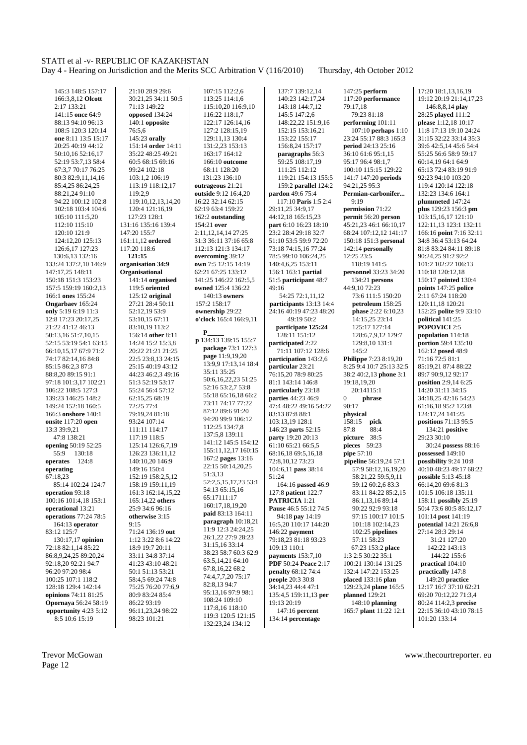145:3 148:5 157:17 166:3,8,12 **Olcott** 2:17 133:21 141:15 **once** 64:9 88:13 94:10 96:13 108:5 120:3 120:14 **one** 8:11 13:5 15:17 20:25 40:19 44:12 50:10,16 52:16,17 52:19 53:7,13 58:4 67:3,7 70:17 76:25 80:3 82:9,11,14,16 85:4,25 86:24,25 88:21,24 91:10 94:22 100:12 102:8 102:18 103:4 104:6  $105:10111:520$ 112:10 115:10 120:10 121:9 124:12,20 125:13 126:6,17 127:23 130:6,13 132:16 133:24 137:2,10 146:9 147:17,25 148:11 150:18 151:3 153:23 157:5 159:19 160:2,13 166:1 **ones** 155:24 **Ongarbaev** 165:24 **only** 5:19 6:19 11:3 12:8 17:23 20:17,25 21:22 41:12 46:13 50:13,16 51:7,10,15 52:15 53:19 54:1 63:15 66:10,15,17 67:9 71:2 74:17 82:14,16 84:8  $85.1586.2387.3$ 88:8,20 89:15 91:1 97:18 101:3,17 102:21 106:22 108:5 127:3 139:23 146:25 148:2 149:24 152:18 160:5 166:3 **onshore** 140:1 **onsite** 117:20 **open** 13:3 39:9,21 47:8 138:21 **opening** 50:19 52:25 55:9 130:18 **operates** 124:8 **operating** 67:18,23 85:14 102:24 124:7 **operation** 93:18  $100.16$  101:4,18 153:1 **operational** 13:21 **operations** 77:24 78:5 164:13 **operator** 83:12 125:7 130:17,17 **opinion** 72:18 82:1,14 85:22 86:8,9,24,25 89:20,24 92:18,20 92:21 94:7 96:20 97:20 98:4 100:25 107:1 118:2 128:18 129:4 142:14 **opinions** 74:11 81:25 **Opornaya** 56:24 58:19 **opportunity** 4:23 5:12 8:5 10:6 15:19

21:10 28:9 29:6 30:21,25 34:11 50:5 71:13 149:22 **opposed** 134:24 140:1 **opposite** 76:5,6 145:23 **orally** 151:14 **order** 14:11 35:22 48:25 49:21 60:5 68:15 69:16 99:24 102:18  $103.1,2106.19$ 113:19 118:12,17 119:2,9 119:10,12,13,14,20 120:4 121:16,19 127:23 128:1 131:16 135:16 139:4 147:20 155:7 161:11,12 **ordered** 117:20 118:6 **121:15 organisation 34:9 Organisational**  141:14 **organised** 119:5 **oriented** 125:12 **original** 27:21 28:4 50:11 52:12,19 53:9 53:10,15 67:11 83:10,19 113:2 156:14 **other** 8:11 14:24 15:2 15:3,8 20:22 21:21 21:25 22:5 23:8,13 24:15 25:15 40:19 43:12 44:23 46:2,3 49:16 51:3 52:19 53:17 55:24 56:4 57:12 62:15,25 68:19  $72.2577.4$ 79:19,24 81:18 93:24 107:14 111:11 114:17 117:19 118:5 125:14 126:6,7,19 126:23 136:11,12 140:10,20 146:9 149:16 150:4 152:19 158:2,5,12 158:19 159:11,19 161:3 162:14,15,22 165:14,22 **others** 25:9 34:6 96:16 **otherwise** 3:15 9:15 71:24 136:19 **out** 1:12 3:22 8:6 14:22 18:9 19:7 20:11 33:11 34:8 37:14 41:23 43:10 48:21 50:1 51:13 53:21 58:4,5 69:24 74:8 75:25 76:20 77:6,9 80:9 83:24 85:4 86:22 93:19 96:11,23,24 98:22

98:23 101:21

107:15 112:2,6 113:25 114:1,6 115:10,20 116:9,10 116:22 118:1,7 122:17 126:14,16 127:2 128:15,19 129:11,13 130:4 131:2,23 153:13 163:17 164:12 166:10 **outcome** 68:11 128:20 131:23 136:10 **outrageous** 21:21 **outside** 9:12 16:4,20 16:22 32:14 62:15 62:19 63:4 159:22 162:2 **outstanding** 154:21 **over** 2:11,12,14,14 27:25 31:3 36:11 37:16 65:8 112:13 121:3 134:17 **overcoming** 39:12 **own** 7:5 12:15 14:19 62:21 67:25 133:12 141:25 146:22 162:5,5 **owned** 125:4 136:22 140:13 **owners** 157:2 158:17 **ownership** 29:22 **o'clock** 165:4 166:9,11  **P\_\_\_\_ p** 134:13 139:15 155:7 **package** 73:1 127:3 **page** 11:9,19,20 13:9,9 17:13,14 18:4 35:11 35:25 50:6,16,22,23 51:25 52:16 53:2,7 53:8 55:18 65:16,18 66:2 73:11 74:17 77:22 87:12 89:6 91:20 94:20 99:9 106:12 112:25 134:7,8 137:5,8 139:11 141:12 145:5 154:12 155:11,12,17 160:15 167:2 **pages** 13:16 22:15 50:14,20,25 51:3,13 52:2,5,15,17,23 53:1 54:13 65:15,16 65:17111:17 160:17,18,19,20 **paid** 83:13 164:11 **paragraph** 10:18,21 11:9 12:3 24:24,25 26:1,22 27:9 28:23 31:15,16 33:14 38:23 58:7 60:3 62:9 63:5,14,21 64:10 67:8,16,22 68:2 74:4,7,7,20 75:17 82:8,13 94:7 95:13,16 97:9 98:1 108:24 109:10 117:8,16 118:10 119:3 120:5 121:15 132:23,24 134:12

137:7 139:12,14 140:23 142:17,24 143:18 144:7,12 145:5 147:2,6 148:22,22 151:9,16 152:15 153:16,21 153:22 155:17 156:8,24 157:17 **paragraphs** 56:3 59:25 108:17,19 111:25 112:12 119:21 154:13 155:5 159:2 **parallel** 124:2 **pardon** 49:6 75:4 117:10 **Paris** 1:5 2:4 29:11,25 34:9,17 44:12,18 165:15,23 **part** 6:10 16:23 18:10 23:2 28:4 29:18 32:7 51:10 53:5 59:9 72:20 73:18 74:15,16 77:24 78:5 99:10 106:24,25 140:4,6,25 153:11 156:1 163:1 **partial** 51:5 **participant** 48:7 49:16 54:25 72:1,11,12 **participants** 13:13 14:4 24:16 40:19 47:23 48:20  $49.1950.2$ **participate 125:24**  128:11 151:12 **participated** 2:22 71:11 107:12 128:6 **participation**  $143.26$ **particular** 23:21 76:15,20 78:9 80:25 81:1 143:14 146:8 **particularly** 23:18 **parties** 44:23 46:9 47:4 48:22 49:16 54:22 83:13 87:8 88:1 103:13,19 128:1 146:23 **parts** 52:15 **party** 19:20 20:13  $61:1065:2166:55$ 68:16,18 69:5,16,18 72:8,10,12 73:23 104:6,11 **pass** 38:14 51:24 164:16 **passed** 46:9 127:8 **patient** 122:7 **PATRICIA** 1:21 **Pause** 46:5 55:12 74:5 94:18 **pay** 14:19 16:5,20 110:17 144:20 146:22 **payment** 79:18,23 81:18 93:23 109:13 110:1 **payments** 153:7,10 **PDF** 50:24 **Peace** 2:17 **penalty** 68:12 74:4 **people** 20:3 30:8 34:14,23 44:4 47:1 135:4,5 159:11,13 **per** 19:13 20:19 147:16 **percent** 134:14 **percentage**

147:25 **perform** 117:20 **performance** 79:17,18 79:23 81:18 **performing** 101:11 107:10 **perhaps** 1:10 23:24 55:17 88:3 165:3 **period** 24:13 25:16 36:10 61:6 95:1,15 95:17 96:4 98:1,7 100:10 115:15 129:22 141:7 147:20 **periods**  $94.21,25.95.3$ **Permian-carbonifer...** 9:19 **permission** 71:22 **permit** 56:20 **person** 45:21,23 46:1 66:10,17 68:24 107:12,12 141:17 150:18 151:3 **personal** 142:14 **personally** 12:25 23:5 118:19 141:5 **personnel** 33:23 34:20 134:21 **persons** 44:9,10 72:23 73:6 111:5 150:20 **petroleum** 158:25 **phase** 2:22 6:10,23 14:15,25 23:14 125:17 127:14 128:6,7,9,12 129:7 129:8,10 131:1 145:2 **Philippe** 7:23 8:19,20 8:25 9:4 10:7 25:13 32:5 38:2 40:2,13 **phone** 3:1 19:18,19,20 20:14115:1 0 **phrase**  $90 \cdot 17$ **physical** 158:15 **pick**  $87:8$ **picture** 38:5 **pieces** 59:23 **pipe** 57:10 **pipeline** 56:19,24 57:1 57:9 58:12,16,19,20 58:21,22 59:5,9,11 59:12 60:2,6 83:3 83:11 84:22 85:2,15 86:1,13,16 89:14 90:22 92:9 93:18 97:15 100:17 101:5 101:18 102:14,23 102:25 **pipelines** 57:11 58:23 67:23 153:2 **place** 1:3 2:5 30:22 35:1 100:21 130:14 131:25 132:4 147:22 153:25 **placed** 133:16 **plan** 129:23,24 **plane** 165:5 **planned** 129:21 148:10 **planning** 165:7 **plant** 11:22 12:1

17:20 18:1,13,16,19 19:12 20:19 21:14,17,23 146:8,8,14 **play** 28:25 **played** 111:2 **please** 1:12,18 10:17 11:8 17:13 19:10 24:24 31:15 32:22 33:14 35:3 39:6 42:5,14 45:6 54:4 55:25 56:6 58:9 59:17  $60.14$  19  $64.1$   $64.9$ 65:13 72:4 83:19 91:9 92:23 94:10 103:20 119:4 120:14 122:18 132:23 134:6 164:1 **plummeted** 147:24 **plus** 129:23 156:3 **pm** 103:15,16,17 121:10 122:11,13 123:1 132:11 166:16 **point** 7:16 32:11 34:8 36:4 53:13 64:24 81:8 83:24 84:11 89:18 90:24,25 91:2 92:2 101:2 102:22 106:13 110:18 120:12,18 150:17 **pointed** 130:4 **points** 147:25 **police** 2:11 67:24 118:20 120:11,18 120:21 152:25 **polite** 9:9 33:10 **political** 141:25 **POPOVICI** 2:5 **population** 114:18 **portion** 59:4 135:10 162:12 **posed** 48:9  $71.16\,72.5\,81.1$ 85:19,21 87:4 88:22 89:7 90:9,12 92:17 **position** 2:9,14 6:25 14:20 31:11 34:15 34:18,25 42:16 54:23 61:16,18 95:2 123:8 124:17,24 141:25 **positions** 71:13 95:5 134:21 **positive** 29:23 30:10 30:24 **possess** 88:16 **possessed** 149:10 **possibility** 9:24 10:8 40:10 48:23 49:17 68:22 **possible** 5:13 45:18 66:14,20 69:6 81:3 101:5 106:18 135:11 158:11 **possibly** 25:19 50:4 73:6 80:5 85:12,17 101:14 **post** 141:19 **potential** 14:21 26:6,8 27:14 28:3 29:14 31:21 127:20 142:22 143:13 144:22 155:6 **practical** 104:10 **practically** 147:8 149:20 **practice** 12:17 16:7 37:10 62:21 69:20 70:12,22 71:3,4 80:24 114:2,3 **precise** 22:15 36:10 43:10 78:15 101:20 133:14

Page 12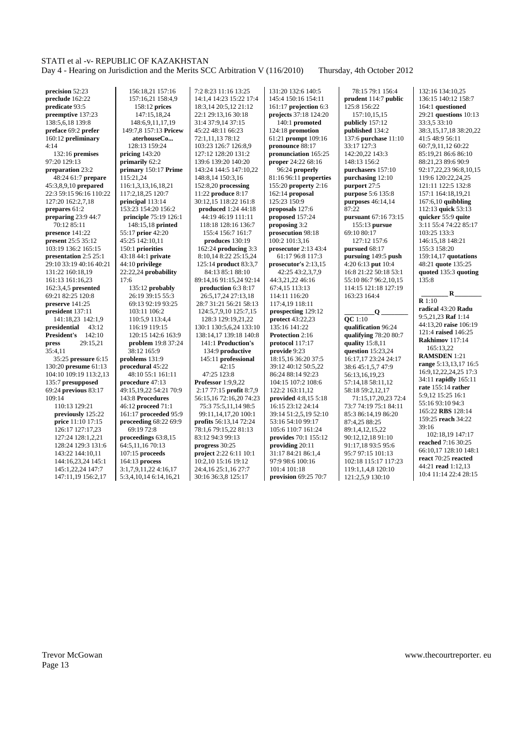**precision** 52:23 **preclude** 162:22 **predicate** 93:5 **preemptive** 137:23 138:5,6,18 139:8 **preface** 69:2 **prefer** 160:12 **preliminary** 4:14 132:16 **premises** 97:20 129:13 **preparation** 23:2 48:24 61:7 **prepare** 45:3,8,9,10 **prepared** 22:3 59:15 96:16 110:22 127:20 162:2,7,18 **prepares** 61:2 **preparing** 23:9 44:7 70:12 85:11 **presence** 141:22 **present** 25:5 35:12 103:19 136:2 165:15 **presentation** 2:5 25:1 29:10 33:19 40:16 40:21 131:22 160:18,19 161:13 161:16,23 162:3,4,5 **presented** 69:21 82:25 120:8 **preserve** 141:25 **president** 137:11 141:18,23 142:1,9 **presidential** 43:12 **President's** 142:10 **press** 29:15,21 35:4,11 35:25 **pressure** 6:15 130:20 **presume** 61:13 104:10 109:19 113:2,13 135:7 **presupposed** 69:24 **previous** 83:17 109:14 110:13 129:21 **previously** 125:22 **price** 11:10 17:15 126:17 127:17,23 127:24 128:1,2,21 128:24 129:3 131:6 143:22 144:10,11 144:16,23,24 145:1 145:1,22,24 147:7

156:18,21 157:16 157:16,21 158:4,9 158:12 **prices** 147:15,18,24 148:6,9,11,17,19 149:7,8 157:13 **Pricew aterhouseCo...** 128:13 159:24 **pricing** 143:20 **primarily** 62:2 **primary** 150:17 **Prime**  $115.21,24$ 116:1,3,13,16,18,21 117:2,18,25 120:7 **principal** 113:14 153:23 154:20 156:2 **principle** 75:19 126:1 148:15,18 **printed** 55:17 **prior** 42:20 45:25 142:10,11 150:1 **priorities** 43:18 44:1 **private** 44:10 **privilege** 22:22,24 **probability** 17:6 135:12 **probably** 26:19 39:15 55:3 69:13 92:19 93:25 103:11 106:2  $110.59113.44$ 116:19 119:15 120:15 142:6 163:9 **problem** 19:8 37:24 38:12 165:9 **problems** 131:9 **procedural** 45:22 48:10 55:1 161:11 **procedure** 47:13 49:15,19,22 54:21 70:9 143:8 **Procedures** 46:12 **proceed** 71:1 161:17 **proceeded** 95:9 **proceeding** 68:22 69:9 69:19 72:8 **proceedings** 63:8,15  $64.5$  11, 16, 70:13 107:15 **proceeds** 164:13 **process** 3:1,7,9,11,22 4:16,17

5:3,4,10,14 6:14,16,21

7:2 8:23 11:16 13:25 14:1,4 14:23 15:22 17:4 18:3,14 20:5,12 21:12 22:1 29:13,16 30:18 31:4 37:9,14 37:15 45:22 48:11 66:23 72:1,11,13 78:12 103:23 126:7 126:8,9 127:12 128:20 131:2 139:6 139:20 140:20 143:24 144:5 147:10,22 148:8,14 150:3,16 152:8,20 **processing** 11:22 **produce** 8:17 30:12,15 118:22 161:8 **produced** 1:24 44:18  $44.1946.1911111$ 118:18 128:16 136:7 155:4 156:7 161:7 **produces** 130:19 162:24 **producing** 3:3 8:10,14 8:22 25:15,24 125:14 **product** 83:3,7 84:13 85:1 88:10 89:14,16 91:15,24 92:14 **production** 6:3 8:17 26:5,17,24 27:13,18 28:7 31:21 56:21 58:13 124:5,7,9,10 125:7,15 128:3 129:19,21,22 130:1 130:5,6,24 133:10 138:14,17 139:18 140:8 141:1 **Production's** 134:9 **productive** 145:11 **professional**  $42.15$ 47:25 123:8 **Professor** 1:9,9,22 2:17 77:15 **profit** 8:7,9 56:15,16 72:16,20 74:23 75:3 75:5,11,14 98:5 99:11,14,17,20 100:1 **profits** 56:13,14 72:24 78:1,6 79:15,22 81:13 83:12 94:3 99:13 **progress** 30:25 **project** 2:22 6:11 10:1 10:2,10 15:16 19:12 24:4,16 25:1,16 27:7 30:16 36:3,8 125:17

131:20 132:6 140:5 145:4 150:16 154:11 161:17 **projection** 6:3 **projects** 37:18 124:20 140:1 **promoted** 124:18 **promotion** 61:21 **prompt** 109:16 **pronounce** 88:17 **pronunciation** 165:25 **proper** 24:22 68:16 96:24 **properly** 81:16 96:11 **properties** 155:20 **property** 2:16 162:14 **proposal** 125:23 150:9 **proposals** 127:6 **proposed** 157:24 **proposing** 3:2 **prosecution** 98:18 100:2 101:3,16 **prosecutor** 2:13 43:4 61:17 96:8 117:3 **prosecutor's** 2:13,15  $42:2543:2379$ 44:3,21,22 46:16 67:4,15 113:13 114:11 116:20 117:4,19 118:11 **prospecting** 129:12 **protect** 43:22,23 135:16 141:22 **Protection** 2:16 **protocol** 117:17 **provide** 9:23  $18:15,16,36:20,37:5$ 39:12 40:12 50:5,22 86:24 88:14 92:23 104:15 107:2 108:6 122:2 163:11,12 **provided** 4:8,15 5:18 16:15 23:12 24:14 39:14 51:2,5,19 52:10 53:16 54:10 99:17 105:6 110:7 161:24 **provides** 70:1 155:12 **providing** 20:11 31:17 84:21 86:1,4 97:9 98:6 100:16 101:4 101:18 **provision** 69:25 70:7

78:15 79:1 156:4 **prudent** 114:7 **public** 125:8 156:22 157:10,15,15 **publicly** 157:12 **published** 134:2 137:6 **purchase** 11:10 33:17 127:3 142:20,22 143:3 148:13 156:2 **purchasers** 157:10 **purchasing** 12:10 **purport** 27:5 **purpose** 5:6 135:8 **purposes** 46:14,14 87:22 **pursuant** 67:16 73:15 155:13 **pursue** 69:10 80:17 127:12 157:6 **pursued** 68:17 **pursuing** 149:5 **push** 4:20 6:13 **put** 10:4 16:8 21:22 50:18 53:1 55:10 86:7 96:2,10,15 114:15 121:18 127:19 163:23 164:4  $\overline{\mathbf{Q}}$  $\overline{OC}$  1:10 **qualification** 96:24 **qualifying** 78:20 80:7 **quality** 15:8,11 **question** 15:23,24 16:17,17 23:24 24:17  $38:6$  45:1,5,7 47:9 56:13,16,19,23 57:14,18 58:11,12 58:18 59:2,12,17 71:15,17,20,23 72:4 73:7 74:19 75:1 84:11 85:3 86:14,19 86:20 87:4,25 88:25

89:1,4,12,15,22 90:12,12,18 91:10 91:17,18 93:5 95:6 95:7 97:15 101:13 102:18 115:17 117:23 119:1,1,4,8 120:10 121:2,5,9 130:10

132:16 134:10,25 136:15 140:12 158:7 164:1 **questioned** 29:21 **questions** 10:13 33:3,5 33:10 38:3,15,17,18 38:20,22 41:5 48:9 56:11 60:7,9,11,12 60:22 85:19,21 86:6 86:10 88:21,23 89:6 90:9 92:17,22,23 96:8,10,15  $119:6 120:22,24,25$ 121:11 122:5 132:8 157:1 164:18,19,21 167:6,10 **quibbling** 112:13 **quick** 53:13 **quicker** 55:9 **quite** 3:11 55:4 74:22 85:17 103:25 133:3 146:15,18 148:21 155:3 158:20 159:14,17 **quotations** 48:21 **quote** 135:25 **quoted** 135:3 **quoting** 135:8

## **R** 1:10

 $\mathbf{R}$ 

**radical** 43:20 **Radu** 9:5,21,23 **Raf** 1:14 44:13,20 **raise** 106:19 121:4 **raised** 146:25 **Rakhimov** 117:14  $165.13.22$ **RAMSDEN** 1:21 **range** 5:13,13,17 16:5 16:9,12,22,24,25 17:3 34:11 **rapidly** 165:11 **rate** 155:14 **rather** 5:9,12 15:25 16:1 55:16 93:10 94:3 165:22 **RBS** 128:14 159:25 **reach** 34:22 39:16 102:18,19 147:17 **reached** 7:16 30:25 66:10,17 128:10 148:1

**react** 70:25 **reacted** 44:21 **read** 1:12,13 10:4 11:14 22:4 28:15

Page 13

147:11,19 156:2,17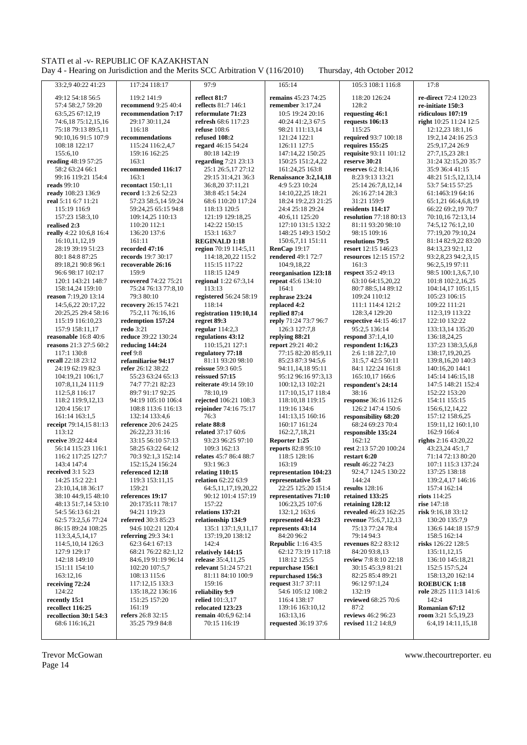| 33:2,9 40:22 41:23                             | 117:24 118:17                                   | 97:9                                       | 165:14                                   | 105:3 108:1 116:8                           | 17:8                                            |
|------------------------------------------------|-------------------------------------------------|--------------------------------------------|------------------------------------------|---------------------------------------------|-------------------------------------------------|
| 49:12 54:18 56:5                               | 119:2 141:9                                     | reflect 81:7                               | remains 45:23 74:25                      | 118:20 126:24                               | re-direct 72:4 120:23                           |
| 57:4 58:2,7 59:20                              | recommend 9:25 40:4                             | reflects 81:7 146:1                        | remember 3:17,24                         | 128:2                                       | re-initiate 150:3                               |
| 63:5,25 67:12,19                               | recommendation 7:17                             | reformulate 71:23                          | 10:5 19:24 20:16                         | requesting 46:1                             | ridiculous 107:19                               |
| 74:6,18 75:12,15,16                            | 29:17 30:11,24                                  | refresh 68:6 117:23                        | 40:24 41:2,3 67:5                        | requests 106:13                             | right 10:25 11:24 12:5                          |
| 75:18 79:13 89:5,11                            | 116:18                                          | refuse $108:6$                             | 98:21 111:13,14                          | 115:25                                      | 12:12,23 18:1,16                                |
| 90:10,16 91:5 107:9                            | recommendations                                 | refused 108:2                              | 121:24 122:1                             | required 93:7 100:18                        | 19:2,14 24:16 25:3                              |
| 108:18 122:17                                  | 115:24 116:2,4,7                                | regard 46:15 54:24                         | 126:11 127:5                             | requires 155:25                             | 25:9,17,24 26:9                                 |
| 155:6,10                                       | 159:16 162:25                                   | 80:18 142:19                               | 147:14,22 150:25                         | requisite 93:11 101:12                      | 27:7,15,23 28:1                                 |
| reading 48:19 57:25                            | 163:1                                           | regarding 7:21 23:13                       | 150:25 151:2,4,22                        | reserve 30:21                               | 31:24 32:15,20 35:7                             |
| 58:2 63:24 66:1                                | recommended 116:17                              | 25:1 26:5,17 27:12                         | 161:24,25 163:8                          | reserves 6:2 8:14,16                        | 35:9 36:4 41:15                                 |
| 99:16 119:21 154:4                             | 163:1                                           | 29:15 31:4,21 36:3                         | Renaissance 3:2,14,18                    | 8:23 9:13 13:21                             | 48:21 51:5,12,13,14                             |
| reads 99:10                                    | recontact 150:1,11                              | 36:8,20 37:11,21                           | 4:9 5:23 10:24                           | 25:14 26:7,8,12,14                          | 53:7 54:15 57:25                                |
| ready 108:23 136:9                             | record 1:3 2:6 52:23                            | 38:8 45:1 54:24                            | 14:10,22,25 18:21                        | 26:16 27:14 28:3                            | 61:1463:19 64:16                                |
| real 5:11 6:7 11:21                            | 57:23 58:5.14 59:24                             | 68:6 110:20 117:24                         | 18:24 19:2.23 21:25                      | 31:21 159:9                                 | 65:1,21 66:4,6,8,19                             |
| 115:19 116:9                                   | 59:24,25 65:15 94:8                             | 118:13 120:5                               | 24:4 25:18 29:24                         | residents 114:17                            | 66:22 69:2,19 70:7                              |
| 157:23 158:3,10<br>realised 2:3                | 109:14,25 110:13<br>110:20 112:1                | 121:19 129:18,25<br>142:22 150:15          | 40:6,11 125:20<br>127:10 131:5 132:2     | resolution 77:18 80:13<br>81:11 93:20 98:10 | 70:10,16 72:13,14<br>74:5,12 76:1,2,10          |
| really 4:22 10:6,8 16:4                        | 136:20 137:6                                    | 153:1 163:7                                | 148:25 149:3 150:2                       | 98:15 109:16                                | 77:19,20 79:10,24                               |
| 16:10,11,12,19                                 | 161:11                                          | <b>REGINALD 1:18</b>                       | 150:6,7,11 151:11                        | resolutions 79:5                            | 81:14 82:9,22 83:20                             |
| 28:19 39:19 51:23                              | recorded 47:16                                  | region 70:19 114:5,11                      | RenCap 19:17                             | resort 12:15 146:23                         | 84:13,23 92:1,12                                |
| 80:1 84:8 87:25                                | records 19:7 30:17                              | 114:18,20,22 115:2                         | rendered 49:1 72:7                       | <b>resources</b> 12:15 157:2                | 93:2,8,23 94:2,3,15                             |
| 89:18,21 90:8 96:1                             | recoverable 26:16                               | 115:15 117:22                              | 104:9,18,22                              | 161:3                                       | 96:2,5,19 97:11                                 |
| 96:6 98:17 102:17                              | 159:9                                           | 118:15 124:9                               | reorganisation 123:18                    | respect 35:2 49:13                          | 98:5 100:1,3,6,7,10                             |
| 120:1 143:21 148:7                             | recovered 74:22 75:21                           | regional 1:22 67:3,14                      | repeat 45:6 134:10                       | 63:10 64:15,20,22                           | 101:8 102:2,16,25                               |
| 158:14,24 159:10                               | 75:24 76:13 77:8,10                             | 113:13                                     | 164:1                                    | 80:7 88:5,14 89:12                          | 104:14,17 105:1,15                              |
| reason 7:19,20 13:14                           | 79:3 80:10                                      | registered 56:24 58:19                     | rephrase 23:24                           | 109:24 110:12                               | 105:23 106:15                                   |
| 14:5,6,22 20:17,22                             | recovery 26:15 74:21                            | 118:14                                     | replaced 4:2                             | 111:1 114:4 121:2                           | 109:22 111:21                                   |
| 20:25,25 29:4 58:16                            | 75:2,11 76:16,16                                | registration 119:10,14                     | replied 87:4                             | 128:3,4 129:20                              | 112:3,19 113:22                                 |
| 115:19 116:10,23                               | redemption 157:24                               | regret 89:3                                | reply 71:24 73:7 96:7                    | respective 44:15 46:17                      | 122:10 132:22                                   |
| 157:9 158:11,17                                | redo 3:21<br>reduce 39:22 130:24                | regular $114:2,3$                          | 126:3 127:7,8                            | 95:2,5 136:14                               | 133:13,14 135:20                                |
| reasonable 16:8 40:6<br>reasons 21:3 27:5 60:2 | reducing 144:24                                 | regulations 43:12<br>110:15,21 127:1       | replying 88:21<br>report 29:21 40:2      | respond 37:1,4,10<br>respondent 1:16,23     | 136:18,24,25<br>137:23 138:3,5,6,8              |
| 117:1 130:8                                    | reef 9:8                                        | regulatory 77:18                           | 77:15 82:20 85:9,11                      | 2:6 1:18 22:7,10                            | 138:17,19,20,25                                 |
| recall 22:18 23:12                             | refamiliarise 94:17                             | 81:11 93:20 98:10                          | 85:23 87:3 94:5,6                        | 31:5,7 42:5 50:11                           | 139:8, 16, 20 140:3                             |
| 24:19 62:19 82:3                               | refer 26:12 38:22                               | reissue 59:3 60:5                          | 94:11,14,18 95:11                        | 84:1 122:24 161:8                           | 140:16,20 144:1                                 |
| 104:19,21 106:1,7                              | 55:23 63:24 65:13                               | reissued 57:15                             | 95:12 96:16 97:3,13                      | 165:10,17 166:6                             | 145:14 146:15,18                                |
| 107:8,11,24 111:9                              | 74:7 77:21 82:23                                | reiterate 49:14 59:10                      | 100:12,13 102:21                         | respondent's 24:14                          | 147:5 148:21 152:4                              |
| 112:5,8 116:17                                 | 89:7 91:17 92:25                                | 78:10,19                                   | 117:10,15,17 118:4                       | 38:16                                       | 152:22 153:20                                   |
| 118:2 119:9,12,13                              | 94:19 105:10 106:4                              | rejected 106:21 108:3                      | 118:10,18 119:15                         | response 36:16 112:6                        | 154:11 155:15                                   |
| 120:4 156:17                                   | 108:8 113:6 116:13                              | rejoinder 74:16 75:17                      | 119:16 134:6                             | 126:2 147:4 150:6                           | 156:6, 12, 14, 22                               |
| 161:14 163:1,5                                 | 132:14 133:4,6                                  | 76:3                                       | 141:13,15 160:16                         | responsibility 68:20                        | 157:12 158:6,25                                 |
| receipt 79:14,15 81:13<br>113:12               | reference 20:6 24:25                            | relate 88:8                                | 160:17 161:24<br>162:2,7,18,21           | 68:24 69:23 70:4                            | 159:11,12 160:1,10<br>162:9 166:4               |
| receive 39:22 44:4                             | 26:22,23 31:16<br>33:15 56:10 57:13             | related 37:17 60:6<br>93:23 96:25 97:10    | Reporter 1:25                            | responsible 135:24<br>162:12                | <b>rights</b> 2:16 43:20,22                     |
| 56:14 115:23 116:1                             | 58:25 63:22 64:12                               | 109:3 162:13                               | reports 82:8 95:10                       | rest 2:13 57:20 100:24                      | 43:23,24 45:1,7                                 |
| 116:2 117:25 127:7                             | 70:3 92:1,3 152:14                              | relates 45:7 86:4 88:7                     | 118:5 128:16                             | restart 6:20                                | 71:14 72:13 80:20                               |
| 143:4 147:4                                    | 152:15,24 156:24                                | 93:1 96:3                                  | 163:19                                   | result 46:22 74:23                          | 107:1 115:3 137:24                              |
| received 3:1 5:23                              | referenced 12:18                                | relating $110:15$                          | representation 104:23                    | 92:4,7 124:5 130:22                         | 137:25 138:18                                   |
| 14:25 15:2 22:1                                | 119:3 153:11,15                                 | <b>relation</b> 62:22 63:9                 | representative 5:8                       | 144:24                                      | 139:2,4,17 146:16                               |
| 23:10,14,18 36:17                              | 159:21                                          | 64:5, 11, 17, 19, 20, 22                   | 22:25 125:20 151:4                       | results $128:16$                            | 157:4 162:14                                    |
| 38:10 44:9,15 48:10                            | references 19:17                                | 90:12 101:4 157:19                         | representatives 71:10                    | retained 133:25                             | riots 114:25                                    |
| 48:13 51:7,14 53:10                            | 20:1735:11 78:17                                | 157:22                                     | 106:23,25 107:6                          | retaining 128:12                            | rise 147:18                                     |
| 54:5 56:13 61:21                               | 94:21 119:23                                    | relations 137:21                           | 132:1,2 163:6                            | revealed 46:23 162:25                       | risk 9:16,18 33:12                              |
| 62:5 73:2,5,6 77:24<br>86:15 89:24 108:25      | <b>referred</b> 30:3 85:23<br>94:6 102:21 120:4 | relationship 134:9<br>135:1 137:1,9,11,17  | represented 44:23<br>represents 43:14    | revenue 75:6,7,12,13<br>75:13 77:24 78:4    | 130:20 135:7,9<br>136:6 144:18 157:9            |
| 113:3,4,5,14,17                                | referring $29:334:1$                            | 137:19,20 138:12                           | 84:20 96:2                               | 79:14 94:3                                  | 158:5 162:14                                    |
| 114:5,10,14 126:3                              | 62:3 64:1 67:13                                 | 142:4                                      | <b>Republic 1:16 43:5</b>                | <b>revenues</b> 82:2 83:12                  | risks 126:22 128:5                              |
| 127:9 129:17                                   | 68:21 76:22 82:1,12                             | relatively 144:15                          | 62:12 73:19 117:18                       | 84:20 93:8,13                               | 135:11,12,15                                    |
| 142:18 149:10                                  | 84:6,19 91:19 96:14                             | release 35:4,11,25                         | 118:12 125:5                             | review 7:8 8:10 22:18                       | 136:10 145:18,21                                |
| 151:11 154:10                                  | 102:20 107:5,7                                  | <b>relevant</b> 51:24 57:21                | repurchase 156:1                         | 30:15 45:3,9 81:21                          | 152:5 157:5,24                                  |
| 163:12,16                                      | 108:13 115:6                                    | 81:11 84:10 100:9                          | repurchased 156:3                        | 82:25 85:4 89:21                            | 158:13,20 162:14                                |
| receiving 72:24                                | 117:12,15 133:3                                 | 159:16                                     | request 31:7 37:11                       | 96:12 97:1,24                               | <b>ROEBUCK 1:18</b>                             |
| 124:22                                         | 135:18,22 136:16                                | reliability 9:9                            | 54:6 105:12 108:2                        | 132:19                                      | role 28:25 111:3 141:6                          |
| recently 15:1                                  | 151:25 157:20                                   | <b>relied</b> 101:3,17                     | 116:4 138:17                             | reviewed 68:25 70:6                         | 142:4                                           |
| recollect 116:25                               | 161:19                                          | relocated 123:23                           | 139:16 163:10,12                         | 87:2                                        | Romanian 67:12                                  |
| recollection 30:1 54:3<br>68:6 116:16,21       | <b>refers</b> 26:8 32:15<br>35:25 79:9 84:8     | <b>remain</b> 40:6,9 62:14<br>70:15 116:19 | 163:13,16<br><b>requested</b> 36:19 37:6 | reviews 46:2 96:23<br>revised 11:2 14:8,9   | room $3:21\,5:5,19,23$<br>6:4, 19 14:11, 15, 18 |
|                                                |                                                 |                                            |                                          |                                             |                                                 |
|                                                |                                                 |                                            |                                          |                                             |                                                 |

Trevor McGowan<br>Page 14

www.thecourtreporter. eu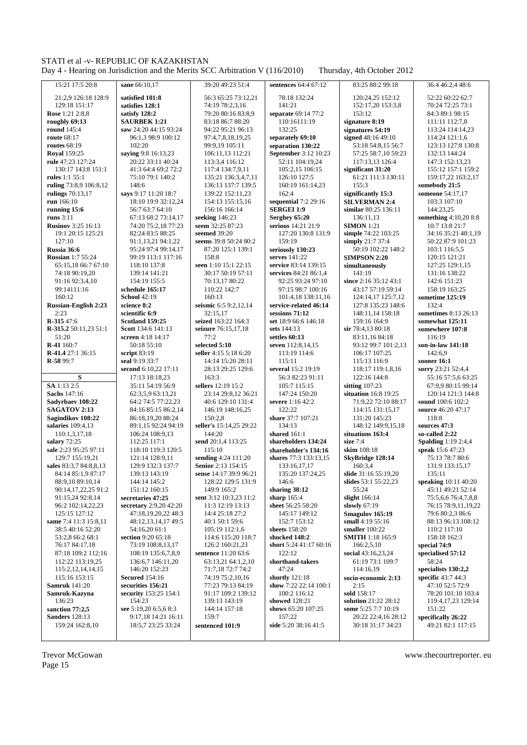| 15:21 17:5 20:8                         | sane 66:10.17                             | 39:20 49:23 51:4                           | sentences 64:4 67:12                   | 83:25 88:2 99:18                        | 36:4 46:2,4 48:6                           |
|-----------------------------------------|-------------------------------------------|--------------------------------------------|----------------------------------------|-----------------------------------------|--------------------------------------------|
|                                         |                                           |                                            |                                        |                                         |                                            |
| 21:2,9 126:18 128:9                     | satisfied 101:8<br>satisfies 128:1        | 56:3 65:25 73:12,21                        | 78:18 132:24                           | 120:24,25 152:12                        | 52:22 60:22 62:7                           |
| 129:18 151:17<br>Rose 1:21 2:8,8        | satisfy 128:2                             | 74:19 78:2,3,16<br>79:20 80:16 83:8,9      | 141:21<br>separate 69:14 77:2          | 152:17,20 153:3,8<br>153:12             | 70:24 72:25 73:1<br>84:3 89:1 98:15        |
| roughly 69:13                           | <b>SAURBEK 1:21</b>                       | 83:18 86:7 88:20                           | 110:16111:19                           | signature 8:19                          | 111:11 112:7,8                             |
| round 145:4                             | saw 24:20 44:15 93:24                     | 94:22 95:21 96:13                          | 132:25                                 | signatures 54:19                        | 113:24 114:14,23                           |
| route 68:17                             | 96:1,3 98:9 100:12                        | 97:4,7,8,18,19,25                          | separately 69:10                       | signed 48:16 49:10                      | 114:24 121:1,6                             |
| routes $68:19$                          | 102:20                                    | 99:9,19 105:11                             | separation 130:22                      | 53:18 54:8,15 56:7                      | 123:13 127:8 130:8                         |
| <b>Royal</b> 159:25                     | saying 9:8 16:13,23                       | 106:11,13 112:21                           | September 3:12 10:23                   | 57:25 58:7,10 59:23                     | 132:13 144:24                              |
| rule 47:23 127:24                       | 20:22 33:11 40:24                         | 113:3,4 116:12                             | 52:11 104:19,24                        | 117:13,13 126:4                         | 147:3 152:13,23                            |
| 130:17 143:8 151:1                      | 41:3 64:4 69:2 72:2                       | 117:4 134:7,9,11                           | 105:2,15 106:15                        | significant 31:20                       | 155:12 157:1 159:2                         |
| rules 1:1 55:1                          | 75:10 79:1 140:2                          | 135:21 136:3,4,7,11                        | 126:10 127:5                           | 61:21 111:3 130:11                      | 159:17,22 163:2,17                         |
| ruling 73:8,9 106:8,12                  | 148:6                                     | 136:13 137:7 139:5                         | 160:19 161:14,23                       | 155:3                                   | somebody 21:5                              |
| rulings 70:13,17                        | says 9:17 11:20 18:7                      | 139:22 152:11,23                           | 162:4                                  | significantly 15:3                      | someone 54:17,17                           |
| run 166:10                              | 18:10 19:9 32:12.24                       | 154:13 155:15,16                           | sequential 7:2 29:16                   | <b>SILVERMAN 2:4</b>                    | 103:3 107:10                               |
| running 15:6                            | 56:7 63:7 64:10                           | 156:16 166:14                              | <b>SERGEI 1:9</b>                      | similar 80:25 136:11                    | 144:23,25                                  |
| runs $3:11$                             | 67:13 68:2 73:14,17                       | seeking 146:23                             | Serghey 65:20                          | 136:11,13                               | something 4:10,20 8:8                      |
| <b>Rusinov 3:25 16:13</b>               | 74:20 75:2,18 77:23                       | seem 32:25 87:23                           | serious 14:21 21:9                     | <b>SIMON 1:21</b>                       | 10:7 13:8 21:7                             |
| 19:1 20:15 125:21                       | 82:24 83:5 88:25                          | seemed 39:20                               | 127:20 130:8 131:9                     | simple 74:22 103:25                     | 34:16 35:21 48:1,19                        |
| 127:10                                  | 91:1,13,21 94:1,22<br>95:24 97:4 99:14.17 | seems 39:8 50:24 80:2<br>87:20 125:1 139:1 | 159:19                                 | simply $21:737:4$<br>50:19 102:22 148:2 | 50:22 87:9 101:23<br>103:1 116:5,5         |
| Russia 36:6<br><b>Russian</b> 1:7 55:24 | 99:19 113:1 117:16                        | 158.8                                      | seriously 130:23<br>serves 141:22      | <b>SIMPSON 2:20</b>                     | 120:15 121:21                              |
| 65:15,18 66:7 67:10                     | 118:10 137:8                              | seen 1:10 15:1 22:15                       | service 83:14 139:15                   | simultaneously                          | 127:25 129:1,15                            |
| 74:18 90:19,20                          | 139:14 141:21                             | 30:17 50:19 57:11                          | services 84:21 86:1,4                  | 141:19                                  | 131:16 138:22                              |
| 91:16 92:3,4,10                         | 154:19 155:5                              | 70:13,17 80:22                             | 92:25 93:24 97:10                      | since 2:16 35:12 43:1                   | 142:6 151:23                               |
| 99:14111:16                             | schedule 165:17                           | 110:22 142:7                               | 97:15 98:7 100:16                      | 43:17 57:19 59:14                       | 158:19 163:25                              |
| 160:12                                  | <b>School 42:19</b>                       | 160:13                                     | 101:4,18 138:11,16                     | 124:14,17 125:7,12                      | sometime 125:19                            |
| <b>Russian-English 2:23</b>             | science 8:2                               | seismic 6:5 9:2,12,14                      | service-related 46:14                  | 127:8 135:23 148:6                      | 132:4                                      |
| 2:23                                    | scientific 6:9                            | 32:15,17                                   | sessions 71:12                         | 148:11,14 158:18                        | sometimes 8:13 26:13                       |
| <b>R-315</b> 47:6                       | Scotland 159:25                           | seized 163:22 164:3                        | set 18:9 66:6 146:18                   | 159:16 164:9                            | somewhat 125:11                            |
| R-315.2 50:11,23 51:1                   | Scott 134:6 141:13                        | seizure 76:15,17,18                        | sets 144:13                            | sir 78:4,13 80:18                       | somewhere 107:8                            |
| 51:20                                   | screen 4:18 14:17                         | 77:2                                       | settles 60:13                          | 83:11,16 84:18                          | 116:19                                     |
| R-41 160:7                              | 50:18 55:10                               | selected 5:10                              | seven 112:8,14,15                      | 93:12 99:7 101:2,13                     | son-in-law 141:18                          |
| R-41.4 27:1 36:15                       | script 83:19                              | seller 4:15 5:18 6:20                      | 113:19 114:6                           | 106:17 107:25                           | 142:6,9                                    |
| R-58 99:7                               | seal 9:19 33:7                            | 14:14 15:20 28:11                          | 115:11                                 | 115:13 116:9                            | sooner 16:1                                |
| S                                       | second 6:10,22 17:11                      | 28:13 29:25 129:6<br>163:3                 | several 15:2 19:19<br>56:3 82:23 91:11 | 118:17 119:1,8,16<br>122:16 144:8       | sorry 23:21 52:4,4                         |
| SA 1:13 2:5                             | 17:13 18:18,23<br>35:11 54:19 56:9        | sellers 12:19 15:2                         | 105:7 115:15                           | sitting 107:23                          | 55:16 57:5,6 63:25<br>67:9.9 80:15 99:14   |
| <b>Sachs</b> 147:16                     | 62:3,5,9 63:13,21                         | 23:14 29:8,12 36:21                        | 147:24 150:20                          | situation 16:8 19:25                    | 120:14 121:3 144:8                         |
| Sadyrbaev 108:22                        | 64:2 74:5 77:22,23                        | 40:6 129:10 131:4                          | severe 1:16 42:2                       | 71:9,22 72:10 88:17                     | sound 100:6 102:2                          |
| <b>SAGATOV 2:13</b>                     | 84:16 85:15 86:2,14                       | 146:19 148:16,25                           | 122:22                                 | 114:15 131:15,17                        | source 46:20 47:17                         |
| Sagindikov 108:22                       | 86:18.19.20 88:24                         | 150:2,8                                    | share 37:7 107:21                      | 131:20 145:23                           | 118:8                                      |
| salaries 109:4,13                       | 89:1,15 92:24 94:19                       | seller's 15:14,25 29:22                    | 134:13                                 | 148:12 149:9,15,18                      | sources 47:3                               |
| 110:1,3,17,18                           | 106:24 108:9,13                           | 144:20                                     | shared 161:1                           | situations 163:4                        | so-called 2:22                             |
| salary 72:25                            | 112:25 117:1                              | send 20:1,4 113:25                         | shareholders 134:24                    | size 7:4                                | <b>Spalding 1:19 2:4,4</b>                 |
| sale 2:23 95:25 97:11                   | 118:10 119:3 120:5                        | 115:10                                     | shareholder's 134:16                   | skim 108:18                             | speak 15:6 47:23                           |
| 129:7 155:19.21                         | 121:14 128:9,11                           | sending 4:24 111:20                        | shares 77:3 133:13,15                  | SkyBridge 128:14                        | 75:13 78:7 80:6                            |
| sales 83:3,7 84:8,8,13                  | 129:9 132:3 137:7                         | Senior 2:13 154:15                         | 133:16,17,17                           | 160:3,4                                 | 131:9 133:15,17                            |
| 84:14 85:1,9 87:17                      | 139:13 143:19                             | sense 14:17 39:9 96:21                     | 135:20 137:24,25                       | slide $31:1655:19,20$                   | 135:11                                     |
| 88:9,10 89:10,14                        | 144:14 145:2                              | 128:22 129:5 131:9                         | 146:6                                  | slides 53:1 55:22,23<br>55:24           | speaking 10:11 40:20                       |
| 90:14,17,22,25 91:2<br>91:15,24 92:8,14 | 151:12 160:15<br>secretaries 47:25        | 149:9 165:2<br>sent 3:12 10:3,23 11:2      | sharing 38:12<br>sharp 165:4           | slight 166:14                           | 45:11 49:21 52:14<br>75:5,6,6 76:4,7,8,8   |
| 96:2 102:14,22,23                       | secretary 2:9,20 42:20                    | 11:3 12:19 13:13                           | sheet 56:25 58:20                      | slowly 67:19                            | 76:15 78:9,11,19,22                        |
| 125:15 127:12                           | 47:18.19.20.22 48:3                       | 14:4 25:18 27:2                            | 145:17 149:12                          | Smagulov 165:19                         | 79:6 80:2,3 86:6                           |
| same 7:4 11:3 15:8,11                   | 48:12,13,14,17 49:5                       | 40:1 50:1 59:6                             | 152:7 153:12                           | small 4:19 55:16                        | 88:13 96:13 108:12                         |
| 38:5 40:16 52:20                        | 54:16,20 61:1                             | 105:19 112:1.6                             | sheets 158:20                          | smaller 100:22                          | 110:2 117:10                               |
| 53:2,8 66:2 68:1                        | section 9:20 65:18                        | 114:6 115:20 118:7                         | shocked 148:2                          | <b>SMITH 1:18 165:9</b>                 | 158:18 162:3                               |
| 76:17 84:17,18                          | 73:19 108:8,13,17                         | 126:2 160:21,23                            | short 5:24 41:17 60:16                 | 166:2,5,10                              | special 74:9                               |
| 87:18 109:2 112:16                      | 108:19 135:6,7,8,9                        | sentence 11:20 63:6                        | 122:12                                 | social 43:16,23,24                      | specialised 57:12                          |
| 112:22 113:19,25                        | 136:6.7 146:11.20                         | 63:13,21 64:1,2,10                         | shorthand-takers                       | 61:19 73:1 109:7                        | 58:24                                      |
| 115:2, 12, 14, 14, 15                   | 146:20 152:23                             | 71:7,18 72:7 74:2                          | 47:24                                  | 114:16,19                               | specialists 130:2,2                        |
| 115:16 153:15                           | <b>Secured 154:16</b>                     | 74:19 75:2,10,16                           | shortly $121:18$                       | socio-economic 2:13                     | specific $43:744:3$                        |
| <b>Samruk</b> 141:20                    | securities 156:21                         | 77:23 79:13 84:19                          | show 7:22 22:14 100:1                  | 2:15                                    | 47:10 52:5 72:9                            |
| Samruk-Kazyna<br>136:23                 | security 153:25 154:1<br>154:23           | 91:17 109:2 139:12<br>139:13 143:19        | 100:2 116:12<br>showed 128:21          | sold 158:17<br>solution 21:22 28:12     | 78:20 101:10 103:4<br>119:4, 17, 23 129:14 |
| sanction 77:2,5                         | see 5:19,20 6:5,6 8:3                     | 144:14 157:18                              | shows 65:20 107:25                     | some 5:25 7:7 10:19                     | 151:22                                     |
| <b>Sanders</b> 128:13                   | 9:17,18 14:21 16:11                       | 159:7                                      | 157:22                                 | 20:22 22:4,16 28:12                     | specifically 26:22                         |
|                                         |                                           |                                            |                                        |                                         |                                            |
| 159:24 162:8,10                         | 18:5,7 23:25 33:24                        | sentenced 101:9                            | side 5:20 38:16 41:5                   | 30:18 31:17 34:23                       | 49:21 82:1 117:15                          |

Trevor McGowan<br>Page 15

www.thecourtreporter. eu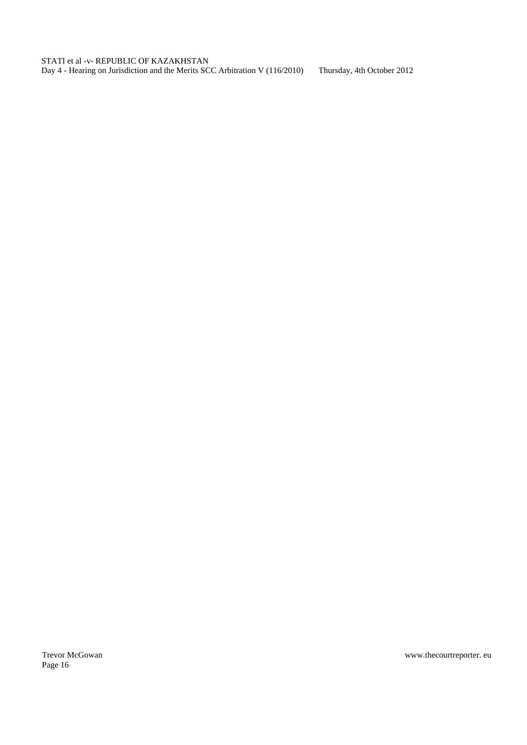Page 16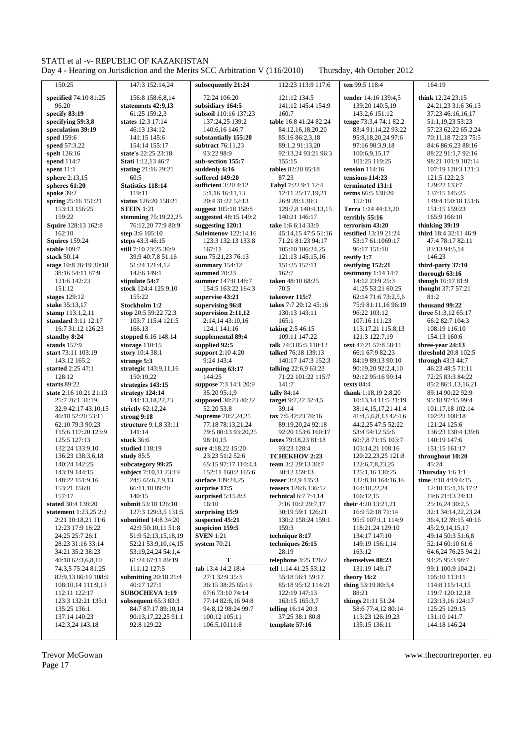| 150:25                                      |                                            |                                    |                                            |                                         |                                        |
|---------------------------------------------|--------------------------------------------|------------------------------------|--------------------------------------------|-----------------------------------------|----------------------------------------|
|                                             | 147:3 152:14,24                            | subsequently 21:24                 | 112:23 113:9 117:6                         | ten 99:5 118:4                          | 164:19                                 |
| specified 74:10 81:25                       | 156:8 158:6,8,14                           | 72:24 106:20                       | 121:12 134:5                               | tender 14:16 139:4,5                    | think 12:24 23:15                      |
| 96:20                                       | statements 42:9,13                         | subsidiary 164:5                   | 141:12 145:4 154:9                         | 139:20 140:5,19                         | 24:21,23 31:6 36:13                    |
| specify 83:19                               | 61:25 159:2,3                              | subsoil 110:16 137:23              | 160:7                                      | 143:2,6 151:12                          | 37:23 46:16,16,17                      |
| specifying 59:3,8                           | states 12:3 17:14                          | 137:24.25 139:2                    | table 16:8 41:24 82:24                     | tenge 73:3,4 74:1 82:2                  | 51:1,19,23 53:23                       |
| speculation 39:19                           | 46:13 134:12                               | 140:6,16 146:7                     | 84:12,16,18,20,20                          | 83:4 91:14,22 93:22                     | 57:23 62:22 65:2,24                    |
| sped 159:6                                  | 141:15 145:6                               | substantially 155:20               | 85:16 86:2,3,18                            | 95:8,18,20,24 97:6                      | 70:11,18 72:23 75:5                    |
| speed 57:3,22                               | 154:14 155:17                              | subtract 76:11,23                  | 89:1,2 91:13,20                            | 97:16 98:3,9,18                         | 84:6 86:6,23 88:16                     |
| spelt 126:16                                | state's 22:25 23:18                        | 93:22 98:9                         | 92:13,24 93:21 96:3                        | 100:6,9,15,17                           | 88:22 91:1,7 92:16                     |
| spend 114:7                                 | <b>Stati</b> 1:12,13 46:7                  | sub-section 155:7                  | 155:15                                     | 101:25 119:25                           | 98:21 101:9 107:14                     |
| spent $11:1$                                | stating 21:16 29:21                        | suddenly 6:16                      | tables 82:20 85:18                         | tension $114:16$                        | 107:19 120:3 121:3                     |
| sphere 2:13,15                              | 60:5                                       | suffered 149:20                    | 87:23                                      | tensions 114:23                         | 121:5 122:2,3                          |
| spheres $61:20$                             | <b>Statistics 118:14</b>                   | sufficient $3:204:12$              | Tabyl 7:22 9:1 12:4                        | terminated 131:1                        | 129:22 133:7                           |
| spoke $39:2$                                | 119:11                                     | 5:1,16 16:11,13                    | 12:11 25:17,19,21                          | terms 66:5 138:20                       | 137:15 145:25                          |
| spring 25:16 151:21                         | status 126:20 158:21                       | 20:4 31:22 52:13                   | 26:9 28:3 38:3                             | 152:10                                  | 149:4 150:18 151:6                     |
| 153:13 156:25                               | <b>STEIN</b> 1:21                          | suggest 105:18 158:8               | 129:7,8 140:4,13,15                        | Terra 1:14 44:13,20                     | 151:15 159:23                          |
| 159:22                                      | stemming 75:19,22,25                       | suggested 48:15 149:2              | 140:21 146:17                              | terribly 55:16                          | 165:9 166:10                           |
| Squire 128:13 162:8                         | 76:12,20 77:9 80:9                         | suggesting 120:1                   | take 1:6 6:14 33:9                         | terrorism 43:20                         | thinking 39:19                         |
| 162:10                                      | step $3:6 105:10$                          | <b>Suleimenov</b> 122:14,16        | 45:14,15 47:5 51:16                        | testified 13:19 21:24                   | third 18:4 32:11 46:9                  |
| <b>Squires</b> 159:24                       | steps 43:3 46:15                           | 123:3 132:13 133:8                 | 71:21 81:23 94:17                          | 53:17 61:1069:17                        | 47:4 78:17 82:11                       |
| stable 109:7                                | still 7:10 23:25 30:9                      | 167:11                             | 105:10 106:24,25                           | 96:17 151:18                            | 83:13 94:5,14                          |
| stack 50:14                                 | 39:9 40:7,8 51:16                          | sum 75:21,23 76:13                 | 121:13 145:15,16                           | testify 1:7                             | 146:23                                 |
| stage 10:8 26:19 30:18                      | 51:24 121:4,12                             | summary $154:12$                   | 151:25 157:11                              | testifying 152:21                       | third-party 37:10                      |
| 38:16 54:11 87:9                            | 142:6 149:1                                | summed 70:23                       | 162:7                                      | testimony $1:14$ 14:7                   | thorough 63:16                         |
| 121:6 142:23                                | stipulate 54:7                             | summer 147:8 148:7                 | taken 48:10 68:25                          | 14:12 23:9 25:3                         | though 16:17 81:9                      |
| 151:12                                      | stock 124:4 125:9,10                       | 154:5 163:22 164:3                 | 70:5                                       | 41:25 53:21 60:25                       | thought 37:7 57:21                     |
| stages 129:12                               | 155:22                                     | supervise 43:21                    | takeover 115:7                             | 62:14 71:6 73:2,5,6                     | 81:2                                   |
| stake 35:13,17                              | Stockholm 1:2                              | supervising 96:8                   | takes 7:7 20:12 45:16                      | 75:9 81:11.16 96:19                     | thousand 99:22                         |
| stamp 113:1,2,11                            | stop 20:5 59:22 72:3                       | supervision 2:11,12                | 130:13 143:11                              | 96:22 103:12                            | three 51:3,12 65:17                    |
| standard 3:11 12:17                         | 103:7 115:4 121:5                          | 2:14,14 43:10,16                   | 165:1                                      | 107:16 111:23                           | 66:2 82:7 104:3                        |
| 16:7 31:12 126:23                           | 166:13                                     | 124:1 141:16                       | taking 2:5 46:15                           | 113:17,21 115:8,13                      | 108:19 116:10                          |
| standby 8:24                                | stopped 6:16 148:14                        | supplemental 89:4                  | 109:11 147:22                              | 121:3 122:7,19                          | 154:13 160:6                           |
| stands 157:9                                | storage $110:15$                           | supplied 92:5                      | talk 74:3 85:5 110:12                      | text 47:21 57:8 58:11                   | three-year 24:13                       |
| start 73:11 103:19                          | story 10:4 38:1                            | support 2:10 4:20                  | talked 76:18 139:13                        | 66:1 67:9 82:23                         | threshold 20:8 102:5                   |
| 143:12 165:2                                | strange 5:3                                | 9:24 143:4                         | 140:17 147:3 152:3                         | 84:19 89:13 90:10                       | through 43:3 44:7                      |
| started 2:25 47:1                           | strategic 143:9,11,16                      | supporting 63:17                   | talking 22:6,9 63:23                       | 90:19,20 92:2,4,10                      | 46:23 48:5 71:11                       |
| 128:12                                      | 150:19,22                                  | 144:25                             | 71:22 101:22 115:7                         | 92:12 95:16 99:14                       | 72:25 83:3 84:22                       |
| starts 89:22                                | strategies 143:15                          | suppose 7:3 14:1 20:9              | 141:7                                      | texts 84:4                              | 85:2 86:1,13,16,21                     |
| state 2:16 10:21 21:13                      | strategy 124:14                            | 35:20 95:1,9                       | tally $84:14$                              | thank 1:18,19 2:8,20                    | 89:14 90:22 92:9                       |
| 25:7 26:1 31:19                             | 144:13,18,22,23<br>strictly $62:12,24$     | supposed 30:23 40:22<br>52:20 53:8 | target 9:7,22 32:4,5<br>39:14              | 10:13,14 11:5 21:19                     | 95:18 97:15 99:4                       |
| 32:9 42:17 43:10,15<br>46:18 52:20 53:11    |                                            |                                    |                                            |                                         |                                        |
|                                             |                                            |                                    |                                            | 38:14,15,17,21 41:4                     | 101:17,18 102:14                       |
|                                             | strong 9:18                                | <b>Supreme</b> 70:2,24,25          | tax 7:6 42:23 70:16                        | 41:4,5,6,8,13 42:4,6                    | 102:23 108:18                          |
| 62:10 79:3 90:23                            | structure 9:1,8 33:11                      | 77:18 78:13,21,24                  | 89:19,20,24 92:18                          | 44:2,25 47:5 52:22                      | 121:24 125:6                           |
| 115:6 117:20 123:9                          | 141:14                                     | 79:5 80:13 93:20,25                | 92:20 153:6 160:17                         | 53:4 54:12 55:6                         | 136:23 138:4 139:8                     |
| 125:5 127:13                                | stuck 36:6                                 | 98:10,15                           | taxes 79:18,23 81:18                       | 60:7,8 71:15 103:7                      | 140:19 147:6                           |
| 132:24 133:9,10                             | studied 118:19                             | sure 4:18,22 15:20                 | 93:23 128:4                                | 103:14,21 108:16                        | 151:15 161:17                          |
| 136:23 138:3,6,18                           | study $85:5$                               | 23:23 51:2 52:6                    | <b>TCHEKHOV 2:23</b>                       | 120:22,23,25 121:8                      | throughout 10:20                       |
| 140:24 142:25                               | subcategory 99:25                          | 65:15 97:17 110:4,4                | team 3:2 29:13 30:7                        | 122:6,7,8,23,25                         | 45:24                                  |
| 143:19 144:15                               | subject 7:10,11 23:19                      | 152:11 160:2 165:6                 | 30:12 159:13                               | 125:1,16 130:25                         | Thursday 1:6 1:1                       |
| 148:22 151:9,16                             | 24:5 65:6,7,9,13                           | surface 139:24,25                  | teaser 3:2.9 135:3                         | 132:8,10 164:16,16                      | time 3:18 4:19 6:15                    |
| 153:21 156:8                                | 66:11,18 89:20                             | surprise 17:5                      | teasers 126:6 136:12                       | 164:18,22,24                            | 12:10 15:1,16 17:2                     |
| 157:17                                      | 140:15                                     | surprised $5:158:3$<br>16:10       | technical $6:77:4,14$<br>7:16 10:2 29:7,17 | 166:12,15                               | 19:6 21:13 24:13                       |
| stated 30:4 138:20<br>statement 1:23,25 2:2 | submit 53:18 126:10<br>127:3 129:3,5 131:5 | surprising 15:9                    | 30:19 59:1 126:21                          | their 4:20 13:21,21<br>16:9 52:18 71:14 | 25:16,24 30:2,5<br>32:1 34:14,22,23,24 |
| 2:21 10:18,21 11:6                          | submitted 14:8 34:20                       | suspected 45:21                    | 130:2 158:24 159:1                         | 95:5 107:1,1 114:9                      | 36:4,12 39:15 40:16                    |
| 12:23 17:9 18:22                            | 42:9 50:10,11 51:8                         | suspicion 159:5                    | 159:3                                      | 118:21,24 129:10                        | 45:2,9,14,15,17                        |
| 24:25 25:7 26:1                             | 51:9 52:13,15,18,19                        | <b>SVEN</b> 1:21                   | technique 8:17                             | 134:17 147:10                           | 49:14 50:3 51:6.8                      |
| 28:23 31:16 33:14                           | 52:21 53:9,10,14,15                        | system $70:21$                     | techniques 26:15                           | 149:19 156:1,14                         | 52:14 60:10 61:6                       |
| 34:21 35:2 38:23                            | 53:19,24,24 54:1,4                         |                                    | 28:19                                      | 163:12                                  | 64:6,24 76:25 94:21                    |
| 40:18 62:3,6,8,10                           | 61:24 67:11 89:19                          | T                                  | telephone 3:25 126:2                       | themselves 88:23                        | 94:25 95:3 98:7                        |
| 74:3,5 75:24 81:25                          | 111:12 127:5                               | tab 13:4 14:2 18:4                 | tell 1:14 41:25 53:12                      | 131:19 149:17                           | 99:1 100:9 104:21                      |
| 82:9,13 86:19 108:9                         | submitting 20:18 21:4                      | 27:1 32:9 35:3                     | 55:18 56:1 59:17                           | theory 16:2                             | 105:10 113:11                          |
| 108:10,14 111:9,13                          | 40:17 127:1                                | 36:15 38:25 65:13                  | 85:18 95:12 114:21                         | thing 53:19 80:3,4                      | 114:8 115:14,15                        |
| 112:11 122:17                               | <b>SUBOCHEVA 1:19</b>                      | 67:6 73:10 74:14                   | 122:19 147:13                              | 88:21                                   | 119:7 120:12,18                        |
| 123:3 132:21 135:1                          | subsequent $65:383:3$                      | 77:14 82:6,16 94:8                 | 163:15 165:3,7                             | things 21:11 51:24                      | 123:13,16 124:17                       |
| 135:25 136:1                                | 84:7 87:17 89:10,14                        | 94:8,12 98:24 99:7                 | telling $16:14\,20:3$                      | 58:6 77:4,12 80:14                      | 125:25 129:15                          |
| 137:14 140:23                               | 90:13,17,22,25 91:1                        | 100:12 105:11                      | 37:25 38:1 80:8                            | 113:23 126:19,23                        | 131:10 141:7                           |
| 142:3,24 143:18                             | 92:8 129:22                                | 106:5,10111:8                      | template 57:16                             | 135:15 136:11                           | 144:18 146:24                          |

Trevor McGowan<br>Page 17

www.thecourtreporter. eu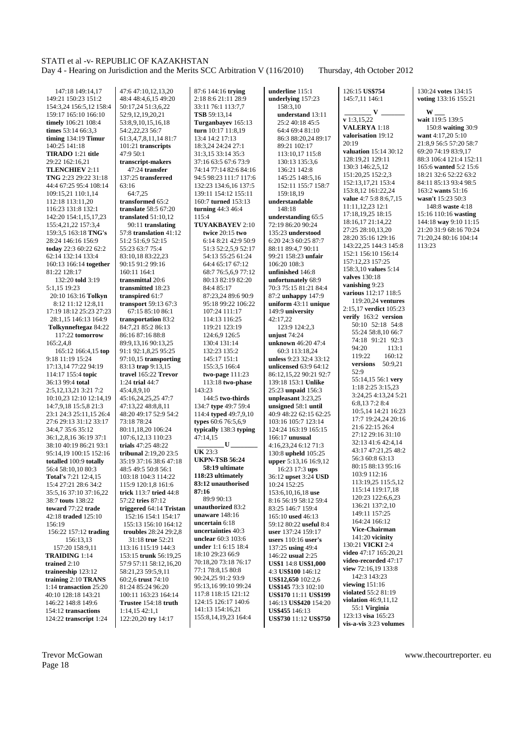147:18 149:14,17 149:21 150:23 151:2 154:3,24 156:5,12 158:4 159:17 165:10 166:10 **timely** 106:21 108:4 **times** 53:14 66:3,3 **timing** 134:19 **Timur** 140:25 141:18 **TIRADO** 1:21 **title** 29:22 162:16,21 **TLENCHIEV** 2:11 **TNG** 2:23 29:22 31:18 44:4 67:25 95:4 108:14 109:15,21 110:1,14 112:18 113:11,20 116:23 131:8 132:1 142:20 154:1,15,17,23 155:4,21,22 157:3,4 159:3,5 163:18 **TNG's** 28:24 146:16 156:9 **today** 22:3 60:22 62:2 62:14 132:14 133:4 160:13 166:14 **together** 81-22 128-17 132:20 **told** 3:19 5:1,15 19:23 20:10 163:16 **Tolkyn** 8:12 11:12 12:8,11 17:19 18:12 25:23 27:23 28:1,15 146:13 164:9 **Tolkynneftegaz** 84:22 117:22 **tomorrow** 165:2,4,8 165:12 166:4,15 **top** 9:18 11:19 15:24 17:13,14 77:22 94:19 114:17 155:4 **topic** 36:13 99:4 **total** 2:5,12,13,21 3:21 7:2 10:10,23 12:10 12:14,19 14:7,9,18 15:5,8 21:3 23:1 24:3 25:11,15 26:4 27:6 29:13 31:12 33:17 34:4,7 35:6 35:12 36:1,2,8,16 36:19 37:1 38:10 40:19 86:21 93:1 95:14,19 100:15 152:16 **totalled** 100:9 **totally** 56:4 58:10,10 80:3 **Total's** 7:21 12:4,15 15:4 27:21 28:6 34:2 35:5,16 37:10 37:16,22 38:7 **touts** 138:22 **toward** 77:22 **trade** 42:18 **traded** 125:10 156:19 156:22 157:12 **trading** 156:13,13 157:20 158:9,11 **TRAIDING** 1:14 **trained** 2:10 **traineeship** 123:12 **training** 2:10 **TRANS** 1:14 **transaction** 25:20 40:10 128:18 143:21 146:22 148:8 149:6 154:12 **transactions** 124:22 **transcript** 1:24

47:6 47:10,12,13,20 48:4 48:4,6,15 49:20 50:17,24 51:3,6,22 52:9,12,19,20,21 53:8,9,10,15,16,18  $54.2222356.7$ 61:3,4,7,8,11,14 81:7 101:21 **transcripts**  $47.9501$ **transcript-makers** 47:24 **transfer** 137:25 **transferred** 63:16  $64.725$ **transformed** 65:2 **translate** 58:5 67:20 **translated** 51:10,12 90:11 **translating** 57:8 **translation** 41:12 51:2 51:6,9 52:15 55:23 63:7 75:4 83:10,18 83:22,23  $90.1591.29916$ 160:11 164:1 **transmittal** 20:6 **transmitted** 18:23 **transpired** 61:7 **transport** 59:13 67:3 67:15 85:10 86:1 **transportation** 83:2 84:7,21 85:2 86:13 86:16 87:16 88:8 89:9,13,16 90:13,25 91:1 92:1,8,25 95:25 97:10,15 **transporting** 83:13 **trap** 9:13,15 **travel** 165:22 **Trevor** 1:24 **trial** 44:7 45:4,8,9,10 45:16,24,25,25 47:7 47:13,22 48:8,8,11 48:20 49:17 52:9 54:2 73:18 78:24 80:11,18,20 106:24 107:6,12,13 110:23 **trials** 47:25 48:22 **tribunal** 2:19,20 23:5 35:19 37:16 38:6 47:18 48:5 49:5 50:8 56:1 103:18 104:3 114:22 115:9 120:1,8 161:6 **trick** 113:7 **tried** 44:8 57:22 **tries** 87:12 **triggered** 64:14 **Tristan** 152:16 154:1 154:17 155:13 156:10 164:12 **troubles** 28:24 29:2,8 31:18 **true** 52:21 113:16 115:19 144:3 153:15 **trunk** 56:19,25 57:9 57:11 58:12,16,20 58:21,23 59:5,9,11 60:2,6 **trust** 74:10 81:24 85:24 96:20 100:11 163:23 164:14 **Trustee** 154:18 **truth** 1:14,15 42:1,1 122:20,20 **try** 14:17

87:6 144:16 **trying** 2:18 8:6 21:11 28:9 33:11 76:1 113:7,7 **TSB** 59:13,14 **Turganbayev** 165:13 **turn** 10:17 11:8,19 13:4 14:2 17:13 18:3,24 24:24 27:1 31:3,15 33:14 35:3 37:16 63:5 67:6 73:9 74:14 77:14 82:6 84:16 94:5 98:23 111:7 117:6 132:23 134:6,16 137:5 139:11 154:12 155:11 160:7 **turned** 153:13 **turning** 44:3 46:4 115:4 **TUYAKBAYEV** 2:10 **twice** 20:15 **two** 6:14 8:21 42:9 50:9 51:3 52:2,5,9 52:17 54:13 55:25 61:24 64:4 65:17 67:12 68:7 76:5,6,9 77:12 80:13 82:19 82:20 84:4 85:17 87:23,24 89:6 90:9 95:18 99:22 106:22 107:24 111:17 114:13 116:25 119:21 123:19 124:6,9 126:5 130:4 131:14 132:23 135:2 145:17 151:1  $155.35166.4$ **two-page** 111:23 113:18 **two-phase** 143:23 144:5 **two-thirds** 134:7 **type** 49:7 59:4 114:4 **typed** 49:7,9,10 **types** 60:6 76:5,6,9 **typically** 138:3 **typing** 47:14,15  **\_\_\_\_\_\_\_\_ U \_\_\_\_\_\_\_\_ UK** 23:3 **UKPN-TSB 56:24 58:19 ultimate 118:23 ultimately 83:12 unauthorised 87:16**  89:9 90:13 **unauthorized** 83:2 **unaware** 148:16 **uncertain** 6:18 **uncertainties** 40:3 **unclear** 60:3 103:6 **under** 1:1 6:15 18:4 18:10 29:23 66:9 70:18,20 73:18 76:17 77:1 78:8,15 80:8 90:24,25 91:2 93:9 95:13,16 99:10 99:24 117:8 118:15 121:12 124:15 126:17 140:6 141:13 154:16,21 155:8,14,19,23 164:4

**underline** 115:1 **underlying** 157:23 158:3,10 **understand** 13:11 25:2 40:18 45:5 64:4 69:4 81:10 86:3 88:20,24 89:17 89:21 102:17 113:10,17 115:8 130:13 135:3,6 136:21 142:8 145:25 148:5,16 152:11 155:7 158:7 159:18,19 **understandable**  148:18 **understanding** 65:5 72:19 86:20 90:24 135:23 **understood** 6:20 24:3 60:25 87:7 88:11 89:4,7 90:11 99:21 158:23 **unfair** 106:20 108:3 **unfinished** 146:8 **unfortunately** 68:9 70:3 75:15 81:21 84:4 87:2 **unhappy** 147:9 **uniform** 43:11 **unique** 149:9 **university** 42:17,22  $123.9 124.23$ **unjust** 74:24 **unknown** 46:20 47:4 60:3 113:18,24 **unless** 9:23 32:4 33:12 **unlicensed** 63:9 64:12 86:12,15,22 90:21 92:7 139:18 153:1 **Unlike** 25:23 **unpaid** 156:3 **unpleasant** 3:23,25 **unsigned** 58:1 **until** 40:9 48:22 62:15 62:25 103:16 105:7 123:14 124:24 163:19 165:15 166:17 **unusual** 4:16,23,24 6:12 71:3 130:8 **upheld** 105:25 **upper** 5:13,16 16:9,12 16:23 17:3 **ups** 36:12 **upset** 3:24 **USD** 10:24 152:25 153:6,10,16,18 **use** 8:16 56:19 58:12 59:4 83:25 146:7 159:4 165:10 **used** 46:13 59:12 80:22 **useful** 8:4 **user** 137:24 159:17 **users** 110:16 **user's** 137:25 **using** 49:4 146:22 **usual** 2:25 **US\$1** 14:8 **US\$1,000** 4:3 **US\$100** 146:12 **US\$12,650** 102:2,6 **US\$145** 73:3 102:10 **US\$170** 11:11 **US\$199** 146:13 **US\$420** 154:20 **US\$455** 146:13 **US\$730** 11:12 **US\$750**

126:15 **US\$754** 145:7,11 146:1

 **\_\_\_\_\_\_\_\_ V \_\_\_\_\_\_\_**   $\overline{v}$  1:3,15,22 **VALERYA** 1:18 **valorisation** 19:12 20:19 **valuation** 15:14 30:12 128:19,21 129:11 130:3 146:2,5,12 151:20,25 152:2,3 152:13,17,21 153:4 153:8,12 161:22,24 **value** 4:7 5:8 8:6,7,15 11:11,12,23 12:1 17:18,19,25 18:15 18:16,17 21:14,22 27:25 28:10,13,20 28:20 35:16 129:16 143:22,25 144:3 145:8 152:1 156:10 156:14 157:12,23 157:25 158:3,10 **values** 5:14 **valves** 130:18 **vanishing** 9:23 **various** 112:17 118:5 119:20,24 **ventures** 2:15,17 **verdict** 105:23 **verify** 163:2 **version** 50:10 52:18 54:8 55:24 58:8,10 66:7 74:18 91:21 92:3<br>94:20 113:1  $\frac{113:1}{160 \cdot 12}$ 119:22 **versions** 50:9.21  $52.9$ 55:14,15 56:1 **very** 1:18 2:25 3:15,23 3:24,25 4:13,24 5:21 6:8,13 7:2 8:4 10:5,14 14:21 16:23 17:7 19:24,24 20:16 21:6 22:15 26:4 27:12 29:16 31:10 32:13 41:6 42:4,14 43:17 47:21,25 48:2 56:3 60:8 63:13 80:15 88:13 95:16 103:9 112:16 113:19,25 115:5,12 115:14 119:17,18 120:23 122:6,6,23 136:21 137:2,10 149:11 157:25 164:24 166:12 **Vice-Chairman** 141:20 **vicinity** 130:21 **VICKI** 2:4 **video** 47:17 165:20,21 **video-recorded** 47:17 **view** 72:16,19 133:8 142:3 143:23 **viewing** 151:16 **violated** 55:2 81:19 **violation** 46:9,11,12 55:1 **Virginia** 123:13 **visa** 165:23 **vis-a-vis** 3:23 **volumes**

130:24 **votes** 134:15 **voting** 133:16 155:21

 $\bf{W}$ **wait** 119:5 139:5 150:8 **waiting** 30:9 **want** 4:17,20 5:10 21:8,9 56:5 57:20 58:7 69:20 74:19 83:9,17 88:3 106:4 121:4 152:11 165:6 **wanted** 5:2 15:6 18:21 32:6 52:22 63:2 84:11 85:13 93:4 98:5 163:2 **wants** 51:16 **wasn't** 15:23 50:3 148:8 **waste** 4:18 15:16 110:16 **wasting** 144:18 **way** 9:10 11:15 21:20 31:9 68:16 70:24 71:20,24 80:16 104:14

113:23

Page 18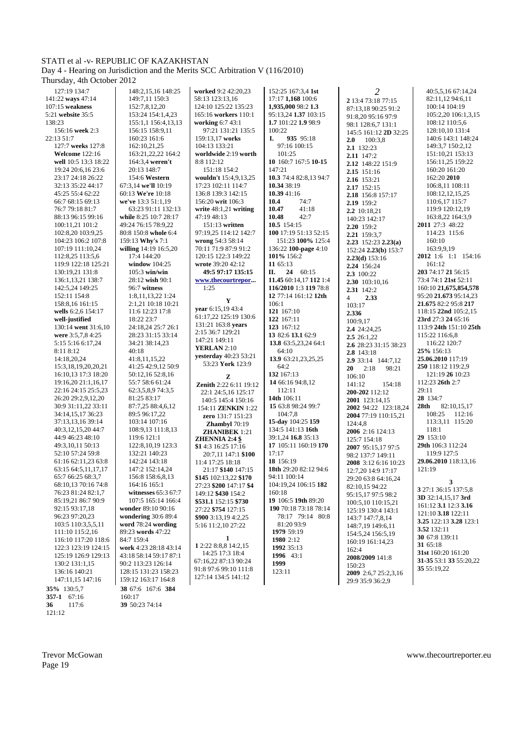Day 4 - Hearing on Jurisdiction and the Merits SCC Arbitration V (116/2010) Thursday, 4th October 2012

127:19 134:7 141:22 **ways** 47:14 107:15 **weakness** 5:21 **website** 35:5 138:23 156:16 **week** 2:3  $22.1351.7$ 127:7 **weeks** 127:8 **Welcome** 122:16 **well** 10:5 13:3 18:22 19:24 20:6,16 23:6 23:17 24:18 26:22 32:13 35:22 44:17 45:25 55:4 62:22 66:7 68:15 69:13 76:7 79:18 81:7 88:13 96:15 99:16 100:11,21 101:2 102:8,20 103:9,25 104:23 106:2 107:8 107:19 111:10,24 112:8,25 113:5,6 119:9 122:18 125:21 130:19,21 131:8 136:1,13,21 138:7 142:5,24 149:25 152:11 154:8 158:8,16 161:15 **wells** 6:2,6 154:17 **well-justified** 130:14 **went** 31:6,10 **were** 3:5,7,8 4:25 5:15 5:16 6:17,24 8:11 8:12 14:18,20,24 15:3,18,19,20,20,21 16:10,13 17:3 18:20 19:16,20 21:1,16,17 22:16 24:15 25:5,23 26:20 29:2,9,12,20 30:9 31:11,22 33:11 34:14,15,17 36:23 37:13,13,16 39:14 40:3,12,15,20 44:7 44:9 46:23 48:10 49:3,10,11 50:13  $52.1057.24598$ 61:16 62:11,23 63:8 63:15 64:5,11,17,17 65:7 66:25 68:3,7 68:10,13 70:16 74:8 76:23 81:24 82:1,7 85:19,21 86:7 90:9 92:15 93:17,18 96:23 97:20,23 103:5 110:3,5,5,11 111:10 115:2,16 116:10 117:20 118:6 122:3 123:19 124:15 125:19 126:9 129:13 130:2 131:1,15 136:16 140:21 147:11,15 147:16 **35%** 130:5,7 **357-1** 67:16 **36** 117:6  $121 \cdot 12$ 

148:2,15,16 148:25 149:7,11 150:3 152:7,8,12,20 153:24 154:1,4,23 155:1,1 156:4,13,13 156:15 158:9,11 160:23 161:6 162:10,21,25 163:21,22,22 164:2 164:3,4 **weren't** 20:13 148:7 154:6 **Western** 67:3,14 **we'll** 10:19 60:13 **We're** 10:18 **we've** 13:3 51:1,19 63:23 91:11 132:13 **while** 8:25 10:7 28:17 49:24 76:15 78:9,22 80:8 150:8 **whole** 6:4 159:13 **Why's** 7:1 **willing** 14:19 16:5,20 17:4 144:20 **window** 104:25 105:3 **win/win** 28:12 **wish** 90:1 96:7 **witness** 1:8,11,13,22 1:24 2:1,21 10:18 10:21  $11:6 12:23 17:8$  $18.22 23.7$ 24:18,24 25:7 26:1 28:23 31:15 33:14 34:21 38:14,23 40:18 41:8,11,15,22 41:25 42:9,12 50:9 50:12,16 52:8,16 55:7 58:6 61:24 62:3,5,8,9 74:3,5 81:25 83:17 87:7,25 88:4,6,12 89:5 96:17,22 103:14 107:16 108:9,13 111:8,13 119:6 121:1 122:8,10,19 123:3 132:21 140:23 142:24 143:18 147:2 152:14,24 156:8 158:6,8,13 164:16 165:1 **witnesses** 65:3 67:7 107:5 165:14 166:4 **wonder** 89:10 90:16 **wondering** 30:6 89:4 **word** 78:24 **wording** 89:23 **words** 47:22 84:7 159:4 **work** 4:23 28:18 43:14 43:18 58:14 59:17 87:1 90:2 113:23 126:14 128:15 131:23 158:23 159:12 163:17 164:8 **38** 67:6 167:6 **384** 160:17 **39** 50:23 74:14

**worked** 9:2 42:20,23 58:13 123:13,16 124:10 125:22 135:23 165:16 **workers** 110:1 **working** 6:7 43:1 97:21 131:21 135:5 159:13,17 **works** 104:13 133:21 **worldwide** 2:19 **worth** 8:8 112:12 151:18 154:2 **wouldn't** 15:4,9,13,25 17:23 102:11 114:7 136:8 139:3 142:15 156:20 **writ** 106:3 **write** 48:1,21 **writing** 47:19 48:13 151:13 **written** 97:19,25 114:12 142:7 **wrong** 54:3 58:14 70:11 71:9 87:9 91:2 120:15 122:3 149:22 **wrote** 39:20 42:12 **49:5 97:17 135:15 www.thecourtrepor...**   $1.25$ **Y year** 6:15,19 43:4 61:17,22 125:19 130:6 131:21 163:8 **years** 2:15 36:7 129:21 147:21 149:11 **YERLAN** 2:10 **yesterday** 40:23 53:21 53:23 **York** 123:9 **Z Zenith** 2:22 6:11 19:12 22:1 24:5,16 125:17 140:5 145:4 150:16 154:11 **ZENKIN** 1:22 **zero** 131:7 151:23 **Zhambyl** 70:19 **ZHANIBEK** 1:21 **ZHENNIA 2:4 \$ \$1** 4:3 16:25 17:16 20:7,11 147:1 **\$100** 11:4 17:25 18:18 21:17 **\$140** 147:15 **\$145** 102:13,22 **\$170** 27:23 **\$200** 147:17 **\$4** 149:12 **\$430** 154:2 **\$531.1** 152:15 **\$730** 27:22 **\$754** 127:15 **\$900** 3:13,19 4:2,25 5:16 11:2,10 27:22 **1 1** 2:22 8:8,8 14:2,15 14:25 17:3 18:4 67:16,22 87:13 90:24 91:8 97:6 99:10 111:8 127:14 134:5 141:12

152:25 167:3,4 **1st** 17:17 **1,168** 100:6 **1,935,000** 98:2 **1.3** 95:13,24 **1.37** 103:15 **1.7** 101:22 **1.9** 98:9 100:22 **I. 935** 95:18 97:16 100:15 101:25 **10** 160:7 167:5 **10-15** 147:21 **10.3** 74:4 82:8,13 94:7 **10.34** 38:19 **10.39** 41:16 **10.4** 74:7 **10.47** 41:18 **10.48** 42:7 **10.5** 154:15 **100** 17:19 51:13 52:15 151:23 **100%** 125:4 136:22 **100-page** 4:10 **101%** 156:2 **11** 65:13 **II. 24** 60:15 **11.45** 60:14,17 **112** 1:4 **116/2010** 1:3 **119** 78:8 **12** 77:14 161:12 **12th** 106:1 **121** 167:10 **122** 167:11 **123** 167:12 **13** 82:6 **13.1** 62:9 **13.8** 63:5,23,24 64:1 64:10 **13.9** 63:21,23,25,25  $64.2$ **132** 167:13 **14** 66:16 94:8,12 112:11 **14th** 106:11 **15** 63:8 98:24 99:7  $104.78$ **15-day** 104:25 **159** 134:5 141:13 **16th** 39:1,24 **16.8** 35:13 **17** 105:11 160:19 **170** 17:17 **18** 156:19 **18th** 29:20 82:12 94:6 94:11 100:14 104:19,24 106:15 **182**  $160.18$ **19** 106:5 **19th** 89:20 **190** 70:18 73:18 78:14 78:17 79:14 80:8 81:20 93:9 **1979** 59:19 **1980** 2:12 **1992** 35:13 **1996** 43:1 **1999**

123:11

*2*  **2** 13:4 73:18 77:15  $87:13,18,90:25,91:2$ 91:8,20 95:16 97:9 98:1 128:6,7 131:1 145:5 161:12 **2D** 32:25 **2.0** 100:3,8 **2.1** 132:23 **2.11** 147:2 **2.12** 148:22 151:9 **2.15** 151:16 **2.16** 153:21 **2.17** 152:15 **2.18** 156:8 157:17 **2.19** 159:2 **2.2** 10:18,21 140:23 142:17 **2.20** 159:2 **2.21** 159:3,7 **2.23** 152:23 **2.23(a)** 152:24 **2.23(b)** 153:7 **2.23(d)** 153:16 **2.24** 156:24 **2.3** 100:22 **2.30** 103:10,16 **2.31** 142:2 4 **2.33** 103:17 **2.336** 100:9,17 **2.4** 24:24,25 **2.5** 26:1,22 **2.6** 28:23 31:15 38:23 **2.8** 143:18 **2.9** 33:14 144:7,12<br>**20** 2:18 98:21 **98:21** 106:10 141:12 154:18 **200-202** 112:12 **2001** 123:14,15 **2002** 94:22 123:18,24 **2004** 77:19 110:15,21  $124.48$ **2006** 2:16 124:13 125:7 154:18 **2007** 95:15,17 97:5 98:2 137:7 149:11 **2008** 3:12 6:16 10:23 12:7,20 14:9 17:17 29:20 63:8 64:16,24 82:10,15 94:22 95:15,17 97:5 98:2 100:5,10 110:15,21 125:19 130:4 143:1 143:7 147:7,8,14 148:7,19 149:6,11 154:5,24 156:5,19 160:19 161:14,23  $162.4$ **2008/2009** 141:8  $150.23$ **2009** 2:6,7 25:2,3,16 29:9 35:9 36:2,9

40:5,5,16 67:14,24 82:11,12 94:6,11 100:14 104:19 105:2,20 106:1,3,15 108:12 110:5,6 128:10,10 131:4 140:6 143:1 148:24 149:3,7 150:2,12 151:10,21 153:13 156:11,25 159:22 160:20 161:20 162:20 **2010** 106:8,11 108:11 108:12,12,15,25 110:6,17 115:7 119:9 120:12,19 163:8,22 164:3,9 **2011** 27:3 48:22 114:23 115:6 160:10 163:9,9,19 **2012** 1:6 1:1 154:16 161:12 **203** 74:17 **21** 56:15 73:4 74:1 **21st** 52:11 160:10 **21,675,854,578** 95:20 **21.673** 95:14,23 **21.675** 82:2 95:8 **217** 118:15 **22nd** 105:2,15 **23rd** 27:3 **24** 65:16 113:9 **24th** 151:10 **25th** 115:22 116:6,8 116:22 120:7 **25%** 156:13 **25.06.2010** 117:19 **250** 118:12 119:2,9 121:19 **26** 10:23 112:23 **26th** 2:7  $29.11$ **28** 134:7 **28th** 82:10,15,17 108:25 112:16 113:3,11 115:20 118:1 **29** 153:10 **29th** 106:3 112:24 119:9 127:5 **29.06.2010** 118:13,16 121:19 **3 3** 27:1 36:15 137:5,8 **3D** 32:14,15,17 **3rd** 161:12 **3.1** 12:3 **3.16** 121:10 **3.18** 122:11 **3.25** 122:13 **3.28** 123:1 **3.52** 132:11 **30** 67:8 139:11 **31** 65:18 **31st** 160:20 161:20 **31-35** 53:1 **33** 55:20,22 **35** 55:19,22

Page 19